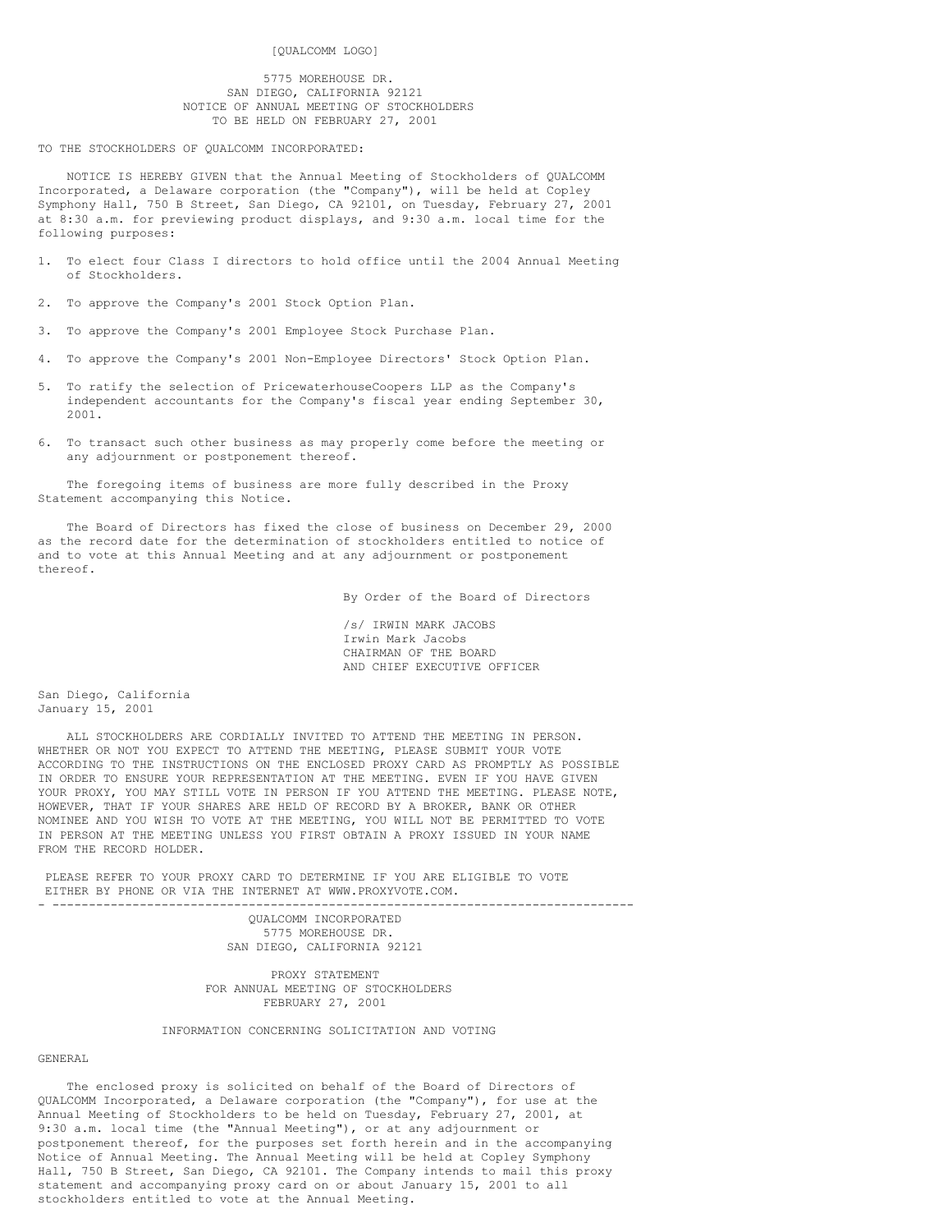[QUALCOMM LOGO]

# 5775 MOREHOUSE DR. SAN DIEGO, CALIFORNIA 92121 NOTICE OF ANNUAL MEETING OF STOCKHOLDERS TO BE HELD ON FEBRUARY 27, 2001

TO THE STOCKHOLDERS OF QUALCOMM INCORPORATED:

NOTICE IS HEREBY GIVEN that the Annual Meeting of Stockholders of QUALCOMM Incorporated, a Delaware corporation (the "Company"), will be held at Copley Symphony Hall, 750 B Street, San Diego, CA 92101, on Tuesday, February 27, 2001 at 8:30 a.m. for previewing product displays, and 9:30 a.m. local time for the following purposes:

1. To elect four Class I directors to hold office until the 2004 Annual Meeting of Stockholders.

2. To approve the Company's 2001 Stock Option Plan.

- 3. To approve the Company's 2001 Employee Stock Purchase Plan.
- 4. To approve the Company's 2001 Non-Employee Directors' Stock Option Plan.
- 5. To ratify the selection of PricewaterhouseCoopers LLP as the Company's independent accountants for the Company's fiscal year ending September 30, 2001.
- 6. To transact such other business as may properly come before the meeting or any adjournment or postponement thereof.

The foregoing items of business are more fully described in the Proxy Statement accompanying this Notice.

The Board of Directors has fixed the close of business on December 29, 2000 as the record date for the determination of stockholders entitled to notice of and to vote at this Annual Meeting and at any adjournment or postponement thereof.

By Order of the Board of Directors

/s/ IRWIN MARK JACOBS Irwin Mark Jacobs CHAIRMAN OF THE BOARD AND CHIEF EXECUTIVE OFFICER

San Diego, California January 15, 2001

ALL STOCKHOLDERS ARE CORDIALLY INVITED TO ATTEND THE MEETING IN PERSON. WHETHER OR NOT YOU EXPECT TO ATTEND THE MEETING, PLEASE SUBMIT YOUR VOTE ACCORDING TO THE INSTRUCTIONS ON THE ENCLOSED PROXY CARD AS PROMPTLY AS POSSIBLE IN ORDER TO ENSURE YOUR REPRESENTATION AT THE MEETING. EVEN IF YOU HAVE GIVEN YOUR PROXY, YOU MAY STILL VOTE IN PERSON IF YOU ATTEND THE MEETING. PLEASE NOTE, HOWEVER, THAT IF YOUR SHARES ARE HELD OF RECORD BY A BROKER, BANK OR OTHER NOMINEE AND YOU WISH TO VOTE AT THE MEETING, YOU WILL NOT BE PERMITTED TO VOTE IN PERSON AT THE MEETING UNLESS YOU FIRST OBTAIN A PROXY ISSUED IN YOUR NAME FROM THE RECORD HOLDER.

PLEASE REFER TO YOUR PROXY CARD TO DETERMINE IF YOU ARE ELIGIBLE TO VOTE EITHER BY PHONE OR VIA THE INTERNET AT WWW.PROXYVOTE.COM. - --------------------------------------------------------------------------------

> QUALCOMM INCORPORATED 5775 MOREHOUSE DR. SAN DIEGO, CALIFORNIA 92121

PROXY STATEMENT FOR ANNUAL MEETING OF STOCKHOLDERS FEBRUARY 27, 2001

INFORMATION CONCERNING SOLICITATION AND VOTING

# GENERAL

The enclosed proxy is solicited on behalf of the Board of Directors of QUALCOMM Incorporated, a Delaware corporation (the "Company"), for use at the Annual Meeting of Stockholders to be held on Tuesday, February 27, 2001, at 9:30 a.m. local time (the "Annual Meeting"), or at any adjournment or postponement thereof, for the purposes set forth herein and in the accompanying Notice of Annual Meeting. The Annual Meeting will be held at Copley Symphony Hall, 750 B Street, San Diego, CA 92101. The Company intends to mail this proxy statement and accompanying proxy card on or about January 15, 2001 to all stockholders entitled to vote at the Annual Meeting.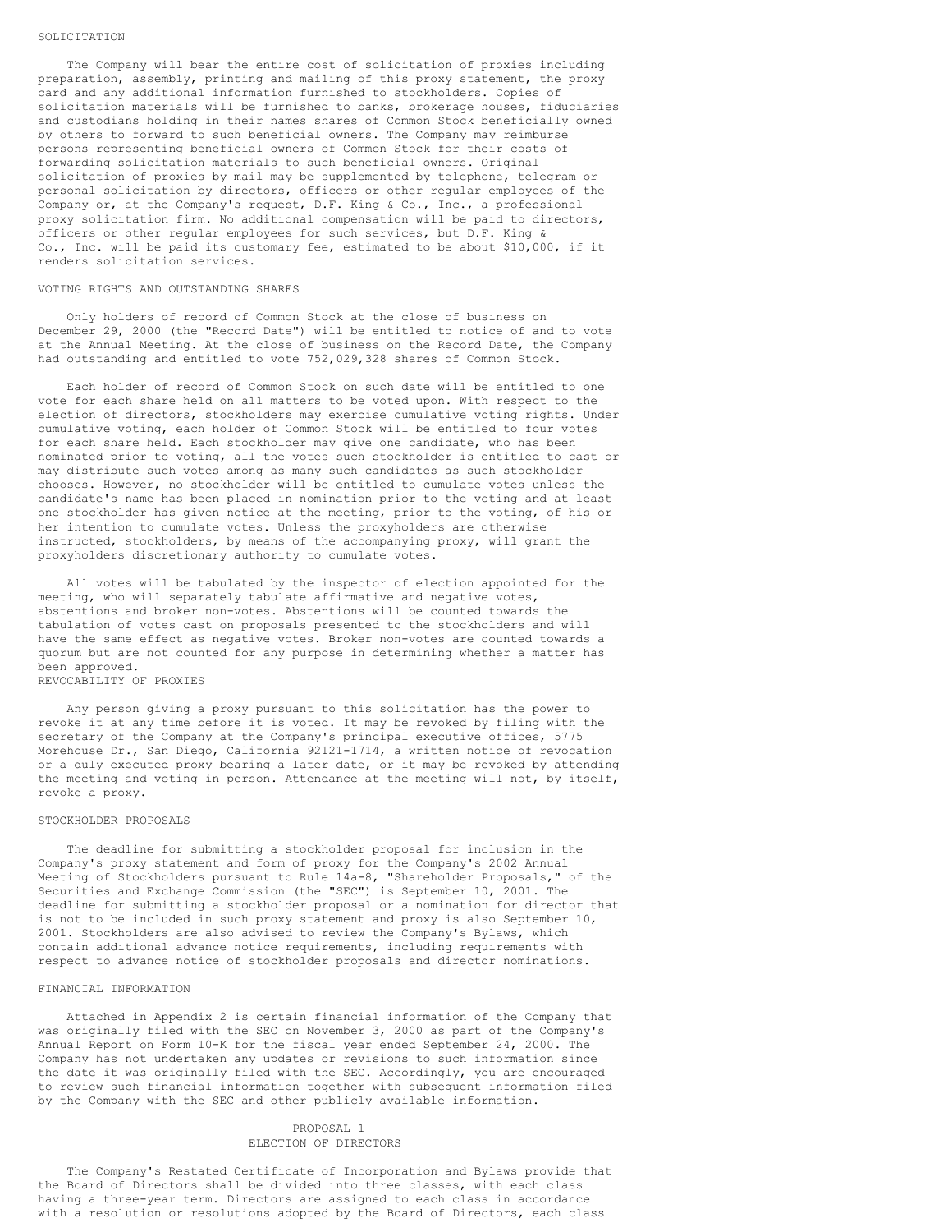The Company will bear the entire cost of solicitation of proxies including preparation, assembly, printing and mailing of this proxy statement, the proxy card and any additional information furnished to stockholders. Copies of solicitation materials will be furnished to banks, brokerage houses, fiduciaries and custodians holding in their names shares of Common Stock beneficially owned by others to forward to such beneficial owners. The Company may reimburse persons representing beneficial owners of Common Stock for their costs of forwarding solicitation materials to such beneficial owners. Original solicitation of proxies by mail may be supplemented by telephone, telegram or personal solicitation by directors, officers or other regular employees of the Company or, at the Company's request, D.F. King & Co., Inc., a professional proxy solicitation firm. No additional compensation will be paid to directors, officers or other regular employees for such services, but D.F. King & Co., Inc. will be paid its customary fee, estimated to be about \$10,000, if it renders solicitation services.

## VOTING RIGHTS AND OUTSTANDING SHARES

Only holders of record of Common Stock at the close of business on December 29, 2000 (the "Record Date") will be entitled to notice of and to vote at the Annual Meeting. At the close of business on the Record Date, the Company had outstanding and entitled to vote 752,029,328 shares of Common Stock.

Each holder of record of Common Stock on such date will be entitled to one vote for each share held on all matters to be voted upon. With respect to the election of directors, stockholders may exercise cumulative voting rights. Under cumulative voting, each holder of Common Stock will be entitled to four votes for each share held. Each stockholder may give one candidate, who has been nominated prior to voting, all the votes such stockholder is entitled to cast or may distribute such votes among as many such candidates as such stockholder chooses. However, no stockholder will be entitled to cumulate votes unless the candidate's name has been placed in nomination prior to the voting and at least one stockholder has given notice at the meeting, prior to the voting, of his or her intention to cumulate votes. Unless the proxyholders are otherwise instructed, stockholders, by means of the accompanying proxy, will grant the proxyholders discretionary authority to cumulate votes.

All votes will be tabulated by the inspector of election appointed for the meeting, who will separately tabulate affirmative and negative votes, abstentions and broker non-votes. Abstentions will be counted towards the tabulation of votes cast on proposals presented to the stockholders and will have the same effect as negative votes. Broker non-votes are counted towards a quorum but are not counted for any purpose in determining whether a matter has been approved. REVOCABILITY OF PROXIES

# Any person giving a proxy pursuant to this solicitation has the power to revoke it at any time before it is voted. It may be revoked by filing with the secretary of the Company at the Company's principal executive offices, 5775 Morehouse Dr., San Diego, California 92121-1714, a written notice of revocation or a duly executed proxy bearing a later date, or it may be revoked by attending the meeting and voting in person. Attendance at the meeting will not, by itself, revoke a proxy.

### STOCKHOLDER PROPOSALS

The deadline for submitting a stockholder proposal for inclusion in the Company's proxy statement and form of proxy for the Company's 2002 Annual Meeting of Stockholders pursuant to Rule 14a-8, "Shareholder Proposals," of the Securities and Exchange Commission (the "SEC") is September 10, 2001. The deadline for submitting a stockholder proposal or a nomination for director that is not to be included in such proxy statement and proxy is also September 10, 2001. Stockholders are also advised to review the Company's Bylaws, which contain additional advance notice requirements, including requirements with respect to advance notice of stockholder proposals and director nominations.

#### FINANCIAL INFORMATION

Attached in Appendix 2 is certain financial information of the Company that was originally filed with the SEC on November 3, 2000 as part of the Company's Annual Report on Form 10-K for the fiscal year ended September 24, 2000. The Company has not undertaken any updates or revisions to such information since the date it was originally filed with the SEC. Accordingly, you are encouraged to review such financial information together with subsequent information filed by the Company with the SEC and other publicly available information.

# PROPOSAL 1 ELECTION OF DIRECTORS

The Company's Restated Certificate of Incorporation and Bylaws provide that the Board of Directors shall be divided into three classes, with each class having a three-year term. Directors are assigned to each class in accordance with a resolution or resolutions adopted by the Board of Directors, each class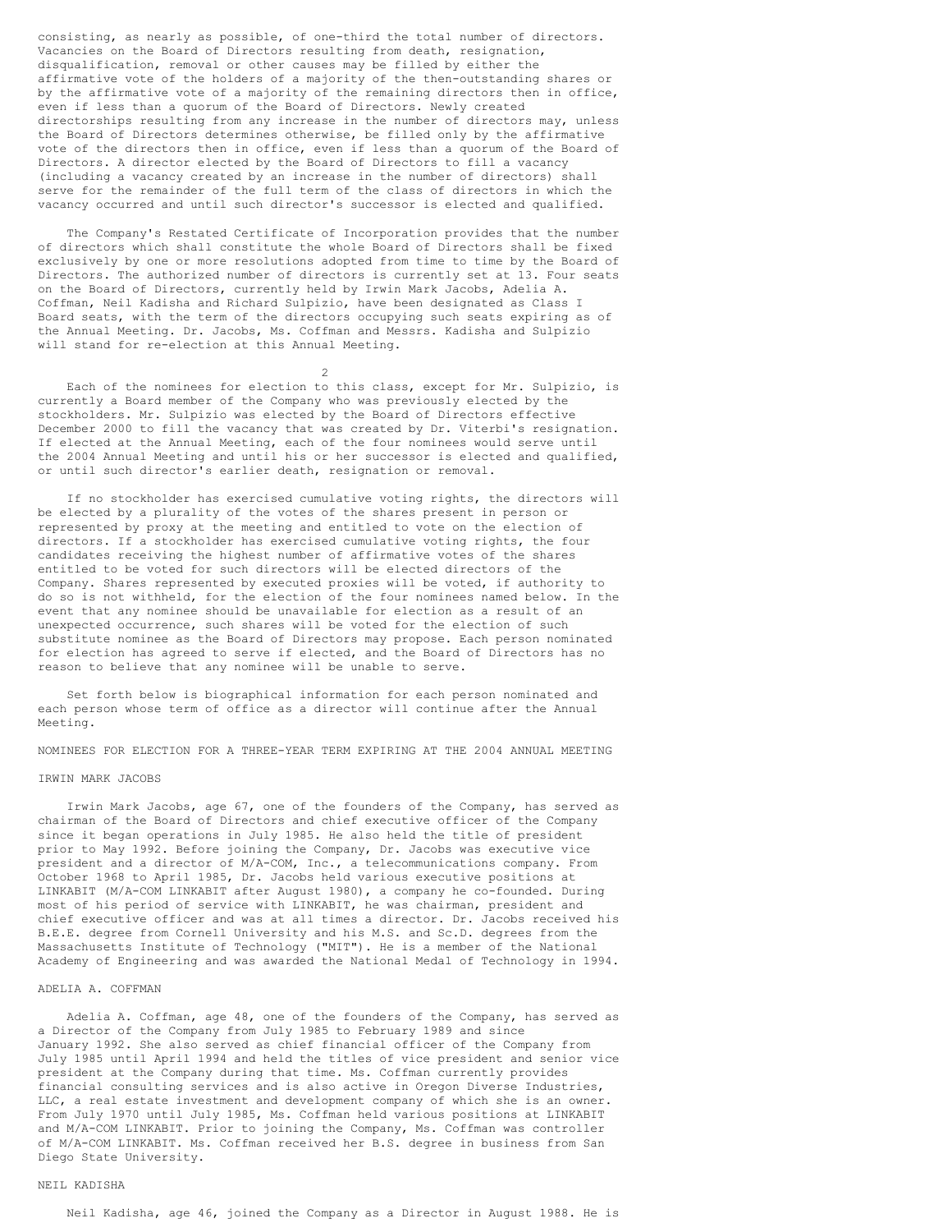consisting, as nearly as possible, of one-third the total number of directors. Vacancies on the Board of Directors resulting from death, resignation, disqualification, removal or other causes may be filled by either the affirmative vote of the holders of a majority of the then-outstanding shares or by the affirmative vote of a majority of the remaining directors then in office, even if less than a quorum of the Board of Directors. Newly created directorships resulting from any increase in the number of directors may, unless the Board of Directors determines otherwise, be filled only by the affirmative vote of the directors then in office, even if less than a quorum of the Board of Directors. A director elected by the Board of Directors to fill a vacancy (including a vacancy created by an increase in the number of directors) shall serve for the remainder of the full term of the class of directors in which the vacancy occurred and until such director's successor is elected and qualified.

The Company's Restated Certificate of Incorporation provides that the number of directors which shall constitute the whole Board of Directors shall be fixed exclusively by one or more resolutions adopted from time to time by the Board of Directors. The authorized number of directors is currently set at 13. Four seats on the Board of Directors, currently held by Irwin Mark Jacobs, Adelia A. Coffman, Neil Kadisha and Richard Sulpizio, have been designated as Class I Board seats, with the term of the directors occupying such seats expiring as of the Annual Meeting. Dr. Jacobs, Ms. Coffman and Messrs. Kadisha and Sulpizio will stand for re-election at this Annual Meeting.

Each of the nominees for election to this class, except for Mr. Sulpizio, is currently a Board member of the Company who was previously elected by the stockholders. Mr. Sulpizio was elected by the Board of Directors effective December 2000 to fill the vacancy that was created by Dr. Viterbi's resignation. If elected at the Annual Meeting, each of the four nominees would serve until the 2004 Annual Meeting and until his or her successor is elected and qualified, or until such director's earlier death, resignation or removal.

 $\mathfrak{D}$ 

If no stockholder has exercised cumulative voting rights, the directors will be elected by a plurality of the votes of the shares present in person or represented by proxy at the meeting and entitled to vote on the election of directors. If a stockholder has exercised cumulative voting rights, the four candidates receiving the highest number of affirmative votes of the shares entitled to be voted for such directors will be elected directors of the Company. Shares represented by executed proxies will be voted, if authority to do so is not withheld, for the election of the four nominees named below. In the event that any nominee should be unavailable for election as a result of an unexpected occurrence, such shares will be voted for the election of such substitute nominee as the Board of Directors may propose. Each person nominated for election has agreed to serve if elected, and the Board of Directors has no reason to believe that any nominee will be unable to serve.

Set forth below is biographical information for each person nominated and each person whose term of office as a director will continue after the Annual Meeting.

NOMINEES FOR ELECTION FOR A THREE-YEAR TERM EXPIRING AT THE 2004 ANNUAL MEETING

### IRWIN MARK JACOBS

Irwin Mark Jacobs, age 67, one of the founders of the Company, has served as chairman of the Board of Directors and chief executive officer of the Company since it began operations in July 1985. He also held the title of president prior to May 1992. Before joining the Company, Dr. Jacobs was executive vice president and a director of M/A-COM, Inc., a telecommunications company. From October 1968 to April 1985, Dr. Jacobs held various executive positions at LINKABIT (M/A-COM LINKABIT after August 1980), a company he co-founded. During most of his period of service with LINKABIT, he was chairman, president and chief executive officer and was at all times a director. Dr. Jacobs received his B.E.E. degree from Cornell University and his M.S. and Sc.D. degrees from the Massachusetts Institute of Technology ("MIT"). He is a member of the National Academy of Engineering and was awarded the National Medal of Technology in 1994.

### ADELIA A. COFFMAN

Adelia A. Coffman, age 48, one of the founders of the Company, has served as a Director of the Company from July 1985 to February 1989 and since January 1992. She also served as chief financial officer of the Company from July 1985 until April 1994 and held the titles of vice president and senior vice president at the Company during that time. Ms. Coffman currently provides financial consulting services and is also active in Oregon Diverse Industries, LLC, a real estate investment and development company of which she is an owner. From July 1970 until July 1985, Ms. Coffman held various positions at LINKABIT and M/A-COM LINKABIT. Prior to joining the Company, Ms. Coffman was controller of M/A-COM LINKABIT. Ms. Coffman received her B.S. degree in business from San Diego State University.

#### NEIL KADISHA

Neil Kadisha, age 46, joined the Company as a Director in August 1988. He is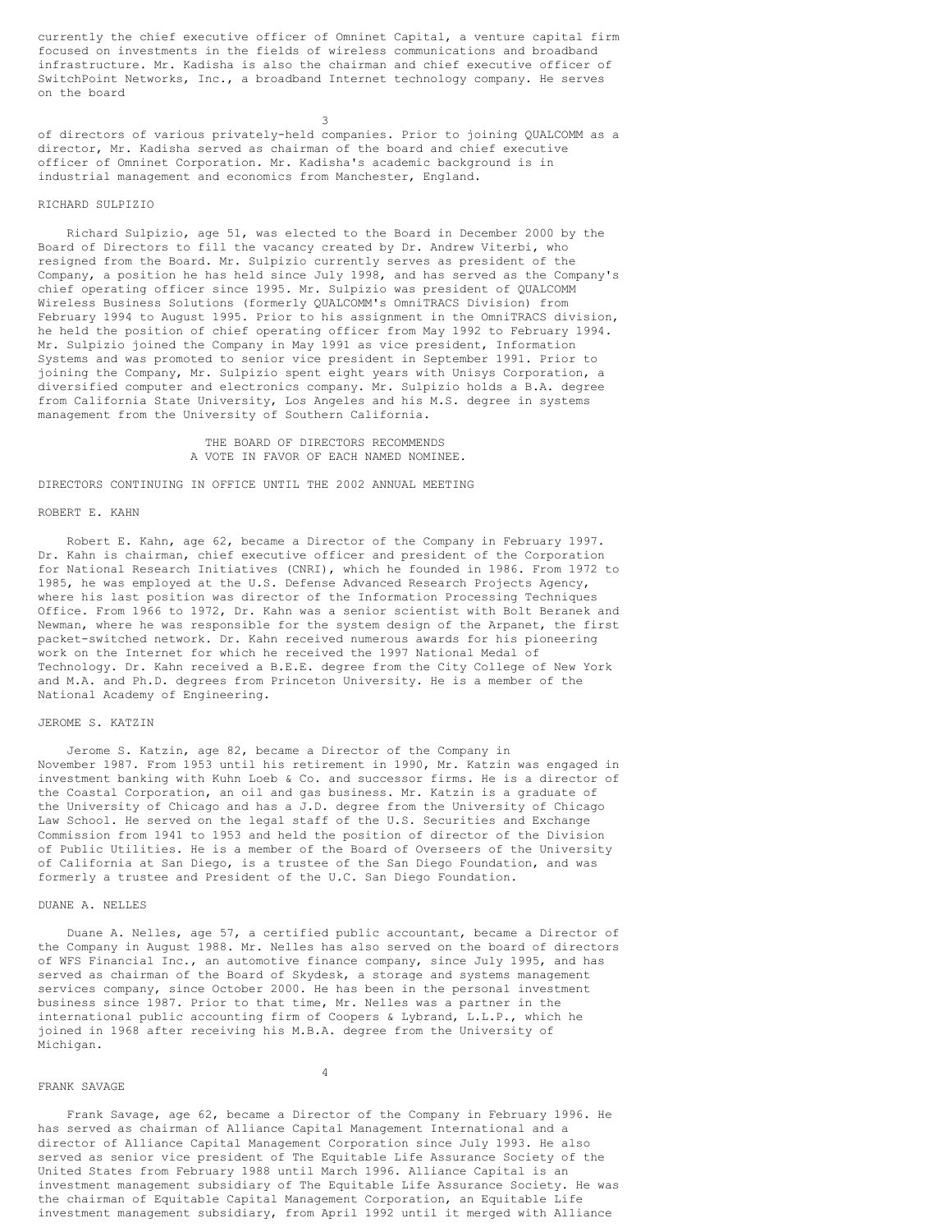currently the chief executive officer of Omninet Capital, a venture capital firm focused on investments in the fields of wireless communications and broadband infrastructure. Mr. Kadisha is also the chairman and chief executive officer of SwitchPoint Networks, Inc., a broadband Internet technology company. He serves on the board

3

of directors of various privately-held companies. Prior to joining QUALCOMM as a director, Mr. Kadisha served as chairman of the board and chief executive officer of Omninet Corporation. Mr. Kadisha's academic background is in industrial management and economics from Manchester, England.

# RICHARD SULPIZIO

Richard Sulpizio, age 51, was elected to the Board in December 2000 by the Board of Directors to fill the vacancy created by Dr. Andrew Viterbi, who resigned from the Board. Mr. Sulpizio currently serves as president of the Company, a position he has held since July 1998, and has served as the Company's chief operating officer since 1995. Mr. Sulpizio was president of QUALCOMM Wireless Business Solutions (formerly QUALCOMM's OmniTRACS Division) from February 1994 to August 1995. Prior to his assignment in the OmniTRACS division, he held the position of chief operating officer from May 1992 to February 1994. Mr. Sulpizio joined the Company in May 1991 as vice president, Information Systems and was promoted to senior vice president in September 1991. Prior to joining the Company, Mr. Sulpizio spent eight years with Unisys Corporation, a diversified computer and electronics company. Mr. Sulpizio holds a B.A. degree from California State University, Los Angeles and his M.S. degree in systems management from the University of Southern California.

> THE BOARD OF DIRECTORS RECOMMENDS A VOTE IN FAVOR OF EACH NAMED NOMINEE.

# DIRECTORS CONTINUING IN OFFICE UNTIL THE 2002 ANNUAL MEETING

### ROBERT E. KAHN

Robert E. Kahn, age 62, became a Director of the Company in February 1997. Dr. Kahn is chairman, chief executive officer and president of the Corporation for National Research Initiatives (CNRI), which he founded in 1986. From 1972 to 1985, he was employed at the U.S. Defense Advanced Research Projects Agency, where his last position was director of the Information Processing Techniques Office. From 1966 to 1972, Dr. Kahn was a senior scientist with Bolt Beranek and Newman, where he was responsible for the system design of the Arpanet, the first packet-switched network. Dr. Kahn received numerous awards for his pioneering work on the Internet for which he received the 1997 National Medal of Technology. Dr. Kahn received a B.E.E. degree from the City College of New York and M.A. and Ph.D. degrees from Princeton University. He is a member of the National Academy of Engineering.

### JEROME S. KATZIN

Jerome S. Katzin, age 82, became a Director of the Company in November 1987. From 1953 until his retirement in 1990, Mr. Katzin was engaged in investment banking with Kuhn Loeb & Co. and successor firms. He is a director of the Coastal Corporation, an oil and gas business. Mr. Katzin is a graduate of the University of Chicago and has a J.D. degree from the University of Chicago Law School. He served on the legal staff of the U.S. Securities and Exchange Commission from 1941 to 1953 and held the position of director of the Division of Public Utilities. He is a member of the Board of Overseers of the University of California at San Diego, is a trustee of the San Diego Foundation, and was formerly a trustee and President of the U.C. San Diego Foundation.

# DUANE A. NELLES

Duane A. Nelles, age 57, a certified public accountant, became a Director of the Company in August 1988. Mr. Nelles has also served on the board of directors of WFS Financial Inc., an automotive finance company, since July 1995, and has served as chairman of the Board of Skydesk, a storage and systems management services company, since October 2000. He has been in the personal investment business since 1987. Prior to that time, Mr. Nelles was a partner in the international public accounting firm of Coopers & Lybrand, L.L.P., which he joined in 1968 after receiving his M.B.A. degree from the University of Michigan.

### FRANK SAVAGE

Frank Savage, age 62, became a Director of the Company in February 1996. He has served as chairman of Alliance Capital Management International and a director of Alliance Capital Management Corporation since July 1993. He also served as senior vice president of The Equitable Life Assurance Society of the United States from February 1988 until March 1996. Alliance Capital is an investment management subsidiary of The Equitable Life Assurance Society. He was the chairman of Equitable Capital Management Corporation, an Equitable Life investment management subsidiary, from April 1992 until it merged with Alliance

4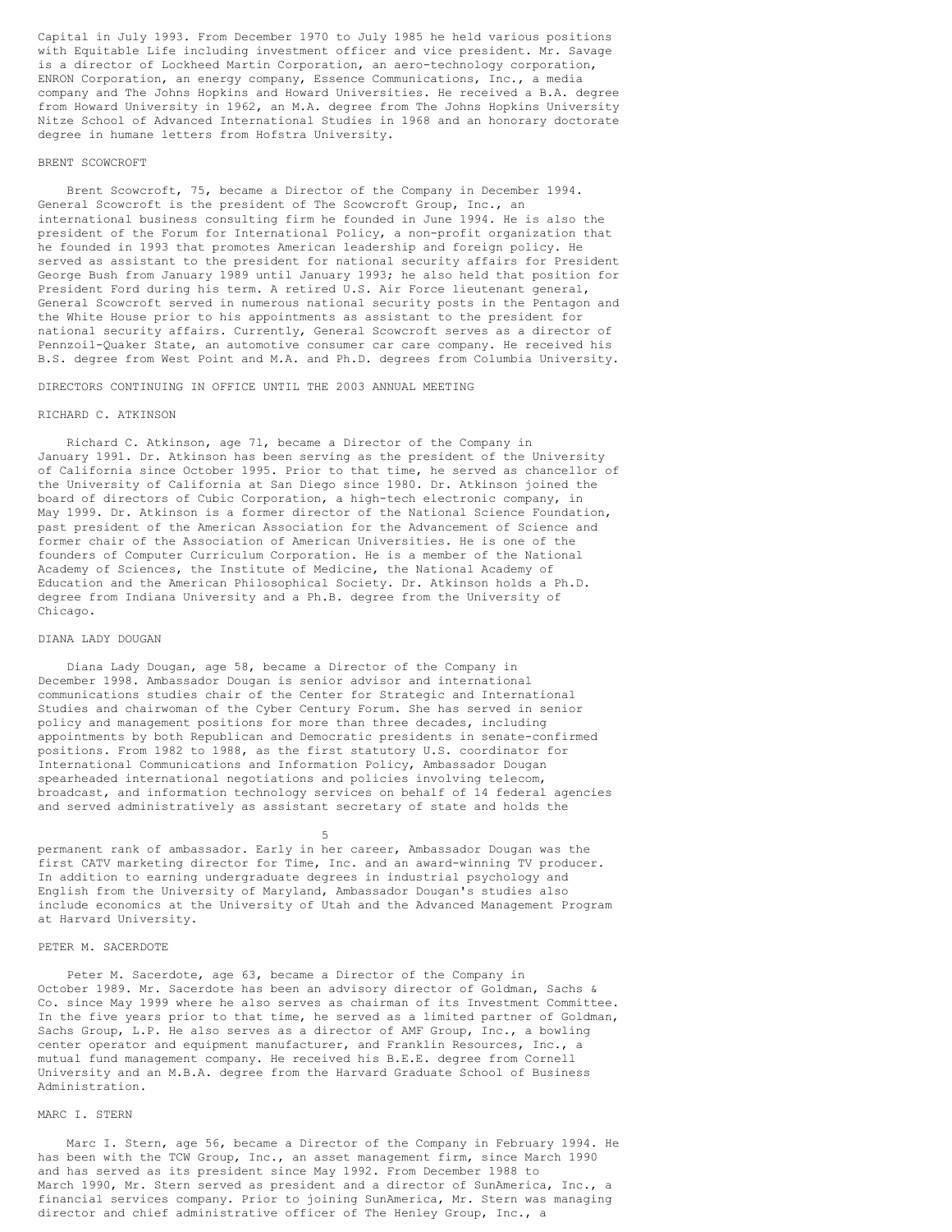Capital in July 1993. From December 1970 to July 1985 he held various positions with Equitable Life including investment officer and vice president. Mr. Savage is a director of Lockheed Martin Corporation, an aero-technology corporation, ENRON Corporation, an energy company, Essence Communications, Inc., a media company and The Johns Hopkins and Howard Universities. He received a B.A. degree from Howard University in 1962, an M.A. degree from The Johns Hopkins University Nitze School of Advanced International Studies in 1968 and an honorary doctorate degree in humane letters from Hofstra University.

#### BRENT SCOWCROFT

Brent Scowcroft, 75, became a Director of the Company in December 1994. General Scowcroft is the president of The Scowcroft Group, Inc., an international business consulting firm he founded in June 1994. He is also the president of the Forum for International Policy, a non-profit organization that he founded in 1993 that promotes American leadership and foreign policy. He served as assistant to the president for national security affairs for President George Bush from January 1989 until January 1993; he also held that position for President Ford during his term. A retired U.S. Air Force lieutenant general, General Scowcroft served in numerous national security posts in the Pentagon and the White House prior to his appointments as assistant to the president for national security affairs. Currently, General Scowcroft serves as a director of Pennzoil-Quaker State, an automotive consumer car care company. He received his B.S. degree from West Point and M.A. and Ph.D. degrees from Columbia University.

DIRECTORS CONTINUING IN OFFICE UNTIL THE 2003 ANNUAL MEETING

#### RICHARD C. ATKINSON

Richard C. Atkinson, age 71, became a Director of the Company in January 1991. Dr. Atkinson has been serving as the president of the University of California since October 1995. Prior to that time, he served as chancellor of the University of California at San Diego since 1980. Dr. Atkinson joined the board of directors of Cubic Corporation, a high-tech electronic company, in May 1999. Dr. Atkinson is a former director of the National Science Foundation, past president of the American Association for the Advancement of Science and former chair of the Association of American Universities. He is one of the founders of Computer Curriculum Corporation. He is a member of the National Academy of Sciences, the Institute of Medicine, the National Academy of Education and the American Philosophical Society. Dr. Atkinson holds a Ph.D. degree from Indiana University and a Ph.B. degree from the University of Chicago.

# DIANA LADY DOUGAN

Diana Lady Dougan, age 58, became a Director of the Company in December 1998. Ambassador Dougan is senior advisor and international communications studies chair of the Center for Strategic and International Studies and chairwoman of the Cyber Century Forum. She has served in senior policy and management positions for more than three decades, including appointments by both Republican and Democratic presidents in senate-confirmed positions. From 1982 to 1988, as the first statutory U.S. coordinator for International Communications and Information Policy, Ambassador Dougan spearheaded international negotiations and policies involving telecom, broadcast, and information technology services on behalf of 14 federal agencies and served administratively as assistant secretary of state and holds the

5 permanent rank of ambassador. Early in her career, Ambassador Dougan was the first CATV marketing director for Time, Inc. and an award-winning TV producer. In addition to earning undergraduate degrees in industrial psychology and English from the University of Maryland, Ambassador Dougan's studies also include economics at the University of Utah and the Advanced Management Program at Harvard University.

### PETER M. SACERDOTE

Peter M. Sacerdote, age 63, became a Director of the Company in October 1989. Mr. Sacerdote has been an advisory director of Goldman, Sachs & Co. since May 1999 where he also serves as chairman of its Investment Committee. In the five years prior to that time, he served as a limited partner of Goldman, Sachs Group, L.P. He also serves as a director of AMF Group, Inc., a bowling center operator and equipment manufacturer, and Franklin Resources, Inc., a mutual fund management company. He received his B.E.E. degree from Cornell University and an M.B.A. degree from the Harvard Graduate School of Business Administration.

### MARC I. STERN

Marc I. Stern, age 56, became a Director of the Company in February 1994. He has been with the TCW Group, Inc., an asset management firm, since March 1990 and has served as its president since May 1992. From December 1988 to March 1990, Mr. Stern served as president and a director of SunAmerica, Inc., a financial services company. Prior to joining SunAmerica, Mr. Stern was managing director and chief administrative officer of The Henley Group, Inc., a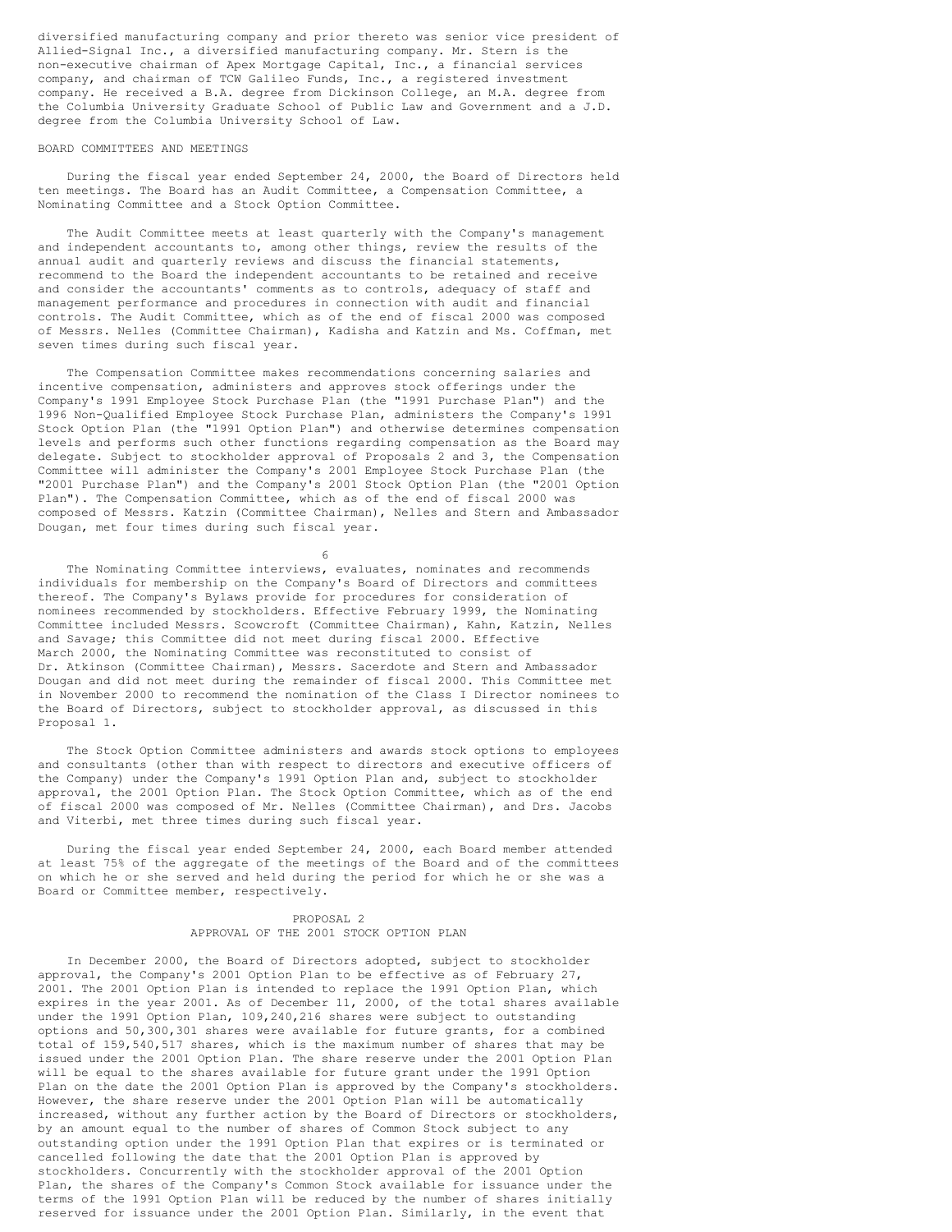diversified manufacturing company and prior thereto was senior vice president of Allied-Signal Inc., a diversified manufacturing company. Mr. Stern is the non-executive chairman of Apex Mortgage Capital, Inc., a financial services company, and chairman of TCW Galileo Funds, Inc., a registered investment company. He received a B.A. degree from Dickinson College, an M.A. degree from the Columbia University Graduate School of Public Law and Government and a J.D. degree from the Columbia University School of Law.

#### BOARD COMMITTEES AND MEETINGS

During the fiscal year ended September 24, 2000, the Board of Directors held ten meetings. The Board has an Audit Committee, a Compensation Committee, a Nominating Committee and a Stock Option Committee.

The Audit Committee meets at least quarterly with the Company's management and independent accountants to, among other things, review the results of the annual audit and quarterly reviews and discuss the financial statements, recommend to the Board the independent accountants to be retained and receive and consider the accountants' comments as to controls, adequacy of staff and management performance and procedures in connection with audit and financial controls. The Audit Committee, which as of the end of fiscal 2000 was composed of Messrs. Nelles (Committee Chairman), Kadisha and Katzin and Ms. Coffman, met seven times during such fiscal year.

The Compensation Committee makes recommendations concerning salaries and incentive compensation, administers and approves stock offerings under the Company's 1991 Employee Stock Purchase Plan (the "1991 Purchase Plan") and the 1996 Non-Qualified Employee Stock Purchase Plan, administers the Company's 1991 Stock Option Plan (the "1991 Option Plan") and otherwise determines compensation levels and performs such other functions regarding compensation as the Board may delegate. Subject to stockholder approval of Proposals 2 and 3, the Compensation Committee will administer the Company's 2001 Employee Stock Purchase Plan (the "2001 Purchase Plan") and the Company's 2001 Stock Option Plan (the "2001 Option Plan"). The Compensation Committee, which as of the end of fiscal 2000 was composed of Messrs. Katzin (Committee Chairman), Nelles and Stern and Ambassador Dougan, met four times during such fiscal year.

6

The Nominating Committee interviews, evaluates, nominates and recommends individuals for membership on the Company's Board of Directors and committees thereof. The Company's Bylaws provide for procedures for consideration of nominees recommended by stockholders. Effective February 1999, the Nominating Committee included Messrs. Scowcroft (Committee Chairman), Kahn, Katzin, Nelles and Savage; this Committee did not meet during fiscal 2000. Effective March 2000, the Nominating Committee was reconstituted to consist of Dr. Atkinson (Committee Chairman), Messrs. Sacerdote and Stern and Ambassador Dougan and did not meet during the remainder of fiscal 2000. This Committee met in November 2000 to recommend the nomination of the Class I Director nominees to the Board of Directors, subject to stockholder approval, as discussed in this Proposal 1.

The Stock Option Committee administers and awards stock options to employees and consultants (other than with respect to directors and executive officers of the Company) under the Company's 1991 Option Plan and, subject to stockholder approval, the 2001 Option Plan. The Stock Option Committee, which as of the end of fiscal 2000 was composed of Mr. Nelles (Committee Chairman), and Drs. Jacobs and Viterbi, met three times during such fiscal year.

During the fiscal year ended September 24, 2000, each Board member attended at least 75% of the aggregate of the meetings of the Board and of the committees on which he or she served and held during the period for which he or she was a Board or Committee member, respectively.

# PROPOSAL 2 APPROVAL OF THE 2001 STOCK OPTION PLAN

In December 2000, the Board of Directors adopted, subject to stockholder approval, the Company's 2001 Option Plan to be effective as of February 27, 2001. The 2001 Option Plan is intended to replace the 1991 Option Plan, which expires in the year 2001. As of December 11, 2000, of the total shares available under the 1991 Option Plan, 109,240,216 shares were subject to outstanding options and 50,300,301 shares were available for future grants, for a combined total of 159,540,517 shares, which is the maximum number of shares that may be issued under the 2001 Option Plan. The share reserve under the 2001 Option Plan will be equal to the shares available for future grant under the 1991 Option Plan on the date the 2001 Option Plan is approved by the Company's stockholders. However, the share reserve under the 2001 Option Plan will be automatically increased, without any further action by the Board of Directors or stockholders, by an amount equal to the number of shares of Common Stock subject to any outstanding option under the 1991 Option Plan that expires or is terminated or cancelled following the date that the 2001 Option Plan is approved by stockholders. Concurrently with the stockholder approval of the 2001 Option Plan, the shares of the Company's Common Stock available for issuance under the terms of the 1991 Option Plan will be reduced by the number of shares initially reserved for issuance under the 2001 Option Plan. Similarly, in the event that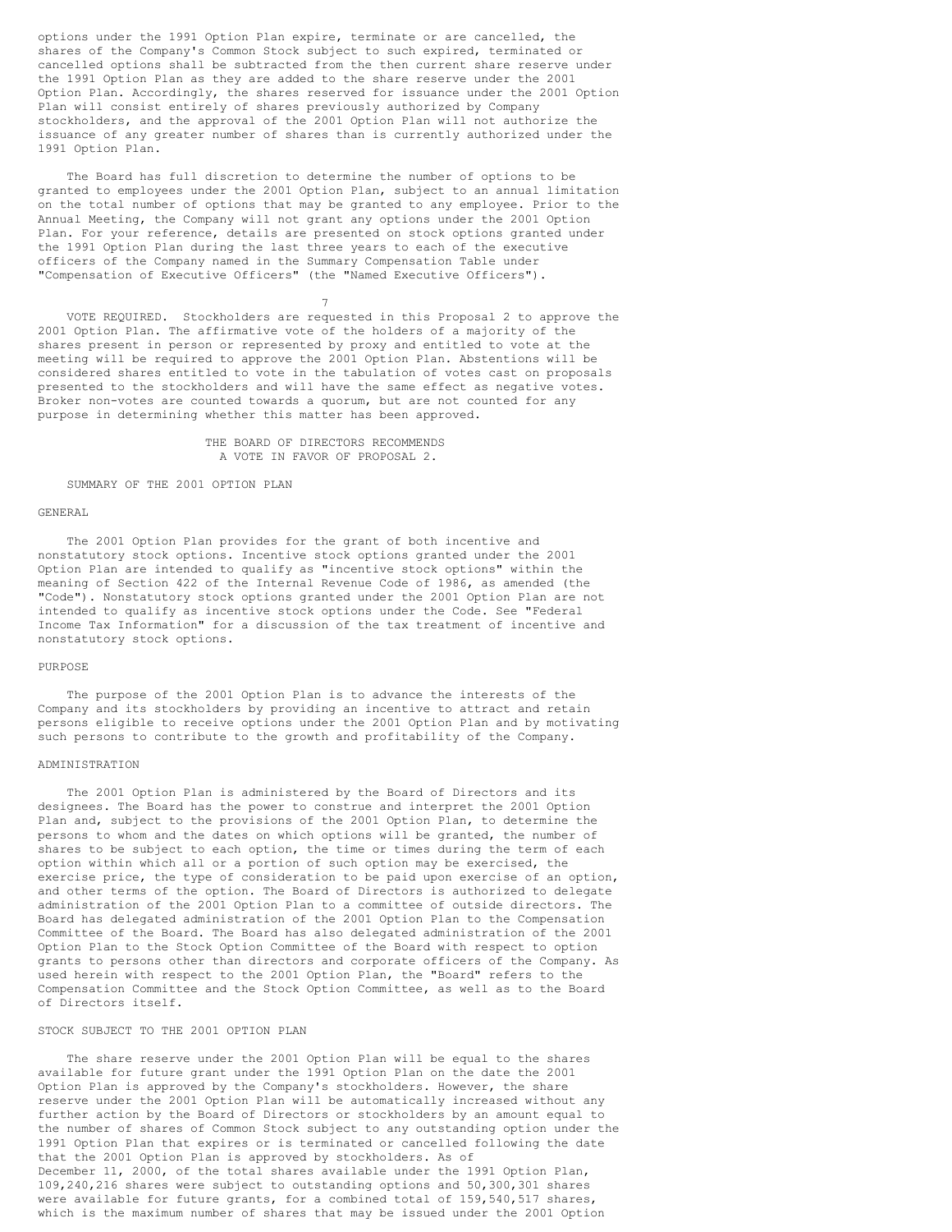options under the 1991 Option Plan expire, terminate or are cancelled, the shares of the Company's Common Stock subject to such expired, terminated or cancelled options shall be subtracted from the then current share reserve under the 1991 Option Plan as they are added to the share reserve under the 2001 Option Plan. Accordingly, the shares reserved for issuance under the 2001 Option Plan will consist entirely of shares previously authorized by Company stockholders, and the approval of the 2001 Option Plan will not authorize the issuance of any greater number of shares than is currently authorized under the 1991 Option Plan.

The Board has full discretion to determine the number of options to be granted to employees under the 2001 Option Plan, subject to an annual limitation on the total number of options that may be granted to any employee. Prior to the Annual Meeting, the Company will not grant any options under the 2001 Option Plan. For your reference, details are presented on stock options granted under the 1991 Option Plan during the last three years to each of the executive officers of the Company named in the Summary Compensation Table under "Compensation of Executive Officers" (the "Named Executive Officers").

VOTE REQUIRED. Stockholders are requested in this Proposal 2 to approve the 2001 Option Plan. The affirmative vote of the holders of a majority of the shares present in person or represented by proxy and entitled to vote at the meeting will be required to approve the 2001 Option Plan. Abstentions will be considered shares entitled to vote in the tabulation of votes cast on proposals presented to the stockholders and will have the same effect as negative votes. Broker non-votes are counted towards a quorum, but are not counted for any purpose in determining whether this matter has been approved.

7

THE BOARD OF DIRECTORS RECOMMENDS A VOTE IN FAVOR OF PROPOSAL 2.

SUMMARY OF THE 2001 OPTION PLAN

### GENERAL

The 2001 Option Plan provides for the grant of both incentive and nonstatutory stock options. Incentive stock options granted under the 2001 Option Plan are intended to qualify as "incentive stock options" within the meaning of Section 422 of the Internal Revenue Code of 1986, as amended (the "Code"). Nonstatutory stock options granted under the 2001 Option Plan are not intended to qualify as incentive stock options under the Code. See "Federal Income Tax Information" for a discussion of the tax treatment of incentive and nonstatutory stock options.

### PURPOSE

The purpose of the 2001 Option Plan is to advance the interests of the Company and its stockholders by providing an incentive to attract and retain persons eligible to receive options under the 2001 Option Plan and by motivating such persons to contribute to the growth and profitability of the Company.

## ADMINISTRATION

The 2001 Option Plan is administered by the Board of Directors and its designees. The Board has the power to construe and interpret the 2001 Option Plan and, subject to the provisions of the 2001 Option Plan, to determine the persons to whom and the dates on which options will be granted, the number of shares to be subject to each option, the time or times during the term of each option within which all or a portion of such option may be exercised, the exercise price, the type of consideration to be paid upon exercise of an option, and other terms of the option. The Board of Directors is authorized to delegate administration of the 2001 Option Plan to a committee of outside directors. The Board has delegated administration of the 2001 Option Plan to the Compensation Committee of the Board. The Board has also delegated administration of the 2001 Option Plan to the Stock Option Committee of the Board with respect to option grants to persons other than directors and corporate officers of the Company. As used herein with respect to the 2001 Option Plan, the "Board" refers to the Compensation Committee and the Stock Option Committee, as well as to the Board of Directors itself.

# STOCK SUBJECT TO THE 2001 OPTION PLAN

The share reserve under the 2001 Option Plan will be equal to the shares available for future grant under the 1991 Option Plan on the date the 2001 Option Plan is approved by the Company's stockholders. However, the share reserve under the 2001 Option Plan will be automatically increased without any further action by the Board of Directors or stockholders by an amount equal to the number of shares of Common Stock subject to any outstanding option under the 1991 Option Plan that expires or is terminated or cancelled following the date that the 2001 Option Plan is approved by stockholders. As of December 11, 2000, of the total shares available under the 1991 Option Plan, 109,240,216 shares were subject to outstanding options and 50,300,301 shares were available for future grants, for a combined total of 159,540,517 shares, which is the maximum number of shares that may be issued under the 2001 Option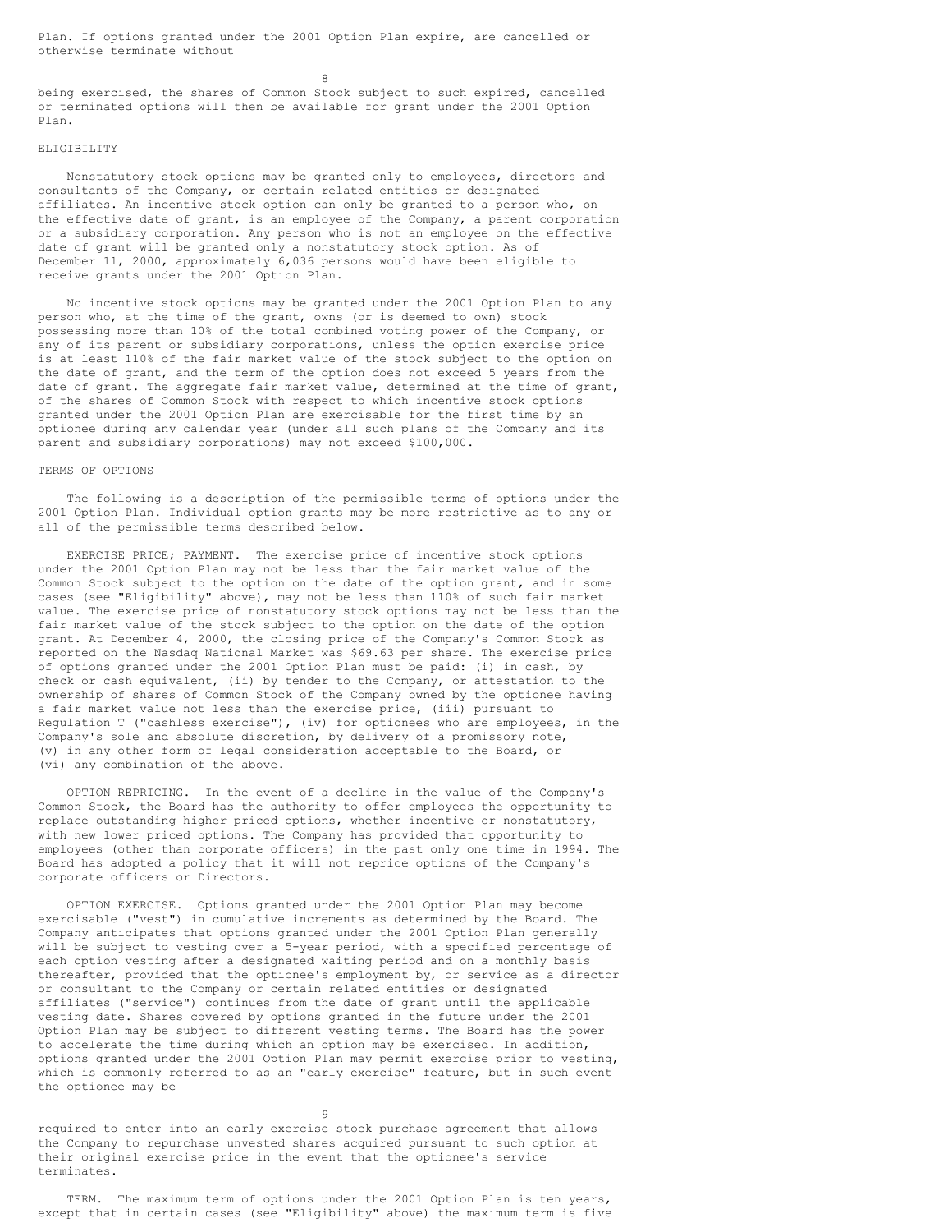Plan. If options granted under the 2001 Option Plan expire, are cancelled or otherwise terminate without

8

being exercised, the shares of Common Stock subject to such expired, cancelled or terminated options will then be available for grant under the 2001 Option Plan.

# ELIGIBILITY

Nonstatutory stock options may be granted only to employees, directors and consultants of the Company, or certain related entities or designated affiliates. An incentive stock option can only be granted to a person who, on the effective date of grant, is an employee of the Company, a parent corporation or a subsidiary corporation. Any person who is not an employee on the effective date of grant will be granted only a nonstatutory stock option. As of December 11, 2000, approximately 6,036 persons would have been eligible to receive grants under the 2001 Option Plan.

No incentive stock options may be granted under the 2001 Option Plan to any person who, at the time of the grant, owns (or is deemed to own) stock possessing more than 10% of the total combined voting power of the Company, or any of its parent or subsidiary corporations, unless the option exercise price is at least 110% of the fair market value of the stock subject to the option on the date of grant, and the term of the option does not exceed 5 years from the date of grant. The aggregate fair market value, determined at the time of grant, of the shares of Common Stock with respect to which incentive stock options granted under the 2001 Option Plan are exercisable for the first time by an optionee during any calendar year (under all such plans of the Company and its parent and subsidiary corporations) may not exceed \$100,000.

# TERMS OF OPTIONS

The following is a description of the permissible terms of options under the 2001 Option Plan. Individual option grants may be more restrictive as to any or all of the permissible terms described below.

EXERCISE PRICE; PAYMENT. The exercise price of incentive stock options under the 2001 Option Plan may not be less than the fair market value of the Common Stock subject to the option on the date of the option grant, and in some cases (see "Eligibility" above), may not be less than 110% of such fair market value. The exercise price of nonstatutory stock options may not be less than the fair market value of the stock subject to the option on the date of the option grant. At December 4, 2000, the closing price of the Company's Common Stock as reported on the Nasdaq National Market was \$69.63 per share. The exercise price of options granted under the 2001 Option Plan must be paid: (i) in cash, by check or cash equivalent, (ii) by tender to the Company, or attestation to the ownership of shares of Common Stock of the Company owned by the optionee having a fair market value not less than the exercise price, (iii) pursuant to Regulation T ("cashless exercise"), (iv) for optionees who are employees, in the Company's sole and absolute discretion, by delivery of a promissory note, (v) in any other form of legal consideration acceptable to the Board, or (vi) any combination of the above.

OPTION REPRICING. In the event of a decline in the value of the Company's Common Stock, the Board has the authority to offer employees the opportunity to replace outstanding higher priced options, whether incentive or nonstatutory, with new lower priced options. The Company has provided that opportunity to employees (other than corporate officers) in the past only one time in 1994. The Board has adopted a policy that it will not reprice options of the Company's corporate officers or Directors.

OPTION EXERCISE. Options granted under the 2001 Option Plan may become exercisable ("vest") in cumulative increments as determined by the Board. The Company anticipates that options granted under the 2001 Option Plan generally will be subject to vesting over a 5-year period, with a specified percentage of each option vesting after a designated waiting period and on a monthly basis thereafter, provided that the optionee's employment by, or service as a director or consultant to the Company or certain related entities or designated affiliates ("service") continues from the date of grant until the applicable vesting date. Shares covered by options granted in the future under the 2001 Option Plan may be subject to different vesting terms. The Board has the power to accelerate the time during which an option may be exercised. In addition, options granted under the 2001 Option Plan may permit exercise prior to vesting, which is commonly referred to as an "early exercise" feature, but in such event the optionee may be

required to enter into an early exercise stock purchase agreement that allows the Company to repurchase unvested shares acquired pursuant to such option at their original exercise price in the event that the optionee's service terminates.

9

TERM. The maximum term of options under the 2001 Option Plan is ten years, except that in certain cases (see "Eligibility" above) the maximum term is five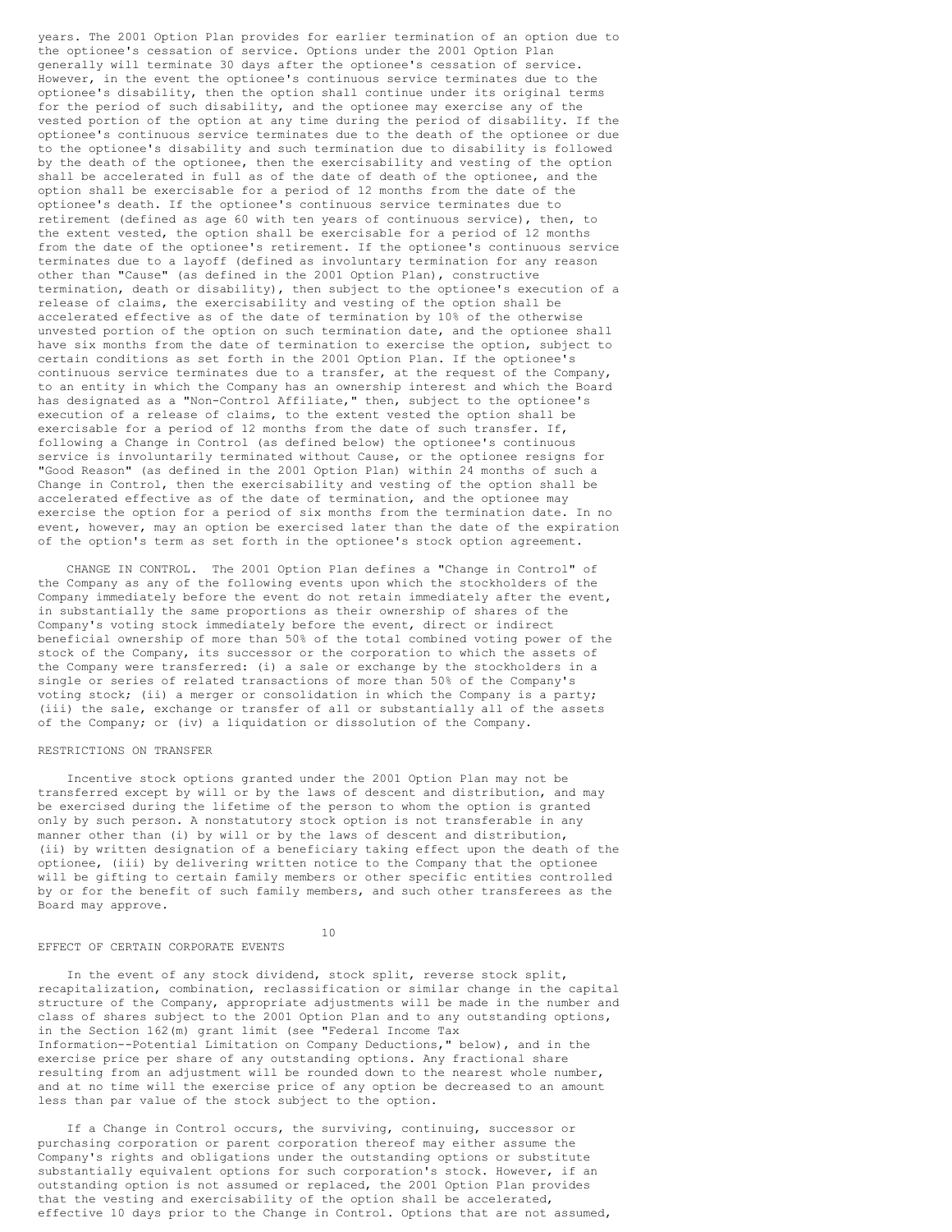years. The 2001 Option Plan provides for earlier termination of an option due to the optionee's cessation of service. Options under the 2001 Option Plan generally will terminate 30 days after the optionee's cessation of service. However, in the event the optionee's continuous service terminates due to the optionee's disability, then the option shall continue under its original terms for the period of such disability, and the optionee may exercise any of the vested portion of the option at any time during the period of disability. If the optionee's continuous service terminates due to the death of the optionee or due to the optionee's disability and such termination due to disability is followed by the death of the optionee, then the exercisability and vesting of the option shall be accelerated in full as of the date of death of the optionee, and the option shall be exercisable for a period of 12 months from the date of the optionee's death. If the optionee's continuous service terminates due to retirement (defined as age 60 with ten years of continuous service), then, to the extent vested, the option shall be exercisable for a period of 12 months from the date of the optionee's retirement. If the optionee's continuous service terminates due to a layoff (defined as involuntary termination for any reason other than "Cause" (as defined in the 2001 Option Plan), constructive termination, death or disability), then subject to the optionee's execution of a release of claims, the exercisability and vesting of the option shall be accelerated effective as of the date of termination by 10% of the otherwise unvested portion of the option on such termination date, and the optionee shall have six months from the date of termination to exercise the option, subject to certain conditions as set forth in the 2001 Option Plan. If the optionee's continuous service terminates due to a transfer, at the request of the Company, to an entity in which the Company has an ownership interest and which the Board has designated as a "Non-Control Affiliate," then, subject to the optionee's execution of a release of claims, to the extent vested the option shall be exercisable for a period of 12 months from the date of such transfer. If, following a Change in Control (as defined below) the optionee's continuous service is involuntarily terminated without Cause, or the optionee resigns for "Good Reason" (as defined in the 2001 Option Plan) within 24 months of such a Change in Control, then the exercisability and vesting of the option shall be accelerated effective as of the date of termination, and the optionee may exercise the option for a period of six months from the termination date. In no event, however, may an option be exercised later than the date of the expiration of the option's term as set forth in the optionee's stock option agreement.

CHANGE IN CONTROL. The 2001 Option Plan defines a "Change in Control" of the Company as any of the following events upon which the stockholders of the Company immediately before the event do not retain immediately after the event, in substantially the same proportions as their ownership of shares of the Company's voting stock immediately before the event, direct or indirect beneficial ownership of more than 50% of the total combined voting power of the stock of the Company, its successor or the corporation to which the assets of the Company were transferred: (i) a sale or exchange by the stockholders in a single or series of related transactions of more than 50% of the Company's voting stock; (ii) a merger or consolidation in which the Company is a party; (iii) the sale, exchange or transfer of all or substantially all of the assets of the Company; or (iv) a liquidation or dissolution of the Company.

# RESTRICTIONS ON TRANSFER

Incentive stock options granted under the 2001 Option Plan may not be transferred except by will or by the laws of descent and distribution, and may be exercised during the lifetime of the person to whom the option is granted only by such person. A nonstatutory stock option is not transferable in any manner other than (i) by will or by the laws of descent and distribution, (ii) by written designation of a beneficiary taking effect upon the death of the optionee, (iii) by delivering written notice to the Company that the optionee will be gifting to certain family members or other specific entities controlled by or for the benefit of such family members, and such other transferees as the Board may approve.

10

#### EFFECT OF CERTAIN CORPORATE EVENTS

In the event of any stock dividend, stock split, reverse stock split, recapitalization, combination, reclassification or similar change in the capital structure of the Company, appropriate adjustments will be made in the number and class of shares subject to the 2001 Option Plan and to any outstanding options, in the Section 162(m) grant limit (see "Federal Income Tax Information--Potential Limitation on Company Deductions," below), and in the exercise price per share of any outstanding options. Any fractional share resulting from an adjustment will be rounded down to the nearest whole number, and at no time will the exercise price of any option be decreased to an amount less than par value of the stock subject to the option.

If a Change in Control occurs, the surviving, continuing, successor or purchasing corporation or parent corporation thereof may either assume the Company's rights and obligations under the outstanding options or substitute substantially equivalent options for such corporation's stock. However, if an outstanding option is not assumed or replaced, the 2001 Option Plan provides that the vesting and exercisability of the option shall be accelerated, effective 10 days prior to the Change in Control. Options that are not assumed,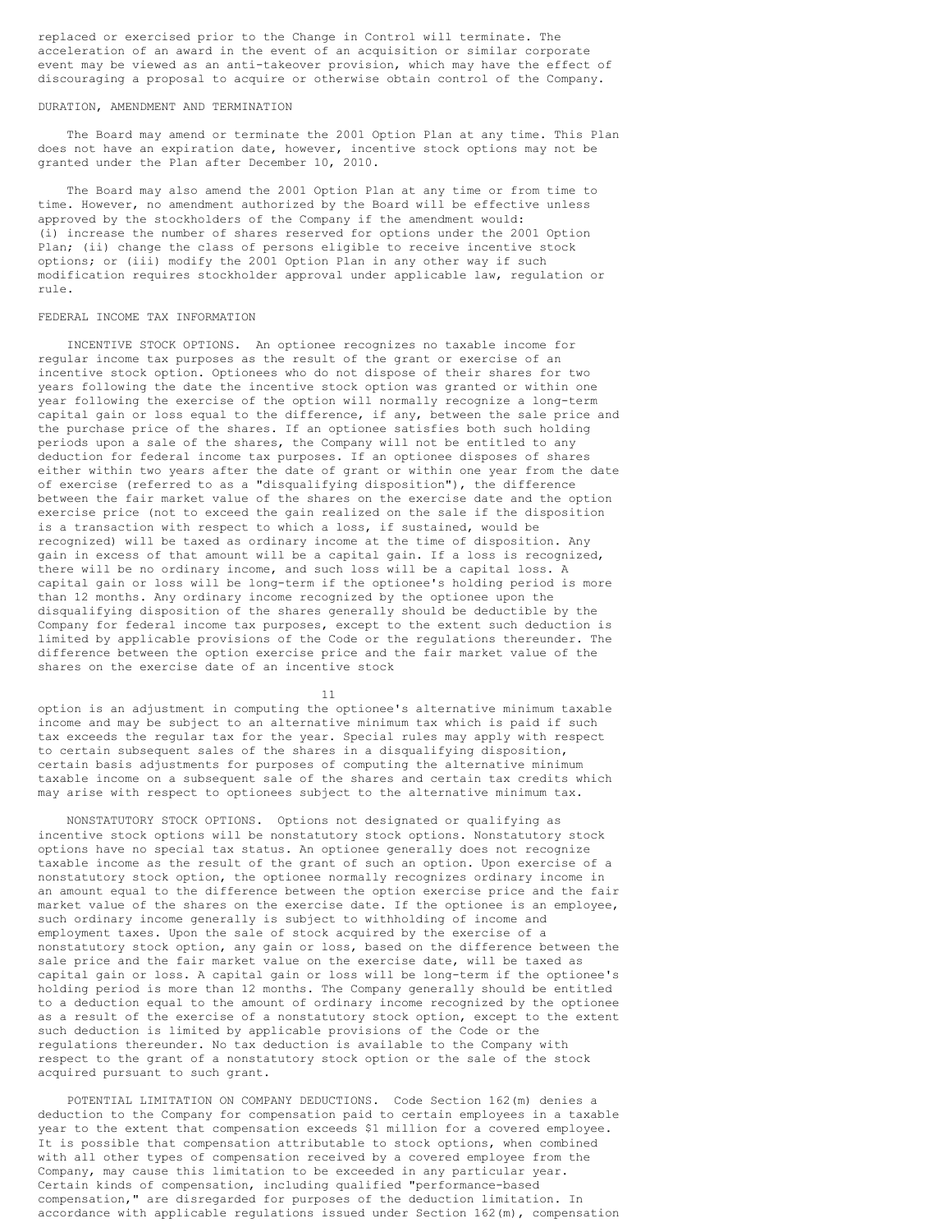replaced or exercised prior to the Change in Control will terminate. The acceleration of an award in the event of an acquisition or similar corporate event may be viewed as an anti-takeover provision, which may have the effect of discouraging a proposal to acquire or otherwise obtain control of the Company.

# DURATION, AMENDMENT AND TERMINATION

The Board may amend or terminate the 2001 Option Plan at any time. This Plan does not have an expiration date, however, incentive stock options may not be granted under the Plan after December 10, 2010.

The Board may also amend the 2001 Option Plan at any time or from time to time. However, no amendment authorized by the Board will be effective unless approved by the stockholders of the Company if the amendment would: (i) increase the number of shares reserved for options under the 2001 Option Plan; (ii) change the class of persons eligible to receive incentive stock options; or (iii) modify the 2001 Option Plan in any other way if such modification requires stockholder approval under applicable law, regulation or rule.

### FEDERAL INCOME TAX INFORMATION

INCENTIVE STOCK OPTIONS. An optionee recognizes no taxable income for regular income tax purposes as the result of the grant or exercise of an incentive stock option. Optionees who do not dispose of their shares for two years following the date the incentive stock option was granted or within one year following the exercise of the option will normally recognize a long-term capital gain or loss equal to the difference, if any, between the sale price and the purchase price of the shares. If an optionee satisfies both such holding periods upon a sale of the shares, the Company will not be entitled to any deduction for federal income tax purposes. If an optionee disposes of shares either within two years after the date of grant or within one year from the date of exercise (referred to as a "disqualifying disposition"), the difference between the fair market value of the shares on the exercise date and the option exercise price (not to exceed the gain realized on the sale if the disposition is a transaction with respect to which a loss, if sustained, would be recognized) will be taxed as ordinary income at the time of disposition. Any gain in excess of that amount will be a capital gain. If a loss is recognized, there will be no ordinary income, and such loss will be a capital loss. A capital gain or loss will be long-term if the optionee's holding period is more than 12 months. Any ordinary income recognized by the optionee upon the disqualifying disposition of the shares generally should be deductible by the Company for federal income tax purposes, except to the extent such deduction is limited by applicable provisions of the Code or the regulations thereunder. The difference between the option exercise price and the fair market value of the shares on the exercise date of an incentive stock

11

option is an adjustment in computing the optionee's alternative minimum taxable income and may be subject to an alternative minimum tax which is paid if such tax exceeds the regular tax for the year. Special rules may apply with respect to certain subsequent sales of the shares in a disqualifying disposition, certain basis adjustments for purposes of computing the alternative minimum taxable income on a subsequent sale of the shares and certain tax credits which may arise with respect to optionees subject to the alternative minimum tax.

NONSTATUTORY STOCK OPTIONS. Options not designated or qualifying as incentive stock options will be nonstatutory stock options. Nonstatutory stock options have no special tax status. An optionee generally does not recognize taxable income as the result of the grant of such an option. Upon exercise of a nonstatutory stock option, the optionee normally recognizes ordinary income in an amount equal to the difference between the option exercise price and the fair market value of the shares on the exercise date. If the optionee is an employee, such ordinary income generally is subject to withholding of income and employment taxes. Upon the sale of stock acquired by the exercise of a nonstatutory stock option, any gain or loss, based on the difference between the sale price and the fair market value on the exercise date, will be taxed as capital gain or loss. A capital gain or loss will be long-term if the optionee's holding period is more than 12 months. The Company generally should be entitled to a deduction equal to the amount of ordinary income recognized by the optionee as a result of the exercise of a nonstatutory stock option, except to the extent such deduction is limited by applicable provisions of the Code or the regulations thereunder. No tax deduction is available to the Company with respect to the grant of a nonstatutory stock option or the sale of the stock acquired pursuant to such grant.

POTENTIAL LIMITATION ON COMPANY DEDUCTIONS. Code Section 162(m) denies a deduction to the Company for compensation paid to certain employees in a taxable year to the extent that compensation exceeds \$1 million for a covered employee. It is possible that compensation attributable to stock options, when combined with all other types of compensation received by a covered employee from the Company, may cause this limitation to be exceeded in any particular year. Certain kinds of compensation, including qualified "performance-based compensation," are disregarded for purposes of the deduction limitation. In accordance with applicable regulations issued under Section 162(m), compensation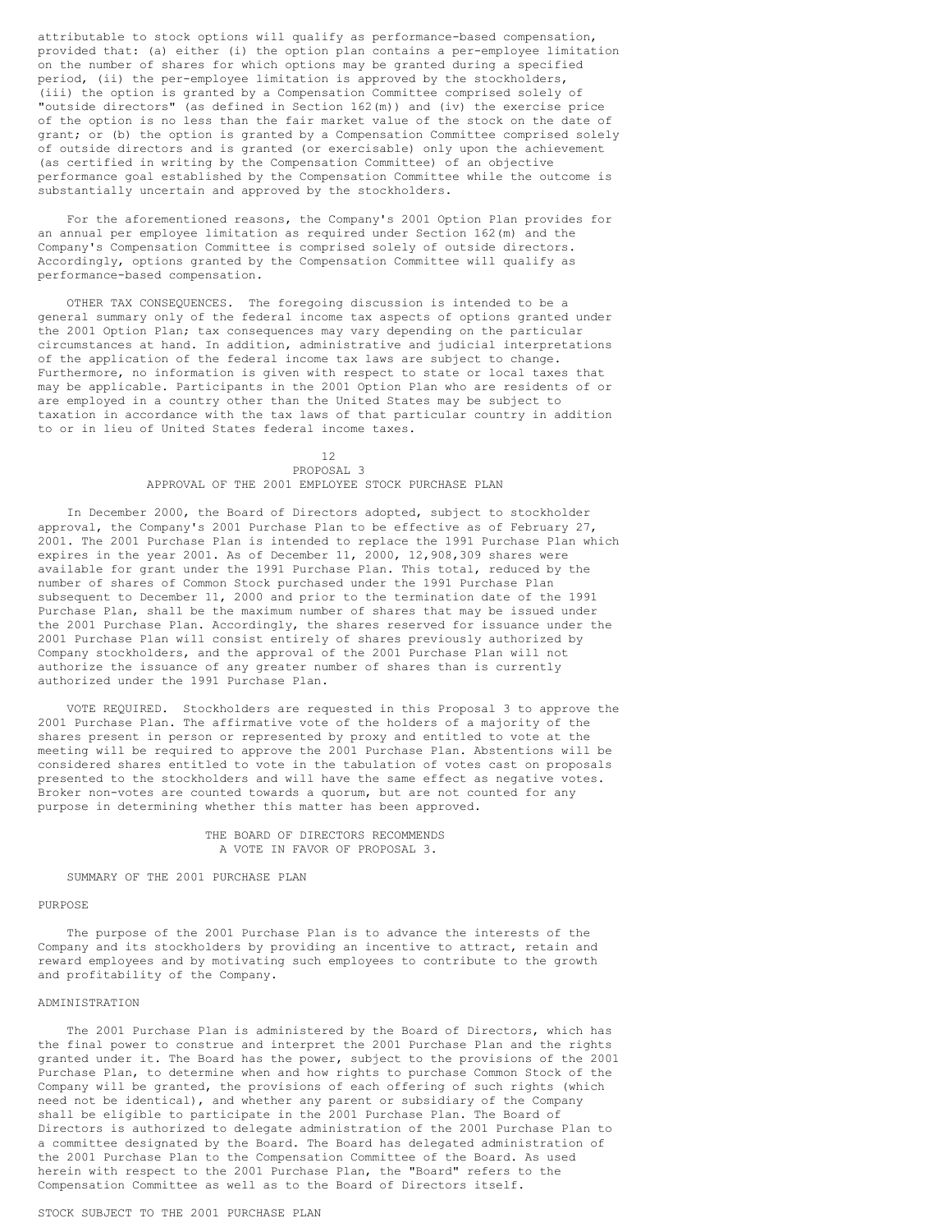attributable to stock options will qualify as performance-based compensation, provided that: (a) either (i) the option plan contains a per-employee limitation on the number of shares for which options may be granted during a specified period, (ii) the per-employee limitation is approved by the stockholders, (iii) the option is granted by a Compensation Committee comprised solely of "outside directors" (as defined in Section 162(m)) and (iv) the exercise price of the option is no less than the fair market value of the stock on the date of grant; or (b) the option is granted by a Compensation Committee comprised solely of outside directors and is granted (or exercisable) only upon the achievement (as certified in writing by the Compensation Committee) of an objective performance goal established by the Compensation Committee while the outcome is substantially uncertain and approved by the stockholders.

For the aforementioned reasons, the Company's 2001 Option Plan provides for an annual per employee limitation as required under Section 162(m) and the Company's Compensation Committee is comprised solely of outside directors. Accordingly, options granted by the Compensation Committee will qualify as performance-based compensation.

OTHER TAX CONSEQUENCES. The foregoing discussion is intended to be a general summary only of the federal income tax aspects of options granted under the 2001 Option Plan; tax consequences may vary depending on the particular circumstances at hand. In addition, administrative and judicial interpretations of the application of the federal income tax laws are subject to change. Furthermore, no information is given with respect to state or local taxes that may be applicable. Participants in the 2001 Option Plan who are residents of or are employed in a country other than the United States may be subject to taxation in accordance with the tax laws of that particular country in addition to or in lieu of United States federal income taxes.

# 12 PROPOSAL 3 APPROVAL OF THE 2001 EMPLOYEE STOCK PURCHASE PLAN

In December 2000, the Board of Directors adopted, subject to stockholder approval, the Company's 2001 Purchase Plan to be effective as of February 27, 2001. The 2001 Purchase Plan is intended to replace the 1991 Purchase Plan which expires in the year 2001. As of December 11, 2000, 12,908,309 shares were available for grant under the 1991 Purchase Plan. This total, reduced by the number of shares of Common Stock purchased under the 1991 Purchase Plan subsequent to December 11, 2000 and prior to the termination date of the 1991 Purchase Plan, shall be the maximum number of shares that may be issued under the 2001 Purchase Plan. Accordingly, the shares reserved for issuance under the 2001 Purchase Plan will consist entirely of shares previously authorized by Company stockholders, and the approval of the 2001 Purchase Plan will not authorize the issuance of any greater number of shares than is currently authorized under the 1991 Purchase Plan.

VOTE REQUIRED. Stockholders are requested in this Proposal 3 to approve the 2001 Purchase Plan. The affirmative vote of the holders of a majority of the shares present in person or represented by proxy and entitled to vote at the meeting will be required to approve the 2001 Purchase Plan. Abstentions will be considered shares entitled to vote in the tabulation of votes cast on proposals presented to the stockholders and will have the same effect as negative votes. Broker non-votes are counted towards a quorum, but are not counted for any purpose in determining whether this matter has been approved.

> THE BOARD OF DIRECTORS RECOMMENDS A VOTE IN FAVOR OF PROPOSAL 3.

SUMMARY OF THE 2001 PURCHASE PLAN

# PURPOSE

The purpose of the 2001 Purchase Plan is to advance the interests of the Company and its stockholders by providing an incentive to attract, retain and reward employees and by motivating such employees to contribute to the growth and profitability of the Company.

# ADMINISTRATION

The 2001 Purchase Plan is administered by the Board of Directors, which has the final power to construe and interpret the 2001 Purchase Plan and the rights granted under it. The Board has the power, subject to the provisions of the 2001 Purchase Plan, to determine when and how rights to purchase Common Stock of the Company will be granted, the provisions of each offering of such rights (which need not be identical), and whether any parent or subsidiary of the Company shall be eligible to participate in the 2001 Purchase Plan. The Board of Directors is authorized to delegate administration of the 2001 Purchase Plan to a committee designated by the Board. The Board has delegated administration of the 2001 Purchase Plan to the Compensation Committee of the Board. As used herein with respect to the 2001 Purchase Plan, the "Board" refers to the Compensation Committee as well as to the Board of Directors itself.

# STOCK SUBJECT TO THE 2001 PURCHASE PLAN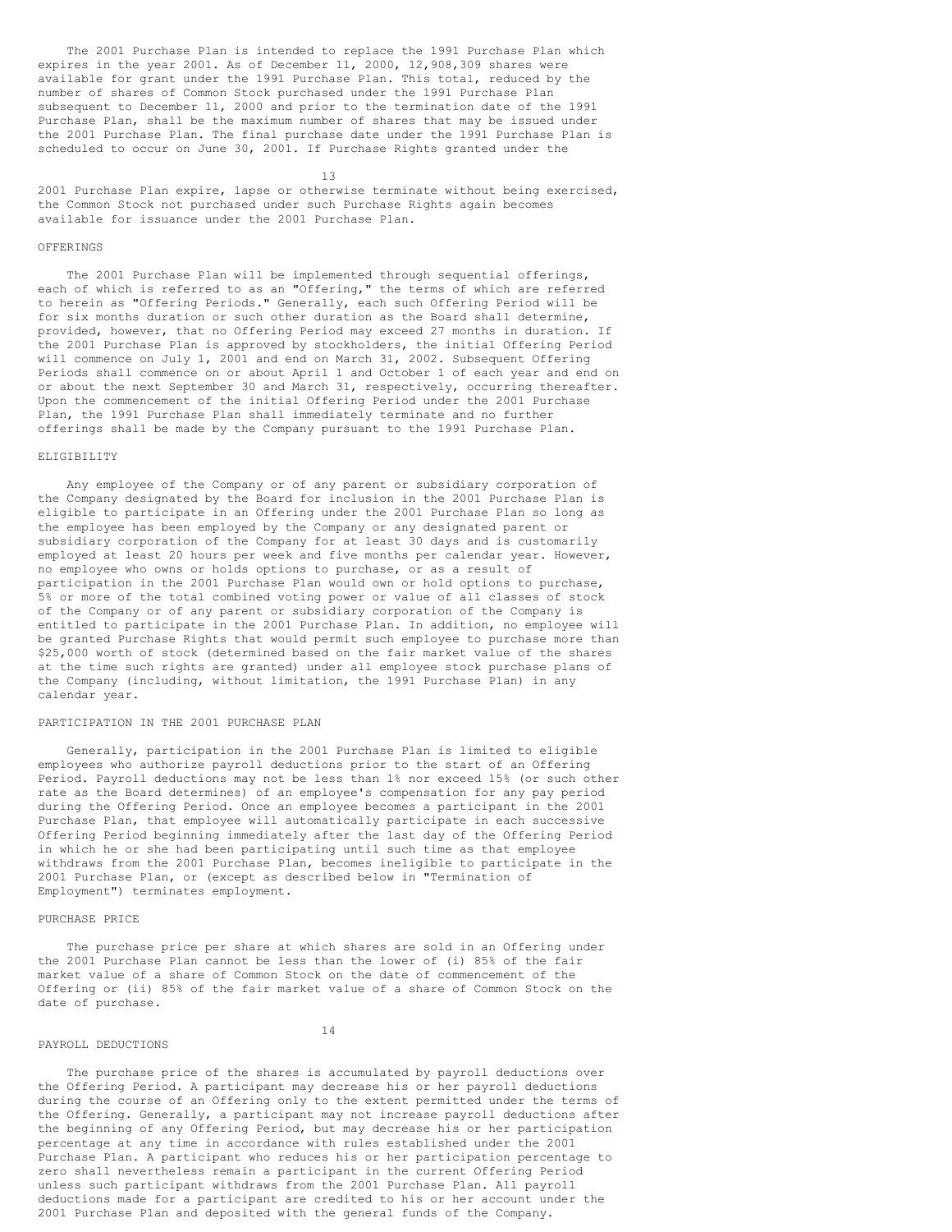The 2001 Purchase Plan is intended to replace the 1991 Purchase Plan which expires in the year 2001. As of December 11, 2000, 12,908,309 shares were available for grant under the 1991 Purchase Plan. This total, reduced by the number of shares of Common Stock purchased under the 1991 Purchase Plan subsequent to December 11, 2000 and prior to the termination date of the 1991 Purchase Plan, shall be the maximum number of shares that may be issued under the 2001 Purchase Plan. The final purchase date under the 1991 Purchase Plan is scheduled to occur on June 30, 2001. If Purchase Rights granted under the

13

2001 Purchase Plan expire, lapse or otherwise terminate without being exercised, the Common Stock not purchased under such Purchase Rights again becomes available for issuance under the 2001 Purchase Plan.

# **OFFERINGS**

The 2001 Purchase Plan will be implemented through sequential offerings, each of which is referred to as an "Offering," the terms of which are referred to herein as "Offering Periods." Generally, each such Offering Period will be for six months duration or such other duration as the Board shall determine, provided, however, that no Offering Period may exceed 27 months in duration. If the 2001 Purchase Plan is approved by stockholders, the initial Offering Period will commence on July 1, 2001 and end on March 31, 2002. Subsequent Offering Periods shall commence on or about April 1 and October 1 of each year and end on or about the next September 30 and March 31, respectively, occurring thereafter. Upon the commencement of the initial Offering Period under the 2001 Purchase Plan, the 1991 Purchase Plan shall immediately terminate and no further offerings shall be made by the Company pursuant to the 1991 Purchase Plan.

### ELIGIBILITY

Any employee of the Company or of any parent or subsidiary corporation of the Company designated by the Board for inclusion in the 2001 Purchase Plan is eligible to participate in an Offering under the 2001 Purchase Plan so long as the employee has been employed by the Company or any designated parent or subsidiary corporation of the Company for at least 30 days and is customarily employed at least 20 hours per week and five months per calendar year. However, no employee who owns or holds options to purchase, or as a result of participation in the 2001 Purchase Plan would own or hold options to purchase, 5% or more of the total combined voting power or value of all classes of stock of the Company or of any parent or subsidiary corporation of the Company is entitled to participate in the 2001 Purchase Plan. In addition, no employee will be granted Purchase Rights that would permit such employee to purchase more than \$25,000 worth of stock (determined based on the fair market value of the shares at the time such rights are granted) under all employee stock purchase plans of the Company (including, without limitation, the 1991 Purchase Plan) in any calendar year.

### PARTICIPATION IN THE 2001 PURCHASE PLAN

Generally, participation in the 2001 Purchase Plan is limited to eligible employees who authorize payroll deductions prior to the start of an Offering Period. Payroll deductions may not be less than 1% nor exceed 15% (or such other rate as the Board determines) of an employee's compensation for any pay period during the Offering Period. Once an employee becomes a participant in the 2001 Purchase Plan, that employee will automatically participate in each successive Offering Period beginning immediately after the last day of the Offering Period in which he or she had been participating until such time as that employee withdraws from the 2001 Purchase Plan, becomes ineligible to participate in the 2001 Purchase Plan, or (except as described below in "Termination of Employment") terminates employment.

### PURCHASE PRICE

The purchase price per share at which shares are sold in an Offering under the 2001 Purchase Plan cannot be less than the lower of (i) 85% of the fair market value of a share of Common Stock on the date of commencement of the Offering or (ii) 85% of the fair market value of a share of Common Stock on the date of purchase.

### PAYROLL DEDUCTIONS

14

The purchase price of the shares is accumulated by payroll deductions over the Offering Period. A participant may decrease his or her payroll deductions during the course of an Offering only to the extent permitted under the terms of the Offering. Generally, a participant may not increase payroll deductions after the beginning of any Offering Period, but may decrease his or her participation percentage at any time in accordance with rules established under the 2001 Purchase Plan. A participant who reduces his or her participation percentage to zero shall nevertheless remain a participant in the current Offering Period unless such participant withdraws from the 2001 Purchase Plan. All payroll deductions made for a participant are credited to his or her account under the 2001 Purchase Plan and deposited with the general funds of the Company.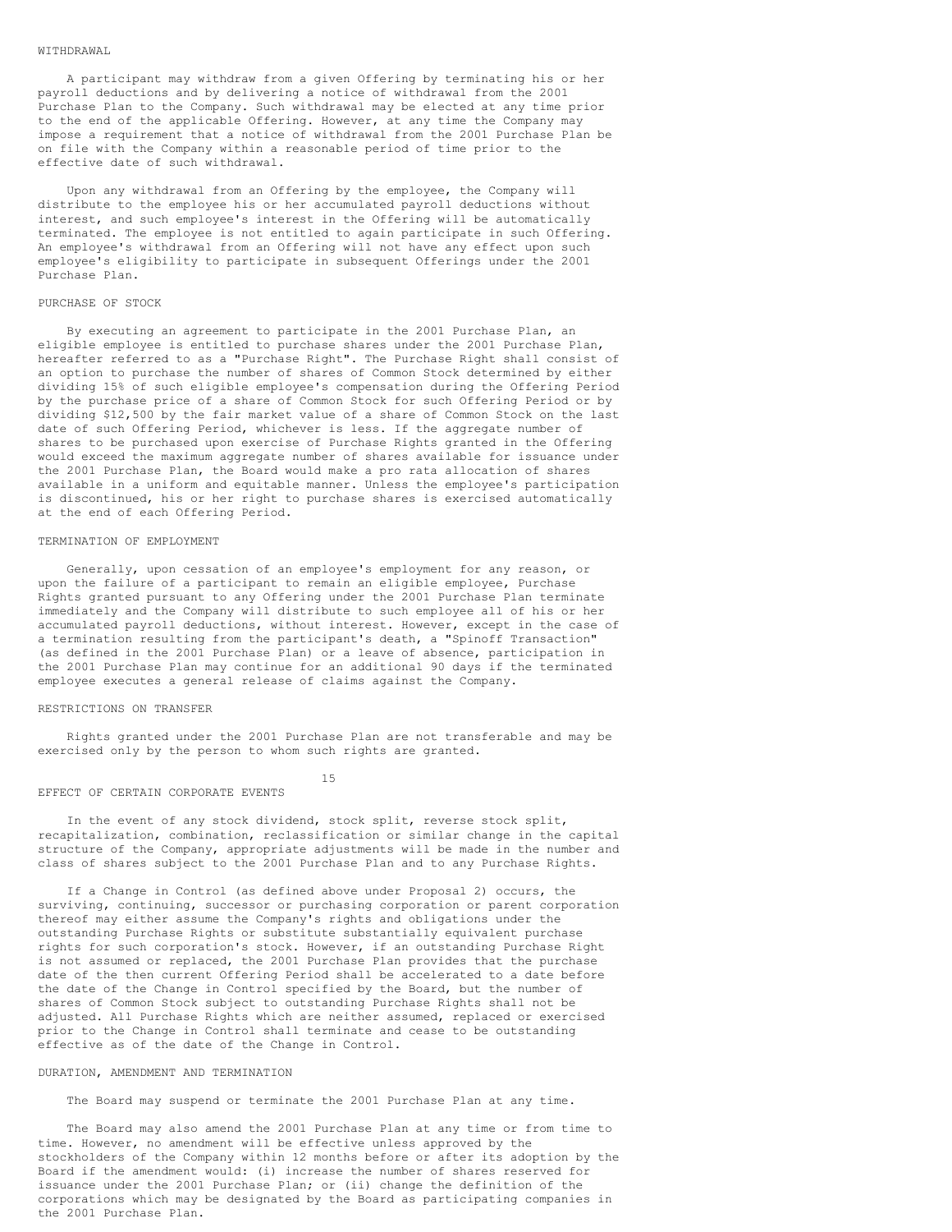#### WITHDRAWAI.

A participant may withdraw from a given Offering by terminating his or her payroll deductions and by delivering a notice of withdrawal from the 2001 Purchase Plan to the Company. Such withdrawal may be elected at any time prior to the end of the applicable Offering. However, at any time the Company may impose a requirement that a notice of withdrawal from the 2001 Purchase Plan be on file with the Company within a reasonable period of time prior to the effective date of such withdrawal.

Upon any withdrawal from an Offering by the employee, the Company will distribute to the employee his or her accumulated payroll deductions without interest, and such employee's interest in the Offering will be automatically terminated. The employee is not entitled to again participate in such Offering. An employee's withdrawal from an Offering will not have any effect upon such employee's eligibility to participate in subsequent Offerings under the 2001 Purchase Plan.

### PURCHASE OF STOCK

By executing an agreement to participate in the 2001 Purchase Plan, an eligible employee is entitled to purchase shares under the 2001 Purchase Plan, hereafter referred to as a "Purchase Right". The Purchase Right shall consist of an option to purchase the number of shares of Common Stock determined by either dividing 15% of such eligible employee's compensation during the Offering Period by the purchase price of a share of Common Stock for such Offering Period or by dividing \$12,500 by the fair market value of a share of Common Stock on the last date of such Offering Period, whichever is less. If the aggregate number of shares to be purchased upon exercise of Purchase Rights granted in the Offering would exceed the maximum aggregate number of shares available for issuance under the 2001 Purchase Plan, the Board would make a pro rata allocation of shares available in a uniform and equitable manner. Unless the employee's participation is discontinued, his or her right to purchase shares is exercised automatically at the end of each Offering Period.

#### TERMINATION OF EMPLOYMENT

Generally, upon cessation of an employee's employment for any reason, or upon the failure of a participant to remain an eligible employee, Purchase Rights granted pursuant to any Offering under the 2001 Purchase Plan terminate immediately and the Company will distribute to such employee all of his or her accumulated payroll deductions, without interest. However, except in the case of a termination resulting from the participant's death, a "Spinoff Transaction" (as defined in the 2001 Purchase Plan) or a leave of absence, participation in the 2001 Purchase Plan may continue for an additional 90 days if the terminated employee executes a general release of claims against the Company.

### RESTRICTIONS ON TRANSFER

Rights granted under the 2001 Purchase Plan are not transferable and may be exercised only by the person to whom such rights are granted.

# 15

# EFFECT OF CERTAIN CORPORATE EVENTS

In the event of any stock dividend, stock split, reverse stock split, recapitalization, combination, reclassification or similar change in the capital structure of the Company, appropriate adjustments will be made in the number and class of shares subject to the 2001 Purchase Plan and to any Purchase Rights.

If a Change in Control (as defined above under Proposal 2) occurs, the surviving, continuing, successor or purchasing corporation or parent corporation thereof may either assume the Company's rights and obligations under the outstanding Purchase Rights or substitute substantially equivalent purchase rights for such corporation's stock. However, if an outstanding Purchase Right is not assumed or replaced, the 2001 Purchase Plan provides that the purchase date of the then current Offering Period shall be accelerated to a date before the date of the Change in Control specified by the Board, but the number of shares of Common Stock subject to outstanding Purchase Rights shall not be adjusted. All Purchase Rights which are neither assumed, replaced or exercised prior to the Change in Control shall terminate and cease to be outstanding effective as of the date of the Change in Control.

# DURATION, AMENDMENT AND TERMINATION

The Board may suspend or terminate the 2001 Purchase Plan at any time.

The Board may also amend the 2001 Purchase Plan at any time or from time to time. However, no amendment will be effective unless approved by the stockholders of the Company within 12 months before or after its adoption by the Board if the amendment would: (i) increase the number of shares reserved for issuance under the 2001 Purchase Plan; or (ii) change the definition of the corporations which may be designated by the Board as participating companies in the 2001 Purchase Plan.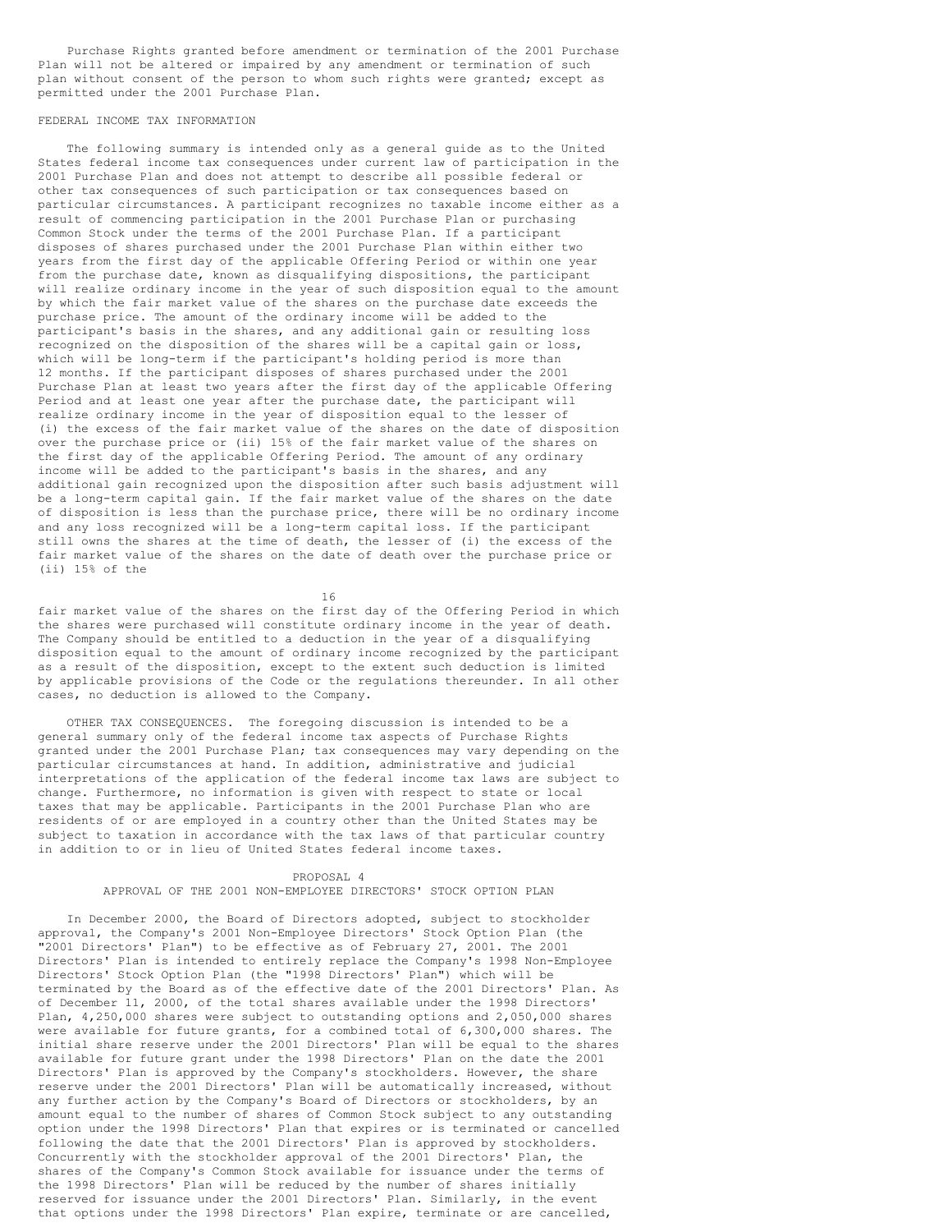Purchase Rights granted before amendment or termination of the 2001 Purchase Plan will not be altered or impaired by any amendment or termination of such plan without consent of the person to whom such rights were granted; except as permitted under the 2001 Purchase Plan.

# FEDERAL INCOME TAX INFORMATION

The following summary is intended only as a general guide as to the United States federal income tax consequences under current law of participation in the 2001 Purchase Plan and does not attempt to describe all possible federal or other tax consequences of such participation or tax consequences based on particular circumstances. A participant recognizes no taxable income either as a result of commencing participation in the 2001 Purchase Plan or purchasing Common Stock under the terms of the 2001 Purchase Plan. If a participant disposes of shares purchased under the 2001 Purchase Plan within either two years from the first day of the applicable Offering Period or within one year from the purchase date, known as disqualifying dispositions, the participant will realize ordinary income in the year of such disposition equal to the amount by which the fair market value of the shares on the purchase date exceeds the purchase price. The amount of the ordinary income will be added to the participant's basis in the shares, and any additional gain or resulting loss recognized on the disposition of the shares will be a capital gain or loss, which will be long-term if the participant's holding period is more than 12 months. If the participant disposes of shares purchased under the 2001 Purchase Plan at least two years after the first day of the applicable Offering Period and at least one year after the purchase date, the participant will realize ordinary income in the year of disposition equal to the lesser of (i) the excess of the fair market value of the shares on the date of disposition over the purchase price or (ii) 15% of the fair market value of the shares on the first day of the applicable Offering Period. The amount of any ordinary income will be added to the participant's basis in the shares, and any additional gain recognized upon the disposition after such basis adjustment will be a long-term capital gain. If the fair market value of the shares on the date of disposition is less than the purchase price, there will be no ordinary income and any loss recognized will be a long-term capital loss. If the participant still owns the shares at the time of death, the lesser of (i) the excess of the fair market value of the shares on the date of death over the purchase price or (ii) 15% of the

16

fair market value of the shares on the first day of the Offering Period in which the shares were purchased will constitute ordinary income in the year of death. The Company should be entitled to a deduction in the year of a disqualifying disposition equal to the amount of ordinary income recognized by the participant as a result of the disposition, except to the extent such deduction is limited by applicable provisions of the Code or the regulations thereunder. In all other cases, no deduction is allowed to the Company.

OTHER TAX CONSEQUENCES. The foregoing discussion is intended to be a general summary only of the federal income tax aspects of Purchase Rights granted under the 2001 Purchase Plan; tax consequences may vary depending on the particular circumstances at hand. In addition, administrative and judicial interpretations of the application of the federal income tax laws are subject to change. Furthermore, no information is given with respect to state or local taxes that may be applicable. Participants in the 2001 Purchase Plan who are residents of or are employed in a country other than the United States may be subject to taxation in accordance with the tax laws of that particular country in addition to or in lieu of United States federal income taxes.

### PROPOSAL 4 APPROVAL OF THE 2001 NON-EMPLOYEE DIRECTORS' STOCK OPTION PLAN

In December 2000, the Board of Directors adopted, subject to stockholder approval, the Company's 2001 Non-Employee Directors' Stock Option Plan (the "2001 Directors' Plan") to be effective as of February 27, 2001. The 2001 Directors' Plan is intended to entirely replace the Company's 1998 Non-Employee Directors' Stock Option Plan (the "1998 Directors' Plan") which will be terminated by the Board as of the effective date of the 2001 Directors' Plan. As of December 11, 2000, of the total shares available under the 1998 Directors' Plan, 4,250,000 shares were subject to outstanding options and 2,050,000 shares were available for future grants, for a combined total of 6,300,000 shares. The initial share reserve under the 2001 Directors' Plan will be equal to the shares available for future grant under the 1998 Directors' Plan on the date the 2001 Directors' Plan is approved by the Company's stockholders. However, the share reserve under the 2001 Directors' Plan will be automatically increased, without any further action by the Company's Board of Directors or stockholders, by an amount equal to the number of shares of Common Stock subject to any outstanding option under the 1998 Directors' Plan that expires or is terminated or cancelled following the date that the 2001 Directors' Plan is approved by stockholders. Concurrently with the stockholder approval of the 2001 Directors' Plan, the shares of the Company's Common Stock available for issuance under the terms of the 1998 Directors' Plan will be reduced by the number of shares initially reserved for issuance under the 2001 Directors' Plan. Similarly, in the event that options under the 1998 Directors' Plan expire, terminate or are cancelled,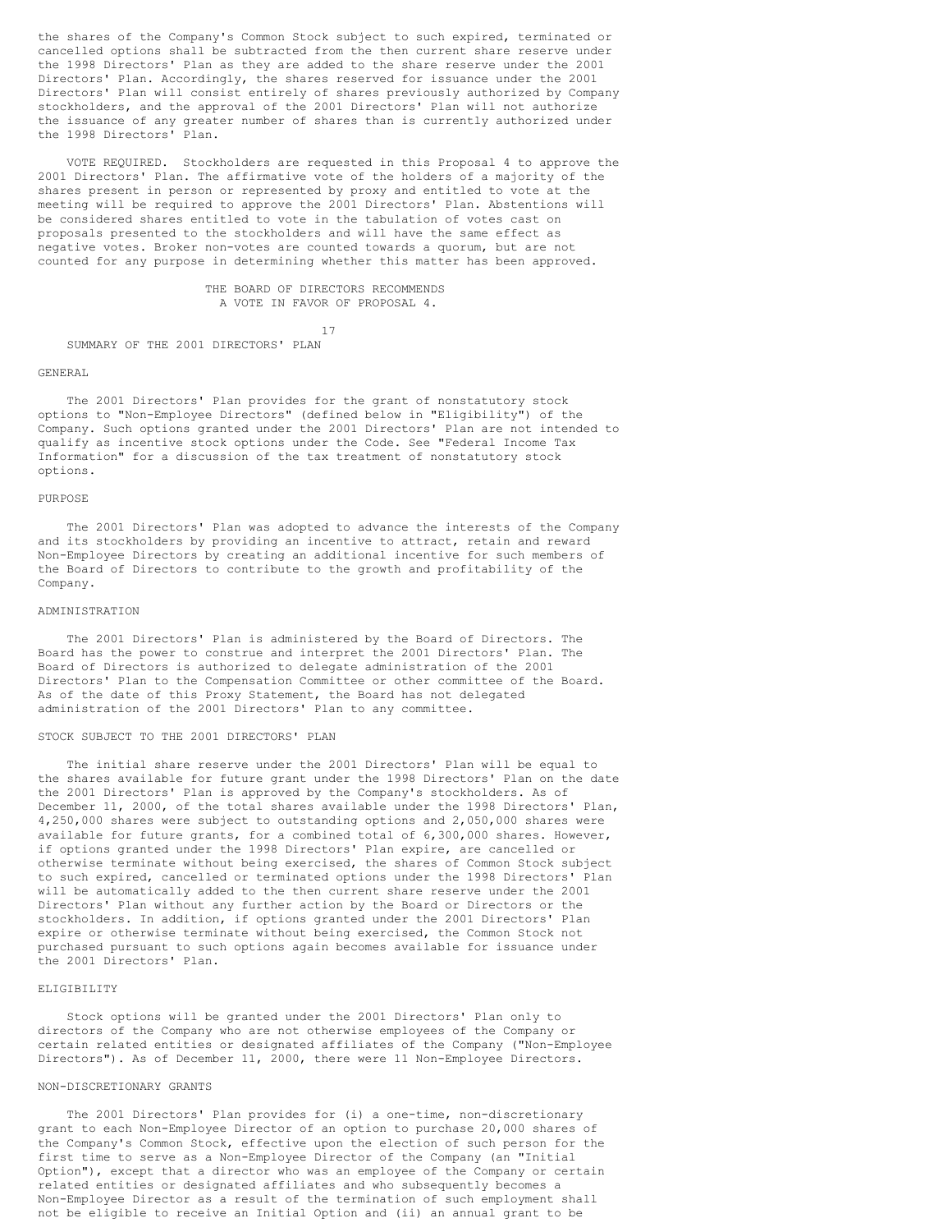the shares of the Company's Common Stock subject to such expired, terminated or cancelled options shall be subtracted from the then current share reserve under the 1998 Directors' Plan as they are added to the share reserve under the 2001 Directors' Plan. Accordingly, the shares reserved for issuance under the 2001 Directors' Plan will consist entirely of shares previously authorized by Company stockholders, and the approval of the 2001 Directors' Plan will not authorize the issuance of any greater number of shares than is currently authorized under the 1998 Directors' Plan.

VOTE REQUIRED. Stockholders are requested in this Proposal 4 to approve the 2001 Directors' Plan. The affirmative vote of the holders of a majority of the shares present in person or represented by proxy and entitled to vote at the meeting will be required to approve the 2001 Directors' Plan. Abstentions will be considered shares entitled to vote in the tabulation of votes cast on proposals presented to the stockholders and will have the same effect as negative votes. Broker non-votes are counted towards a quorum, but are not counted for any purpose in determining whether this matter has been approved.

> THE BOARD OF DIRECTORS RECOMMENDS A VOTE IN FAVOR OF PROPOSAL 4.

> > 17

SUMMARY OF THE 2001 DIRECTORS' PLAN

#### GENERAL

The 2001 Directors' Plan provides for the grant of nonstatutory stock options to "Non-Employee Directors" (defined below in "Eligibility") of the Company. Such options granted under the 2001 Directors' Plan are not intended to qualify as incentive stock options under the Code. See "Federal Income Tax Information" for a discussion of the tax treatment of nonstatutory stock options.

#### PURPOSE

The 2001 Directors' Plan was adopted to advance the interests of the Company and its stockholders by providing an incentive to attract, retain and reward Non-Employee Directors by creating an additional incentive for such members of the Board of Directors to contribute to the growth and profitability of the Company.

#### ADMINISTRATION

The 2001 Directors' Plan is administered by the Board of Directors. The Board has the power to construe and interpret the 2001 Directors' Plan. The Board of Directors is authorized to delegate administration of the 2001 Directors' Plan to the Compensation Committee or other committee of the Board. As of the date of this Proxy Statement, the Board has not delegated administration of the 2001 Directors' Plan to any committee.

# STOCK SUBJECT TO THE 2001 DIRECTORS' PLAN

The initial share reserve under the 2001 Directors' Plan will be equal to the shares available for future grant under the 1998 Directors' Plan on the date the 2001 Directors' Plan is approved by the Company's stockholders. As of December 11, 2000, of the total shares available under the 1998 Directors' Plan, 4,250,000 shares were subject to outstanding options and 2,050,000 shares were available for future grants, for a combined total of 6,300,000 shares. However, if options granted under the 1998 Directors' Plan expire, are cancelled or otherwise terminate without being exercised, the shares of Common Stock subject to such expired, cancelled or terminated options under the 1998 Directors' Plan will be automatically added to the then current share reserve under the 2001 Directors' Plan without any further action by the Board or Directors or the stockholders. In addition, if options granted under the 2001 Directors' Plan expire or otherwise terminate without being exercised, the Common Stock not purchased pursuant to such options again becomes available for issuance under the 2001 Directors' Plan.

#### ELIGIBILITY

Stock options will be granted under the 2001 Directors' Plan only to directors of the Company who are not otherwise employees of the Company or certain related entities or designated affiliates of the Company ("Non-Employee Directors"). As of December 11, 2000, there were 11 Non-Employee Directors.

#### NON-DISCRETIONARY GRANTS

The 2001 Directors' Plan provides for (i) a one-time, non-discretionary grant to each Non-Employee Director of an option to purchase 20,000 shares of the Company's Common Stock, effective upon the election of such person for the first time to serve as a Non-Employee Director of the Company (an "Initial Option"), except that a director who was an employee of the Company or certain related entities or designated affiliates and who subsequently becomes a Non-Employee Director as a result of the termination of such employment shall not be eligible to receive an Initial Option and (ii) an annual grant to be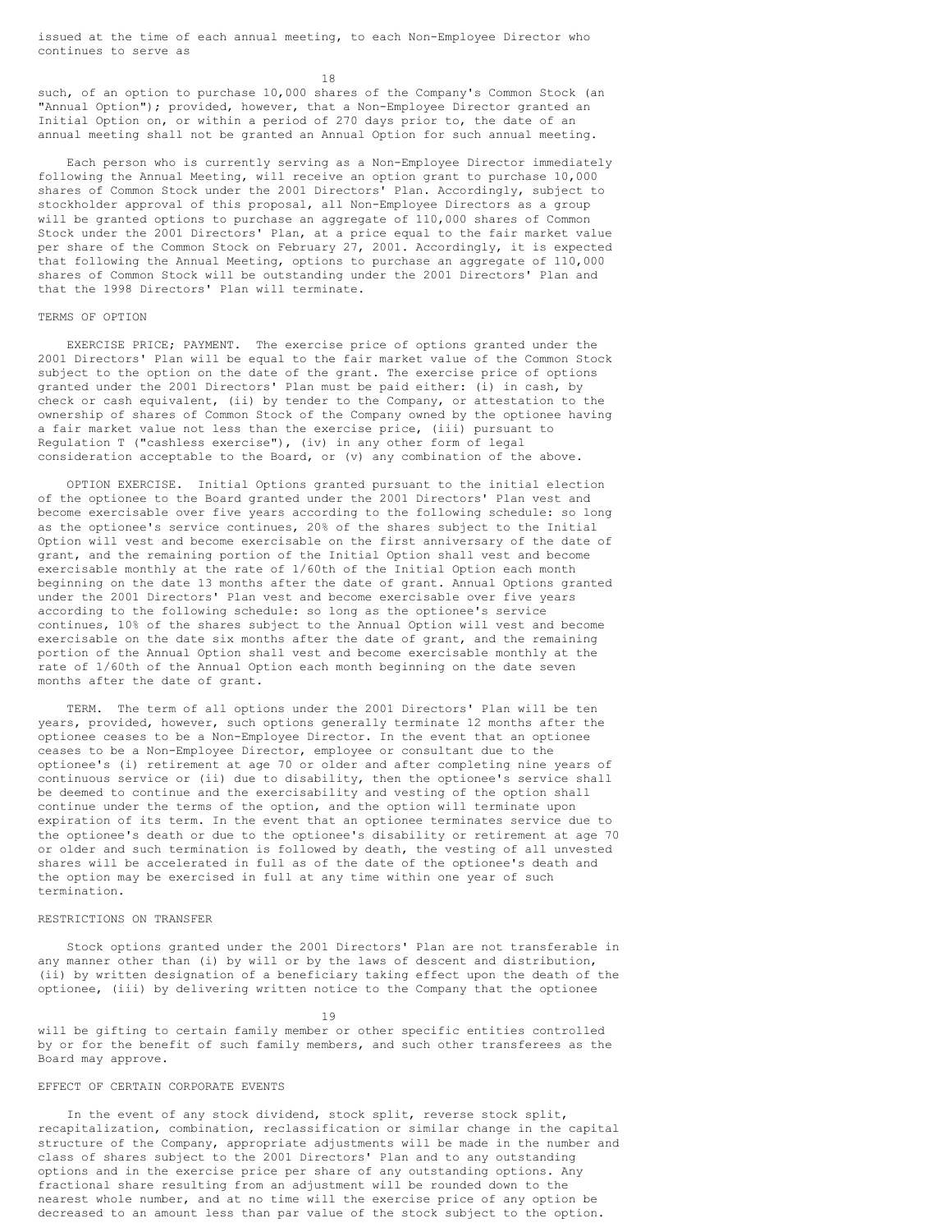issued at the time of each annual meeting, to each Non-Employee Director who continues to serve as

18

such, of an option to purchase 10,000 shares of the Company's Common Stock (an "Annual Option"); provided, however, that a Non-Employee Director granted an Initial Option on, or within a period of 270 days prior to, the date of an annual meeting shall not be granted an Annual Option for such annual meeting.

Each person who is currently serving as a Non-Employee Director immediately following the Annual Meeting, will receive an option grant to purchase 10,000 shares of Common Stock under the 2001 Directors' Plan. Accordingly, subject to stockholder approval of this proposal, all Non-Employee Directors as a group will be granted options to purchase an aggregate of 110,000 shares of Common Stock under the 2001 Directors' Plan, at a price equal to the fair market value per share of the Common Stock on February 27, 2001. Accordingly, it is expected that following the Annual Meeting, options to purchase an aggregate of 110,000 shares of Common Stock will be outstanding under the 2001 Directors' Plan and that the 1998 Directors' Plan will terminate.

# TERMS OF OPTION

EXERCISE PRICE; PAYMENT. The exercise price of options granted under the 2001 Directors' Plan will be equal to the fair market value of the Common Stock subject to the option on the date of the grant. The exercise price of options granted under the 2001 Directors' Plan must be paid either: (i) in cash, by check or cash equivalent, (ii) by tender to the Company, or attestation to the ownership of shares of Common Stock of the Company owned by the optionee having a fair market value not less than the exercise price, (iii) pursuant to Regulation T ("cashless exercise"), (iv) in any other form of legal consideration acceptable to the Board, or (v) any combination of the above.

OPTION EXERCISE. Initial Options granted pursuant to the initial election of the optionee to the Board granted under the 2001 Directors' Plan vest and become exercisable over five years according to the following schedule: so long as the optionee's service continues, 20% of the shares subject to the Initial Option will vest and become exercisable on the first anniversary of the date of grant, and the remaining portion of the Initial Option shall vest and become exercisable monthly at the rate of 1/60th of the Initial Option each month beginning on the date 13 months after the date of grant. Annual Options granted under the 2001 Directors' Plan vest and become exercisable over five years according to the following schedule: so long as the optionee's service continues, 10% of the shares subject to the Annual Option will vest and become exercisable on the date six months after the date of grant, and the remaining portion of the Annual Option shall vest and become exercisable monthly at the rate of 1/60th of the Annual Option each month beginning on the date seven months after the date of grant.

TERM. The term of all options under the 2001 Directors' Plan will be ten years, provided, however, such options generally terminate 12 months after the optionee ceases to be a Non-Employee Director. In the event that an optionee ceases to be a Non-Employee Director, employee or consultant due to the optionee's (i) retirement at age 70 or older and after completing nine years of continuous service or (ii) due to disability, then the optionee's service shall be deemed to continue and the exercisability and vesting of the option shall continue under the terms of the option, and the option will terminate upon expiration of its term. In the event that an optionee terminates service due to the optionee's death or due to the optionee's disability or retirement at age 70 or older and such termination is followed by death, the vesting of all unvested shares will be accelerated in full as of the date of the optionee's death and the option may be exercised in full at any time within one year of such termination.

# RESTRICTIONS ON TRANSFER

Stock options granted under the 2001 Directors' Plan are not transferable in any manner other than (i) by will or by the laws of descent and distribution, (ii) by written designation of a beneficiary taking effect upon the death of the optionee, (iii) by delivering written notice to the Company that the optionee

19

will be gifting to certain family member or other specific entities controlled by or for the benefit of such family members, and such other transferees as the Board may approve.

# EFFECT OF CERTAIN CORPORATE EVENTS

In the event of any stock dividend, stock split, reverse stock split, recapitalization, combination, reclassification or similar change in the capital structure of the Company, appropriate adjustments will be made in the number and class of shares subject to the 2001 Directors' Plan and to any outstanding options and in the exercise price per share of any outstanding options. Any fractional share resulting from an adjustment will be rounded down to the nearest whole number, and at no time will the exercise price of any option be decreased to an amount less than par value of the stock subject to the option.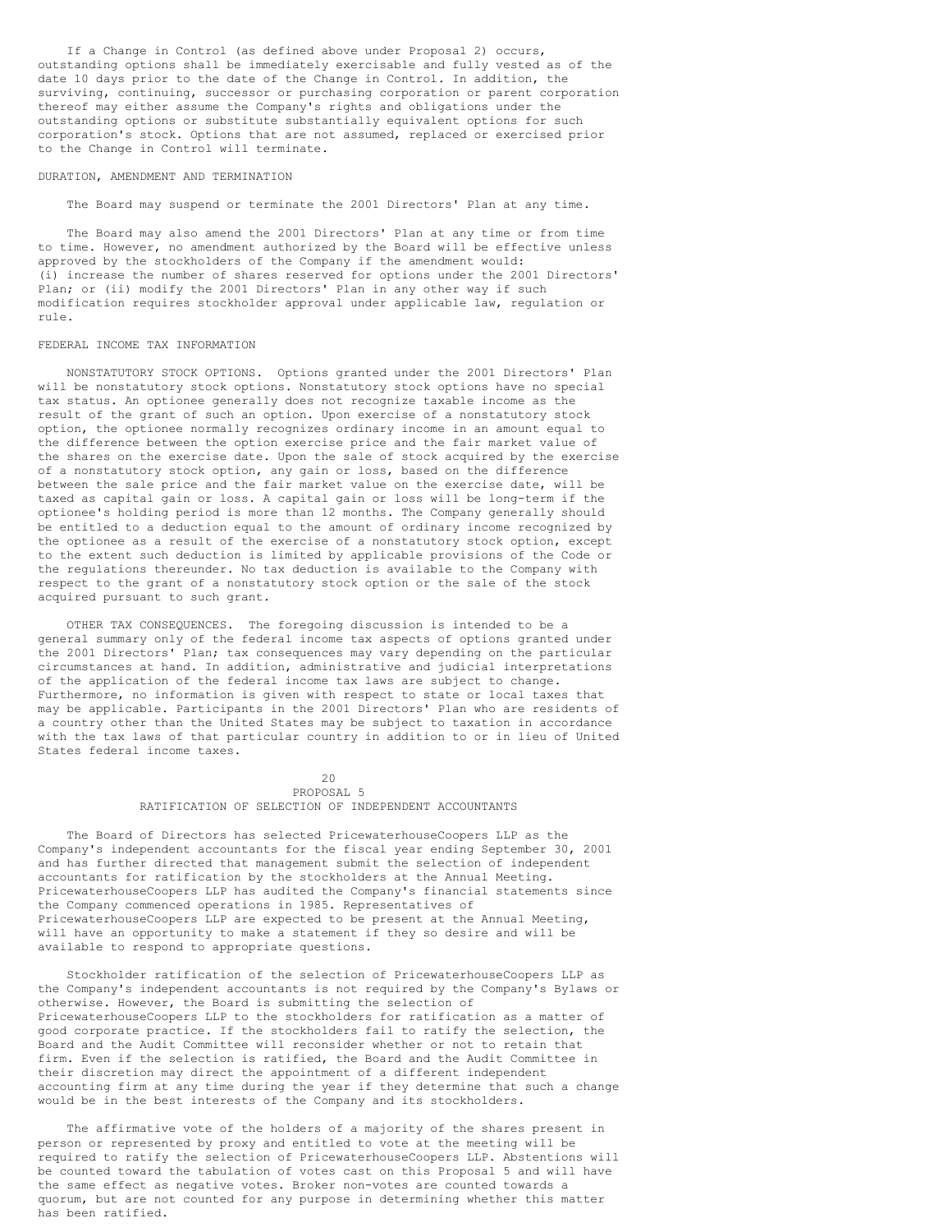If a Change in Control (as defined above under Proposal 2) occurs, outstanding options shall be immediately exercisable and fully vested as of the date 10 days prior to the date of the Change in Control. In addition, the surviving, continuing, successor or purchasing corporation or parent corporation thereof may either assume the Company's rights and obligations under the outstanding options or substitute substantially equivalent options for such corporation's stock. Options that are not assumed, replaced or exercised prior to the Change in Control will terminate.

### DURATION, AMENDMENT AND TERMINATION

The Board may suspend or terminate the 2001 Directors' Plan at any time.

The Board may also amend the 2001 Directors' Plan at any time or from time to time. However, no amendment authorized by the Board will be effective unless approved by the stockholders of the Company if the amendment would: (i) increase the number of shares reserved for options under the 2001 Directors' Plan; or (ii) modify the 2001 Directors' Plan in any other way if such modification requires stockholder approval under applicable law, regulation or rule.

### FEDERAL INCOME TAX INFORMATION

NONSTATUTORY STOCK OPTIONS. Options granted under the 2001 Directors' Plan will be nonstatutory stock options. Nonstatutory stock options have no special tax status. An optionee generally does not recognize taxable income as the result of the grant of such an option. Upon exercise of a nonstatutory stock option, the optionee normally recognizes ordinary income in an amount equal to the difference between the option exercise price and the fair market value of the shares on the exercise date. Upon the sale of stock acquired by the exercise of a nonstatutory stock option, any gain or loss, based on the difference between the sale price and the fair market value on the exercise date, will be taxed as capital gain or loss. A capital gain or loss will be long-term if the optionee's holding period is more than 12 months. The Company generally should be entitled to a deduction equal to the amount of ordinary income recognized by the optionee as a result of the exercise of a nonstatutory stock option, except to the extent such deduction is limited by applicable provisions of the Code or the regulations thereunder. No tax deduction is available to the Company with respect to the grant of a nonstatutory stock option or the sale of the stock acquired pursuant to such grant.

OTHER TAX CONSEQUENCES. The foregoing discussion is intended to be a general summary only of the federal income tax aspects of options granted under the 2001 Directors' Plan; tax consequences may vary depending on the particular circumstances at hand. In addition, administrative and judicial interpretations of the application of the federal income tax laws are subject to change. Furthermore, no information is given with respect to state or local taxes that may be applicable. Participants in the 2001 Directors' Plan who are residents of a country other than the United States may be subject to taxation in accordance with the tax laws of that particular country in addition to or in lieu of United States federal income taxes.

### $20$ PROPOSAL 5 RATIFICATION OF SELECTION OF INDEPENDENT ACCOUNTANTS

The Board of Directors has selected PricewaterhouseCoopers LLP as the Company's independent accountants for the fiscal year ending September 30, 2001 and has further directed that management submit the selection of independent accountants for ratification by the stockholders at the Annual Meeting. PricewaterhouseCoopers LLP has audited the Company's financial statements since the Company commenced operations in 1985. Representatives of PricewaterhouseCoopers LLP are expected to be present at the Annual Meeting, will have an opportunity to make a statement if they so desire and will be available to respond to appropriate questions.

Stockholder ratification of the selection of PricewaterhouseCoopers LLP as the Company's independent accountants is not required by the Company's Bylaws or otherwise. However, the Board is submitting the selection of PricewaterhouseCoopers LLP to the stockholders for ratification as a matter of good corporate practice. If the stockholders fail to ratify the selection, the Board and the Audit Committee will reconsider whether or not to retain that firm. Even if the selection is ratified, the Board and the Audit Committee in their discretion may direct the appointment of a different independent accounting firm at any time during the year if they determine that such a change would be in the best interests of the Company and its stockholders.

The affirmative vote of the holders of a majority of the shares present in person or represented by proxy and entitled to vote at the meeting will be required to ratify the selection of PricewaterhouseCoopers LLP. Abstentions will be counted toward the tabulation of votes cast on this Proposal 5 and will have the same effect as negative votes. Broker non-votes are counted towards a quorum, but are not counted for any purpose in determining whether this matter has been ratified.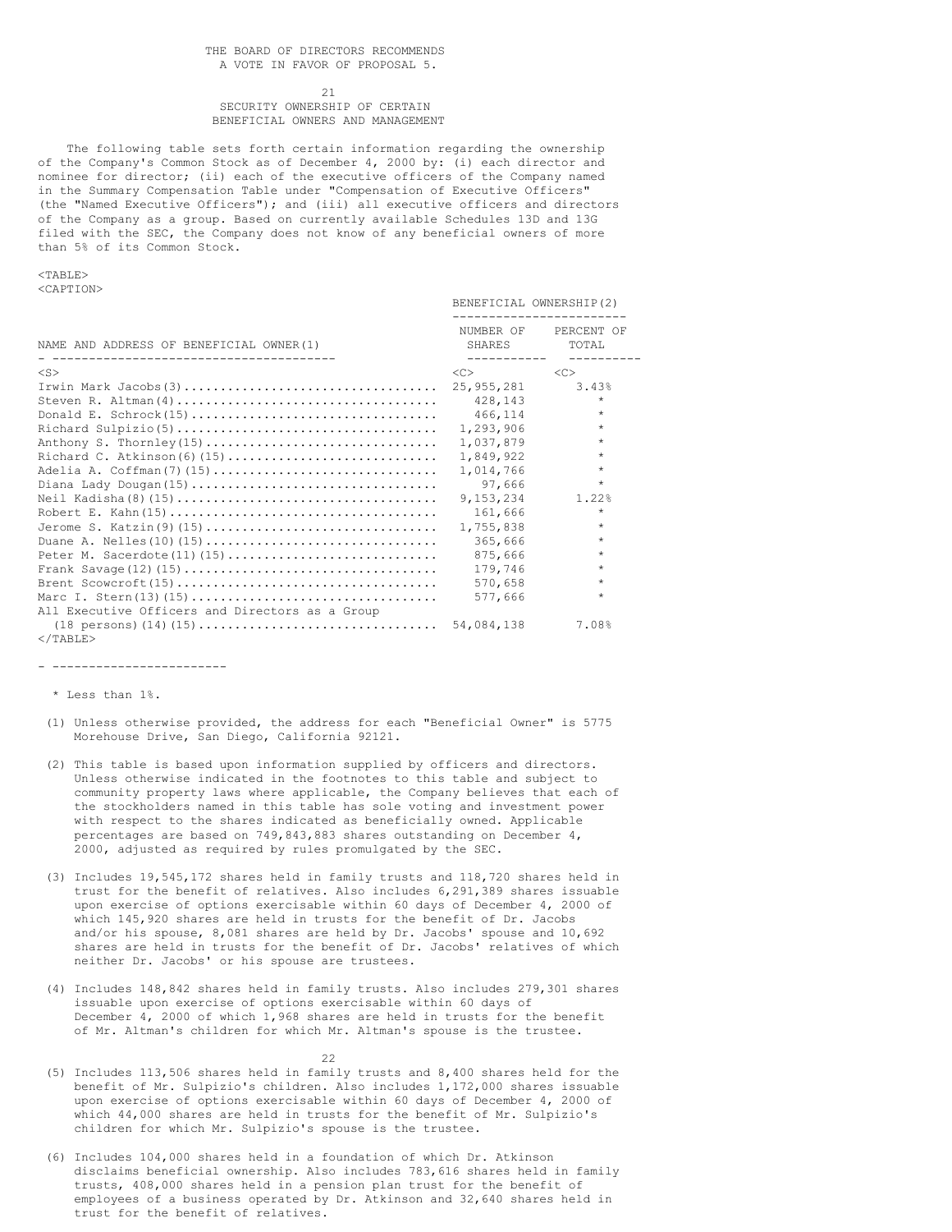### THE BOARD OF DIRECTORS RECOMMENDS A VOTE IN FAVOR OF PROPOSAL 5.

21

### SECURITY OWNERSHIP OF CERTAIN BENEFICIAL OWNERS AND MANAGEMENT

The following table sets forth certain information regarding the ownership of the Company's Common Stock as of December 4, 2000 by: (i) each director and nominee for director; (ii) each of the executive officers of the Company named in the Summary Compensation Table under "Compensation of Executive Officers" (the "Named Executive Officers"); and (iii) all executive officers and directors of the Company as a group. Based on currently available Schedules 13D and 13G filed with the SEC, the Company does not know of any beneficial owners of more than 5% of its Common Stock.

### <TABLE> <CAPTION>

|                                                 |                                  | BENEFICIAL OWNERSHIP(2) |  |  |
|-------------------------------------------------|----------------------------------|-------------------------|--|--|
| NAME AND ADDRESS OF BENEFICIAL OWNER (1)        | NUMBER OF<br>SHARES<br>--------- | PERCENT OF<br>TOTAL     |  |  |
| $<$ S>                                          | $<<$ $C$                         | <<                      |  |  |
|                                                 | 25,955,281                       | 3.43%                   |  |  |
|                                                 | 428,143                          | $\star$                 |  |  |
|                                                 | 466,114                          | $\star$                 |  |  |
|                                                 | 1,293,906                        | $\star$                 |  |  |
| Anthony S. Thornley(15)                         | 1,037,879                        | $\star$                 |  |  |
| Richard C. Atkinson(6)(15)                      | 1,849,922                        | $\star$                 |  |  |
| Adelia A. Coffman(7)(15)                        | 1,014,766                        | $\star$                 |  |  |
| Diana Lady Dougan(15)                           | 97,666                           | $\star$                 |  |  |
|                                                 | 9,153,234                        | 1.22%                   |  |  |
|                                                 | 161,666                          | $\star$                 |  |  |
| Jerome S. Katzin(9)(15)                         | 1,755,838                        | $\star$                 |  |  |
|                                                 | 365,666                          | $\star$                 |  |  |
|                                                 | 875,666                          | $\star$                 |  |  |
|                                                 | 179,746                          | $\star$                 |  |  |
|                                                 | 570,658                          | $\star$                 |  |  |
|                                                 | 577,666                          | $\star$                 |  |  |
| All Executive Officers and Directors as a Group |                                  |                         |  |  |
| $(18 \text{ persons}) (14) (15) \dots (18)$     |                                  | 7.08%                   |  |  |
| $<$ /TABLE>                                     |                                  |                         |  |  |

- ------------------------

\* Less than 1%.

- (1) Unless otherwise provided, the address for each "Beneficial Owner" is 5775 Morehouse Drive, San Diego, California 92121.
- (2) This table is based upon information supplied by officers and directors. Unless otherwise indicated in the footnotes to this table and subject to community property laws where applicable, the Company believes that each of the stockholders named in this table has sole voting and investment power with respect to the shares indicated as beneficially owned. Applicable percentages are based on 749,843,883 shares outstanding on December 4, 2000, adjusted as required by rules promulgated by the SEC.
- (3) Includes 19,545,172 shares held in family trusts and 118,720 shares held in trust for the benefit of relatives. Also includes 6,291,389 shares issuable upon exercise of options exercisable within 60 days of December 4, 2000 of which 145,920 shares are held in trusts for the benefit of Dr. Jacobs and/or his spouse, 8,081 shares are held by Dr. Jacobs' spouse and 10,692 shares are held in trusts for the benefit of Dr. Jacobs' relatives of which neither Dr. Jacobs' or his spouse are trustees.
- (4) Includes 148,842 shares held in family trusts. Also includes 279,301 shares issuable upon exercise of options exercisable within 60 days of December 4, 2000 of which 1,968 shares are held in trusts for the benefit of Mr. Altman's children for which Mr. Altman's spouse is the trustee.

22

- (5) Includes 113,506 shares held in family trusts and 8,400 shares held for the benefit of Mr. Sulpizio's children. Also includes 1,172,000 shares issuable upon exercise of options exercisable within 60 days of December 4, 2000 of which 44,000 shares are held in trusts for the benefit of Mr. Sulpizio's children for which Mr. Sulpizio's spouse is the trustee.
- (6) Includes 104,000 shares held in a foundation of which Dr. Atkinson disclaims beneficial ownership. Also includes 783,616 shares held in family trusts, 408,000 shares held in a pension plan trust for the benefit of employees of a business operated by Dr. Atkinson and 32,640 shares held in trust for the benefit of relatives.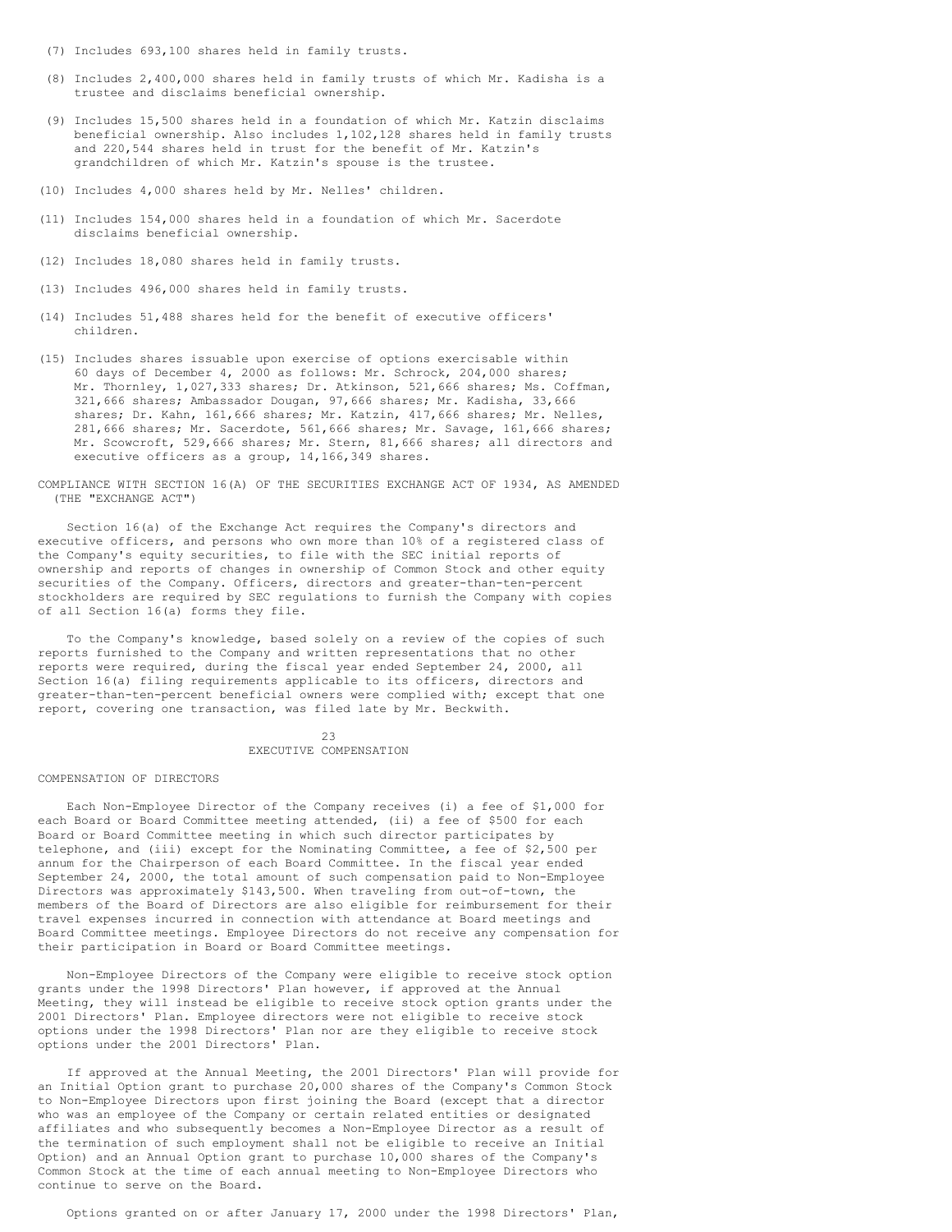- (7) Includes 693,100 shares held in family trusts.
- (8) Includes 2,400,000 shares held in family trusts of which Mr. Kadisha is a trustee and disclaims beneficial ownership.
- (9) Includes 15,500 shares held in a foundation of which Mr. Katzin disclaims beneficial ownership. Also includes 1,102,128 shares held in family trusts and 220,544 shares held in trust for the benefit of Mr. Katzin's grandchildren of which Mr. Katzin's spouse is the trustee.
- (10) Includes 4,000 shares held by Mr. Nelles' children.
- (11) Includes 154,000 shares held in a foundation of which Mr. Sacerdote disclaims beneficial ownership.
- (12) Includes 18,080 shares held in family trusts.
- (13) Includes 496,000 shares held in family trusts.
- (14) Includes 51,488 shares held for the benefit of executive officers' children.
- (15) Includes shares issuable upon exercise of options exercisable within 60 days of December 4, 2000 as follows: Mr. Schrock, 204,000 shares; Mr. Thornley, 1,027,333 shares; Dr. Atkinson, 521,666 shares; Ms. Coffman, 321,666 shares; Ambassador Dougan, 97,666 shares; Mr. Kadisha, 33,666 shares; Dr. Kahn, 161,666 shares; Mr. Katzin, 417,666 shares; Mr. Nelles, 281,666 shares; Mr. Sacerdote, 561,666 shares; Mr. Savage, 161,666 shares; Mr. Scowcroft, 529,666 shares; Mr. Stern, 81,666 shares; all directors and executive officers as a group, 14,166,349 shares.
- COMPLIANCE WITH SECTION 16(A) OF THE SECURITIES EXCHANGE ACT OF 1934, AS AMENDED (THE "EXCHANGE ACT")

Section 16(a) of the Exchange Act requires the Company's directors and executive officers, and persons who own more than 10% of a registered class of the Company's equity securities, to file with the SEC initial reports of ownership and reports of changes in ownership of Common Stock and other equity securities of the Company. Officers, directors and greater-than-ten-percent stockholders are required by SEC regulations to furnish the Company with copies of all Section 16(a) forms they file.

To the Company's knowledge, based solely on a review of the copies of such reports furnished to the Company and written representations that no other reports were required, during the fiscal year ended September 24, 2000, all Section 16(a) filing requirements applicable to its officers, directors and greater-than-ten-percent beneficial owners were complied with; except that one report, covering one transaction, was filed late by Mr. Beckwith.

> 23 EXECUTIVE COMPENSATION

# COMPENSATION OF DIRECTORS

Each Non-Employee Director of the Company receives (i) a fee of \$1,000 for each Board or Board Committee meeting attended, (ii) a fee of \$500 for each Board or Board Committee meeting in which such director participates by telephone, and (iii) except for the Nominating Committee, a fee of \$2,500 per annum for the Chairperson of each Board Committee. In the fiscal year ended September 24, 2000, the total amount of such compensation paid to Non-Employee Directors was approximately \$143,500. When traveling from out-of-town, the members of the Board of Directors are also eligible for reimbursement for their travel expenses incurred in connection with attendance at Board meetings and Board Committee meetings. Employee Directors do not receive any compensation for their participation in Board or Board Committee meetings.

Non-Employee Directors of the Company were eligible to receive stock option grants under the 1998 Directors' Plan however, if approved at the Annual Meeting, they will instead be eligible to receive stock option grants under the 2001 Directors' Plan. Employee directors were not eligible to receive stock options under the 1998 Directors' Plan nor are they eligible to receive stock options under the 2001 Directors' Plan.

If approved at the Annual Meeting, the 2001 Directors' Plan will provide for an Initial Option grant to purchase 20,000 shares of the Company's Common Stock to Non-Employee Directors upon first joining the Board (except that a director who was an employee of the Company or certain related entities or designated affiliates and who subsequently becomes a Non-Employee Director as a result of the termination of such employment shall not be eligible to receive an Initial Option) and an Annual Option grant to purchase 10,000 shares of the Company's Common Stock at the time of each annual meeting to Non-Employee Directors who continue to serve on the Board.

Options granted on or after January 17, 2000 under the 1998 Directors' Plan,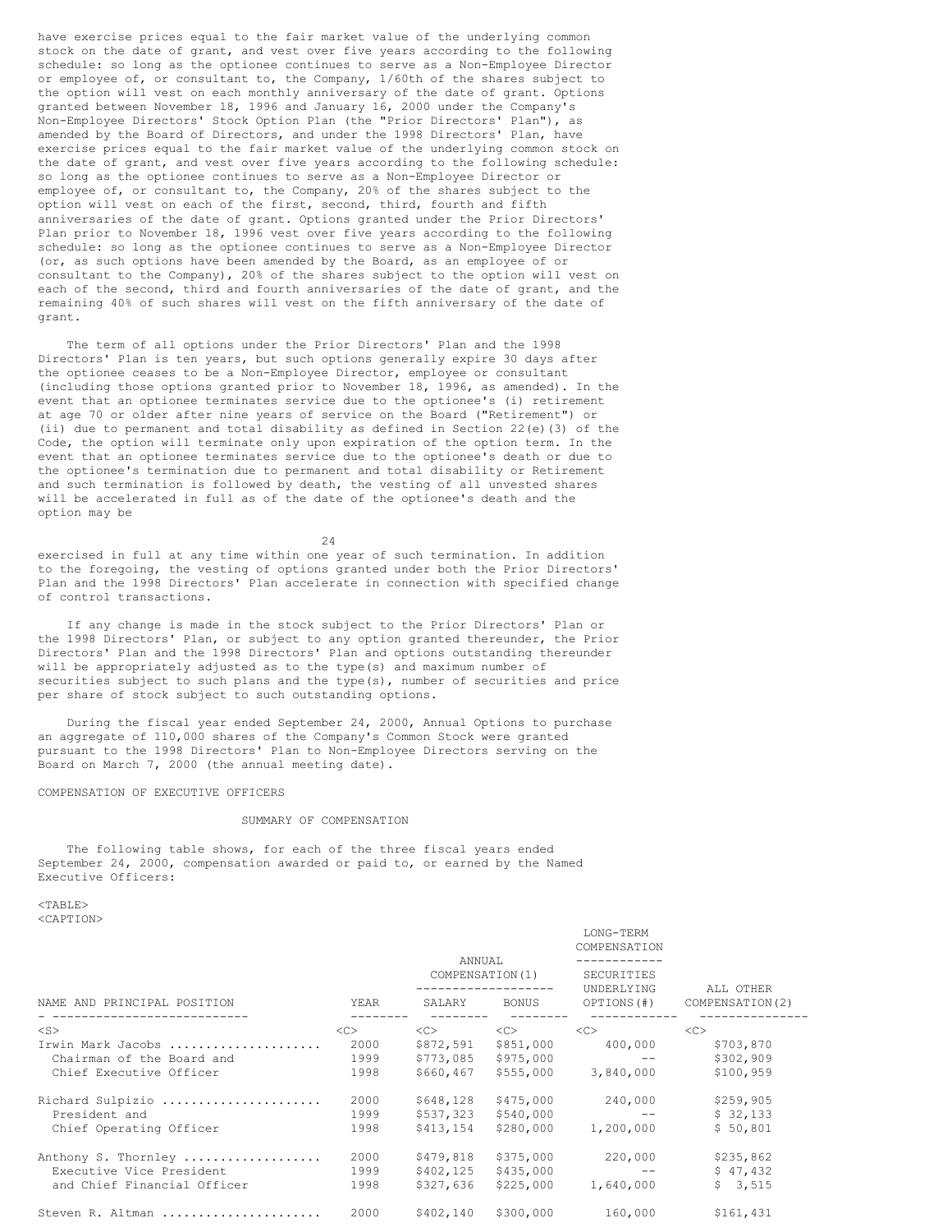have exercise prices equal to the fair market value of the underlying common stock on the date of grant, and vest over five years according to the following schedule: so long as the optionee continues to serve as a Non-Employee Director or employee of, or consultant to, the Company, 1/60th of the shares subject to the option will vest on each monthly anniversary of the date of grant. Options granted between November 18, 1996 and January 16, 2000 under the Company's Non-Employee Directors' Stock Option Plan (the "Prior Directors' Plan"), as amended by the Board of Directors, and under the 1998 Directors' Plan, have exercise prices equal to the fair market value of the underlying common stock on the date of grant, and vest over five years according to the following schedule: so long as the optionee continues to serve as a Non-Employee Director or employee of, or consultant to, the Company, 20% of the shares subject to the option will vest on each of the first, second, third, fourth and fifth anniversaries of the date of grant. Options granted under the Prior Directors' Plan prior to November 18, 1996 vest over five years according to the following schedule: so long as the optionee continues to serve as a Non-Employee Director (or, as such options have been amended by the Board, as an employee of or consultant to the Company), 20% of the shares subject to the option will vest on each of the second, third and fourth anniversaries of the date of grant, and the remaining 40% of such shares will vest on the fifth anniversary of the date of grant.

The term of all options under the Prior Directors' Plan and the 1998 Directors' Plan is ten years, but such options generally expire 30 days after the optionee ceases to be a Non-Employee Director, employee or consultant (including those options granted prior to November 18, 1996, as amended). In the event that an optionee terminates service due to the optionee's (i) retirement at age 70 or older after nine years of service on the Board ("Retirement") or (ii) due to permanent and total disability as defined in Section 22(e)(3) of the Code, the option will terminate only upon expiration of the option term. In the event that an optionee terminates service due to the optionee's death or due to the optionee's termination due to permanent and total disability or Retirement and such termination is followed by death, the vesting of all unvested shares will be accelerated in full as of the date of the optionee's death and the option may be

24

exercised in full at any time within one year of such termination. In addition to the foregoing, the vesting of options granted under both the Prior Directors' Plan and the 1998 Directors' Plan accelerate in connection with specified change of control transactions.

If any change is made in the stock subject to the Prior Directors' Plan or the 1998 Directors' Plan, or subject to any option granted thereunder, the Prior Directors' Plan and the 1998 Directors' Plan and options outstanding thereunder will be appropriately adjusted as to the type(s) and maximum number of securities subject to such plans and the type(s), number of securities and price per share of stock subject to such outstanding options.

During the fiscal year ended September 24, 2000, Annual Options to purchase an aggregate of 110,000 shares of the Company's Common Stock were granted pursuant to the 1998 Directors' Plan to Non-Employee Directors serving on the Board on March 7, 2000 (the annual meeting date).

# COMPENSATION OF EXECUTIVE OFFICERS

# SUMMARY OF COMPENSATION

The following table shows, for each of the three fiscal years ended September 24, 2000, compensation awarded or paid to, or earned by the Named Executive Officers:

 $<$ TABLE> <CAPTION>

| ٦<br>. . |  | , | ıν |
|----------|--|---|----|
|          |  |   |    |

|                                                        |          |           |                 | LUNG-ILKM<br>COMPENSATION |                  |
|--------------------------------------------------------|----------|-----------|-----------------|---------------------------|------------------|
|                                                        |          | ANNUAL    | COMPENSATION(1) | SECURITIES<br>UNDERLYING  | ALL OTHER        |
| NAME AND PRINCIPAL POSITION<br>----------------------- | YEAR     | SALARY    | <b>BONUS</b>    | OPTIONS (#)               | COMPENSATION (2) |
| $<$ S $>$                                              | $<<$ $>$ | $<<$ $>$  | $<<$ $>$        | $<<$ $>$                  | <<>              |
| Irwin Mark Jacobs                                      | 2000     | \$872,591 | \$851,000       | 400,000                   | \$703,870        |
| Chairman of the Board and                              | 1999     | \$773,085 |                 | \$975,000<br>$--$         | \$302,909        |
| Chief Executive Officer                                | 1998     | \$660,467 | \$555,000       | 3,840,000                 | \$100,959        |
| Richard Sulpizio                                       | 2000     | \$648,128 | \$475,000       | 240,000                   | \$259,905        |
| President and                                          | 1999     | \$537,323 | \$540,000       |                           | \$32,133         |
| Chief Operating Officer                                | 1998     | \$413,154 | \$280,000       | 1,200,000                 | \$50,801         |
| Anthony S. Thornley                                    | 2000     | \$479,818 | \$375,000       | 220,000                   | \$235,862        |
| Executive Vice President                               | 1999     | \$402,125 | \$435,000       |                           | \$47,432         |
| and Chief Financial Officer                            | 1998     | \$327,636 | \$225,000       | 1,640,000                 | \$3,515          |
| Steven R. Altman                                       | 2000     | \$402,140 | \$300,000       | 160,000                   | \$161,431        |

LONG-TERM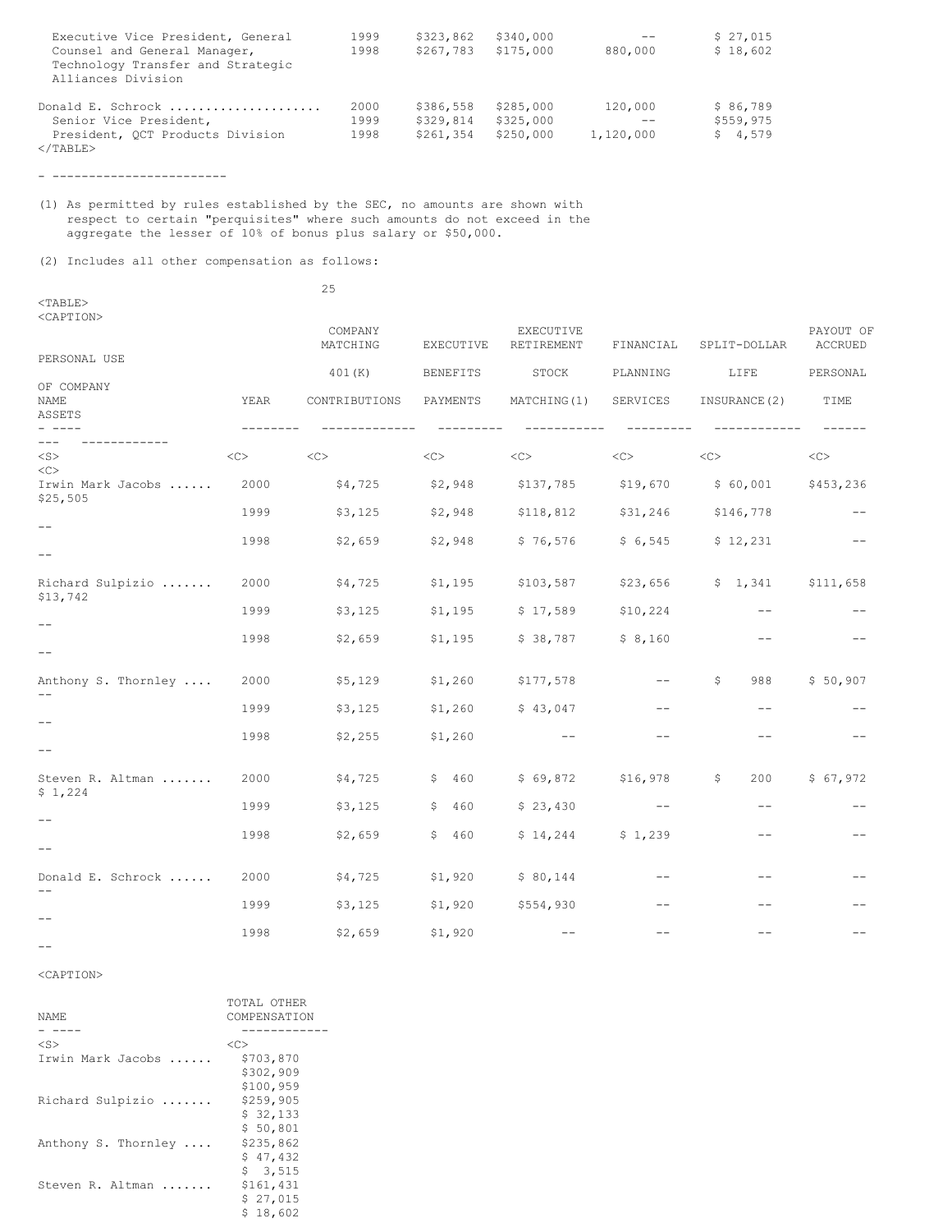| Executive Vice President, General | 1999 | \$323,862 | \$340,000 |           | \$27,015  |
|-----------------------------------|------|-----------|-----------|-----------|-----------|
| Counsel and General Manager,      | 1998 | \$267.783 | \$175,000 | 880,000   | \$18,602  |
| Technology Transfer and Strategic |      |           |           |           |           |
| Alliances Division                |      |           |           |           |           |
| Donald E. Schrock                 | 2000 | \$386,558 | \$285,000 | 120,000   | \$86,789  |
| Senior Vice President,            | 1999 | \$329,814 | \$325,000 | $- -$     | \$559,975 |
| President, OCT Products Division  | 1998 | \$261,354 | \$250,000 | 1,120,000 | \$4,579   |
| $<$ /TABLE>                       |      |           |           |           |           |

- ------------------------

(1) As permitted by rules established by the SEC, no amounts are shown with respect to certain "perquisites" where such amounts do not exceed in the aggregate the lesser of 10% of bonus plus salary or \$50,000.

25

(2) Includes all other compensation as follows:

|      | COMPANY                                    |                                                                       | <b>EXECUTIVE</b>                                                               |                                                               |                                                      | PAYOUT OF<br>ACCRUED                        |
|------|--------------------------------------------|-----------------------------------------------------------------------|--------------------------------------------------------------------------------|---------------------------------------------------------------|------------------------------------------------------|---------------------------------------------|
|      |                                            |                                                                       |                                                                                |                                                               |                                                      |                                             |
|      | 401(K)                                     | <b>BENEFITS</b>                                                       | STOCK                                                                          | PLANNING                                                      | LIFE                                                 | PERSONAL                                    |
|      |                                            |                                                                       |                                                                                |                                                               |                                                      |                                             |
| YEAR | CONTRIBUTIONS                              | PAYMENTS                                                              | MATCHING (1)                                                                   | SERVICES                                                      | INSURANCE (2)                                        | TIME                                        |
|      |                                            |                                                                       |                                                                                |                                                               |                                                      |                                             |
|      |                                            |                                                                       |                                                                                |                                                               |                                                      | <<                                          |
|      |                                            |                                                                       |                                                                                |                                                               |                                                      |                                             |
| 2000 | \$4,725                                    | \$2,948                                                               | \$137,785                                                                      | \$19,670                                                      | \$60,001                                             | \$453,236                                   |
| 1999 | \$3,125                                    | \$2,948                                                               | \$118,812                                                                      | \$31,246                                                      | \$146,778                                            |                                             |
|      |                                            |                                                                       |                                                                                |                                                               |                                                      |                                             |
|      |                                            |                                                                       |                                                                                |                                                               |                                                      |                                             |
|      |                                            |                                                                       |                                                                                |                                                               |                                                      |                                             |
| 2000 | \$4,725                                    | \$1,195                                                               | \$103,587                                                                      | \$23,656                                                      | \$1,341                                              | \$111,658                                   |
| 1999 | \$3,125                                    | \$1,195                                                               | \$17,589                                                                       | \$10,224                                                      |                                                      |                                             |
| 1998 | \$2,659                                    | \$1,195                                                               | \$38,787                                                                       | \$8,160                                                       |                                                      |                                             |
|      |                                            |                                                                       |                                                                                |                                                               |                                                      |                                             |
| 2000 | \$5,129                                    | \$1,260                                                               | \$177,578                                                                      | $- -$                                                         | 988<br>\$.                                           | \$50,907                                    |
| 1999 | \$3,125                                    | \$1,260                                                               | \$43,047                                                                       | $\qquad \qquad -$                                             | $ -$                                                 |                                             |
|      |                                            |                                                                       |                                                                                |                                                               |                                                      |                                             |
|      |                                            |                                                                       |                                                                                |                                                               |                                                      |                                             |
|      |                                            |                                                                       |                                                                                |                                                               |                                                      | \$67,972                                    |
|      |                                            |                                                                       |                                                                                |                                                               |                                                      |                                             |
|      |                                            |                                                                       |                                                                                | $\qquad \qquad -$                                             |                                                      |                                             |
| 1998 | \$2,659                                    | \$<br>460                                                             | \$14,244                                                                       | \$1,239                                                       |                                                      |                                             |
|      |                                            |                                                                       |                                                                                |                                                               |                                                      |                                             |
| 2000 | \$4,725                                    | \$1,920                                                               | \$80,144                                                                       | $ -$                                                          |                                                      |                                             |
| 1999 | \$3,125                                    | \$1,920                                                               | \$554,930                                                                      |                                                               |                                                      |                                             |
|      |                                            |                                                                       |                                                                                |                                                               |                                                      |                                             |
|      |                                            |                                                                       | $- -$                                                                          |                                                               |                                                      |                                             |
|      | <<<br>1998<br>1998<br>2000<br>1999<br>1998 | MATCHING<br><<<br>\$2,659<br>\$2,255<br>\$4,725<br>\$3,125<br>\$2,659 | <b>EXECUTIVE</b><br><<<br>\$2,948<br>\$1,260<br>\$ 460<br>460<br>\$<br>\$1,920 | RETIREMENT<br><<<br>\$76,576<br>$- -$<br>\$69,872<br>\$23,430 | FINANCIAL<br><<<br>\$6,545<br>--<br>\$16,978<br>$ -$ | SPLIT-DOLLAR<br><<<br>\$12,231<br>\$<br>200 |

<CAPTION>

|                     | TOTAL OTHER  |
|---------------------|--------------|
| NAME.               | COMPENSATION |
|                     |              |
| $<$ S $>$           | <<           |
| Irwin Mark Jacobs   | \$703,870    |
|                     | \$302,909    |
|                     | \$100,959    |
| Richard Sulpizio    | \$259,905    |
|                     | \$ 32,133    |
|                     | \$50,801     |
| Anthony S. Thornley | \$235,862    |
|                     | \$47,432     |
|                     | \$3,515      |
| Steven R. Altman    | \$161,431    |
|                     | \$ 27,015    |
|                     | \$18,602     |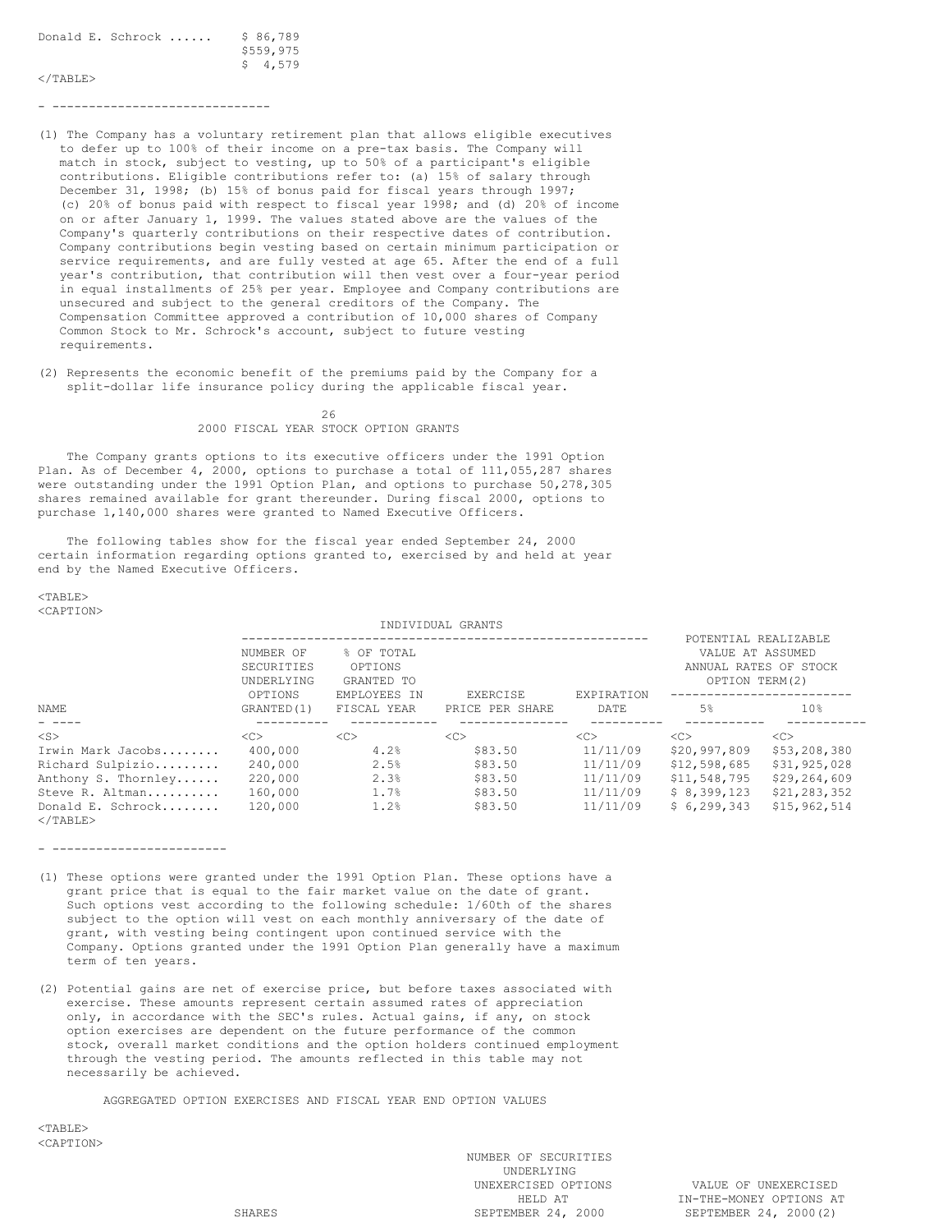| Donald E. Schrock |  | \$86,789  |
|-------------------|--|-----------|
|                   |  | \$559,975 |
|                   |  | \$4.579   |
| $\langle$ /TABLE> |  |           |

- ------------------------------

- (1) The Company has a voluntary retirement plan that allows eligible executives to defer up to 100% of their income on a pre-tax basis. The Company will match in stock, subject to vesting, up to 50% of a participant's eligible contributions. Eligible contributions refer to: (a) 15% of salary through December 31, 1998; (b) 15% of bonus paid for fiscal years through 1997; (c) 20% of bonus paid with respect to fiscal year 1998; and (d) 20% of income on or after January 1, 1999. The values stated above are the values of the Company's quarterly contributions on their respective dates of contribution. Company contributions begin vesting based on certain minimum participation or service requirements, and are fully vested at age 65. After the end of a full year's contribution, that contribution will then vest over a four-year period in equal installments of 25% per year. Employee and Company contributions are unsecured and subject to the general creditors of the Company. The Compensation Committee approved a contribution of 10,000 shares of Company Common Stock to Mr. Schrock's account, subject to future vesting requirements.
- (2) Represents the economic benefit of the premiums paid by the Company for a split-dollar life insurance policy during the applicable fiscal year.

# 26 2000 FISCAL YEAR STOCK OPTION GRANTS

The Company grants options to its executive officers under the 1991 Option Plan. As of December 4, 2000, options to purchase a total of 111,055,287 shares were outstanding under the 1991 Option Plan, and options to purchase 50,278,305 shares remained available for grant thereunder. During fiscal 2000, options to purchase 1,140,000 shares were granted to Named Executive Officers.

The following tables show for the fiscal year ended September 24, 2000 certain information regarding options granted to, exercised by and held at year end by the Named Executive Officers.

 $<$ TABLE> <CAPTION>

 $<$ /TABLE $>$ 

INDIVIDUAL GRANTS -------------------------------------------------------- POTENTIAL REALIZABLE NUMBER OF % OF TOTAL VALUE AT ASSUMED ANNUAL RATES OF STOCK UNDERLYING GRANTED TO OPTION TERM(2) OPTIONS EMPLOYEES IN EXERCISE EXPIRATION --------------------<br>GRANTED(1) FISCAL YEAR PRICE PER SHARE DATE 5% 10 NAME GRANTED(1) FISCAL YEAR PRICE PER SHARE DATE 5% 10% - ---- ---------- ------------ --------------- ---------- ----------- ----------- <S> <C> <C> <C> <C> <C> <C> Irwin Mark Jacobs........ 400,000 4.2% \$83.50 11/11/09 \$20,997,809 \$53,208,380 Richard Sulpizio......... 240,000 2.5% \$83.50 11/11/09 \$12,598,685 \$31,925,028 Anthony S. Thornley...... 220,000 2.3% \$83.50 11/11/09 \$11,548,795 \$29,264,609 Steve R. Altman.......... 160,000 1.7% \$83.50 11/11/09 \$ 8,399,123 \$21,283,352 11 Will Mark 0acobs........ 100,000<br>
Richard Sulpizio......... 220,000 2.5% \$83.50 11/11/09 \$12,598,685 \$31,925,028<br>
Steve R. Altman.......... 160,000 1.7% \$83.50 11/11/09 \$ 8,399,123 \$21,283,352<br>
Donald E. Schrock........

- ------------------------

- (1) These options were granted under the 1991 Option Plan. These options have a grant price that is equal to the fair market value on the date of grant. Such options vest according to the following schedule: 1/60th of the shares subject to the option will vest on each monthly anniversary of the date of grant, with vesting being contingent upon continued service with the Company. Options granted under the 1991 Option Plan generally have a maximum term of ten years.
- (2) Potential gains are net of exercise price, but before taxes associated with exercise. These amounts represent certain assumed rates of appreciation only, in accordance with the SEC's rules. Actual gains, if any, on stock option exercises are dependent on the future performance of the common stock, overall market conditions and the option holders continued employment through the vesting period. The amounts reflected in this table may not necessarily be achieved.

AGGREGATED OPTION EXERCISES AND FISCAL YEAR END OPTION VALUES

<TABLE> <CAPTION>

NUMBER OF SECURITIES UNDERLYING UNEXERCISED OPTIONS VALUE OF UNEXERCISED

HELD AT  $IN$ <sup>-THE-MONEY OPTIONS AT SEPTEMBER 24, 2000 (2)</sup> SHARES SEPTEMBER 24, 2000 SEPTEMBER 24, 2000(2)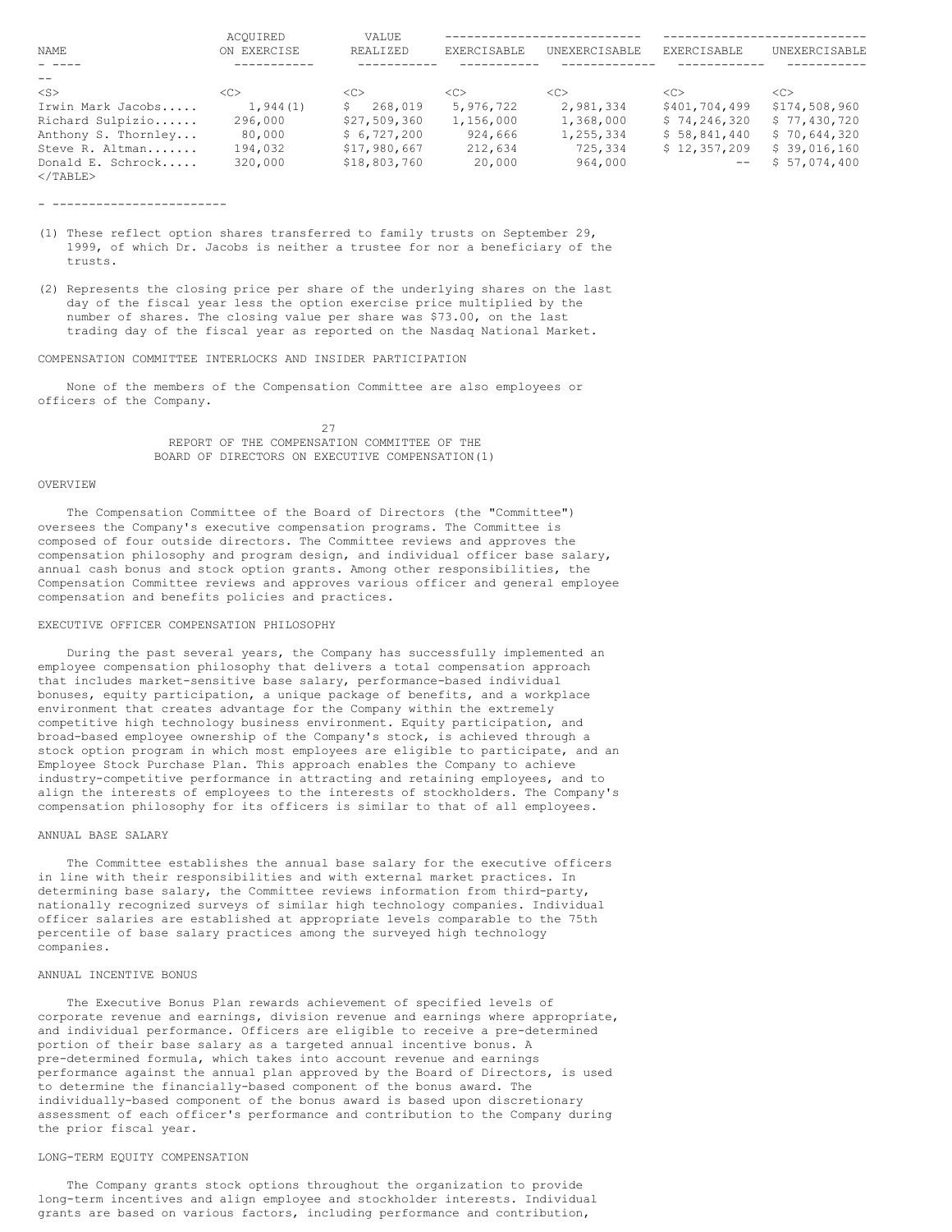|                                                 | ACOUIRED      | VALUE         |               |               |                |               |
|-------------------------------------------------|---------------|---------------|---------------|---------------|----------------|---------------|
| NAME                                            | ON EXERCISE   | REALIZED      | EXERCISABLE   | UNEXERCISABLE | EXERCISABLE    | UNEXERCISABLE |
|                                                 |               |               |               |               |                |               |
| $-$                                             |               |               |               |               |                |               |
| $<$ S>                                          | < <sub></sub> | < <sub></sub> | < <sub></sub> | < <sub></sub> | < <sub></sub>  | < <sub></sub> |
| Irwin Mark Jacobs                               | 1,944(1)      | 268,019<br>S. | 5,976,722     | 2,981,334     | \$401,704,499  | \$174,508,960 |
| Richard Sulpizio                                | 296,000       | \$27,509,360  | 1,156,000     | 1,368,000     | \$74, 246, 320 | \$77,430,720  |
| Anthony S. Thornley                             | 80,000        | \$6.727.200   | 924,666       | 1,255,334     | \$58,841,440   | \$70,644,320  |
| Steve R. Altman                                 | 194,032       | \$17,980,667  | 212,634       | 725,334       | \$12,357,209   | \$39,016,160  |
| Donald E. Schrock<br>$\langle$ /TARLE $\rangle$ | 320,000       | \$18,803,760  | 20,000        | 964,000       | $- -$          | \$57,074,400  |

- ------------------------

- (1) These reflect option shares transferred to family trusts on September 29, 1999, of which Dr. Jacobs is neither a trustee for nor a beneficiary of the trusts.
- (2) Represents the closing price per share of the underlying shares on the last day of the fiscal year less the option exercise price multiplied by the number of shares. The closing value per share was \$73.00, on the last trading day of the fiscal year as reported on the Nasdaq National Market.

COMPENSATION COMMITTEE INTERLOCKS AND INSIDER PARTICIPATION

None of the members of the Compensation Committee are also employees or officers of the Company.

> 27 REPORT OF THE COMPENSATION COMMITTEE OF THE BOARD OF DIRECTORS ON EXECUTIVE COMPENSATION(1)

# OVERVIEW

The Compensation Committee of the Board of Directors (the "Committee") oversees the Company's executive compensation programs. The Committee is composed of four outside directors. The Committee reviews and approves the compensation philosophy and program design, and individual officer base salary, annual cash bonus and stock option grants. Among other responsibilities, the Compensation Committee reviews and approves various officer and general employee compensation and benefits policies and practices.

### EXECUTIVE OFFICER COMPENSATION PHILOSOPHY

During the past several years, the Company has successfully implemented an employee compensation philosophy that delivers a total compensation approach that includes market-sensitive base salary, performance-based individual bonuses, equity participation, a unique package of benefits, and a workplace environment that creates advantage for the Company within the extremely competitive high technology business environment. Equity participation, and broad-based employee ownership of the Company's stock, is achieved through a stock option program in which most employees are eligible to participate, and an Employee Stock Purchase Plan. This approach enables the Company to achieve industry-competitive performance in attracting and retaining employees, and to align the interests of employees to the interests of stockholders. The Company's compensation philosophy for its officers is similar to that of all employees.

# ANNUAL BASE SALARY

The Committee establishes the annual base salary for the executive officers in line with their responsibilities and with external market practices. In determining base salary, the Committee reviews information from third-party, nationally recognized surveys of similar high technology companies. Individual officer salaries are established at appropriate levels comparable to the 75th percentile of base salary practices among the surveyed high technology companies.

### ANNUAL INCENTIVE BONUS

The Executive Bonus Plan rewards achievement of specified levels of corporate revenue and earnings, division revenue and earnings where appropriate, and individual performance. Officers are eligible to receive a pre-determined portion of their base salary as a targeted annual incentive bonus. A pre-determined formula, which takes into account revenue and earnings performance against the annual plan approved by the Board of Directors, is used to determine the financially-based component of the bonus award. The individually-based component of the bonus award is based upon discretionary assessment of each officer's performance and contribution to the Company during the prior fiscal year.

### LONG-TERM EQUITY COMPENSATION

The Company grants stock options throughout the organization to provide long-term incentives and align employee and stockholder interests. Individual grants are based on various factors, including performance and contribution,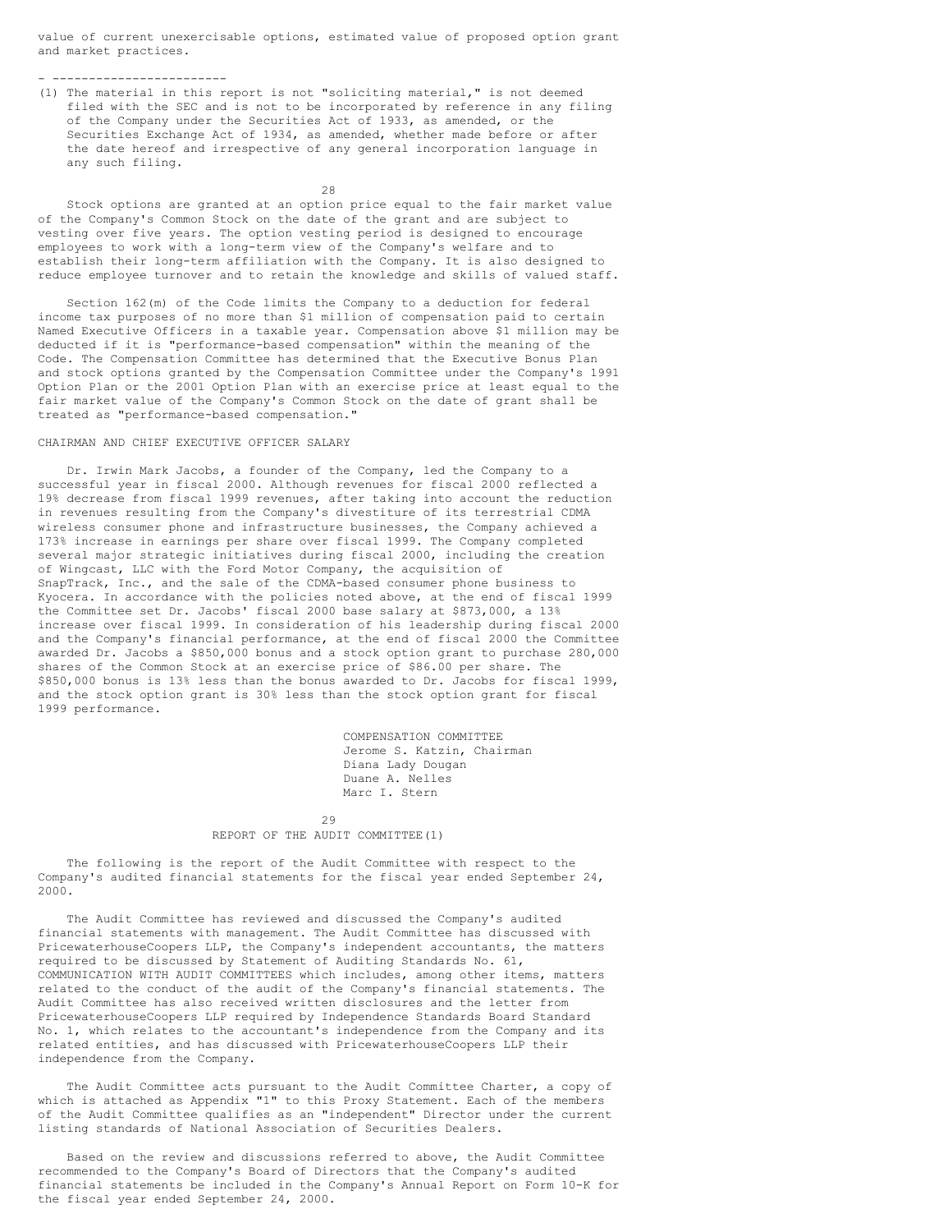value of current unexercisable options, estimated value of proposed option grant and market practices.

- ------------------------

(1) The material in this report is not "soliciting material," is not deemed filed with the SEC and is not to be incorporated by reference in any filing of the Company under the Securities Act of 1933, as amended, or the Securities Exchange Act of 1934, as amended, whether made before or after the date hereof and irrespective of any general incorporation language in any such filing.

28

Stock options are granted at an option price equal to the fair market value of the Company's Common Stock on the date of the grant and are subject to vesting over five years. The option vesting period is designed to encourage employees to work with a long-term view of the Company's welfare and to establish their long-term affiliation with the Company. It is also designed to reduce employee turnover and to retain the knowledge and skills of valued staff.

Section 162(m) of the Code limits the Company to a deduction for federal income tax purposes of no more than \$1 million of compensation paid to certain Named Executive Officers in a taxable year. Compensation above \$1 million may be deducted if it is "performance-based compensation" within the meaning of the Code. The Compensation Committee has determined that the Executive Bonus Plan and stock options granted by the Compensation Committee under the Company's 1991 Option Plan or the 2001 Option Plan with an exercise price at least equal to the fair market value of the Company's Common Stock on the date of grant shall be treated as "performance-based compensation."

# CHAIRMAN AND CHIEF EXECUTIVE OFFICER SALARY

Dr. Irwin Mark Jacobs, a founder of the Company, led the Company to a successful year in fiscal 2000. Although revenues for fiscal 2000 reflected a 19% decrease from fiscal 1999 revenues, after taking into account the reduction in revenues resulting from the Company's divestiture of its terrestrial CDMA wireless consumer phone and infrastructure businesses, the Company achieved a 173% increase in earnings per share over fiscal 1999. The Company completed several major strategic initiatives during fiscal 2000, including the creation of Wingcast, LLC with the Ford Motor Company, the acquisition of SnapTrack, Inc., and the sale of the CDMA-based consumer phone business to Kyocera. In accordance with the policies noted above, at the end of fiscal 1999 the Committee set Dr. Jacobs' fiscal 2000 base salary at \$873,000, a 13% increase over fiscal 1999. In consideration of his leadership during fiscal 2000 and the Company's financial performance, at the end of fiscal 2000 the Committee awarded Dr. Jacobs a \$850,000 bonus and a stock option grant to purchase 280,000 shares of the Common Stock at an exercise price of \$86.00 per share. The \$850,000 bonus is 13% less than the bonus awarded to Dr. Jacobs for fiscal 1999, and the stock option grant is 30% less than the stock option grant for fiscal 1999 performance.

> COMPENSATION COMMITTEE Jerome S. Katzin, Chairman Diana Lady Dougan Duane A. Nelles Marc I. Stern

29 REPORT OF THE AUDIT COMMITTEE(1)

The following is the report of the Audit Committee with respect to the Company's audited financial statements for the fiscal year ended September 24, 2000.

The Audit Committee has reviewed and discussed the Company's audited financial statements with management. The Audit Committee has discussed with PricewaterhouseCoopers LLP, the Company's independent accountants, the matters required to be discussed by Statement of Auditing Standards No. 61, COMMUNICATION WITH AUDIT COMMITTEES which includes, among other items, matters related to the conduct of the audit of the Company's financial statements. The Audit Committee has also received written disclosures and the letter from PricewaterhouseCoopers LLP required by Independence Standards Board Standard No. 1, which relates to the accountant's independence from the Company and its related entities, and has discussed with PricewaterhouseCoopers LLP their independence from the Company.

The Audit Committee acts pursuant to the Audit Committee Charter, a copy of which is attached as Appendix "1" to this Proxy Statement. Each of the members of the Audit Committee qualifies as an "independent" Director under the current listing standards of National Association of Securities Dealers.

Based on the review and discussions referred to above, the Audit Committee recommended to the Company's Board of Directors that the Company's audited financial statements be included in the Company's Annual Report on Form 10-K for the fiscal year ended September 24, 2000.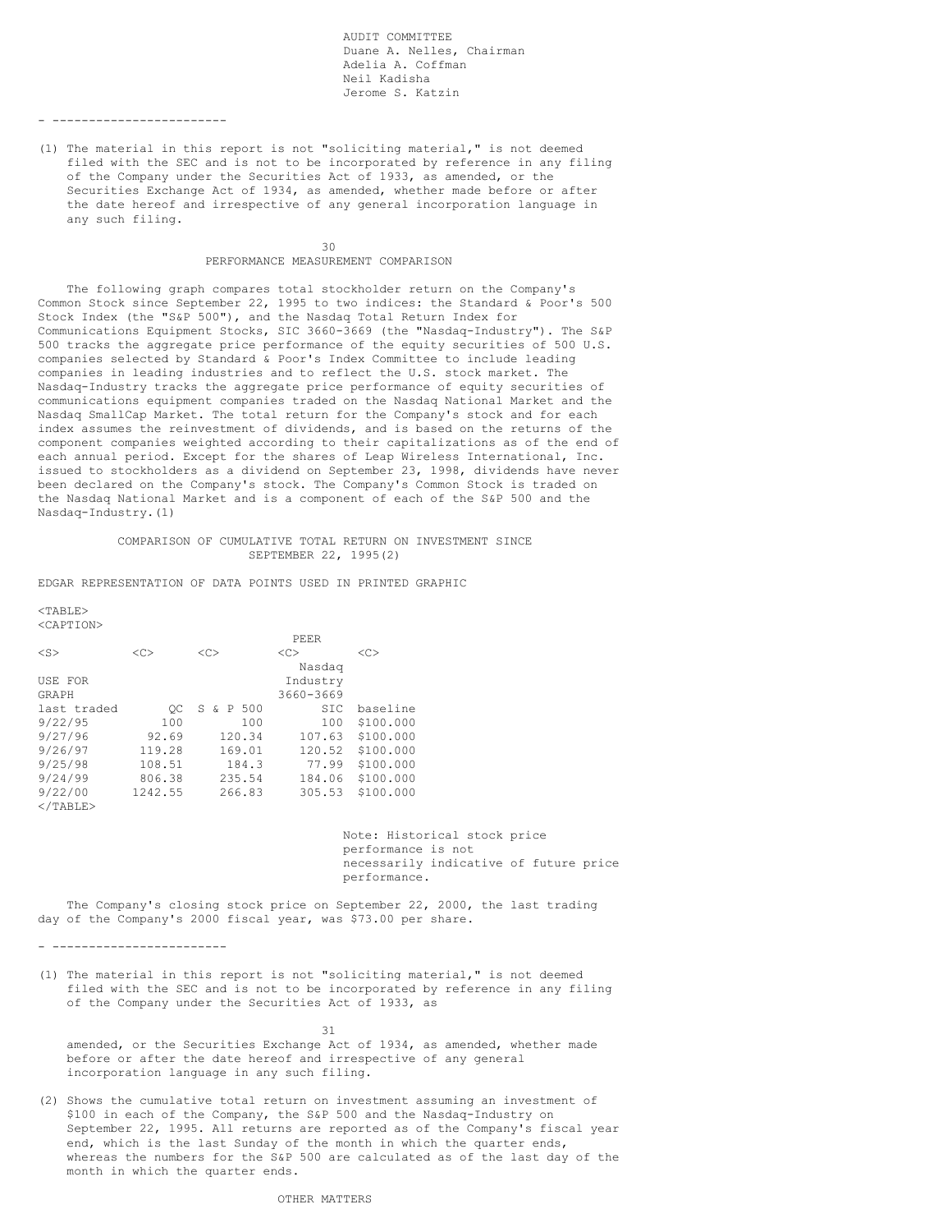AUDIT COMMITTEE Duane A. Nelles, Chairman Adelia A. Coffman Neil Kadisha Jerome S. Katzin

- ------------------------

(1) The material in this report is not "soliciting material," is not deemed filed with the SEC and is not to be incorporated by reference in any filing of the Company under the Securities Act of 1933, as amended, or the Securities Exchange Act of 1934, as amended, whether made before or after the date hereof and irrespective of any general incorporation language in any such filing.

# 30 PERFORMANCE MEASUREMENT COMPARISON

The following graph compares total stockholder return on the Company's Common Stock since September 22, 1995 to two indices: the Standard & Poor's 500 Stock Index (the "S&P 500"), and the Nasdaq Total Return Index for Communications Equipment Stocks, SIC 3660-3669 (the "Nasdaq-Industry"). The S&P 500 tracks the aggregate price performance of the equity securities of 500 U.S. companies selected by Standard & Poor's Index Committee to include leading companies in leading industries and to reflect the U.S. stock market. The Nasdaq-Industry tracks the aggregate price performance of equity securities of communications equipment companies traded on the Nasdaq National Market and the Nasdaq SmallCap Market. The total return for the Company's stock and for each index assumes the reinvestment of dividends, and is based on the returns of the component companies weighted according to their capitalizations as of the end of each annual period. Except for the shares of Leap Wireless International, Inc. issued to stockholders as a dividend on September 23, 1998, dividends have never been declared on the Company's stock. The Company's Common Stock is traded on the Nasdaq National Market and is a component of each of the S&P 500 and the Nasdaq-Industry.(1)

> COMPARISON OF CUMULATIVE TOTAL RETURN ON INVESTMENT SINCE SEPTEMBER 22, 1995(2)

EDGAR REPRESENTATION OF DATA POINTS USED IN PRINTED GRAPHIC

 $<$ TABLE> <CAPTION>

|                   |         |                  | <b>PEER</b>   |           |
|-------------------|---------|------------------|---------------|-----------|
| $<$ S $>$         | <<      | < <sub></sub>    | < <sub></sub> | <<        |
|                   |         |                  | Nasdaq        |           |
| USE FOR           |         |                  | Industry      |           |
| GRAPH             |         |                  | 3660-3669     |           |
| last traded       | OС      | P 500<br>S<br>&. | SIC           | baseline  |
| 9/22/95           | 100     | 100              | 100           | \$100.000 |
| 9/27/96           | 92.69   | 120.34           | 107.63        | \$100.000 |
| 9/26/97           | 119.28  | 169.01           | 120.52        | \$100.000 |
| 9/25/98           | 108.51  | 184.3            | 77.99         | \$100.000 |
| 9/24/99           | 806.38  | 235.54           | 184.06        | \$100.000 |
| 9/22/00           | 1242.55 | 266.83           | 305.53        | \$100.000 |
| $\langle$ /TABLE> |         |                  |               |           |

Note: Historical stock price performance is not necessarily indicative of future price performance.

The Company's closing stock price on September 22, 2000, the last trading day of the Company's 2000 fiscal year, was \$73.00 per share.

- ------------------------

(1) The material in this report is not "soliciting material," is not deemed filed with the SEC and is not to be incorporated by reference in any filing of the Company under the Securities Act of 1933, as

31 amended, or the Securities Exchange Act of 1934, as amended, whether made before or after the date hereof and irrespective of any general incorporation language in any such filing.

(2) Shows the cumulative total return on investment assuming an investment of \$100 in each of the Company, the S&P 500 and the Nasdaq-Industry on September 22, 1995. All returns are reported as of the Company's fiscal year end, which is the last Sunday of the month in which the quarter ends, whereas the numbers for the S&P 500 are calculated as of the last day of the month in which the quarter ends.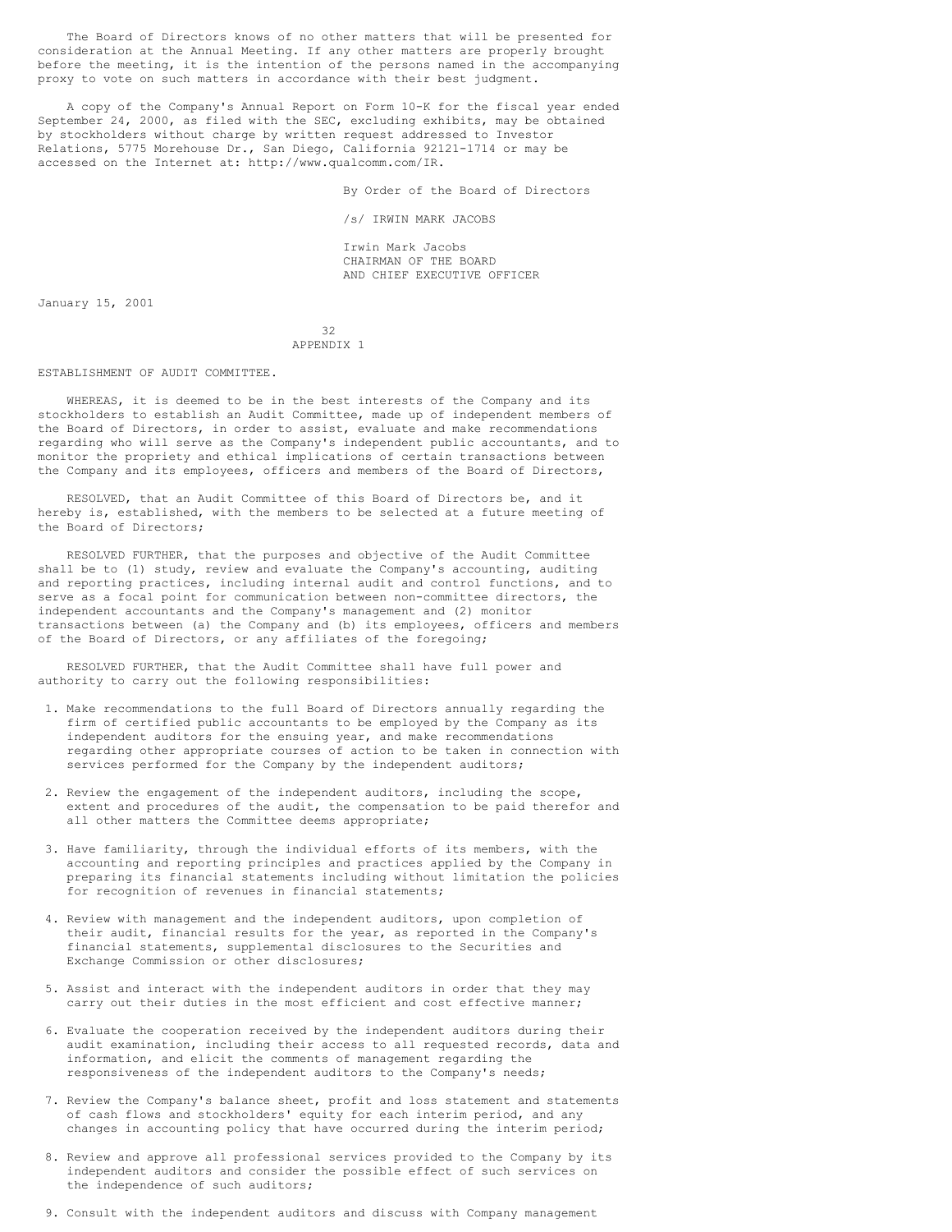The Board of Directors knows of no other matters that will be presented for consideration at the Annual Meeting. If any other matters are properly brought before the meeting, it is the intention of the persons named in the accompanying proxy to vote on such matters in accordance with their best judgment.

A copy of the Company's Annual Report on Form 10-K for the fiscal year ended September 24, 2000, as filed with the SEC, excluding exhibits, may be obtained by stockholders without charge by written request addressed to Investor Relations, 5775 Morehouse Dr., San Diego, California 92121-1714 or may be accessed on the Internet at: http://www.qualcomm.com/IR.

By Order of the Board of Directors

/s/ IRWIN MARK JACOBS

Irwin Mark Jacobs CHAIRMAN OF THE BOARD AND CHIEF EXECUTIVE OFFICER

January 15, 2001

# 32 APPENDIX 1

### ESTABLISHMENT OF AUDIT COMMITTEE.

WHEREAS, it is deemed to be in the best interests of the Company and its stockholders to establish an Audit Committee, made up of independent members of the Board of Directors, in order to assist, evaluate and make recommendations regarding who will serve as the Company's independent public accountants, and to monitor the propriety and ethical implications of certain transactions between the Company and its employees, officers and members of the Board of Directors,

RESOLVED, that an Audit Committee of this Board of Directors be, and it hereby is, established, with the members to be selected at a future meeting of the Board of Directors;

RESOLVED FURTHER, that the purposes and objective of the Audit Committee shall be to (1) study, review and evaluate the Company's accounting, auditing and reporting practices, including internal audit and control functions, and to serve as a focal point for communication between non-committee directors, the independent accountants and the Company's management and (2) monitor transactions between (a) the Company and (b) its employees, officers and members of the Board of Directors, or any affiliates of the foregoing;

RESOLVED FURTHER, that the Audit Committee shall have full power and authority to carry out the following responsibilities:

- 1. Make recommendations to the full Board of Directors annually regarding the firm of certified public accountants to be employed by the Company as its independent auditors for the ensuing year, and make recommendations regarding other appropriate courses of action to be taken in connection with services performed for the Company by the independent auditors;
- 2. Review the engagement of the independent auditors, including the scope, extent and procedures of the audit, the compensation to be paid therefor and all other matters the Committee deems appropriate;
- 3. Have familiarity, through the individual efforts of its members, with the accounting and reporting principles and practices applied by the Company in preparing its financial statements including without limitation the policies for recognition of revenues in financial statements;
- 4. Review with management and the independent auditors, upon completion of their audit, financial results for the year, as reported in the Company's financial statements, supplemental disclosures to the Securities and Exchange Commission or other disclosures;
- 5. Assist and interact with the independent auditors in order that they may carry out their duties in the most efficient and cost effective manner;
- 6. Evaluate the cooperation received by the independent auditors during their audit examination, including their access to all requested records, data and information, and elicit the comments of management regarding the responsiveness of the independent auditors to the Company's needs;
- 7. Review the Company's balance sheet, profit and loss statement and statements of cash flows and stockholders' equity for each interim period, and any changes in accounting policy that have occurred during the interim period;
- 8. Review and approve all professional services provided to the Company by its independent auditors and consider the possible effect of such services on the independence of such auditors;
- 9. Consult with the independent auditors and discuss with Company management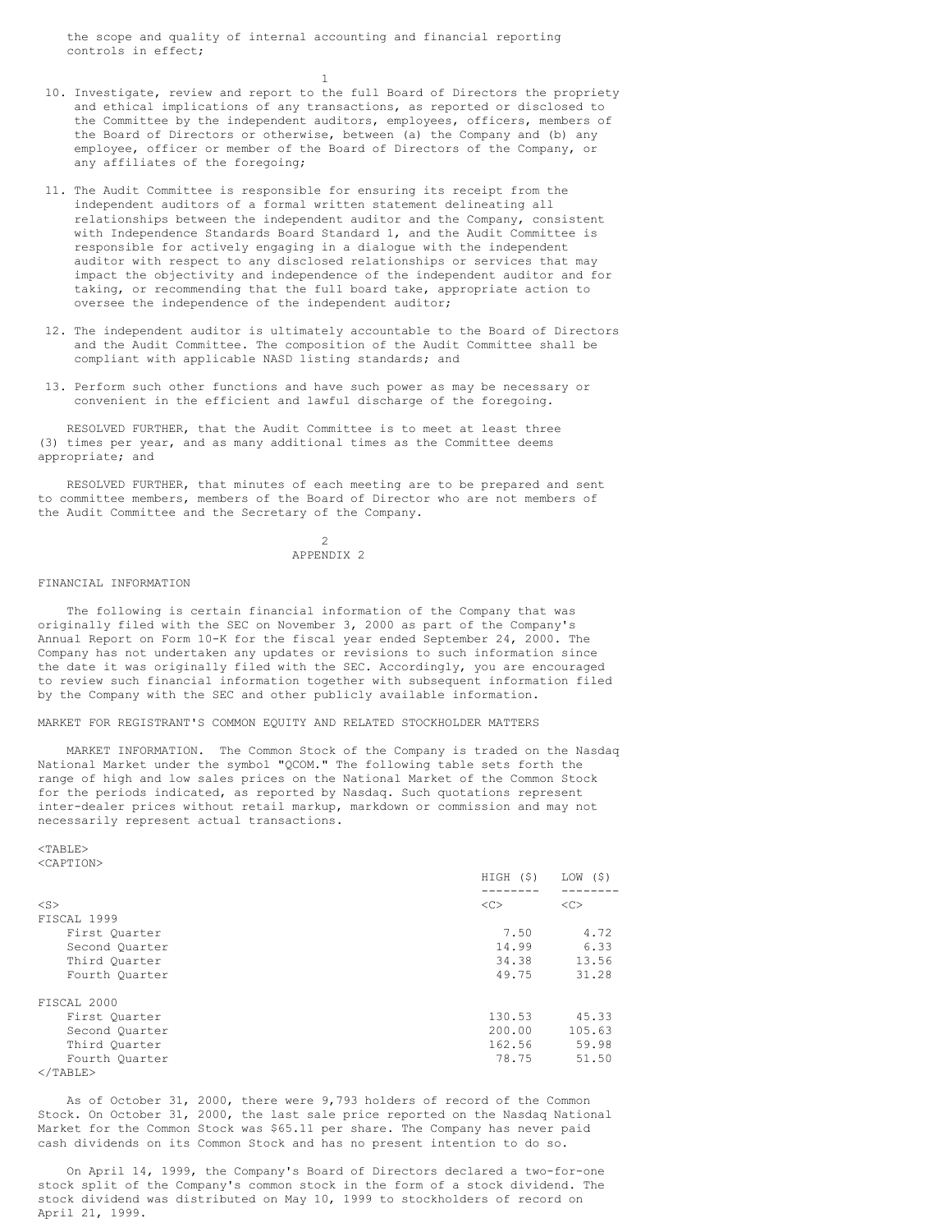the scope and quality of internal accounting and financial reporting controls in effect;

1

- 10. Investigate, review and report to the full Board of Directors the propriety and ethical implications of any transactions, as reported or disclosed to the Committee by the independent auditors, employees, officers, members of the Board of Directors or otherwise, between (a) the Company and (b) any employee, officer or member of the Board of Directors of the Company, or any affiliates of the foregoing;
- 11. The Audit Committee is responsible for ensuring its receipt from the independent auditors of a formal written statement delineating all relationships between the independent auditor and the Company, consistent with Independence Standards Board Standard 1, and the Audit Committee is responsible for actively engaging in a dialogue with the independent auditor with respect to any disclosed relationships or services that may impact the objectivity and independence of the independent auditor and for taking, or recommending that the full board take, appropriate action to oversee the independence of the independent auditor;
- 12. The independent auditor is ultimately accountable to the Board of Directors and the Audit Committee. The composition of the Audit Committee shall be compliant with applicable NASD listing standards; and
- 13. Perform such other functions and have such power as may be necessary or convenient in the efficient and lawful discharge of the foregoing.

RESOLVED FURTHER, that the Audit Committee is to meet at least three (3) times per year, and as many additional times as the Committee deems appropriate; and

RESOLVED FURTHER, that minutes of each meeting are to be prepared and sent to committee members, members of the Board of Director who are not members of the Audit Committee and the Secretary of the Company.

> $\mathcal{L}$ APPENDIX 2

#### FINANCIAL INFORMATION

The following is certain financial information of the Company that was originally filed with the SEC on November 3, 2000 as part of the Company's Annual Report on Form 10-K for the fiscal year ended September 24, 2000. The Company has not undertaken any updates or revisions to such information since the date it was originally filed with the SEC. Accordingly, you are encouraged to review such financial information together with subsequent information filed by the Company with the SEC and other publicly available information.

### MARKET FOR REGISTRANT'S COMMON EQUITY AND RELATED STOCKHOLDER MATTERS

MARKET INFORMATION. The Common Stock of the Company is traded on the Nasdaq National Market under the symbol "QCOM." The following table sets forth the range of high and low sales prices on the National Market of the Common Stock for the periods indicated, as reported by Nasdaq. Such quotations represent inter-dealer prices without retail markup, markdown or commission and may not necessarily represent actual transactions.

<TABLE> <CAPTION>

|                   | HIGH (\$) | (\$)<br>LOW |
|-------------------|-----------|-------------|
|                   |           |             |
| $<$ S $>$         | <<        | <<          |
| FISCAL 1999       |           |             |
| First Quarter     | 7.50      | 4.72        |
| Second Quarter    | 14.99     | 6.33        |
| Third Quarter     | 34.38     | 13.56       |
| Fourth Quarter    | 49.75     | 31.28       |
| FISCAL 2000       |           |             |
| First Ouarter     | 130.53    | 45.33       |
| Second Quarter    | 200.00    | 105.63      |
| Third Quarter     | 162.56    | 59.98       |
| Fourth Quarter    | 78.75     | 51.50       |
| $\langle$ /TABLE> |           |             |

As of October 31, 2000, there were 9,793 holders of record of the Common Stock. On October 31, 2000, the last sale price reported on the Nasdaq National Market for the Common Stock was \$65.11 per share. The Company has never paid cash dividends on its Common Stock and has no present intention to do so.

On April 14, 1999, the Company's Board of Directors declared a two-for-one stock split of the Company's common stock in the form of a stock dividend. The stock dividend was distributed on May 10, 1999 to stockholders of record on April 21, 1999.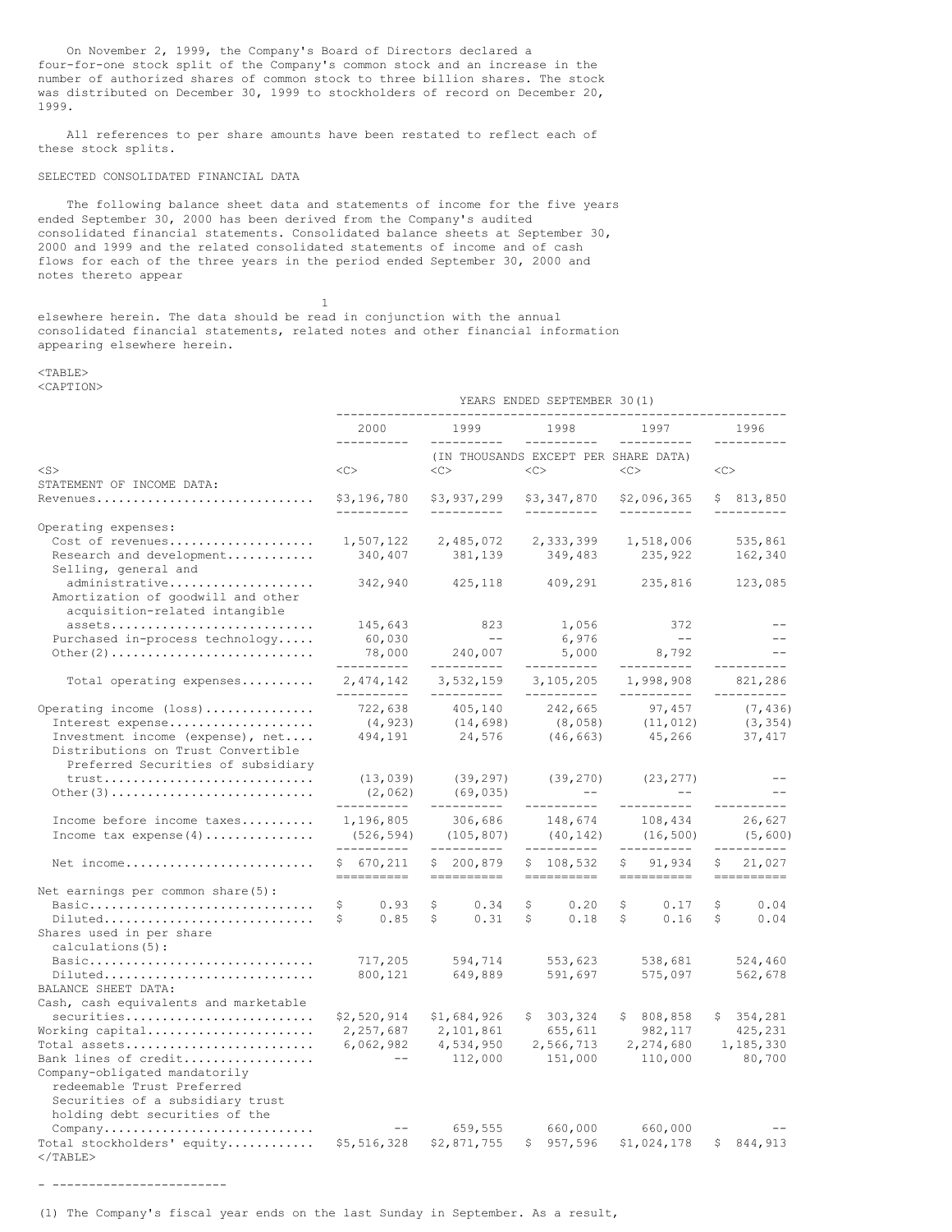On November 2, 1999, the Company's Board of Directors declared a four-for-one stock split of the Company's common stock and an increase in the number of authorized shares of common stock to three billion shares. The stock was distributed on December 30, 1999 to stockholders of record on December 20, 1999.

All references to per share amounts have been restated to reflect each of these stock splits.

## SELECTED CONSOLIDATED FINANCIAL DATA

The following balance sheet data and statements of income for the five years ended September 30, 2000 has been derived from the Company's audited consolidated financial statements. Consolidated balance sheets at September 30, 2000 and 1999 and the related consolidated statements of income and of cash flows for each of the three years in the period ended September 30, 2000 and notes thereto appear

elsewhere herein. The data should be read in conjunction with the annual consolidated financial statements, related notes and other financial information appearing elsewhere herein.

1

### <TABLE> <CAPTION>

|                                                                                                              | YEARS ENDED SEPTEMBER 30(1)           |  |                     |                                         |                    |                                         |    |                                        |    |                                      |
|--------------------------------------------------------------------------------------------------------------|---------------------------------------|--|---------------------|-----------------------------------------|--------------------|-----------------------------------------|----|----------------------------------------|----|--------------------------------------|
|                                                                                                              | 2000<br>---------                     |  |                     | 1999<br>----------                      | 1998<br>---------- |                                         |    | 1997<br>----------                     |    | 1996<br>----------                   |
|                                                                                                              |                                       |  |                     |                                         |                    | (IN THOUSANDS EXCEPT PER SHARE DATA)    |    |                                        |    |                                      |
| $<$ S $>$                                                                                                    | $<<$ $<$ $<$ $>$                      |  | $<<$ $>>$           |                                         | <<                 |                                         | << |                                        | << |                                      |
| STATEMENT OF INCOME DATA:                                                                                    |                                       |  |                     |                                         |                    |                                         |    |                                        |    |                                      |
| Revenues                                                                                                     | \$3,196,780<br>__________             |  |                     | \$3,937,299<br>-----------              |                    | \$3,347,870<br>__________               |    | \$2,096,365<br>-----------             |    | \$813,850<br>----------              |
| Operating expenses:                                                                                          |                                       |  |                     |                                         |                    |                                         |    |                                        |    |                                      |
| Cost of revenues                                                                                             | 1,507,122                             |  |                     | 2,485,072                               |                    | 2,333,399                               |    | 1,518,006                              |    | 535,861                              |
| Research and development<br>Selling, general and                                                             | 340,407                               |  |                     | 381,139                                 |                    | 349,483                                 |    | 235,922                                |    | 162,340                              |
| administrative<br>Amortization of goodwill and other<br>acquisition-related intangible                       | 342,940                               |  |                     | 425,118                                 |                    | 409,291                                 |    | 235,816                                |    | 123,085                              |
| assets                                                                                                       | 145,643                               |  |                     | 823                                     |                    | 1,056                                   |    | 372                                    |    |                                      |
| Purchased in-process technology                                                                              | 60,030                                |  |                     | $\sim$ $  \sim$                         |                    | 6,976                                   |    | $\sim$ $ -$                            |    |                                      |
| Other $(2)$                                                                                                  | 78,000                                |  |                     | 240,007                                 |                    | 5,000                                   |    | 8,792                                  |    |                                      |
| Total operating expenses                                                                                     | ----------<br>2,474,142<br>__________ |  |                     | -----------<br>3,532,159<br>----------- |                    | -----------<br>3,105,205<br>----------- |    | -----------<br>1,998,908<br>---------- |    | ----------<br>821,286<br>----------- |
| Operating income (loss)                                                                                      | 722,638                               |  |                     | 405,140                                 |                    | 242,665                                 |    | 97,457                                 |    | (7, 436)                             |
| Interest expense                                                                                             | (4, 923)                              |  |                     |                                         |                    | (8,058)                                 |    | (11, 012)                              |    | (3, 354)                             |
| Investment income (expense), net<br>Distributions on Trust Convertible<br>Preferred Securities of subsidiary | 494,191                               |  |                     | $(14, 698)$<br>24,576                   |                    | (46, 663)                               |    | 45,266                                 |    | 37,417                               |
| trust                                                                                                        | (13, 039)                             |  |                     | (39, 297)                               |                    | (39, 270)                               |    | (23, 277)                              |    |                                      |
| Other $(3)$                                                                                                  | (2, 062)<br>-----------               |  |                     | (69, 035)<br>----------                 |                    | $--$<br>----------                      |    | $\sim$ $-$<br>------                   |    | $-$                                  |
| Income before income taxes<br>Income tax expense $(4)$                                                       | 1,196,805<br>(526, 594)               |  |                     | 306,686<br>(105, 807)                   |                    | 148,674<br>(40, 142)                    |    | 108,434<br>(16, 500)                   |    | 26,627<br>(5,600)                    |
| Net income                                                                                                   | __________<br>\$670, 211              |  |                     | __________<br>\$200,879                 |                    | ----------<br>\$108,532                 | \$ | __________<br>91,934                   | \$ | -----------<br>21,027                |
|                                                                                                              | ----------                            |  |                     | ----------                              |                    | -----------                             |    | ----------                             |    | $=$ ==========                       |
| Net earnings per common share $(5)$ :                                                                        |                                       |  |                     |                                         |                    |                                         |    |                                        |    |                                      |
| Basic                                                                                                        | \$<br>0.93                            |  | \$                  | 0.34                                    | \$                 | 0.20                                    | \$ | 0.17                                   | \$ | 0.04                                 |
| Diluted<br>Shares used in per share<br>calculations (5):                                                     | 0.85<br>\$                            |  | $\ddot{\mathsf{S}}$ | 0.31                                    | \$                 | 0.18                                    | \$ | 0.16                                   | \$ | 0.04                                 |
| Basic                                                                                                        | 717,205                               |  |                     | 594,714                                 |                    | 553,623                                 |    | 538,681                                |    | 524,460                              |
| Diluted                                                                                                      | 800,121                               |  |                     | 649,889                                 |                    | 591,697                                 |    | 575,097                                |    | 562,678                              |
| BALANCE SHEET DATA:                                                                                          |                                       |  |                     |                                         |                    |                                         |    |                                        |    |                                      |
| Cash, cash equivalents and marketable                                                                        |                                       |  |                     |                                         |                    |                                         |    |                                        |    |                                      |
| securities                                                                                                   | \$2,520,914                           |  |                     | \$1,684,926                             |                    | \$303,324                               |    | \$808,858                              |    | \$354,281                            |
| Working capital                                                                                              | 2,257,687                             |  |                     | 2,101,861                               |                    | 655,611                                 |    | 982, 117                               |    | 425,231                              |
| Total assets                                                                                                 | 6,062,982                             |  |                     | 4,534,950                               |                    | 2,566,713                               |    | 2,274,680                              |    | 1,185,330                            |
| Bank lines of credit                                                                                         | $\sim$ $-$                            |  |                     | 112,000                                 |                    | 151,000                                 |    | 110,000                                |    | 80,700                               |
| Company-obligated mandatorily                                                                                |                                       |  |                     |                                         |                    |                                         |    |                                        |    |                                      |
| redeemable Trust Preferred                                                                                   |                                       |  |                     |                                         |                    |                                         |    |                                        |    |                                      |
|                                                                                                              |                                       |  |                     |                                         |                    |                                         |    |                                        |    |                                      |
| Securities of a subsidiary trust                                                                             |                                       |  |                     |                                         |                    |                                         |    |                                        |    |                                      |
| holding debt securities of the                                                                               |                                       |  |                     |                                         |                    |                                         |    |                                        |    |                                      |
| Company                                                                                                      | and the second control of             |  |                     | 659,555                                 |                    | 660,000                                 |    | 660,000                                |    |                                      |
| Total stockholders' equity<br>$\langle$ /TABLE>                                                              | \$5,516,328 \$2,871,755               |  |                     |                                         |                    | \$957,596                               |    | \$1,024,178                            |    | \$844,913                            |

- ------------------------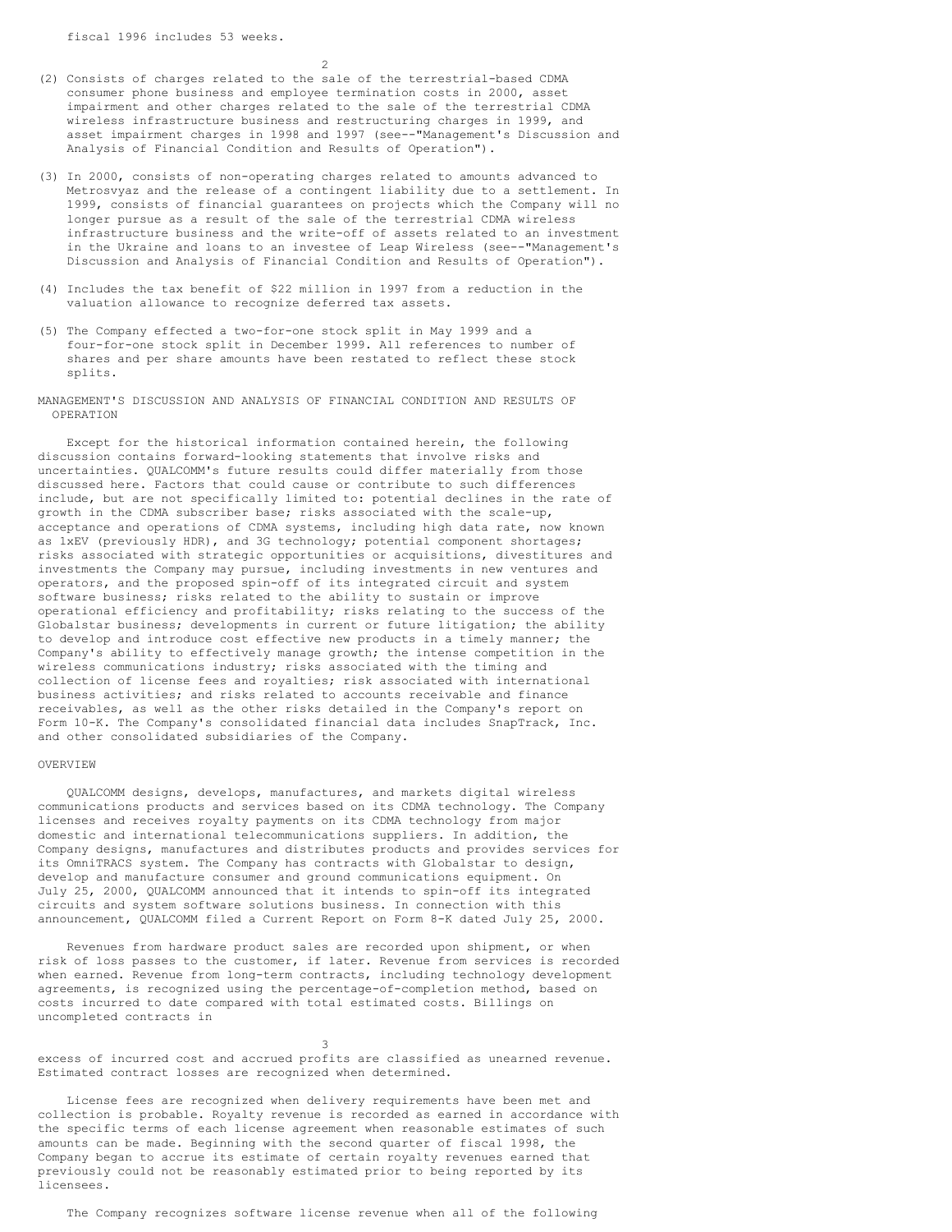(2) Consists of charges related to the sale of the terrestrial-based CDMA consumer phone business and employee termination costs in 2000, asset impairment and other charges related to the sale of the terrestrial CDMA wireless infrastructure business and restructuring charges in 1999, and asset impairment charges in 1998 and 1997 (see--"Management's Discussion and Analysis of Financial Condition and Results of Operation").

 $\mathcal{L}$ 

- (3) In 2000, consists of non-operating charges related to amounts advanced to Metrosvyaz and the release of a contingent liability due to a settlement. In 1999, consists of financial guarantees on projects which the Company will no longer pursue as a result of the sale of the terrestrial CDMA wireless infrastructure business and the write-off of assets related to an investment in the Ukraine and loans to an investee of Leap Wireless (see--"Management's Discussion and Analysis of Financial Condition and Results of Operation").
- (4) Includes the tax benefit of \$22 million in 1997 from a reduction in the valuation allowance to recognize deferred tax assets.
- (5) The Company effected a two-for-one stock split in May 1999 and a four-for-one stock split in December 1999. All references to number of shares and per share amounts have been restated to reflect these stock splits.
- MANAGEMENT'S DISCUSSION AND ANALYSIS OF FINANCIAL CONDITION AND RESULTS OF OPERATION

Except for the historical information contained herein, the following discussion contains forward-looking statements that involve risks and uncertainties. QUALCOMM's future results could differ materially from those discussed here. Factors that could cause or contribute to such differences include, but are not specifically limited to: potential declines in the rate of growth in the CDMA subscriber base; risks associated with the scale-up, acceptance and operations of CDMA systems, including high data rate, now known as 1xEV (previously HDR), and 3G technology; potential component shortages; risks associated with strategic opportunities or acquisitions, divestitures and investments the Company may pursue, including investments in new ventures and operators, and the proposed spin-off of its integrated circuit and system software business; risks related to the ability to sustain or improve operational efficiency and profitability; risks relating to the success of the Globalstar business; developments in current or future litigation; the ability to develop and introduce cost effective new products in a timely manner; the Company's ability to effectively manage growth; the intense competition in the wireless communications industry; risks associated with the timing and collection of license fees and royalties; risk associated with international business activities; and risks related to accounts receivable and finance receivables, as well as the other risks detailed in the Company's report on Form 10-K. The Company's consolidated financial data includes SnapTrack, Inc. and other consolidated subsidiaries of the Company.

# OVERVIEW

QUALCOMM designs, develops, manufactures, and markets digital wireless communications products and services based on its CDMA technology. The Company licenses and receives royalty payments on its CDMA technology from major domestic and international telecommunications suppliers. In addition, the Company designs, manufactures and distributes products and provides services for its OmniTRACS system. The Company has contracts with Globalstar to design, develop and manufacture consumer and ground communications equipment. On July 25, 2000, QUALCOMM announced that it intends to spin-off its integrated circuits and system software solutions business. In connection with this announcement, QUALCOMM filed a Current Report on Form 8-K dated July 25, 2000.

Revenues from hardware product sales are recorded upon shipment, or when risk of loss passes to the customer, if later. Revenue from services is recorded when earned. Revenue from long-term contracts, including technology development agreements, is recognized using the percentage-of-completion method, based on costs incurred to date compared with total estimated costs. Billings on uncompleted contracts in

3 excess of incurred cost and accrued profits are classified as unearned revenue. Estimated contract losses are recognized when determined.

License fees are recognized when delivery requirements have been met and collection is probable. Royalty revenue is recorded as earned in accordance with the specific terms of each license agreement when reasonable estimates of such amounts can be made. Beginning with the second quarter of fiscal 1998, the Company began to accrue its estimate of certain royalty revenues earned that previously could not be reasonably estimated prior to being reported by its licensees.

The Company recognizes software license revenue when all of the following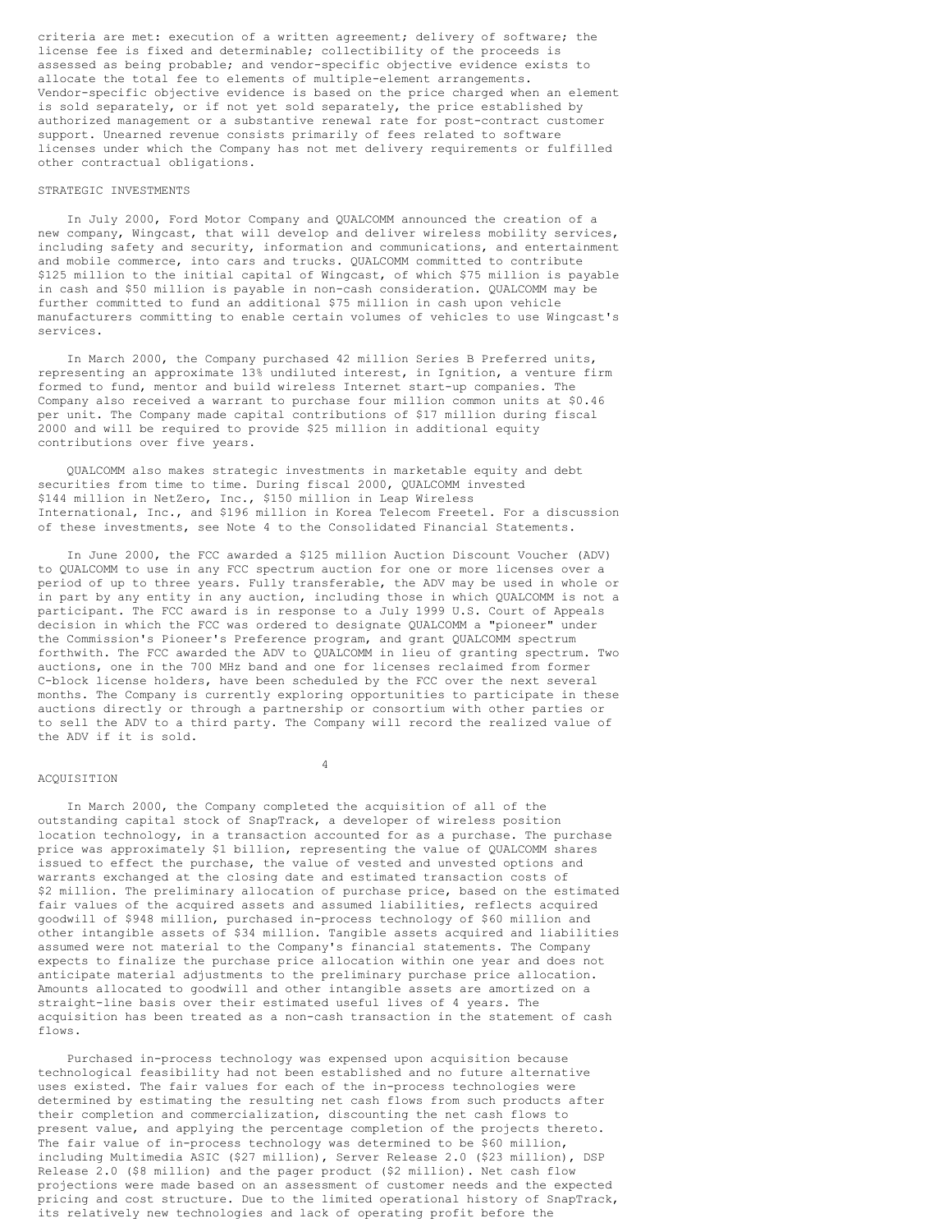criteria are met: execution of a written agreement; delivery of software; the license fee is fixed and determinable; collectibility of the proceeds is assessed as being probable; and vendor-specific objective evidence exists to allocate the total fee to elements of multiple-element arrangements. Vendor-specific objective evidence is based on the price charged when an element is sold separately, or if not yet sold separately, the price established by authorized management or a substantive renewal rate for post-contract customer support. Unearned revenue consists primarily of fees related to software licenses under which the Company has not met delivery requirements or fulfilled other contractual obligations.

## STRATEGIC INVESTMENTS

In July 2000, Ford Motor Company and QUALCOMM announced the creation of a new company, Wingcast, that will develop and deliver wireless mobility services, including safety and security, information and communications, and entertainment and mobile commerce, into cars and trucks. QUALCOMM committed to contribute \$125 million to the initial capital of Wingcast, of which \$75 million is payable in cash and \$50 million is payable in non-cash consideration. QUALCOMM may be further committed to fund an additional \$75 million in cash upon vehicle manufacturers committing to enable certain volumes of vehicles to use Wingcast's services.

In March 2000, the Company purchased 42 million Series B Preferred units, representing an approximate 13% undiluted interest, in Ignition, a venture firm formed to fund, mentor and build wireless Internet start-up companies. The Company also received a warrant to purchase four million common units at \$0.46 per unit. The Company made capital contributions of \$17 million during fiscal 2000 and will be required to provide \$25 million in additional equity contributions over five years.

QUALCOMM also makes strategic investments in marketable equity and debt securities from time to time. During fiscal 2000, QUALCOMM invested \$144 million in NetZero, Inc., \$150 million in Leap Wireless International, Inc., and \$196 million in Korea Telecom Freetel. For a discussion of these investments, see Note 4 to the Consolidated Financial Statements.

In June 2000, the FCC awarded a \$125 million Auction Discount Voucher (ADV) to QUALCOMM to use in any FCC spectrum auction for one or more licenses over a period of up to three years. Fully transferable, the ADV may be used in whole or in part by any entity in any auction, including those in which QUALCOMM is not a participant. The FCC award is in response to a July 1999 U.S. Court of Appeals decision in which the FCC was ordered to designate QUALCOMM a "pioneer" under the Commission's Pioneer's Preference program, and grant QUALCOMM spectrum forthwith. The FCC awarded the ADV to QUALCOMM in lieu of granting spectrum. Two auctions, one in the 700 MHz band and one for licenses reclaimed from former C-block license holders, have been scheduled by the FCC over the next several months. The Company is currently exploring opportunities to participate in these auctions directly or through a partnership or consortium with other parties or to sell the ADV to a third party. The Company will record the realized value of the ADV if it is sold.

4

#### ACQUISITION

In March 2000, the Company completed the acquisition of all of the outstanding capital stock of SnapTrack, a developer of wireless position location technology, in a transaction accounted for as a purchase. The purchase price was approximately \$1 billion, representing the value of QUALCOMM shares issued to effect the purchase, the value of vested and unvested options and warrants exchanged at the closing date and estimated transaction costs of \$2 million. The preliminary allocation of purchase price, based on the estimated fair values of the acquired assets and assumed liabilities, reflects acquired goodwill of \$948 million, purchased in-process technology of \$60 million and other intangible assets of \$34 million. Tangible assets acquired and liabilities assumed were not material to the Company's financial statements. The Company expects to finalize the purchase price allocation within one year and does not anticipate material adjustments to the preliminary purchase price allocation. Amounts allocated to goodwill and other intangible assets are amortized on a straight-line basis over their estimated useful lives of 4 years. The acquisition has been treated as a non-cash transaction in the statement of cash flows.

Purchased in-process technology was expensed upon acquisition because technological feasibility had not been established and no future alternative uses existed. The fair values for each of the in-process technologies were determined by estimating the resulting net cash flows from such products after their completion and commercialization, discounting the net cash flows to present value, and applying the percentage completion of the projects thereto. The fair value of in-process technology was determined to be \$60 million, including Multimedia ASIC (\$27 million), Server Release 2.0 (\$23 million), DSP Release 2.0 (\$8 million) and the pager product (\$2 million). Net cash flow projections were made based on an assessment of customer needs and the expected pricing and cost structure. Due to the limited operational history of SnapTrack, its relatively new technologies and lack of operating profit before the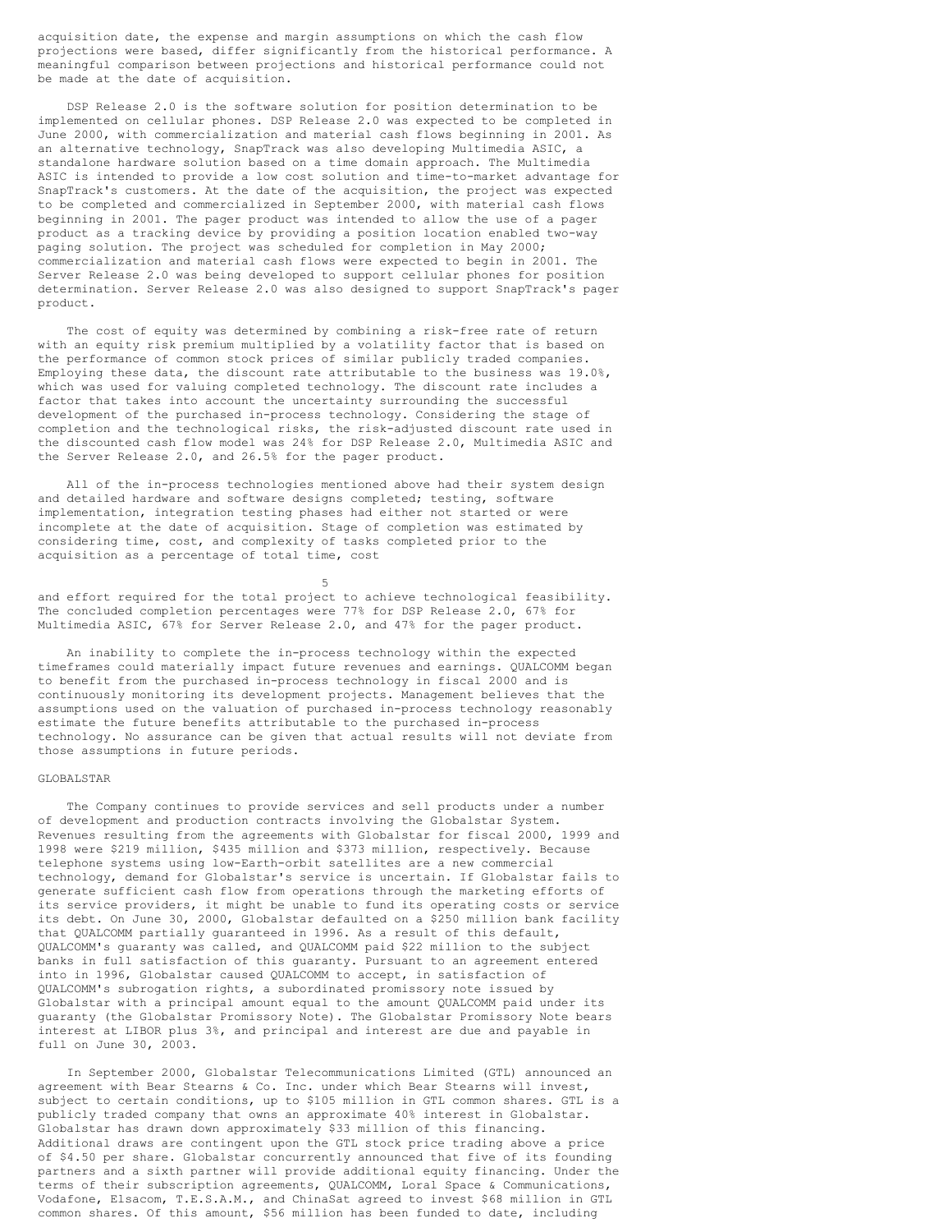acquisition date, the expense and margin assumptions on which the cash flow projections were based, differ significantly from the historical performance. A meaningful comparison between projections and historical performance could not be made at the date of acquisition.

DSP Release 2.0 is the software solution for position determination to be implemented on cellular phones. DSP Release 2.0 was expected to be completed in June 2000, with commercialization and material cash flows beginning in 2001. As an alternative technology, SnapTrack was also developing Multimedia ASIC, a standalone hardware solution based on a time domain approach. The Multimedia ASIC is intended to provide a low cost solution and time-to-market advantage for SnapTrack's customers. At the date of the acquisition, the project was expected to be completed and commercialized in September 2000, with material cash flows beginning in 2001. The pager product was intended to allow the use of a pager product as a tracking device by providing a position location enabled two-way paging solution. The project was scheduled for completion in May 2000; commercialization and material cash flows were expected to begin in 2001. The Server Release 2.0 was being developed to support cellular phones for position determination. Server Release 2.0 was also designed to support SnapTrack's pager product.

The cost of equity was determined by combining a risk-free rate of return with an equity risk premium multiplied by a volatility factor that is based on the performance of common stock prices of similar publicly traded companies. Employing these data, the discount rate attributable to the business was 19.0%, which was used for valuing completed technology. The discount rate includes a factor that takes into account the uncertainty surrounding the successful development of the purchased in-process technology. Considering the stage of completion and the technological risks, the risk-adjusted discount rate used in the discounted cash flow model was 24% for DSP Release 2.0, Multimedia ASIC and the Server Release 2.0, and 26.5% for the pager product.

All of the in-process technologies mentioned above had their system design and detailed hardware and software designs completed; testing, software implementation, integration testing phases had either not started or were incomplete at the date of acquisition. Stage of completion was estimated by considering time, cost, and complexity of tasks completed prior to the acquisition as a percentage of total time, cost

5

and effort required for the total project to achieve technological feasibility. The concluded completion percentages were 77% for DSP Release 2.0, 67% for Multimedia ASIC, 67% for Server Release 2.0, and 47% for the pager product.

An inability to complete the in-process technology within the expected timeframes could materially impact future revenues and earnings. QUALCOMM began to benefit from the purchased in-process technology in fiscal 2000 and is continuously monitoring its development projects. Management believes that the assumptions used on the valuation of purchased in-process technology reasonably estimate the future benefits attributable to the purchased in-process technology. No assurance can be given that actual results will not deviate from those assumptions in future periods.

### GLOBALSTAR

The Company continues to provide services and sell products under a number of development and production contracts involving the Globalstar System. Revenues resulting from the agreements with Globalstar for fiscal 2000, 1999 and 1998 were \$219 million, \$435 million and \$373 million, respectively. Because telephone systems using low-Earth-orbit satellites are a new commercial technology, demand for Globalstar's service is uncertain. If Globalstar fails to generate sufficient cash flow from operations through the marketing efforts of its service providers, it might be unable to fund its operating costs or service its debt. On June 30, 2000, Globalstar defaulted on a \$250 million bank facility that QUALCOMM partially guaranteed in 1996. As a result of this default, QUALCOMM's guaranty was called, and QUALCOMM paid \$22 million to the subject banks in full satisfaction of this guaranty. Pursuant to an agreement entered into in 1996, Globalstar caused QUALCOMM to accept, in satisfaction of QUALCOMM's subrogation rights, a subordinated promissory note issued by Globalstar with a principal amount equal to the amount QUALCOMM paid under its guaranty (the Globalstar Promissory Note). The Globalstar Promissory Note bears interest at LIBOR plus 3%, and principal and interest are due and payable in full on June 30, 2003.

In September 2000, Globalstar Telecommunications Limited (GTL) announced an agreement with Bear Stearns & Co. Inc. under which Bear Stearns will invest, subject to certain conditions, up to \$105 million in GTL common shares. GTL is a publicly traded company that owns an approximate 40% interest in Globalstar. Globalstar has drawn down approximately \$33 million of this financing. Additional draws are contingent upon the GTL stock price trading above a price of \$4.50 per share. Globalstar concurrently announced that five of its founding partners and a sixth partner will provide additional equity financing. Under the terms of their subscription agreements, QUALCOMM, Loral Space & Communications, Vodafone, Elsacom, T.E.S.A.M., and ChinaSat agreed to invest \$68 million in GTL common shares. Of this amount, \$56 million has been funded to date, including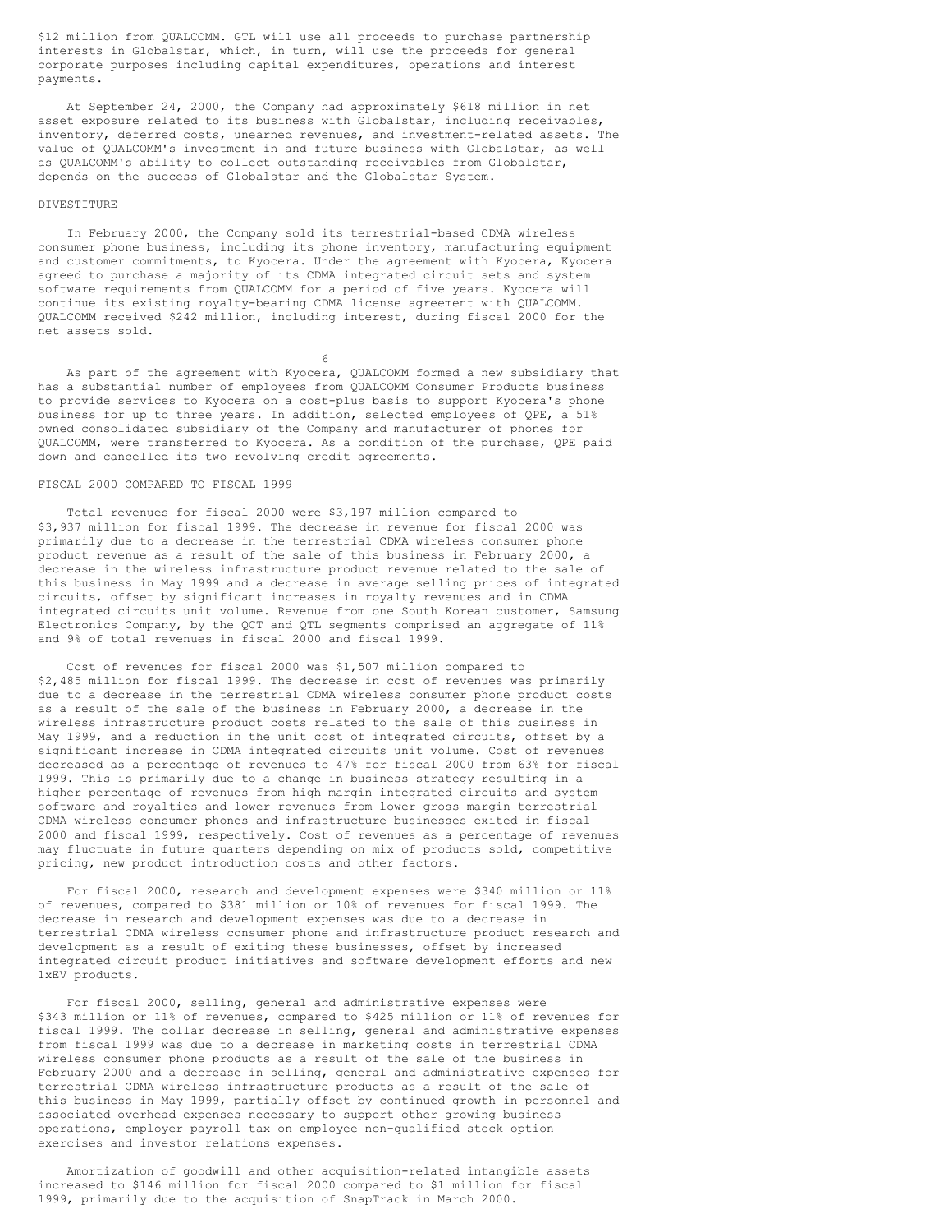\$12 million from QUALCOMM. GTL will use all proceeds to purchase partnership interests in Globalstar, which, in turn, will use the proceeds for general corporate purposes including capital expenditures, operations and interest payments.

At September 24, 2000, the Company had approximately \$618 million in net asset exposure related to its business with Globalstar, including receivables, inventory, deferred costs, unearned revenues, and investment-related assets. The value of QUALCOMM's investment in and future business with Globalstar, as well as QUALCOMM's ability to collect outstanding receivables from Globalstar, depends on the success of Globalstar and the Globalstar System.

# DIVESTITURE

In February 2000, the Company sold its terrestrial-based CDMA wireless consumer phone business, including its phone inventory, manufacturing equipment and customer commitments, to Kyocera. Under the agreement with Kyocera, Kyocera agreed to purchase a majority of its CDMA integrated circuit sets and system software requirements from QUALCOMM for a period of five years. Kyocera will continue its existing royalty-bearing CDMA license agreement with QUALCOMM. QUALCOMM received \$242 million, including interest, during fiscal 2000 for the net assets sold.

6

As part of the agreement with Kyocera, QUALCOMM formed a new subsidiary that has a substantial number of employees from QUALCOMM Consumer Products business to provide services to Kyocera on a cost-plus basis to support Kyocera's phone business for up to three years. In addition, selected employees of QPE, a 51% owned consolidated subsidiary of the Company and manufacturer of phones for QUALCOMM, were transferred to Kyocera. As a condition of the purchase, QPE paid down and cancelled its two revolving credit agreements.

# FISCAL 2000 COMPARED TO FISCAL 1999

Total revenues for fiscal 2000 were \$3,197 million compared to \$3,937 million for fiscal 1999. The decrease in revenue for fiscal 2000 was primarily due to a decrease in the terrestrial CDMA wireless consumer phone product revenue as a result of the sale of this business in February 2000, a decrease in the wireless infrastructure product revenue related to the sale of this business in May 1999 and a decrease in average selling prices of integrated circuits, offset by significant increases in royalty revenues and in CDMA integrated circuits unit volume. Revenue from one South Korean customer, Samsung Electronics Company, by the QCT and QTL segments comprised an aggregate of 11% and 9% of total revenues in fiscal 2000 and fiscal 1999.

Cost of revenues for fiscal 2000 was \$1,507 million compared to \$2,485 million for fiscal 1999. The decrease in cost of revenues was primarily due to a decrease in the terrestrial CDMA wireless consumer phone product costs as a result of the sale of the business in February 2000, a decrease in the wireless infrastructure product costs related to the sale of this business in May 1999, and a reduction in the unit cost of integrated circuits, offset by a significant increase in CDMA integrated circuits unit volume. Cost of revenues decreased as a percentage of revenues to 47% for fiscal 2000 from 63% for fiscal 1999. This is primarily due to a change in business strategy resulting in a higher percentage of revenues from high margin integrated circuits and system software and royalties and lower revenues from lower gross margin terrestrial CDMA wireless consumer phones and infrastructure businesses exited in fiscal 2000 and fiscal 1999, respectively. Cost of revenues as a percentage of revenues may fluctuate in future quarters depending on mix of products sold, competitive pricing, new product introduction costs and other factors.

For fiscal 2000, research and development expenses were \$340 million or 11% of revenues, compared to \$381 million or 10% of revenues for fiscal 1999. The decrease in research and development expenses was due to a decrease in terrestrial CDMA wireless consumer phone and infrastructure product research and development as a result of exiting these businesses, offset by increased integrated circuit product initiatives and software development efforts and new 1xEV products.

For fiscal 2000, selling, general and administrative expenses were \$343 million or 11% of revenues, compared to \$425 million or 11% of revenues for fiscal 1999. The dollar decrease in selling, general and administrative expenses from fiscal 1999 was due to a decrease in marketing costs in terrestrial CDMA wireless consumer phone products as a result of the sale of the business in February 2000 and a decrease in selling, general and administrative expenses for terrestrial CDMA wireless infrastructure products as a result of the sale of this business in May 1999, partially offset by continued growth in personnel and associated overhead expenses necessary to support other growing business operations, employer payroll tax on employee non-qualified stock option exercises and investor relations expenses.

Amortization of goodwill and other acquisition-related intangible assets increased to \$146 million for fiscal 2000 compared to \$1 million for fiscal 1999, primarily due to the acquisition of SnapTrack in March 2000.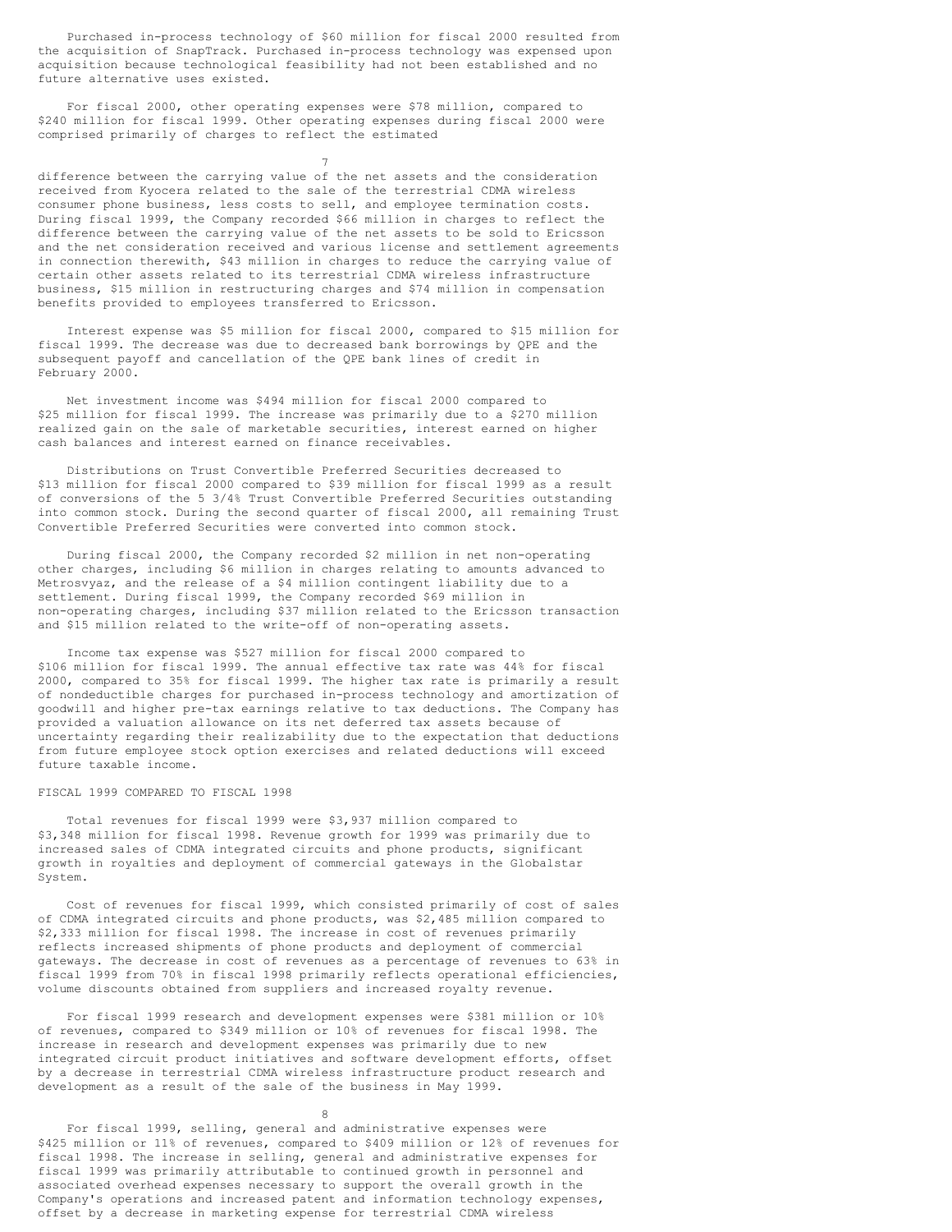Purchased in-process technology of \$60 million for fiscal 2000 resulted from the acquisition of SnapTrack. Purchased in-process technology was expensed upon acquisition because technological feasibility had not been established and no future alternative uses existed.

For fiscal 2000, other operating expenses were \$78 million, compared to \$240 million for fiscal 1999. Other operating expenses during fiscal 2000 were comprised primarily of charges to reflect the estimated

7

difference between the carrying value of the net assets and the consideration received from Kyocera related to the sale of the terrestrial CDMA wireless consumer phone business, less costs to sell, and employee termination costs. During fiscal 1999, the Company recorded \$66 million in charges to reflect the difference between the carrying value of the net assets to be sold to Ericsson and the net consideration received and various license and settlement agreements in connection therewith, \$43 million in charges to reduce the carrying value of certain other assets related to its terrestrial CDMA wireless infrastructure business, \$15 million in restructuring charges and \$74 million in compensation benefits provided to employees transferred to Ericsson.

Interest expense was \$5 million for fiscal 2000, compared to \$15 million for fiscal 1999. The decrease was due to decreased bank borrowings by QPE and the subsequent payoff and cancellation of the QPE bank lines of credit in February 2000.

Net investment income was \$494 million for fiscal 2000 compared to \$25 million for fiscal 1999. The increase was primarily due to a \$270 million realized gain on the sale of marketable securities, interest earned on higher cash balances and interest earned on finance receivables.

Distributions on Trust Convertible Preferred Securities decreased to \$13 million for fiscal 2000 compared to \$39 million for fiscal 1999 as a result of conversions of the 5 3/4% Trust Convertible Preferred Securities outstanding into common stock. During the second quarter of fiscal 2000, all remaining Trust Convertible Preferred Securities were converted into common stock.

During fiscal 2000, the Company recorded \$2 million in net non-operating other charges, including \$6 million in charges relating to amounts advanced to Metrosvyaz, and the release of a \$4 million contingent liability due to a settlement. During fiscal 1999, the Company recorded \$69 million in non-operating charges, including \$37 million related to the Ericsson transaction and \$15 million related to the write-off of non-operating assets.

Income tax expense was \$527 million for fiscal 2000 compared to \$106 million for fiscal 1999. The annual effective tax rate was 44% for fiscal 2000, compared to 35% for fiscal 1999. The higher tax rate is primarily a result of nondeductible charges for purchased in-process technology and amortization of goodwill and higher pre-tax earnings relative to tax deductions. The Company has provided a valuation allowance on its net deferred tax assets because of uncertainty regarding their realizability due to the expectation that deductions from future employee stock option exercises and related deductions will exceed future taxable income.

# FISCAL 1999 COMPARED TO FISCAL 1998

Total revenues for fiscal 1999 were \$3,937 million compared to \$3,348 million for fiscal 1998. Revenue growth for 1999 was primarily due to increased sales of CDMA integrated circuits and phone products, significant growth in royalties and deployment of commercial gateways in the Globalstar System.

Cost of revenues for fiscal 1999, which consisted primarily of cost of sales of CDMA integrated circuits and phone products, was \$2,485 million compared to \$2,333 million for fiscal 1998. The increase in cost of revenues primarily reflects increased shipments of phone products and deployment of commercial gateways. The decrease in cost of revenues as a percentage of revenues to 63% in fiscal 1999 from 70% in fiscal 1998 primarily reflects operational efficiencies, volume discounts obtained from suppliers and increased royalty revenue.

For fiscal 1999 research and development expenses were \$381 million or 10% of revenues, compared to \$349 million or 10% of revenues for fiscal 1998. The increase in research and development expenses was primarily due to new integrated circuit product initiatives and software development efforts, offset by a decrease in terrestrial CDMA wireless infrastructure product research and development as a result of the sale of the business in May 1999.

8 For fiscal 1999, selling, general and administrative expenses were \$425 million or 11% of revenues, compared to \$409 million or 12% of revenues for fiscal 1998. The increase in selling, general and administrative expenses for fiscal 1999 was primarily attributable to continued growth in personnel and associated overhead expenses necessary to support the overall growth in the Company's operations and increased patent and information technology expenses,

offset by a decrease in marketing expense for terrestrial CDMA wireless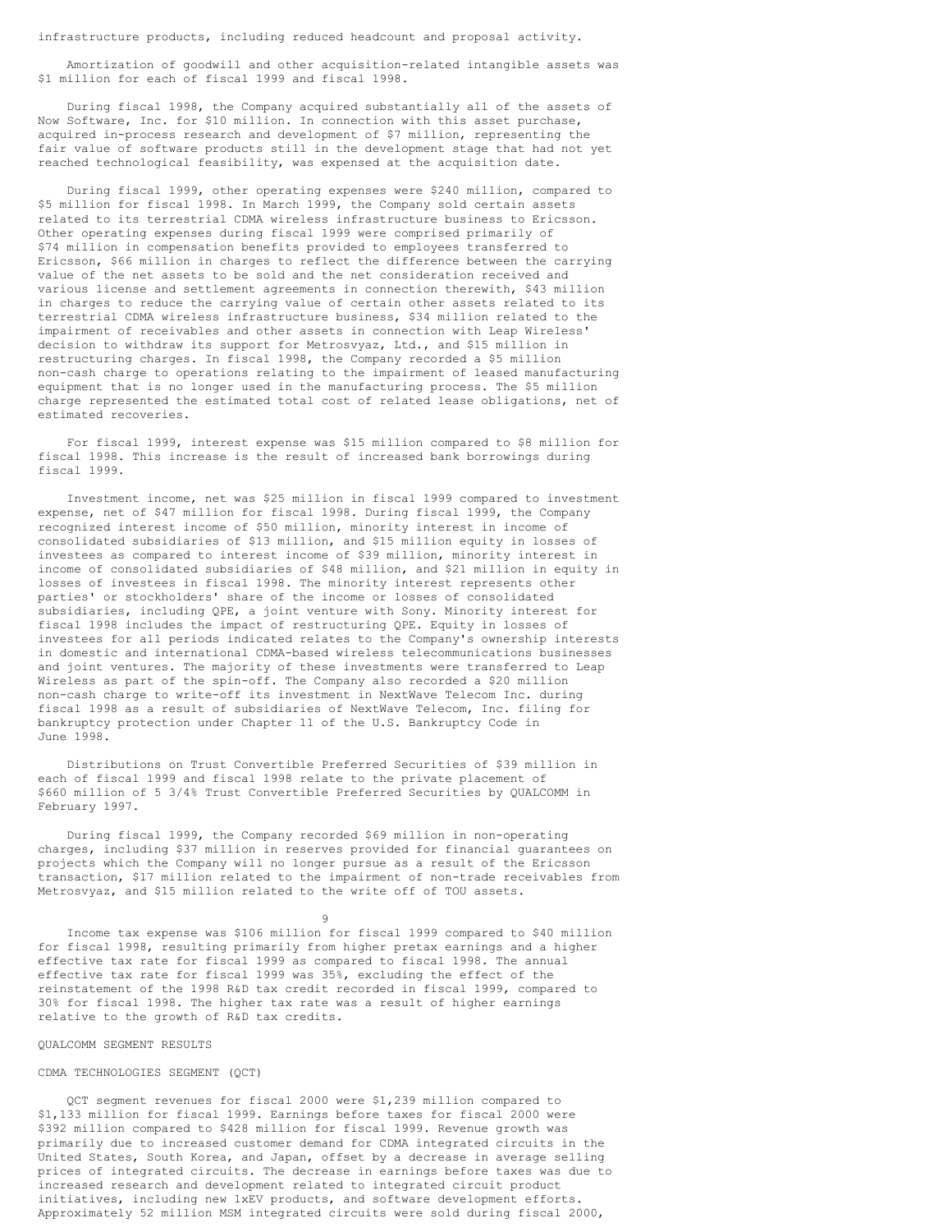infrastructure products, including reduced headcount and proposal activity.

Amortization of goodwill and other acquisition-related intangible assets was \$1 million for each of fiscal 1999 and fiscal 1998.

During fiscal 1998, the Company acquired substantially all of the assets of Now Software, Inc. for \$10 million. In connection with this asset purchase, acquired in-process research and development of \$7 million, representing the fair value of software products still in the development stage that had not yet reached technological feasibility, was expensed at the acquisition date.

During fiscal 1999, other operating expenses were \$240 million, compared to \$5 million for fiscal 1998. In March 1999, the Company sold certain assets related to its terrestrial CDMA wireless infrastructure business to Ericsson. Other operating expenses during fiscal 1999 were comprised primarily of \$74 million in compensation benefits provided to employees transferred to Ericsson, \$66 million in charges to reflect the difference between the carrying value of the net assets to be sold and the net consideration received and various license and settlement agreements in connection therewith, \$43 million in charges to reduce the carrying value of certain other assets related to its terrestrial CDMA wireless infrastructure business, \$34 million related to the impairment of receivables and other assets in connection with Leap Wireless' decision to withdraw its support for Metrosvyaz, Ltd., and \$15 million in restructuring charges. In fiscal 1998, the Company recorded a \$5 million non-cash charge to operations relating to the impairment of leased manufacturing equipment that is no longer used in the manufacturing process. The \$5 million charge represented the estimated total cost of related lease obligations, net of estimated recoveries.

For fiscal 1999, interest expense was \$15 million compared to \$8 million for fiscal 1998. This increase is the result of increased bank borrowings during fiscal 1999.

Investment income, net was \$25 million in fiscal 1999 compared to investment expense, net of \$47 million for fiscal 1998. During fiscal 1999, the Company recognized interest income of \$50 million, minority interest in income of consolidated subsidiaries of \$13 million, and \$15 million equity in losses of investees as compared to interest income of \$39 million, minority interest in income of consolidated subsidiaries of \$48 million, and \$21 million in equity in losses of investees in fiscal 1998. The minority interest represents other parties' or stockholders' share of the income or losses of consolidated subsidiaries, including QPE, a joint venture with Sony. Minority interest for fiscal 1998 includes the impact of restructuring QPE. Equity in losses of investees for all periods indicated relates to the Company's ownership interests in domestic and international CDMA-based wireless telecommunications businesses and joint ventures. The majority of these investments were transferred to Leap Wireless as part of the spin-off. The Company also recorded a \$20 million non-cash charge to write-off its investment in NextWave Telecom Inc. during fiscal 1998 as a result of subsidiaries of NextWave Telecom, Inc. filing for bankruptcy protection under Chapter 11 of the U.S. Bankruptcy Code in June 1998.

Distributions on Trust Convertible Preferred Securities of \$39 million in each of fiscal 1999 and fiscal 1998 relate to the private placement of \$660 million of 5 3/4% Trust Convertible Preferred Securities by QUALCOMM in February 1997.

During fiscal 1999, the Company recorded \$69 million in non-operating charges, including \$37 million in reserves provided for financial guarantees on projects which the Company will no longer pursue as a result of the Ericsson transaction, \$17 million related to the impairment of non-trade receivables from Metrosvyaz, and \$15 million related to the write off of TOU assets.

9

Income tax expense was \$106 million for fiscal 1999 compared to \$40 million for fiscal 1998, resulting primarily from higher pretax earnings and a higher effective tax rate for fiscal 1999 as compared to fiscal 1998. The annual effective tax rate for fiscal 1999 was 35%, excluding the effect of the reinstatement of the 1998 R&D tax credit recorded in fiscal 1999, compared to 30% for fiscal 1998. The higher tax rate was a result of higher earnings relative to the growth of R&D tax credits.

### QUALCOMM SEGMENT RESULTS

#### CDMA TECHNOLOGIES SEGMENT (QCT)

QCT segment revenues for fiscal 2000 were \$1,239 million compared to \$1,133 million for fiscal 1999. Earnings before taxes for fiscal 2000 were \$392 million compared to \$428 million for fiscal 1999. Revenue growth was primarily due to increased customer demand for CDMA integrated circuits in the United States, South Korea, and Japan, offset by a decrease in average selling prices of integrated circuits. The decrease in earnings before taxes was due to increased research and development related to integrated circuit product initiatives, including new 1xEV products, and software development efforts. Approximately 52 million MSM integrated circuits were sold during fiscal 2000,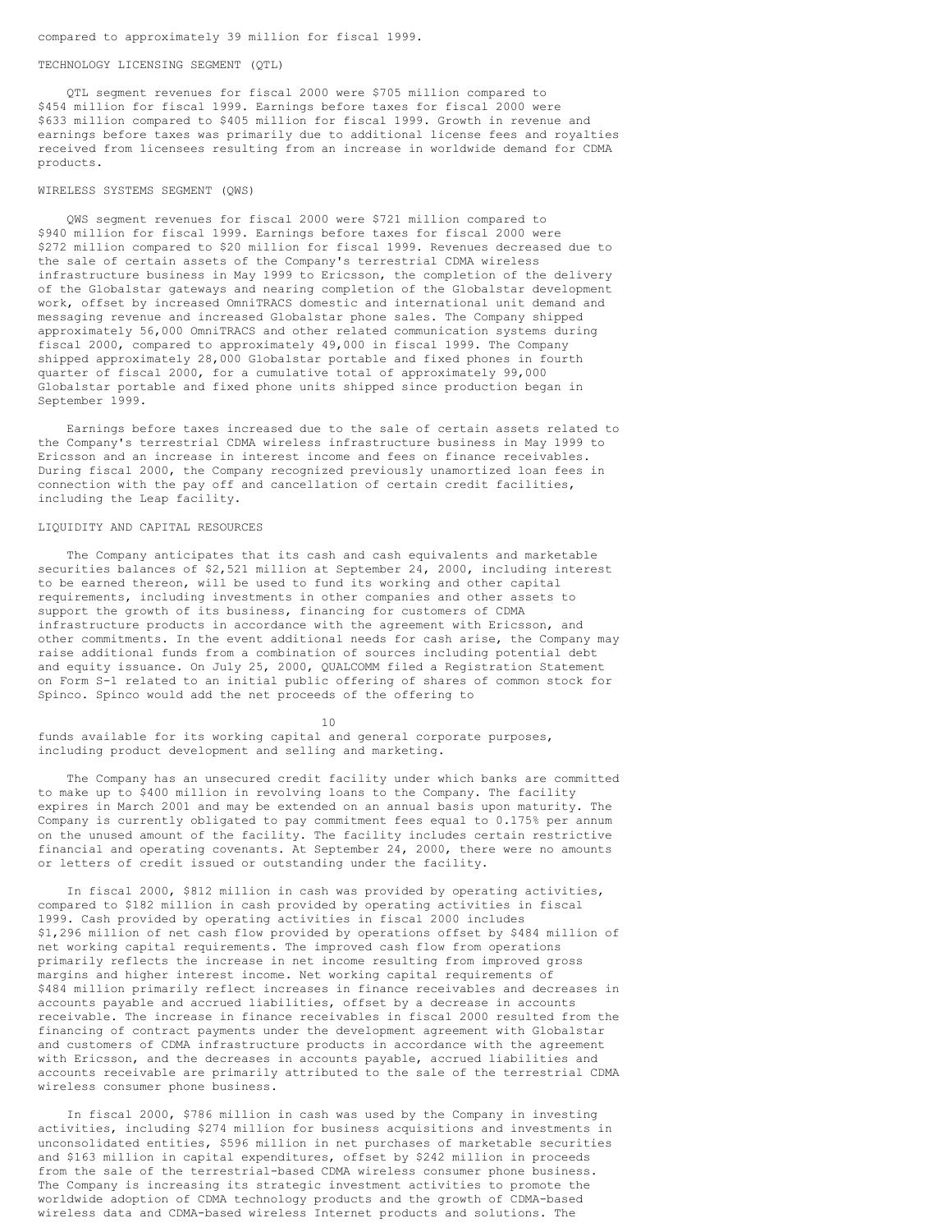# compared to approximately 39 million for fiscal 1999.

### TECHNOLOGY LICENSING SEGMENT (QTL)

QTL segment revenues for fiscal 2000 were \$705 million compared to \$454 million for fiscal 1999. Earnings before taxes for fiscal 2000 were \$633 million compared to \$405 million for fiscal 1999. Growth in revenue and earnings before taxes was primarily due to additional license fees and royalties received from licensees resulting from an increase in worldwide demand for CDMA products.

### WIRELESS SYSTEMS SEGMENT (QWS)

QWS segment revenues for fiscal 2000 were \$721 million compared to \$940 million for fiscal 1999. Earnings before taxes for fiscal 2000 were \$272 million compared to \$20 million for fiscal 1999. Revenues decreased due to the sale of certain assets of the Company's terrestrial CDMA wireless infrastructure business in May 1999 to Ericsson, the completion of the delivery of the Globalstar gateways and nearing completion of the Globalstar development work, offset by increased OmniTRACS domestic and international unit demand and messaging revenue and increased Globalstar phone sales. The Company shipped approximately 56,000 OmniTRACS and other related communication systems during fiscal 2000, compared to approximately 49,000 in fiscal 1999. The Company shipped approximately 28,000 Globalstar portable and fixed phones in fourth quarter of fiscal 2000, for a cumulative total of approximately 99,000 Globalstar portable and fixed phone units shipped since production began in September 1999.

Earnings before taxes increased due to the sale of certain assets related to the Company's terrestrial CDMA wireless infrastructure business in May 1999 to Ericsson and an increase in interest income and fees on finance receivables. During fiscal 2000, the Company recognized previously unamortized loan fees in connection with the pay off and cancellation of certain credit facilities, including the Leap facility.

#### LIQUIDITY AND CAPITAL RESOURCES

The Company anticipates that its cash and cash equivalents and marketable securities balances of \$2,521 million at September 24, 2000, including interest to be earned thereon, will be used to fund its working and other capital requirements, including investments in other companies and other assets to support the growth of its business, financing for customers of CDMA infrastructure products in accordance with the agreement with Ericsson, and other commitments. In the event additional needs for cash arise, the Company may raise additional funds from a combination of sources including potential debt and equity issuance. On July 25, 2000, QUALCOMM filed a Registration Statement on Form S-1 related to an initial public offering of shares of common stock for Spinco. Spinco would add the net proceeds of the offering to

10

funds available for its working capital and general corporate purposes, including product development and selling and marketing.

The Company has an unsecured credit facility under which banks are committed to make up to \$400 million in revolving loans to the Company. The facility expires in March 2001 and may be extended on an annual basis upon maturity. The Company is currently obligated to pay commitment fees equal to 0.175% per annum on the unused amount of the facility. The facility includes certain restrictive financial and operating covenants. At September 24, 2000, there were no amounts or letters of credit issued or outstanding under the facility.

In fiscal 2000, \$812 million in cash was provided by operating activities, compared to \$182 million in cash provided by operating activities in fiscal 1999. Cash provided by operating activities in fiscal 2000 includes \$1,296 million of net cash flow provided by operations offset by \$484 million of net working capital requirements. The improved cash flow from operations primarily reflects the increase in net income resulting from improved gross margins and higher interest income. Net working capital requirements of \$484 million primarily reflect increases in finance receivables and decreases in accounts payable and accrued liabilities, offset by a decrease in accounts receivable. The increase in finance receivables in fiscal 2000 resulted from the financing of contract payments under the development agreement with Globalstar and customers of CDMA infrastructure products in accordance with the agreement with Ericsson, and the decreases in accounts payable, accrued liabilities and accounts receivable are primarily attributed to the sale of the terrestrial CDMA wireless consumer phone business.

In fiscal 2000, \$786 million in cash was used by the Company in investing activities, including \$274 million for business acquisitions and investments in unconsolidated entities, \$596 million in net purchases of marketable securities and \$163 million in capital expenditures, offset by \$242 million in proceeds from the sale of the terrestrial-based CDMA wireless consumer phone business. The Company is increasing its strategic investment activities to promote the worldwide adoption of CDMA technology products and the growth of CDMA-based wireless data and CDMA-based wireless Internet products and solutions. The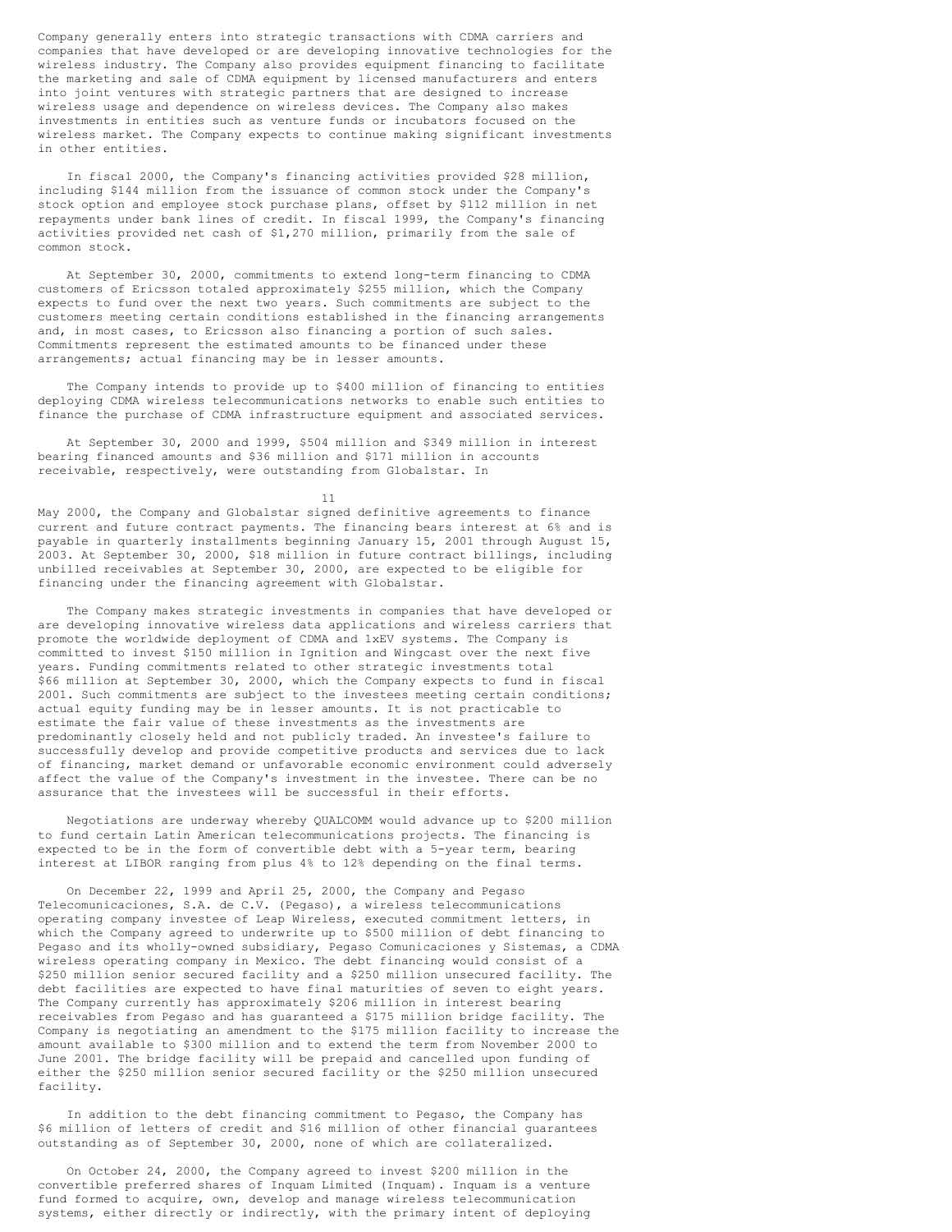Company generally enters into strategic transactions with CDMA carriers and companies that have developed or are developing innovative technologies for the wireless industry. The Company also provides equipment financing to facilitate the marketing and sale of CDMA equipment by licensed manufacturers and enters into joint ventures with strategic partners that are designed to increase wireless usage and dependence on wireless devices. The Company also makes investments in entities such as venture funds or incubators focused on the wireless market. The Company expects to continue making significant investments in other entities.

In fiscal 2000, the Company's financing activities provided \$28 million, including \$144 million from the issuance of common stock under the Company's stock option and employee stock purchase plans, offset by \$112 million in net repayments under bank lines of credit. In fiscal 1999, the Company's financing activities provided net cash of \$1,270 million, primarily from the sale of common stock.

At September 30, 2000, commitments to extend long-term financing to CDMA customers of Ericsson totaled approximately \$255 million, which the Company expects to fund over the next two years. Such commitments are subject to the customers meeting certain conditions established in the financing arrangements and, in most cases, to Ericsson also financing a portion of such sales. Commitments represent the estimated amounts to be financed under these arrangements; actual financing may be in lesser amounts.

The Company intends to provide up to \$400 million of financing to entities deploying CDMA wireless telecommunications networks to enable such entities to finance the purchase of CDMA infrastructure equipment and associated services.

At September 30, 2000 and 1999, \$504 million and \$349 million in interest bearing financed amounts and \$36 million and \$171 million in accounts receivable, respectively, were outstanding from Globalstar. In

11

May 2000, the Company and Globalstar signed definitive agreements to finance current and future contract payments. The financing bears interest at 6% and is payable in quarterly installments beginning January 15, 2001 through August 15, 2003. At September 30, 2000, \$18 million in future contract billings, including unbilled receivables at September 30, 2000, are expected to be eligible for financing under the financing agreement with Globalstar.

The Company makes strategic investments in companies that have developed or are developing innovative wireless data applications and wireless carriers that promote the worldwide deployment of CDMA and 1xEV systems. The Company is committed to invest \$150 million in Ignition and Wingcast over the next five years. Funding commitments related to other strategic investments total \$66 million at September 30, 2000, which the Company expects to fund in fiscal 2001. Such commitments are subject to the investees meeting certain conditions; actual equity funding may be in lesser amounts. It is not practicable to estimate the fair value of these investments as the investments are predominantly closely held and not publicly traded. An investee's failure to successfully develop and provide competitive products and services due to lack of financing, market demand or unfavorable economic environment could adversely affect the value of the Company's investment in the investee. There can be no assurance that the investees will be successful in their efforts.

Negotiations are underway whereby QUALCOMM would advance up to \$200 million to fund certain Latin American telecommunications projects. The financing is expected to be in the form of convertible debt with a 5-year term, bearing interest at LIBOR ranging from plus 4% to 12% depending on the final terms.

On December 22, 1999 and April 25, 2000, the Company and Pegaso Telecomunicaciones, S.A. de C.V. (Pegaso), a wireless telecommunications operating company investee of Leap Wireless, executed commitment letters, in which the Company agreed to underwrite up to \$500 million of debt financing to Pegaso and its wholly-owned subsidiary, Pegaso Comunicaciones y Sistemas, a CDMA wireless operating company in Mexico. The debt financing would consist of a \$250 million senior secured facility and a \$250 million unsecured facility. The debt facilities are expected to have final maturities of seven to eight years. The Company currently has approximately \$206 million in interest bearing receivables from Pegaso and has guaranteed a \$175 million bridge facility. The Company is negotiating an amendment to the \$175 million facility to increase the amount available to \$300 million and to extend the term from November 2000 to June 2001. The bridge facility will be prepaid and cancelled upon funding of either the \$250 million senior secured facility or the \$250 million unsecured facility.

In addition to the debt financing commitment to Pegaso, the Company has \$6 million of letters of credit and \$16 million of other financial guarantees outstanding as of September 30, 2000, none of which are collateralized.

On October 24, 2000, the Company agreed to invest \$200 million in the convertible preferred shares of Inquam Limited (Inquam). Inquam is a venture fund formed to acquire, own, develop and manage wireless telecommunication systems, either directly or indirectly, with the primary intent of deploying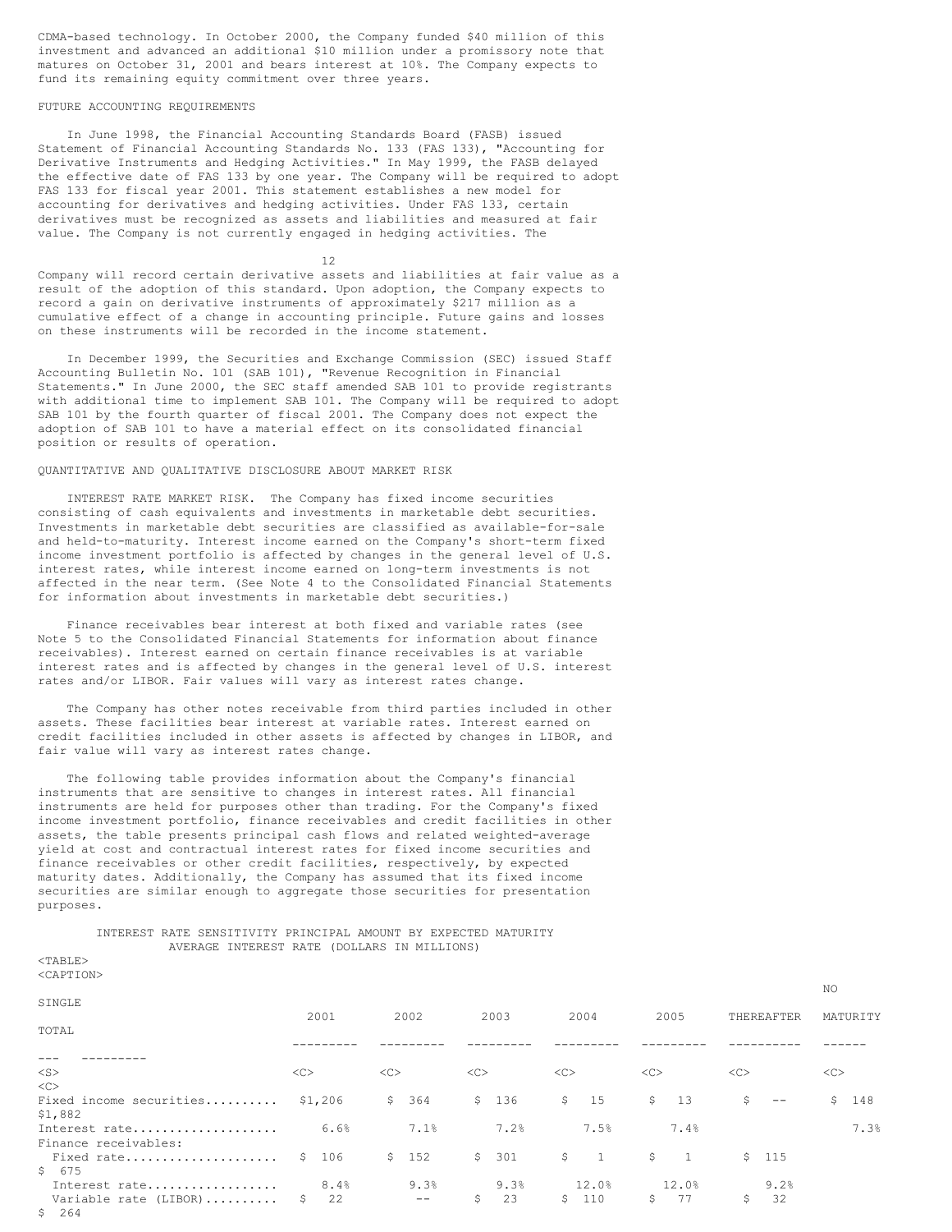CDMA-based technology. In October 2000, the Company funded \$40 million of this investment and advanced an additional \$10 million under a promissory note that matures on October 31, 2001 and bears interest at 10%. The Company expects to fund its remaining equity commitment over three years.

### FUTURE ACCOUNTING REQUIREMENTS

<TABLE>

In June 1998, the Financial Accounting Standards Board (FASB) issued Statement of Financial Accounting Standards No. 133 (FAS 133), "Accounting for Derivative Instruments and Hedging Activities." In May 1999, the FASB delayed the effective date of FAS 133 by one year. The Company will be required to adopt FAS 133 for fiscal year 2001. This statement establishes a new model for accounting for derivatives and hedging activities. Under FAS 133, certain derivatives must be recognized as assets and liabilities and measured at fair value. The Company is not currently engaged in hedging activities. The

12

Company will record certain derivative assets and liabilities at fair value as a result of the adoption of this standard. Upon adoption, the Company expects to record a gain on derivative instruments of approximately \$217 million as a cumulative effect of a change in accounting principle. Future gains and losses on these instruments will be recorded in the income statement.

In December 1999, the Securities and Exchange Commission (SEC) issued Staff Accounting Bulletin No. 101 (SAB 101), "Revenue Recognition in Financial Statements." In June 2000, the SEC staff amended SAB 101 to provide registrants with additional time to implement SAB 101. The Company will be required to adopt SAB 101 by the fourth quarter of fiscal 2001. The Company does not expect the adoption of SAB 101 to have a material effect on its consolidated financial position or results of operation.

#### QUANTITATIVE AND QUALITATIVE DISCLOSURE ABOUT MARKET RISK

INTEREST RATE MARKET RISK. The Company has fixed income securities consisting of cash equivalents and investments in marketable debt securities. Investments in marketable debt securities are classified as available-for-sale and held-to-maturity. Interest income earned on the Company's short-term fixed income investment portfolio is affected by changes in the general level of U.S. interest rates, while interest income earned on long-term investments is not affected in the near term. (See Note 4 to the Consolidated Financial Statements for information about investments in marketable debt securities.)

Finance receivables bear interest at both fixed and variable rates (see Note 5 to the Consolidated Financial Statements for information about finance receivables). Interest earned on certain finance receivables is at variable interest rates and is affected by changes in the general level of U.S. interest rates and/or LIBOR. Fair values will vary as interest rates change.

The Company has other notes receivable from third parties included in other assets. These facilities bear interest at variable rates. Interest earned on credit facilities included in other assets is affected by changes in LIBOR, and fair value will vary as interest rates change.

The following table provides information about the Company's financial instruments that are sensitive to changes in interest rates. All financial instruments are held for purposes other than trading. For the Company's fixed income investment portfolio, finance receivables and credit facilities in other assets, the table presents principal cash flows and related weighted-average yield at cost and contractual interest rates for fixed income securities and finance receivables or other credit facilities, respectively, by expected maturity dates. Additionally, the Company has assumed that its fixed income securities are similar enough to aggregate those securities for presentation purposes.

# INTEREST RATE SENSITIVITY PRINCIPAL AMOUNT BY EXPECTED MATURITY AVERAGE INTEREST RATE (DOLLARS IN MILLIONS)

| <caption></caption>                   |           |                     |           |                    |                                |             | NO.       |
|---------------------------------------|-----------|---------------------|-----------|--------------------|--------------------------------|-------------|-----------|
| SINGLE                                |           |                     |           |                    |                                |             |           |
| TOTAL                                 | 2001      | 2002                | 2003      | 2004               | 2005                           | THEREAFTER  | MATURITY  |
| $---$                                 |           |                     |           |                    |                                |             |           |
| $<$ S $>$                             | <<        | <<                  | <<        | <<                 | <<                             | <<          | <<        |
| <<                                    |           |                     |           |                    |                                |             |           |
| Fixed income securities<br>\$1,882    | \$1,206   | $\mathsf{S}$<br>364 | \$ 136    | 15<br>$\mathsf{S}$ | S.<br>13                       | \$<br>$- -$ | S.<br>148 |
| Interest rate<br>Finance receivables: | 6.6%      | 7.1%                | 7.2%      | 7.5%               | 7.4%                           |             | 7.3%      |
| Fixed rate<br>\$675                   | 106<br>S. | 152<br>S.           | S.<br>301 | \$<br>1            | S.<br>$\overline{\phantom{1}}$ | \$115       |           |
| Interest rate                         | 8.4%      | 9.3%                | 9.3%      | 12.0%              | 12.0%                          | 9.2%        |           |
| Variable rate (LIBOR)<br>$S$ 264      | 22<br>S.  | $- -$               | S.<br>23  | 110<br>S.          | 77<br>S.                       | 32<br>S     |           |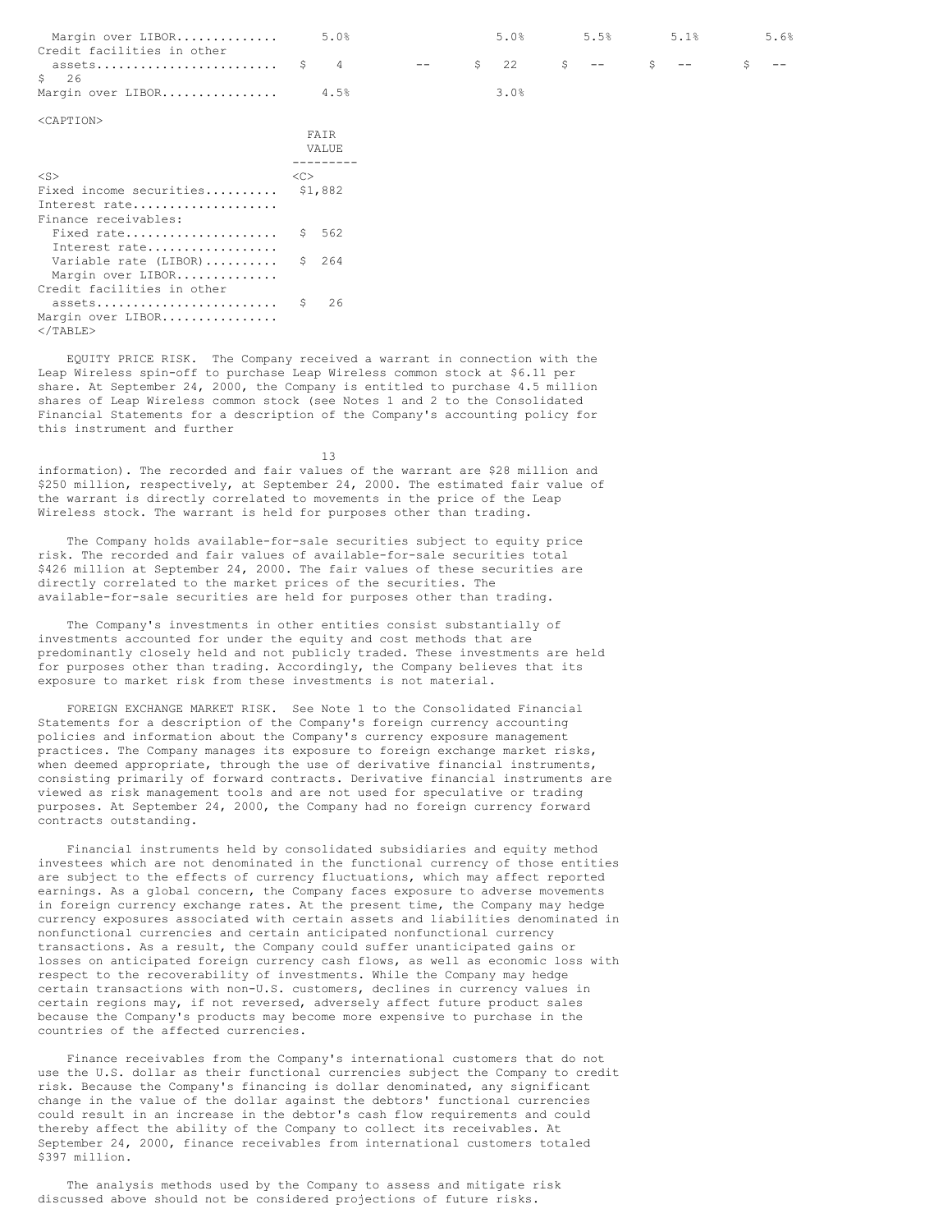| Margin over LIBOR<br>Credit facilities in other | 5.0% | 5.0% | 5.5% | 5.1%                          | 5.6% |
|-------------------------------------------------|------|------|------|-------------------------------|------|
| assets \$ 4<br>\$ 26                            |      |      |      | $- S$ 22 $S$ $- S$ $- S$ $--$ |      |
| Margin over LIBOR 4.5%                          |      | 3.0% |      |                               |      |

<CAPTION>

|                                               |               | VALUE    |
|-----------------------------------------------|---------------|----------|
| $<$ S $>$<br>Fixed income securities $$1,882$ | < <sub></sub> |          |
| Interest rate<br>Finance receivables:         |               |          |
| Fixed rate<br>Interest rate                   |               | \$5, 562 |
| Variable rate (LIBOR)<br>Margin over LIBOR    |               | \$264    |
| Credit facilities in other<br>assets          | S.            | 26       |
| Margin over LIBOR<br>$<$ /TABLE>              |               |          |

EQUITY PRICE RISK. The Company received a warrant in connection with the Leap Wireless spin-off to purchase Leap Wireless common stock at \$6.11 per share. At September 24, 2000, the Company is entitled to purchase 4.5 million shares of Leap Wireless common stock (see Notes 1 and 2 to the Consolidated Financial Statements for a description of the Company's accounting policy for this instrument and further

FAIR

13

information). The recorded and fair values of the warrant are \$28 million and \$250 million, respectively, at September 24, 2000. The estimated fair value of the warrant is directly correlated to movements in the price of the Leap Wireless stock. The warrant is held for purposes other than trading.

The Company holds available-for-sale securities subject to equity price risk. The recorded and fair values of available-for-sale securities total \$426 million at September 24, 2000. The fair values of these securities are directly correlated to the market prices of the securities. The available-for-sale securities are held for purposes other than trading.

The Company's investments in other entities consist substantially of investments accounted for under the equity and cost methods that are predominantly closely held and not publicly traded. These investments are held for purposes other than trading. Accordingly, the Company believes that its exposure to market risk from these investments is not material.

FOREIGN EXCHANGE MARKET RISK. See Note 1 to the Consolidated Financial Statements for a description of the Company's foreign currency accounting policies and information about the Company's currency exposure management practices. The Company manages its exposure to foreign exchange market risks, when deemed appropriate, through the use of derivative financial instruments, consisting primarily of forward contracts. Derivative financial instruments are viewed as risk management tools and are not used for speculative or trading purposes. At September 24, 2000, the Company had no foreign currency forward contracts outstanding.

Financial instruments held by consolidated subsidiaries and equity method investees which are not denominated in the functional currency of those entities are subject to the effects of currency fluctuations, which may affect reported earnings. As a global concern, the Company faces exposure to adverse movements in foreign currency exchange rates. At the present time, the Company may hedge currency exposures associated with certain assets and liabilities denominated in nonfunctional currencies and certain anticipated nonfunctional currency transactions. As a result, the Company could suffer unanticipated gains or losses on anticipated foreign currency cash flows, as well as economic loss with respect to the recoverability of investments. While the Company may hedge certain transactions with non-U.S. customers, declines in currency values in certain regions may, if not reversed, adversely affect future product sales because the Company's products may become more expensive to purchase in the countries of the affected currencies.

Finance receivables from the Company's international customers that do not use the U.S. dollar as their functional currencies subject the Company to credit risk. Because the Company's financing is dollar denominated, any significant change in the value of the dollar against the debtors' functional currencies could result in an increase in the debtor's cash flow requirements and could thereby affect the ability of the Company to collect its receivables. At September 24, 2000, finance receivables from international customers totaled \$397 million.

The analysis methods used by the Company to assess and mitigate risk discussed above should not be considered projections of future risks.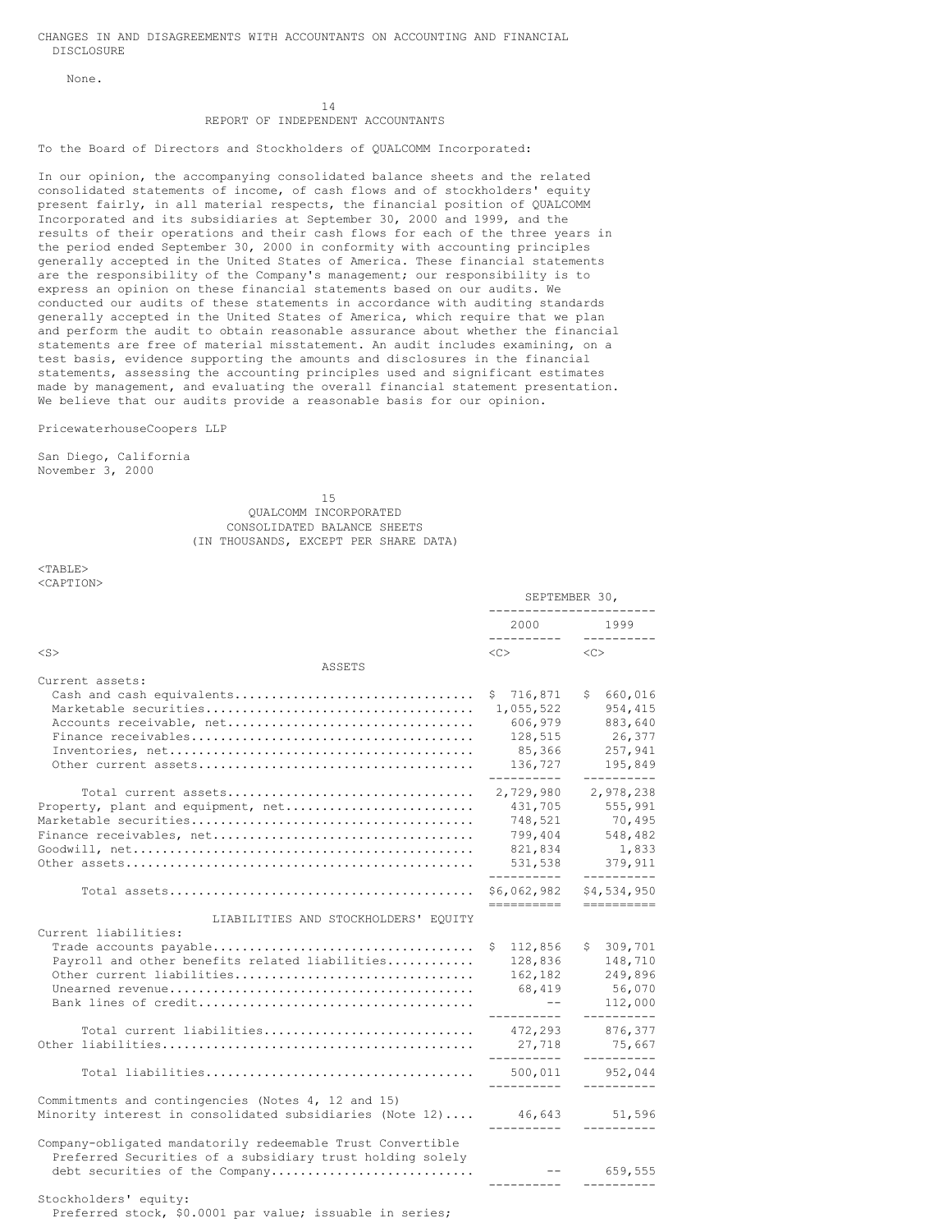CHANGES IN AND DISAGREEMENTS WITH ACCOUNTANTS ON ACCOUNTING AND FINANCIAL **DISCLOSURE** 

None.

# 14 REPORT OF INDEPENDENT ACCOUNTANTS

# To the Board of Directors and Stockholders of QUALCOMM Incorporated:

In our opinion, the accompanying consolidated balance sheets and the related consolidated statements of income, of cash flows and of stockholders' equity present fairly, in all material respects, the financial position of QUALCOMM Incorporated and its subsidiaries at September 30, 2000 and 1999, and the results of their operations and their cash flows for each of the three years in the period ended September 30, 2000 in conformity with accounting principles generally accepted in the United States of America. These financial statements are the responsibility of the Company's management; our responsibility is to express an opinion on these financial statements based on our audits. We conducted our audits of these statements in accordance with auditing standards generally accepted in the United States of America, which require that we plan and perform the audit to obtain reasonable assurance about whether the financial statements are free of material misstatement. An audit includes examining, on a test basis, evidence supporting the amounts and disclosures in the financial statements, assessing the accounting principles used and significant estimates made by management, and evaluating the overall financial statement presentation. We believe that our audits provide a reasonable basis for our opinion.

#### PricewaterhouseCoopers LLP

San Diego, California November 3, 2000

# 15 QUALCOMM INCORPORATED CONSOLIDATED BALANCE SHEETS (IN THOUSANDS, EXCEPT PER SHARE DATA)

## $<$ TABLE> <CAPTION>

SEPTEMBER 30, ----------------------- 1999 ---------- ---------- <S> <C> <C> ASSETS Current assets: Cash and cash equivalents................................. \$ 716,871 \$ 660,016 Marketable securities..................................... 1,055,522 954,415 Accounts receivable, net.................................. 606,979 883,640 Finance receivables....................................... 128,515 26,377 Inventories, net.......................................... 85,366 257,941 Other current assets...................................... 136,727 195,849 ---------- ---------- Total current assets.................................. 2,729,980 2,978,238 Property, plant and equipment, net.......................... 431,705 555,991 Marketable securities....................................... 748,521 70,495 Finance receivables, net.................................... 799,404 548,482 Goodwill, net............................................... 821,834 1,833 Other assets................................................ 531,538 379,911 ---------- ---------- Total assets.......................................... \$6,062,982 \$4,534,950 ========== ========== LIABILITIES AND STOCKHOLDERS' EQUITY Current liabilities: Trade accounts payable.................................... \$ 112,856 \$ 309,701 Payroll and other benefits related liabilities............. 128,836 148,710 Other current liabilities................................. 162,182 249,896 Unearned revenue.......................................... 68,419 56,070 Bank lines of credit...................................... -- 112,000 ---------- ---------- Total current liabilities............................. 472,293 876,377 Other liabilities........................................... 27,718 75,667 ---------- ---------- Total liabilities..................................... 500,011 952,044 ---------- ---------- Commitments and contingencies (Notes 4, 12 and 15) Minority interest in consolidated subsidiaries (Note 12).... 46,643 51,596 ---------- ---------- Company-obligated mandatorily redeemable Trust Convertible Preferred Securities of a subsidiary trust holding solely debt securities of the Company............................ -- 659,555 ---------- ---------- Stockholders' equity:

Preferred stock, \$0.0001 par value; issuable in series;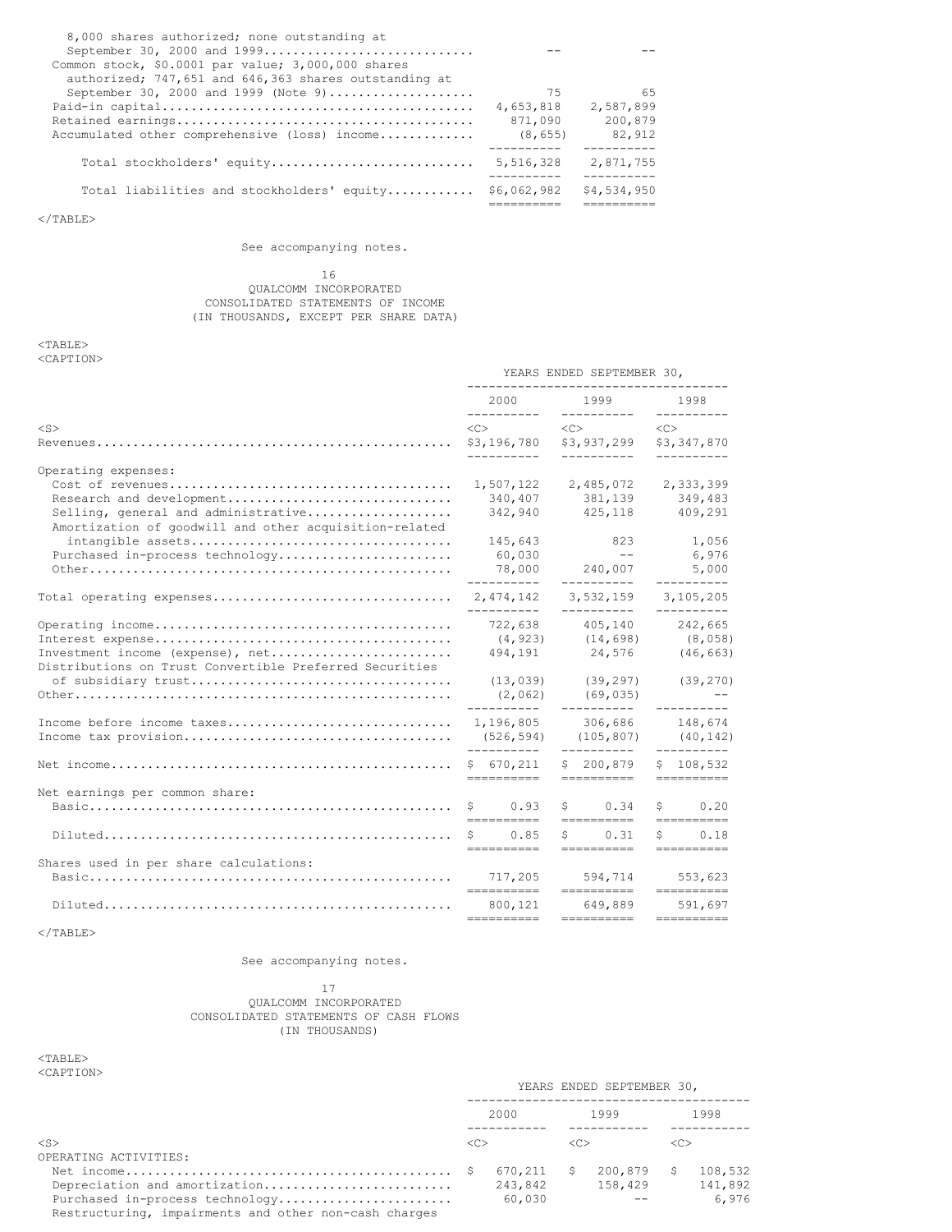| 8,000 shares authorized; none outstanding at          |             |                         |
|-------------------------------------------------------|-------------|-------------------------|
| September 30, 2000 and 1999                           |             |                         |
| Common stock, \$0.0001 par value; 3,000,000 shares    |             |                         |
| authorized; 747,651 and 646,363 shares outstanding at |             |                         |
| September 30, 2000 and 1999 (Note 9)                  | 75          | 65                      |
|                                                       | 4.653.818   | 2,587,899               |
|                                                       | 871,090     | 200,879                 |
| Accumulated other comprehensive (loss) income         | (8, 655)    | 82,912                  |
|                                                       |             | ---------               |
| Total stockholders' equity                            | 5,516,328   | 2.871.755<br>---------- |
| Total liabilities and stockholders' equity            | \$6,062,982 | \$4,534,950             |
|                                                       |             |                         |
|                                                       |             |                         |

 $<$ /TABLE>

See accompanying notes.

# 16 QUALCOMM INCORPORATED CONSOLIDATED STATEMENTS OF INCOME (IN THOUSANDS, EXCEPT PER SHARE DATA)

<TABLE> <CAPTION>

|                                                                                               | YEARS ENDED SEPTEMBER 30,<br>----------------------- |                                   |                                      |  |  |
|-----------------------------------------------------------------------------------------------|------------------------------------------------------|-----------------------------------|--------------------------------------|--|--|
|                                                                                               | -----------                                          | 2000 1999 1998<br>___________     | ----------                           |  |  |
| $<$ S $>$                                                                                     | $\langle C \rangle$                                  | $\langle C \rangle$               | $\langle C \rangle$                  |  |  |
|                                                                                               | \$3,196,780<br>----------                            | \$3,937,299<br>-----------        | \$3,347,870<br>----------            |  |  |
| Operating expenses:                                                                           |                                                      |                                   |                                      |  |  |
|                                                                                               | 1,507,122                                            | 2,485,072                         | 2,333,399                            |  |  |
| Research and development                                                                      | 340,407                                              | 381,139                           | 349,483                              |  |  |
| Selling, general and administrative<br>Amortization of qoodwill and other acquisition-related | 342,940                                              | 425,118                           | 409,291                              |  |  |
|                                                                                               | 145,643                                              | 823                               | 1,056                                |  |  |
| Purchased in-process technology                                                               | 60,030                                               | $\sim 100$ m $^{-1}$              | 6,976                                |  |  |
|                                                                                               | 78,000<br>-----------                                | 240,007<br>----------             | 5,000                                |  |  |
|                                                                                               | -----------                                          | 3,532,159 3,105,205<br>__________ | ----------                           |  |  |
|                                                                                               | 722,638                                              | 405,140                           | 242,665                              |  |  |
|                                                                                               | (4, 923)                                             |                                   | $(14, 698)$ $(8, 058)$               |  |  |
| Investment income (expense), net<br>Distributions on Trust Convertible Preferred Securities   | 494,191                                              | 24,576                            | (46, 663)                            |  |  |
|                                                                                               | (13, 039)                                            | (39, 297)                         | (39, 270)                            |  |  |
|                                                                                               | (2, 062)<br>__________                               | (69, 035)<br>__________           | $- -$<br>$- - - - - - - - -$         |  |  |
| Income before income taxes                                                                    | 1,196,805                                            | 306,686                           | 148,674                              |  |  |
|                                                                                               | (526, 594)<br>-----------                            | (105, 807)<br>__________          | (40, 142)<br>----------              |  |  |
|                                                                                               | \$670.211<br>==========                              | \$200.879<br>==========           | \$108.532<br>$=$ = = = = = = = = = = |  |  |
| Net earnings per common share:                                                                |                                                      |                                   |                                      |  |  |
|                                                                                               | \$0.93                                               | \$0.34                            | \$0.20                               |  |  |
|                                                                                               | ----------                                           | ==========                        | ==========                           |  |  |
|                                                                                               | \$0.85<br>==========                                 | \$0.31<br>-----------             | \$0.18<br>-----------                |  |  |
| Shares used in per share calculations:                                                        |                                                      |                                   |                                      |  |  |
|                                                                                               | 717.205                                              | 594.714                           | 553,623                              |  |  |
|                                                                                               | -----------<br>800.121                               | ==========<br>649.889             | -----------<br>591,697               |  |  |
|                                                                                               | ==========                                           | ==========                        | ==========                           |  |  |

 $<$ /TABLE>

# See accompanying notes.

# 17 QUALCOMM INCORPORATED CONSOLIDATED STATEMENTS OF CASH FLOWS (IN THOUSANDS)

<TABLE> <CAPTION>

|                                                                  | YEARS ENDED SEPTEMBER 30, |                   |      |         |         |                  |
|------------------------------------------------------------------|---------------------------|-------------------|------|---------|---------|------------------|
|                                                                  | 2000<br>1999              |                   | 1998 |         |         |                  |
| $\langle$ S>                                                     | $\langle C \rangle$       |                   | -100 |         | <c></c> |                  |
| OPERATING ACTIVITIES:                                            |                           | 670.211 \$        |      | 200,879 | S S     | 108,532          |
| Depreciation and amortization<br>Purchased in-process technology |                           | 243.842<br>60,030 |      | 158,429 |         | 141,892<br>6,976 |
| Restructuring, impairments and other non-cash charges            |                           |                   |      |         |         |                  |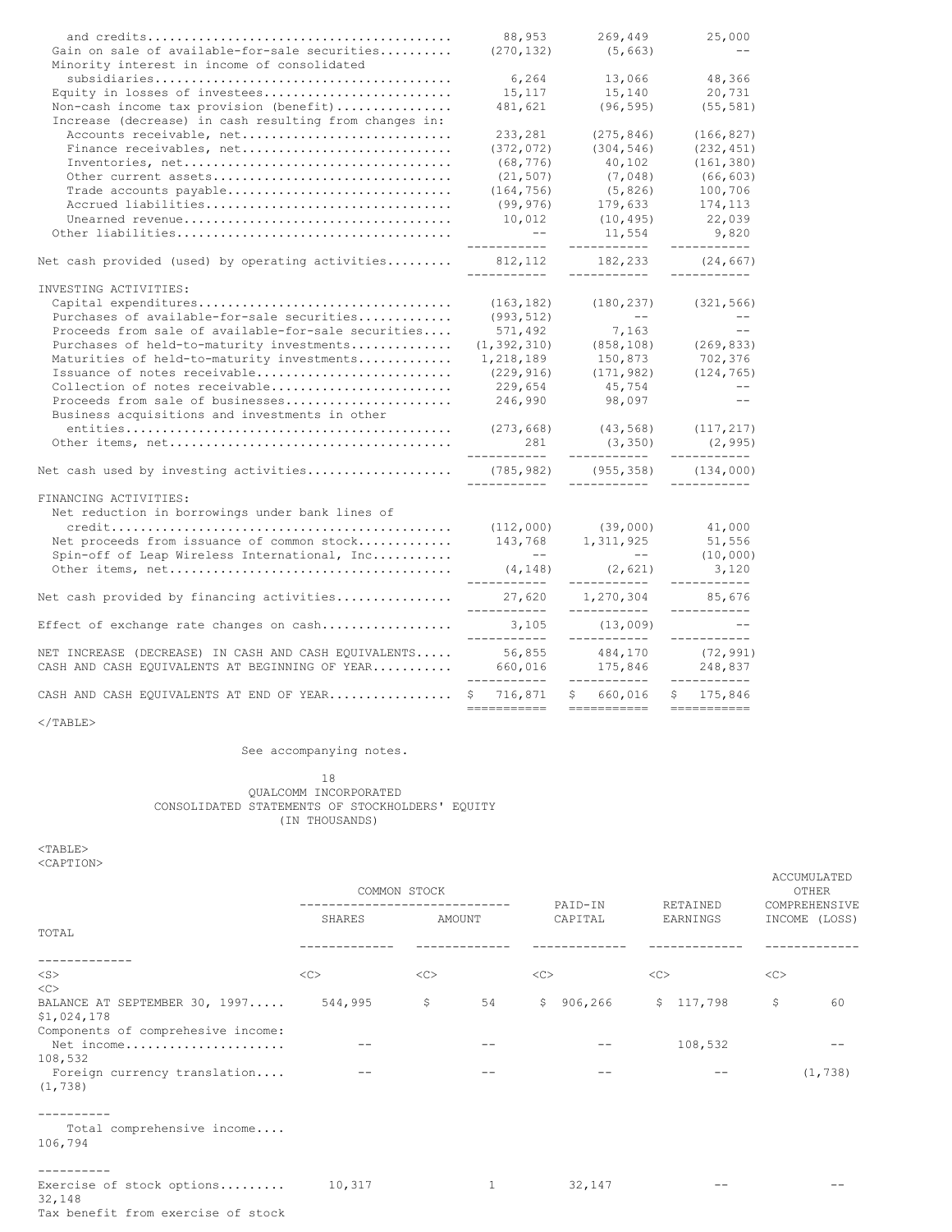|                                                        | 88,953               | 269,449                   | 25,000                           |
|--------------------------------------------------------|----------------------|---------------------------|----------------------------------|
| Gain on sale of available-for-sale securities          | (270, 132)           | (5, 663)                  |                                  |
| Minority interest in income of consolidated            |                      |                           |                                  |
|                                                        | 6,264                | 13,066                    | 48,366                           |
| Equity in losses of investees                          | 15,117               | 15,140                    | 20,731                           |
| Non-cash income tax provision (benefit)                | 481,621              | (96, 595)                 | (55, 581)                        |
| Increase (decrease) in cash resulting from changes in: |                      |                           |                                  |
| Accounts receivable, net                               | 233,281              | (275, 846)                | (166, 827)                       |
| Finance receivables, net                               | (372, 072)           | (304, 546)                | (232, 451)                       |
|                                                        | (68, 776)            | 40,102                    | (161, 380)                       |
| Other current assets                                   | (21, 507)            | (7, 048)                  | (66, 603)                        |
| Trade accounts payable                                 | (164, 756)           | (5, 826)                  | 100,706                          |
| Accrued liabilities                                    | (99, 976)            | 179,633                   | 174,113                          |
|                                                        | 10,012               | (10, 495)                 | 22,039                           |
|                                                        |                      | 11,554                    | 9,820                            |
|                                                        | ___________          | ------------              | -----------                      |
| Net cash provided (used) by operating activities       | 812, 112             | 182,233                   | (24, 667)                        |
|                                                        | ------------         | ___________               | ___________                      |
| INVESTING ACTIVITIES:                                  |                      |                           |                                  |
|                                                        | (163, 182)           | (180, 237)                | (321, 566)                       |
| Purchases of available-for-sale securities             | (993, 512)           | $\qquad \qquad -$         | $- \, -$                         |
| Proceeds from sale of available-for-sale securities    | 571,492              | 7,163                     | $- -$                            |
| Purchases of held-to-maturity investments              | (1, 392, 310)        | (858, 108)                | (269, 833)                       |
| Maturities of held-to-maturity investments             | 1,218,189            | 150,873                   | 702,376                          |
| Issuance of notes receivable                           | (229, 916)           | (171, 982)                | (124, 765)                       |
| Collection of notes receivable                         | 229,654              | 45,754                    | $- -$                            |
| Proceeds from sale of businesses                       | 246,990              | 98,097                    | $- -$                            |
| Business acquisitions and investments in other         |                      |                           |                                  |
|                                                        | (273, 668)           | (43, 568)                 | (117, 217)                       |
|                                                        | 281                  | (3, 350)                  | (2, 995)                         |
|                                                        | ___________          | ------------              | ___________                      |
| Net cash used by investing activities                  |                      | $(785, 982)$ $(955, 358)$ | (134, 000)                       |
|                                                        | ------------         |                           | -----------                      |
| FINANCING ACTIVITIES:                                  |                      |                           |                                  |
| Net reduction in borrowings under bank lines of        |                      |                           |                                  |
|                                                        | (112,000)            | (39,000)                  | 41,000                           |
| Net proceeds from issuance of common stock             | 143,768              | 1,311,925                 | 51,556                           |
| Spin-off of Leap Wireless International, Inc           | $- -$                | $- -$                     | (10, 000)                        |
|                                                        | (4, 148)             | (2, 621)                  | 3,120                            |
|                                                        | ___________          | ___________               | ___________                      |
| Net cash provided by financing activities              | 27,620               | 1,270,304                 | 85,676                           |
|                                                        | ___________          | ___________               | -----------                      |
| Effect of exchange rate changes on $cash$              | 3,105<br>----------- | (13,009)<br>------------  | $\qquad \qquad -$<br>___________ |
| NET INCREASE (DECREASE) IN CASH AND CASH EQUIVALENTS   | 56,855               | 484,170                   | (72, 991)                        |
| CASH AND CASH EQUIVALENTS AT BEGINNING OF YEAR         | 660,016              | 175,846                   | 248,837                          |
|                                                        | ___________          | ------------              | ___________                      |
| CASH AND CASH EQUIVALENTS AT END OF YEAR               | \$716,871            | \$660,016                 | \$175,846                        |
|                                                        | ===========          | ===========               | ===========                      |
|                                                        |                      |                           |                                  |

 $<$ /TABLE $>$ 

# See accompanying notes.

18 QUALCOMM INCORPORATED CONSOLIDATED STATEMENTS OF STOCKHOLDERS' EQUITY (IN THOUSANDS)

<TABLE> <CAPTION>

|                                                             |         | COMMON STOCK |              |                    |                      | ACCUMULATED<br>OTHER           |
|-------------------------------------------------------------|---------|--------------|--------------|--------------------|----------------------|--------------------------------|
| TOTAL                                                       | SHARES  |              | AMOUNT       | PAID-IN<br>CAPITAL | RETAINED<br>EARNINGS | COMPREHENSIVE<br>INCOME (LOSS) |
| $<$ S $>$                                                   | <<      | <<           |              | <<                 | <<                   | <<                             |
| <<<br>BALANCE AT SEPTEMBER 30, 1997<br>\$1,024,178          | 544,995 | \$           | 54           | \$906, 266         | \$117,798            | 60<br>\$                       |
| Components of comprehesive income:<br>Net income<br>108,532 |         |              |              |                    | 108,532              |                                |
| Foreign currency translation<br>(1, 738)                    |         |              |              |                    |                      | (1, 738)                       |
| Total comprehensive income<br>106,794                       |         |              |              |                    |                      |                                |
| Exercise of stock options<br>32,148                         | 10,317  |              | $\mathbf{1}$ | 32,147             |                      |                                |

Tax benefit from exercise of stock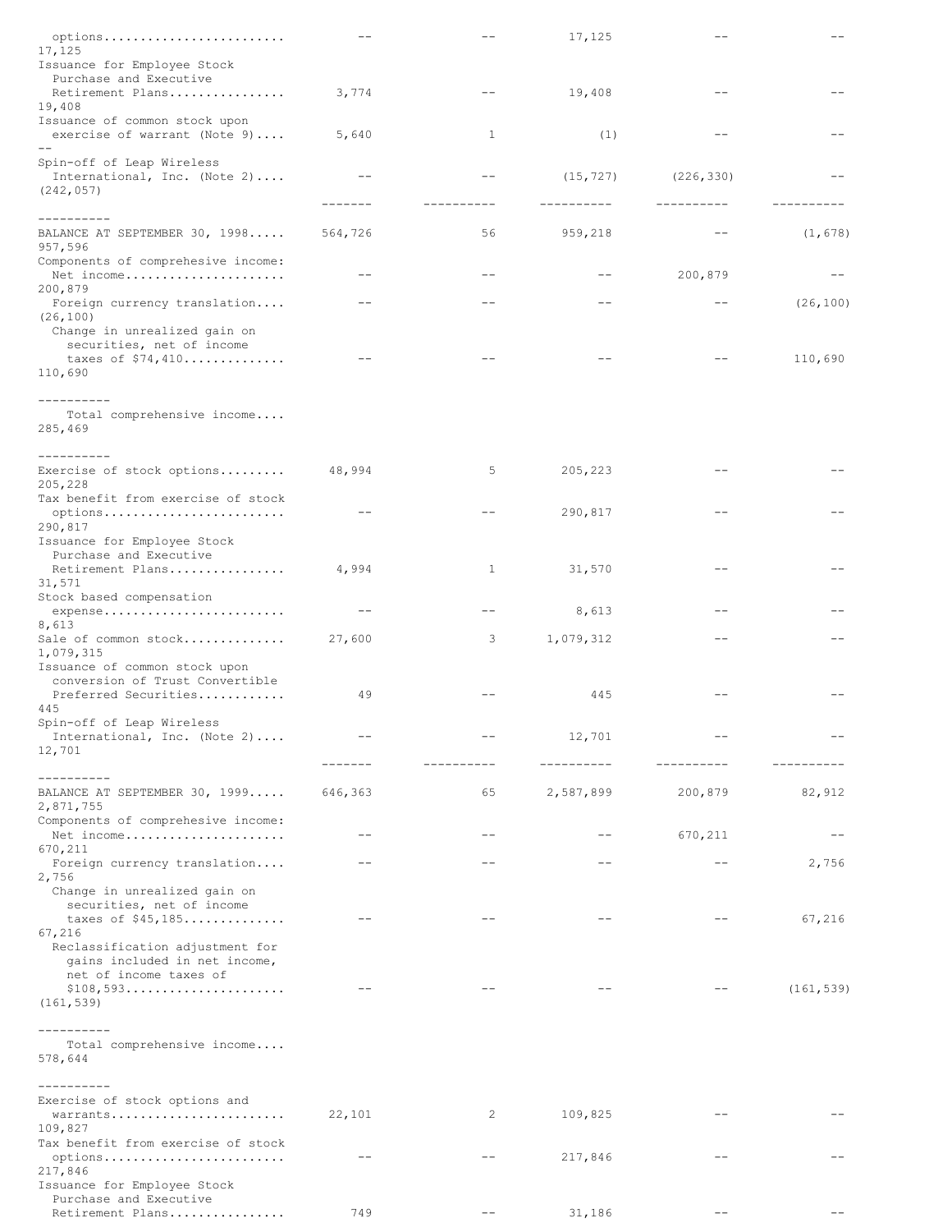| options<br>17,125                                                                                    |         |                     | 17,125                  |            |            |
|------------------------------------------------------------------------------------------------------|---------|---------------------|-------------------------|------------|------------|
| Issuance for Employee Stock<br>Purchase and Executive                                                |         |                     |                         |            |            |
| Retirement Plans<br>19,408<br>Issuance of common stock upon                                          | 3,774   | $- -$               | 19,408                  | $- -$      |            |
| exercise of warrant (Note 9)<br>$- -$                                                                | 5,640   | $\mathbf{1}$        | (1)                     |            |            |
| Spin-off of Leap Wireless<br>International, Inc. (Note 2)<br>(242, 057)                              | ------- | $- -$<br>---------- | (15, 727)<br>---------- | (226, 330) |            |
| ----------<br>BALANCE AT SEPTEMBER 30, 1998                                                          | 564,726 | 56                  | 959,218                 |            | (1, 678)   |
| 957,596<br>Components of comprehesive income:<br>Net income                                          | $- -$   | $\qquad \qquad -$   | $\qquad \qquad -$       | 200,879    |            |
| 200,879<br>Foreign currency translation                                                              | $- -$   | $- -$               | $- -$                   | $- -$      | (26, 100)  |
| (26, 100)<br>Change in unrealized gain on<br>securities, net of income                               |         |                     |                         |            |            |
| taxes of $$74,410$<br>110,690                                                                        |         |                     |                         |            | 110,690    |
| ----------<br>Total comprehensive income<br>285,469                                                  |         |                     |                         |            |            |
| ----------<br>Exercise of stock options<br>205,228                                                   | 48,994  | 5                   | 205,223                 |            |            |
| Tax benefit from exercise of stock<br>options<br>290,817                                             |         |                     | 290,817                 |            |            |
| Issuance for Employee Stock<br>Purchase and Executive<br>Retirement Plans                            | 4,994   | $\mathbf{1}$        | 31,570                  | $- -$      |            |
| 31,571<br>Stock based compensation                                                                   |         |                     |                         |            |            |
| expense<br>8,613                                                                                     | $-\,-$  | $- -$               | 8,613                   | $- -$      |            |
| Sale of common stock<br>1,079,315<br>Issuance of common stock upon                                   | 27,600  | 3                   | 1,079,312               |            |            |
| conversion of Trust Convertible<br>Preferred Securities<br>445                                       | 49      |                     | 445                     |            |            |
| Spin-off of Leap Wireless<br>International, Inc. (Note 2)                                            |         |                     | 12,701                  |            |            |
| 12,701                                                                                               |         |                     |                         |            |            |
| ----------<br>BALANCE AT SEPTEMBER 30, 1999<br>2,871,755                                             | 646,363 | 65                  | 2,587,899               | 200,879    | 82,912     |
| Components of comprehesive income:<br>Net income                                                     | $- -$   | $- -$               |                         | 670,211    |            |
| 670,211<br>Foreign currency translation<br>2,756                                                     | $- -$   | --                  |                         |            | 2,756      |
| Change in unrealized gain on<br>securities, net of income<br>taxes of $$45,185$                      |         |                     |                         |            | 67,216     |
| 67,216<br>Reclassification adjustment for<br>gains included in net income,<br>net of income taxes of |         |                     |                         |            |            |
| $$108,593 \dots \dots \dots \dots \dots \dots$<br>(161, 539)                                         |         |                     |                         |            | (161, 539) |
| ----------<br>Total comprehensive income<br>578,644                                                  |         |                     |                         |            |            |
| ----------<br>Exercise of stock options and<br>warrants<br>109,827                                   | 22,101  | 2                   | 109,825                 |            |            |
| Tax benefit from exercise of stock<br>options<br>217,846<br>Issuance for Employee Stock              |         |                     | 217,846                 |            |            |
| Purchase and Executive<br>Retirement Plans                                                           | 749     | --                  | 31,186                  |            |            |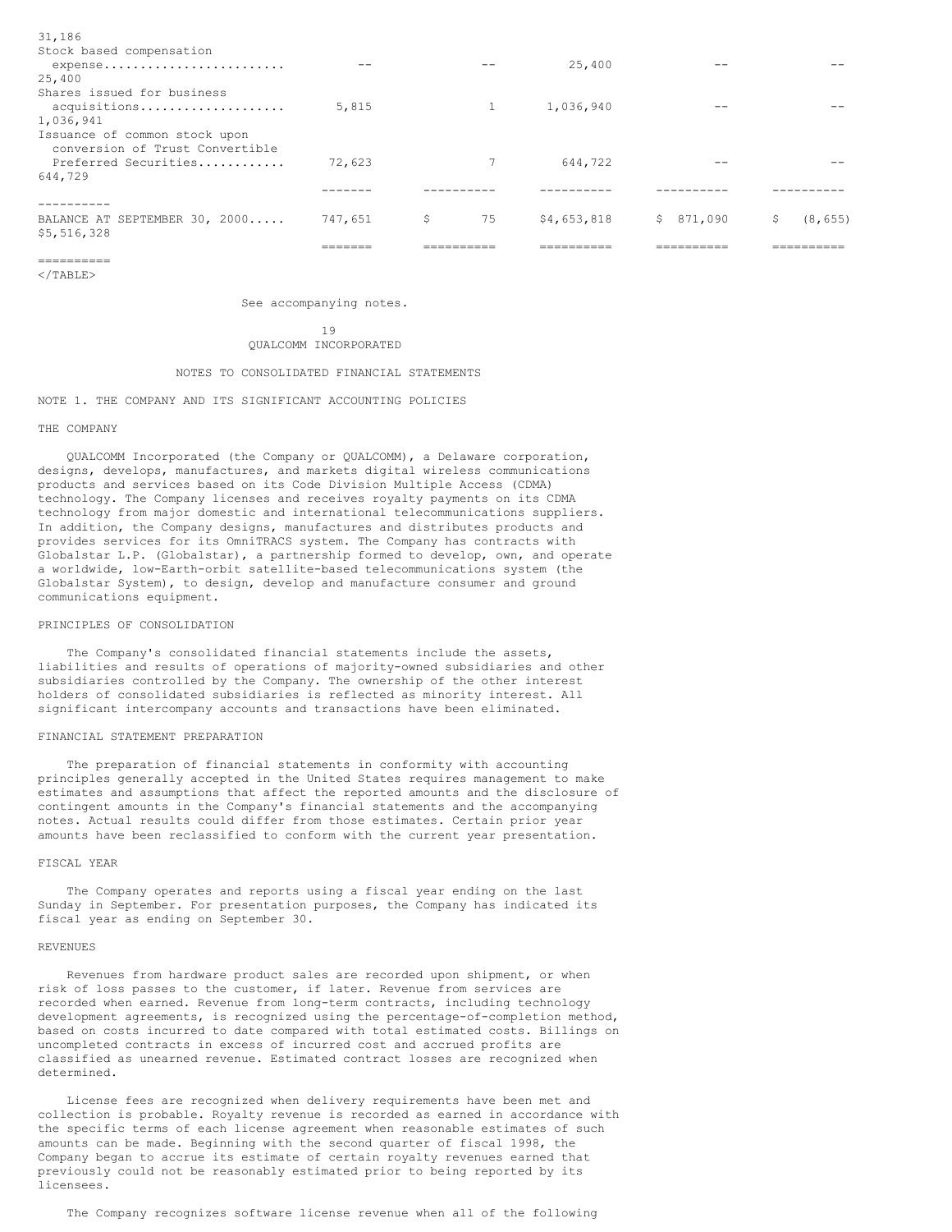| 31,186                                                           |         |    |    |             |           |   |          |
|------------------------------------------------------------------|---------|----|----|-------------|-----------|---|----------|
| Stock based compensation                                         |         |    |    |             |           |   |          |
| expense                                                          |         |    | -- | 25,400      |           |   |          |
| 25,400                                                           |         |    |    |             |           |   |          |
| Shares issued for business                                       |         |    |    |             |           |   |          |
| acquisitions                                                     | 5,815   |    |    | 1,036,940   |           |   |          |
| 1,036,941                                                        |         |    |    |             |           |   |          |
| Issuance of common stock upon<br>conversion of Trust Convertible |         |    |    |             |           |   |          |
| Preferred Securities                                             | 72,623  |    |    | 644,722     |           |   |          |
| 644.729                                                          |         |    |    |             |           |   |          |
|                                                                  |         |    |    |             |           |   |          |
|                                                                  |         |    |    |             |           |   |          |
| BALANCE AT SEPTEMBER 30, 2000                                    | 747,651 | -S | 75 | \$4,653,818 | \$871.090 | S | (8, 655) |
| \$5,516,328                                                      |         |    |    |             |           |   |          |
|                                                                  |         |    |    |             |           |   |          |

========== </TABLE>

#### See accompanying notes.

19

# QUALCOMM INCORPORATED

#### NOTES TO CONSOLIDATED FINANCIAL STATEMENTS

### NOTE 1. THE COMPANY AND ITS SIGNIFICANT ACCOUNTING POLICIES

#### THE COMPANY

QUALCOMM Incorporated (the Company or QUALCOMM), a Delaware corporation, designs, develops, manufactures, and markets digital wireless communications products and services based on its Code Division Multiple Access (CDMA) technology. The Company licenses and receives royalty payments on its CDMA technology from major domestic and international telecommunications suppliers. In addition, the Company designs, manufactures and distributes products and provides services for its OmniTRACS system. The Company has contracts with Globalstar L.P. (Globalstar), a partnership formed to develop, own, and operate a worldwide, low-Earth-orbit satellite-based telecommunications system (the Globalstar System), to design, develop and manufacture consumer and ground communications equipment.

#### PRINCIPLES OF CONSOLIDATION

The Company's consolidated financial statements include the assets, liabilities and results of operations of majority-owned subsidiaries and other subsidiaries controlled by the Company. The ownership of the other interest holders of consolidated subsidiaries is reflected as minority interest. All significant intercompany accounts and transactions have been eliminated.

# FINANCIAL STATEMENT PREPARATION

The preparation of financial statements in conformity with accounting principles generally accepted in the United States requires management to make estimates and assumptions that affect the reported amounts and the disclosure of contingent amounts in the Company's financial statements and the accompanying notes. Actual results could differ from those estimates. Certain prior year amounts have been reclassified to conform with the current year presentation.

# FISCAL YEAR

The Company operates and reports using a fiscal year ending on the last Sunday in September. For presentation purposes, the Company has indicated its fiscal year as ending on September 30.

### REVENUES

Revenues from hardware product sales are recorded upon shipment, or when risk of loss passes to the customer, if later. Revenue from services are recorded when earned. Revenue from long-term contracts, including technology development agreements, is recognized using the percentage-of-completion method, based on costs incurred to date compared with total estimated costs. Billings on uncompleted contracts in excess of incurred cost and accrued profits are classified as unearned revenue. Estimated contract losses are recognized when determined.

License fees are recognized when delivery requirements have been met and collection is probable. Royalty revenue is recorded as earned in accordance with the specific terms of each license agreement when reasonable estimates of such amounts can be made. Beginning with the second quarter of fiscal 1998, the Company began to accrue its estimate of certain royalty revenues earned that previously could not be reasonably estimated prior to being reported by its licensees.

The Company recognizes software license revenue when all of the following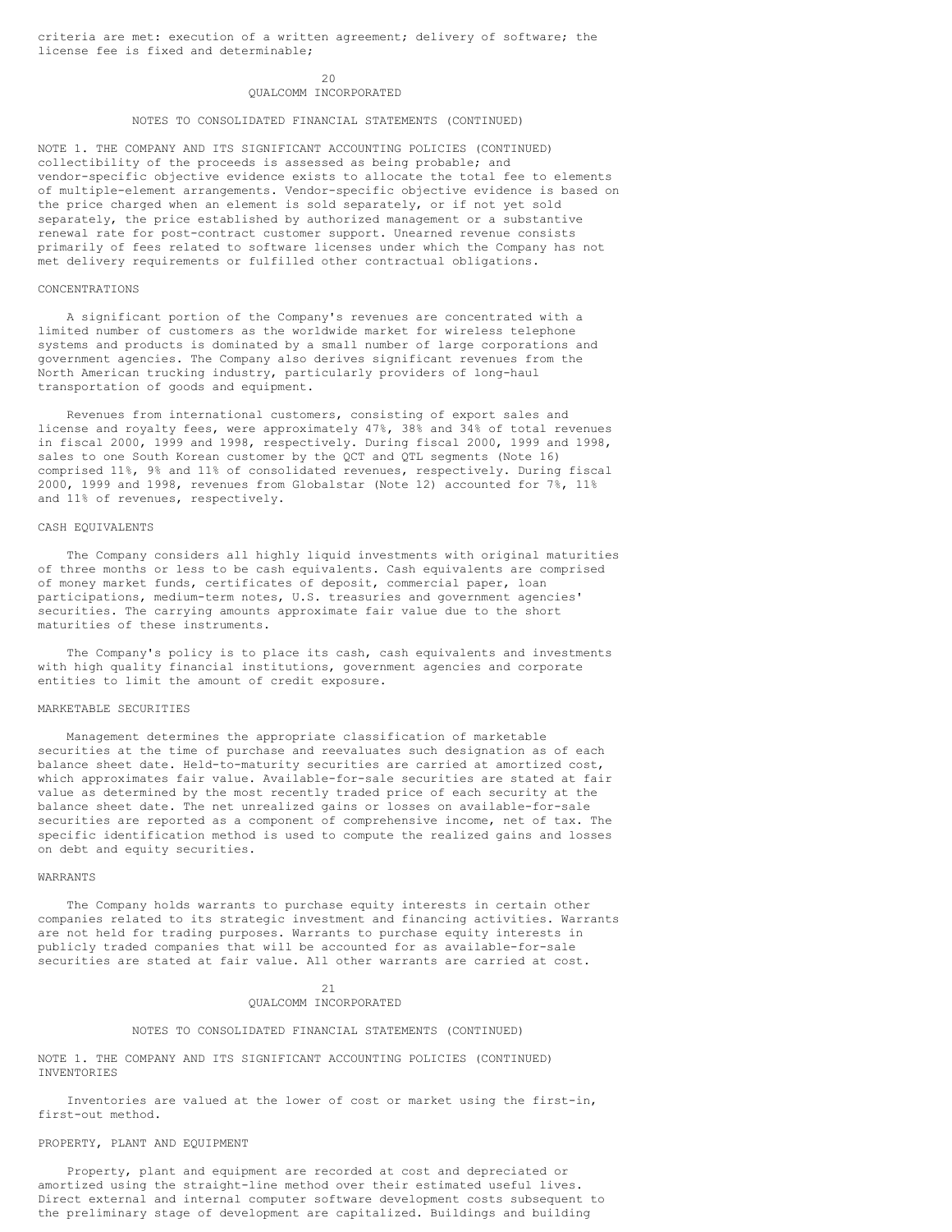criteria are met: execution of a written agreement; delivery of software; the license fee is fixed and determinable;

> $20$ QUALCOMM INCORPORATED

#### NOTES TO CONSOLIDATED FINANCIAL STATEMENTS (CONTINUED)

NOTE 1. THE COMPANY AND ITS SIGNIFICANT ACCOUNTING POLICIES (CONTINUED) collectibility of the proceeds is assessed as being probable; and vendor-specific objective evidence exists to allocate the total fee to elements of multiple-element arrangements. Vendor-specific objective evidence is based on the price charged when an element is sold separately, or if not yet sold separately, the price established by authorized management or a substantive renewal rate for post-contract customer support. Unearned revenue consists primarily of fees related to software licenses under which the Company has not met delivery requirements or fulfilled other contractual obligations.

# CONCENTRATIONS

A significant portion of the Company's revenues are concentrated with a limited number of customers as the worldwide market for wireless telephone systems and products is dominated by a small number of large corporations and government agencies. The Company also derives significant revenues from the North American trucking industry, particularly providers of long-haul transportation of goods and equipment.

Revenues from international customers, consisting of export sales and license and royalty fees, were approximately 47%, 38% and 34% of total revenues in fiscal 2000, 1999 and 1998, respectively. During fiscal 2000, 1999 and 1998, sales to one South Korean customer by the QCT and QTL segments (Note 16) comprised 11%, 9% and 11% of consolidated revenues, respectively. During fiscal 2000, 1999 and 1998, revenues from Globalstar (Note 12) accounted for 7%, 11% and 11% of revenues, respectively.

# CASH EQUIVALENTS

The Company considers all highly liquid investments with original maturities of three months or less to be cash equivalents. Cash equivalents are comprised of money market funds, certificates of deposit, commercial paper, loan participations, medium-term notes, U.S. treasuries and government agencies' securities. The carrying amounts approximate fair value due to the short maturities of these instruments.

The Company's policy is to place its cash, cash equivalents and investments with high quality financial institutions, government agencies and corporate entities to limit the amount of credit exposure.

## MARKETABLE SECURITIES

Management determines the appropriate classification of marketable securities at the time of purchase and reevaluates such designation as of each balance sheet date. Held-to-maturity securities are carried at amortized cost, which approximates fair value. Available-for-sale securities are stated at fair value as determined by the most recently traded price of each security at the balance sheet date. The net unrealized gains or losses on available-for-sale securities are reported as a component of comprehensive income, net of tax. The specific identification method is used to compute the realized gains and losses on debt and equity securities.

#### WARRANTS

The Company holds warrants to purchase equity interests in certain other companies related to its strategic investment and financing activities. Warrants are not held for trading purposes. Warrants to purchase equity interests in publicly traded companies that will be accounted for as available-for-sale securities are stated at fair value. All other warrants are carried at cost.

# 21 QUALCOMM INCORPORATED

#### NOTES TO CONSOLIDATED FINANCIAL STATEMENTS (CONTINUED)

NOTE 1. THE COMPANY AND ITS SIGNIFICANT ACCOUNTING POLICIES (CONTINUED) INVENTORIES

Inventories are valued at the lower of cost or market using the first-in, first-out method.

### PROPERTY, PLANT AND EQUIPMENT

Property, plant and equipment are recorded at cost and depreciated or amortized using the straight-line method over their estimated useful lives. Direct external and internal computer software development costs subsequent to the preliminary stage of development are capitalized. Buildings and building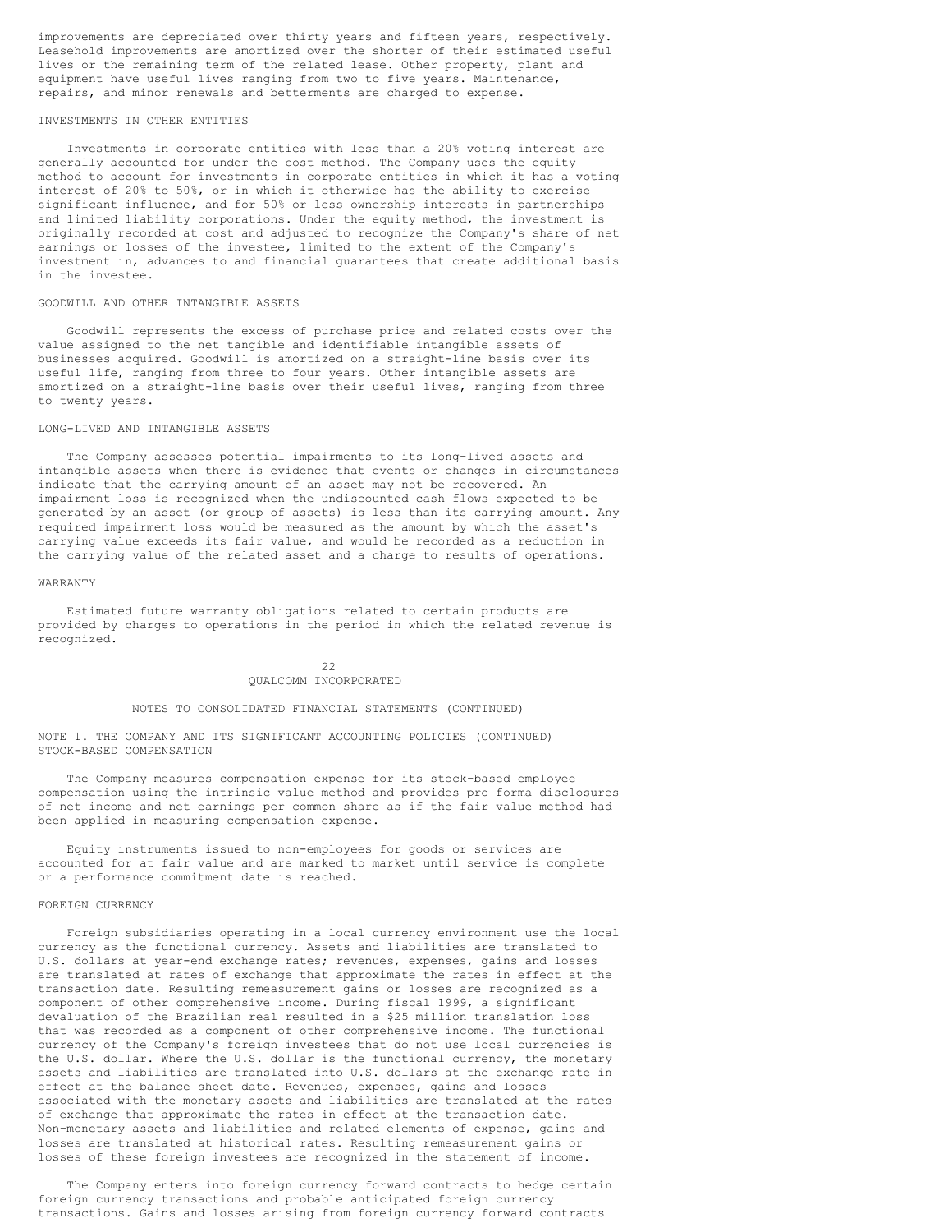improvements are depreciated over thirty years and fifteen years, respectively. Leasehold improvements are amortized over the shorter of their estimated useful lives or the remaining term of the related lease. Other property, plant and equipment have useful lives ranging from two to five years. Maintenance, repairs, and minor renewals and betterments are charged to expense.

## INVESTMENTS IN OTHER ENTITIES

Investments in corporate entities with less than a 20% voting interest are generally accounted for under the cost method. The Company uses the equity method to account for investments in corporate entities in which it has a voting interest of 20% to 50%, or in which it otherwise has the ability to exercise significant influence, and for 50% or less ownership interests in partnerships and limited liability corporations. Under the equity method, the investment is originally recorded at cost and adjusted to recognize the Company's share of net earnings or losses of the investee, limited to the extent of the Company's investment in, advances to and financial guarantees that create additional basis in the investee.

### GOODWILL AND OTHER INTANGIBLE ASSETS

Goodwill represents the excess of purchase price and related costs over the value assigned to the net tangible and identifiable intangible assets of businesses acquired. Goodwill is amortized on a straight-line basis over its useful life, ranging from three to four years. Other intangible assets are amortized on a straight-line basis over their useful lives, ranging from three to twenty years.

# LONG-LIVED AND INTANGIBLE ASSETS

The Company assesses potential impairments to its long-lived assets and intangible assets when there is evidence that events or changes in circumstances indicate that the carrying amount of an asset may not be recovered. An impairment loss is recognized when the undiscounted cash flows expected to be generated by an asset (or group of assets) is less than its carrying amount. Any required impairment loss would be measured as the amount by which the asset's carrying value exceeds its fair value, and would be recorded as a reduction in the carrying value of the related asset and a charge to results of operations.

#### WARRANTY

Estimated future warranty obligations related to certain products are provided by charges to operations in the period in which the related revenue is recognized.

# 22 QUALCOMM INCORPORATED

#### NOTES TO CONSOLIDATED FINANCIAL STATEMENTS (CONTINUED)

NOTE 1. THE COMPANY AND ITS SIGNIFICANT ACCOUNTING POLICIES (CONTINUED) STOCK-BASED COMPENSATION

The Company measures compensation expense for its stock-based employee compensation using the intrinsic value method and provides pro forma disclosures of net income and net earnings per common share as if the fair value method had been applied in measuring compensation expense.

Equity instruments issued to non-employees for goods or services are accounted for at fair value and are marked to market until service is complete or a performance commitment date is reached.

# FOREIGN CURRENCY

Foreign subsidiaries operating in a local currency environment use the local currency as the functional currency. Assets and liabilities are translated to U.S. dollars at year-end exchange rates; revenues, expenses, gains and losses are translated at rates of exchange that approximate the rates in effect at the transaction date. Resulting remeasurement gains or losses are recognized as a component of other comprehensive income. During fiscal 1999, a significant devaluation of the Brazilian real resulted in a \$25 million translation loss that was recorded as a component of other comprehensive income. The functional currency of the Company's foreign investees that do not use local currencies is the U.S. dollar. Where the U.S. dollar is the functional currency, the monetary assets and liabilities are translated into U.S. dollars at the exchange rate in effect at the balance sheet date. Revenues, expenses, gains and losses associated with the monetary assets and liabilities are translated at the rates of exchange that approximate the rates in effect at the transaction date. Non-monetary assets and liabilities and related elements of expense, gains and losses are translated at historical rates. Resulting remeasurement gains or losses of these foreign investees are recognized in the statement of income.

The Company enters into foreign currency forward contracts to hedge certain foreign currency transactions and probable anticipated foreign currency transactions. Gains and losses arising from foreign currency forward contracts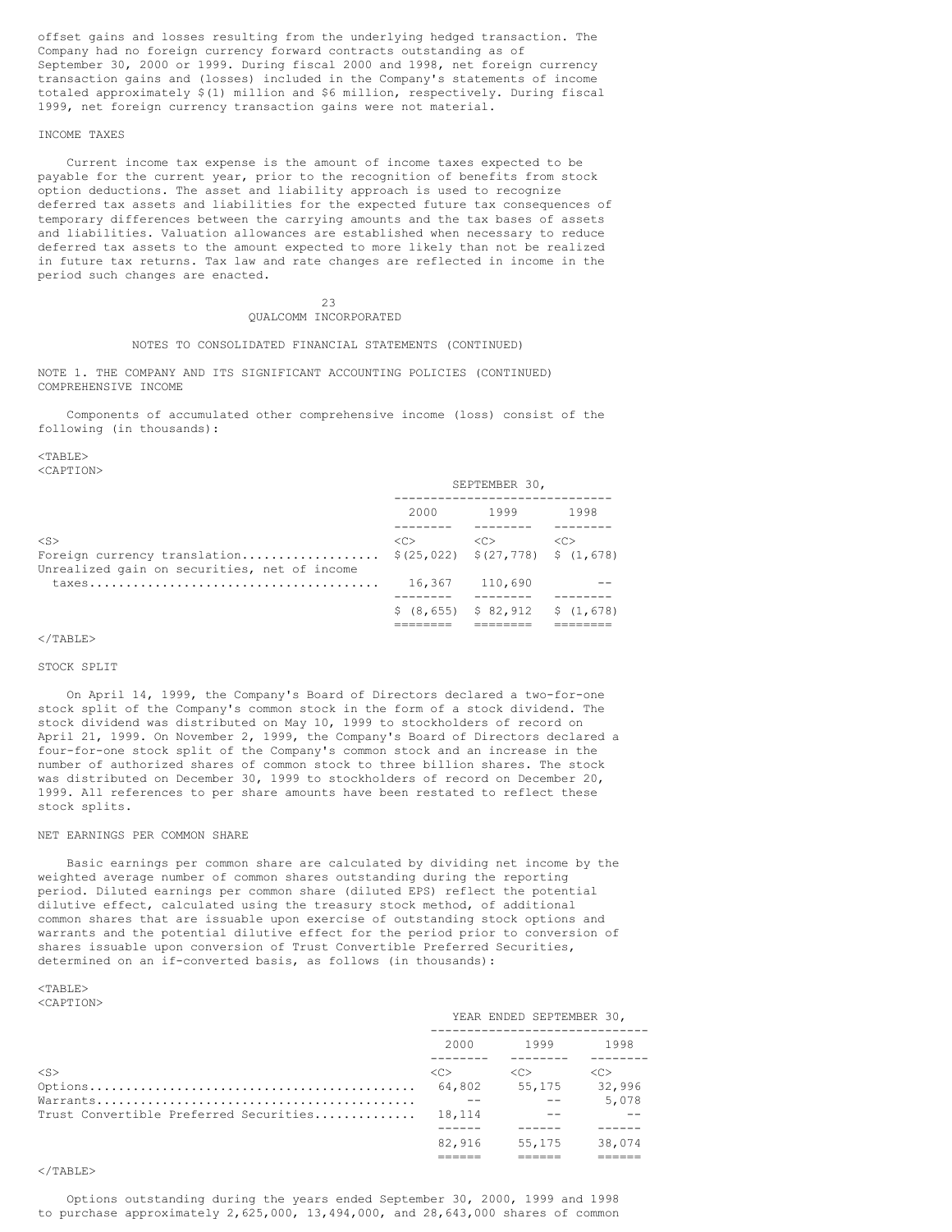offset gains and losses resulting from the underlying hedged transaction. The Company had no foreign currency forward contracts outstanding as of September 30, 2000 or 1999. During fiscal 2000 and 1998, net foreign currency transaction gains and (losses) included in the Company's statements of income totaled approximately \$(1) million and \$6 million, respectively. During fiscal 1999, net foreign currency transaction gains were not material.

# INCOME TAXES

Current income tax expense is the amount of income taxes expected to be payable for the current year, prior to the recognition of benefits from stock option deductions. The asset and liability approach is used to recognize deferred tax assets and liabilities for the expected future tax consequences of temporary differences between the carrying amounts and the tax bases of assets and liabilities. Valuation allowances are established when necessary to reduce deferred tax assets to the amount expected to more likely than not be realized in future tax returns. Tax law and rate changes are reflected in income in the period such changes are enacted.

## 23 QUALCOMM INCORPORATED

#### NOTES TO CONSOLIDATED FINANCIAL STATEMENTS (CONTINUED)

NOTE 1. THE COMPANY AND ITS SIGNIFICANT ACCOUNTING POLICIES (CONTINUED) COMPREHENSIVE INCOME

Components of accumulated other comprehensive income (loss) consist of the following (in thousands):

#### $<$ TABLE> <CAPTION>

|                                                                                | SEPTEMBER 30,       |                                       |                     |  |
|--------------------------------------------------------------------------------|---------------------|---------------------------------------|---------------------|--|
|                                                                                | 2000                | 1999                                  | 1998                |  |
| $<$ S><br>Foreign currency translation $$(25, 022)$ $$(27, 778)$ \$ $(1, 678)$ | $\langle C \rangle$ | $\langle C \rangle$                   | $\langle C \rangle$ |  |
| Unrealized gain on securities, net of income                                   |                     | 16,367 110,690                        |                     |  |
|                                                                                |                     | \$ (8, 655) \$ \$ 82, 912 \$ (1, 678) |                     |  |

# $\langle$ /TABLE>

## STOCK SPLIT

On April 14, 1999, the Company's Board of Directors declared a two-for-one stock split of the Company's common stock in the form of a stock dividend. The stock dividend was distributed on May 10, 1999 to stockholders of record on April 21, 1999. On November 2, 1999, the Company's Board of Directors declared a four-for-one stock split of the Company's common stock and an increase in the number of authorized shares of common stock to three billion shares. The stock was distributed on December 30, 1999 to stockholders of record on December 20, 1999. All references to per share amounts have been restated to reflect these stock splits.

# NET EARNINGS PER COMMON SHARE

Basic earnings per common share are calculated by dividing net income by the weighted average number of common shares outstanding during the reporting period. Diluted earnings per common share (diluted EPS) reflect the potential dilutive effect, calculated using the treasury stock method, of additional common shares that are issuable upon exercise of outstanding stock options and warrants and the potential dilutive effect for the period prior to conversion of shares issuable upon conversion of Trust Convertible Preferred Securities, determined on an if-converted basis, as follows (in thousands):

#### $<$ TABLE> <CAPTION>

|                                        | YEAR ENDED SEPTEMBER 30, |               |                     |  |
|----------------------------------------|--------------------------|---------------|---------------------|--|
|                                        | 2000                     | 1999          | 1998                |  |
| $\langle$ S>                           | $\langle C \rangle$      | < <sub></sub> | $\langle C \rangle$ |  |
|                                        |                          | 64,802 55,175 | 32,996<br>5,078     |  |
| Trust Convertible Preferred Securities | 18.114                   |               |                     |  |
|                                        |                          |               |                     |  |
|                                        | 82,916                   | 55,175        | 38,074              |  |
|                                        |                          |               |                     |  |

# $\langle$ /TABLE>

Options outstanding during the years ended September 30, 2000, 1999 and 1998 to purchase approximately 2,625,000, 13,494,000, and 28,643,000 shares of common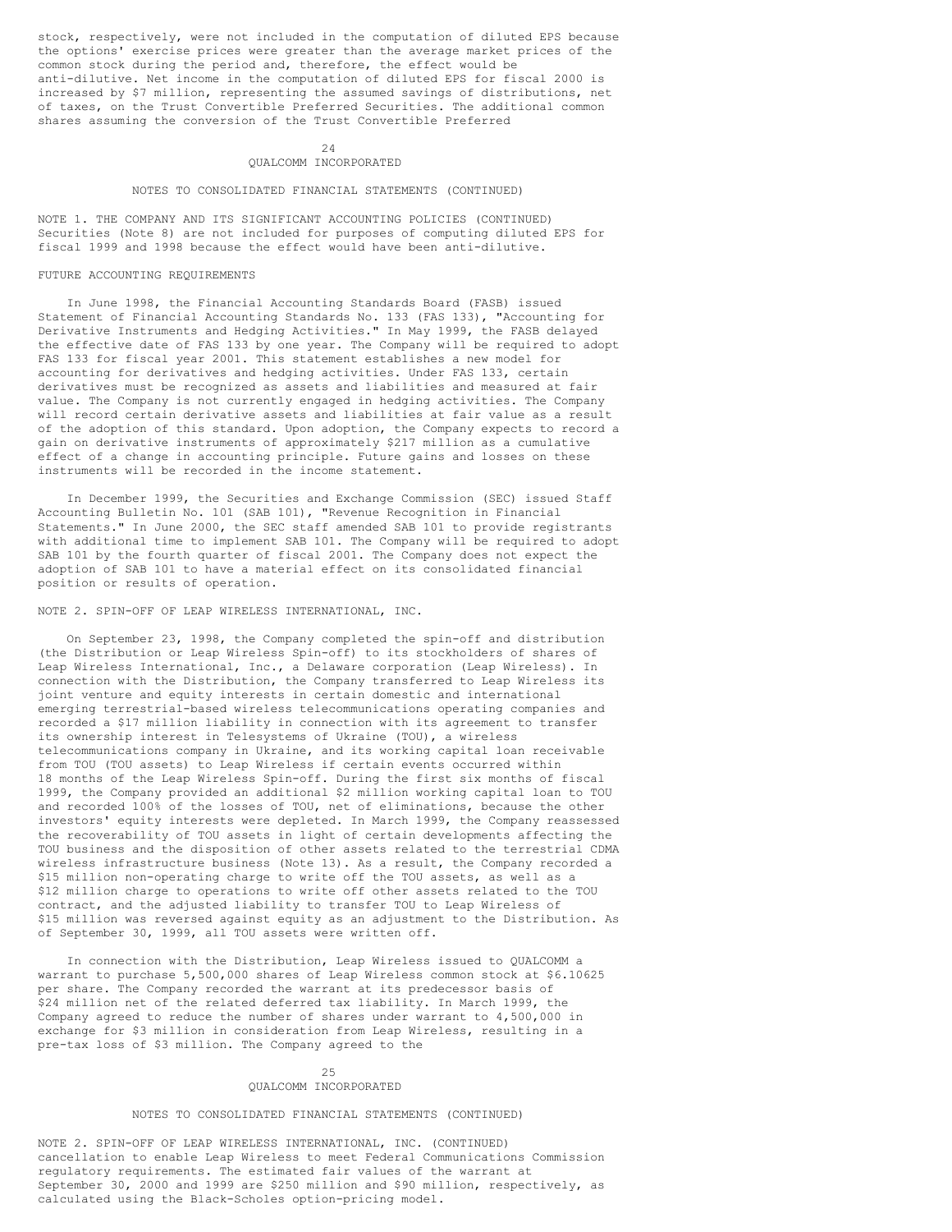stock, respectively, were not included in the computation of diluted EPS because the options' exercise prices were greater than the average market prices of the common stock during the period and, therefore, the effect would be anti-dilutive. Net income in the computation of diluted EPS for fiscal 2000 is increased by \$7 million, representing the assumed savings of distributions, net of taxes, on the Trust Convertible Preferred Securities. The additional common shares assuming the conversion of the Trust Convertible Preferred

# 24 QUALCOMM INCORPORATED

#### NOTES TO CONSOLIDATED FINANCIAL STATEMENTS (CONTINUED)

NOTE 1. THE COMPANY AND ITS SIGNIFICANT ACCOUNTING POLICIES (CONTINUED) Securities (Note 8) are not included for purposes of computing diluted EPS for fiscal 1999 and 1998 because the effect would have been anti-dilutive.

# FUTURE ACCOUNTING REQUIREMENTS

In June 1998, the Financial Accounting Standards Board (FASB) issued Statement of Financial Accounting Standards No. 133 (FAS 133), "Accounting for Derivative Instruments and Hedging Activities." In May 1999, the FASB delayed the effective date of FAS 133 by one year. The Company will be required to adopt FAS 133 for fiscal year 2001. This statement establishes a new model for accounting for derivatives and hedging activities. Under FAS 133, certain derivatives must be recognized as assets and liabilities and measured at fair value. The Company is not currently engaged in hedging activities. The Company will record certain derivative assets and liabilities at fair value as a result of the adoption of this standard. Upon adoption, the Company expects to record a gain on derivative instruments of approximately \$217 million as a cumulative effect of a change in accounting principle. Future gains and losses on these instruments will be recorded in the income statement.

In December 1999, the Securities and Exchange Commission (SEC) issued Staff Accounting Bulletin No. 101 (SAB 101), "Revenue Recognition in Financial Statements." In June 2000, the SEC staff amended SAB 101 to provide registrants with additional time to implement SAB 101. The Company will be required to adopt SAB 101 by the fourth quarter of fiscal 2001. The Company does not expect the adoption of SAB 101 to have a material effect on its consolidated financial position or results of operation.

#### NOTE 2. SPIN-OFF OF LEAP WIRELESS INTERNATIONAL, INC.

On September 23, 1998, the Company completed the spin-off and distribution (the Distribution or Leap Wireless Spin-off) to its stockholders of shares of Leap Wireless International, Inc., a Delaware corporation (Leap Wireless). In connection with the Distribution, the Company transferred to Leap Wireless its joint venture and equity interests in certain domestic and international emerging terrestrial-based wireless telecommunications operating companies and recorded a \$17 million liability in connection with its agreement to transfer its ownership interest in Telesystems of Ukraine (TOU), a wireless telecommunications company in Ukraine, and its working capital loan receivable from TOU (TOU assets) to Leap Wireless if certain events occurred within 18 months of the Leap Wireless Spin-off. During the first six months of fiscal 1999, the Company provided an additional \$2 million working capital loan to TOU and recorded 100% of the losses of TOU, net of eliminations, because the other investors' equity interests were depleted. In March 1999, the Company reassessed the recoverability of TOU assets in light of certain developments affecting the TOU business and the disposition of other assets related to the terrestrial CDMA wireless infrastructure business (Note 13). As a result, the Company recorded a \$15 million non-operating charge to write off the TOU assets, as well as a \$12 million charge to operations to write off other assets related to the TOU contract, and the adjusted liability to transfer TOU to Leap Wireless of \$15 million was reversed against equity as an adjustment to the Distribution. As of September 30, 1999, all TOU assets were written off.

In connection with the Distribution, Leap Wireless issued to QUALCOMM a warrant to purchase 5,500,000 shares of Leap Wireless common stock at \$6.10625 per share. The Company recorded the warrant at its predecessor basis of \$24 million net of the related deferred tax liability. In March 1999, the Company agreed to reduce the number of shares under warrant to 4,500,000 in exchange for \$3 million in consideration from Leap Wireless, resulting in a pre-tax loss of \$3 million. The Company agreed to the

# 25 QUALCOMM INCORPORATED

### NOTES TO CONSOLIDATED FINANCIAL STATEMENTS (CONTINUED)

NOTE 2. SPIN-OFF OF LEAP WIRELESS INTERNATIONAL, INC. (CONTINUED) cancellation to enable Leap Wireless to meet Federal Communications Commission regulatory requirements. The estimated fair values of the warrant at September 30, 2000 and 1999 are \$250 million and \$90 million, respectively, as calculated using the Black-Scholes option-pricing model.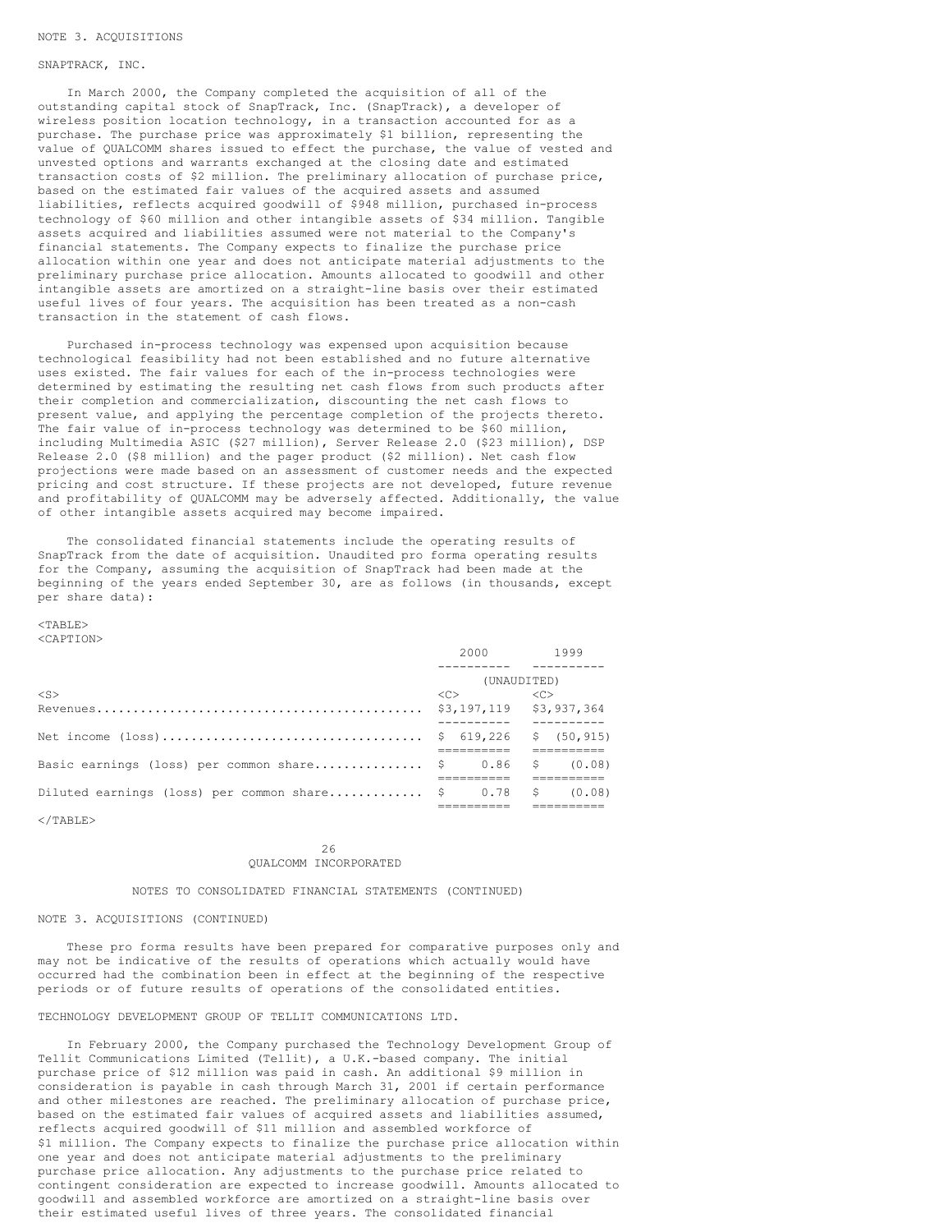### NOTE 3. ACQUISITIONS

#### SNAPTRACK, INC.

In March 2000, the Company completed the acquisition of all of the outstanding capital stock of SnapTrack, Inc. (SnapTrack), a developer of wireless position location technology, in a transaction accounted for as a purchase. The purchase price was approximately \$1 billion, representing the value of QUALCOMM shares issued to effect the purchase, the value of vested and unvested options and warrants exchanged at the closing date and estimated transaction costs of \$2 million. The preliminary allocation of purchase price, based on the estimated fair values of the acquired assets and assumed liabilities, reflects acquired goodwill of \$948 million, purchased in-process technology of \$60 million and other intangible assets of \$34 million. Tangible assets acquired and liabilities assumed were not material to the Company's financial statements. The Company expects to finalize the purchase price allocation within one year and does not anticipate material adjustments to the preliminary purchase price allocation. Amounts allocated to goodwill and other intangible assets are amortized on a straight-line basis over their estimated useful lives of four years. The acquisition has been treated as a non-cash transaction in the statement of cash flows.

Purchased in-process technology was expensed upon acquisition because technological feasibility had not been established and no future alternative uses existed. The fair values for each of the in-process technologies were determined by estimating the resulting net cash flows from such products after their completion and commercialization, discounting the net cash flows to present value, and applying the percentage completion of the projects thereto. The fair value of in-process technology was determined to be \$60 million, including Multimedia ASIC (\$27 million), Server Release 2.0 (\$23 million), DSP Release 2.0 (\$8 million) and the pager product (\$2 million). Net cash flow projections were made based on an assessment of customer needs and the expected pricing and cost structure. If these projects are not developed, future revenue and profitability of QUALCOMM may be adversely affected. Additionally, the value of other intangible assets acquired may become impaired.

The consolidated financial statements include the operating results of SnapTrack from the date of acquisition. Unaudited pro forma operating results for the Company, assuming the acquisition of SnapTrack had been made at the beginning of the years ended September 30, are as follows (in thousands, except per share data):

<TABLE> <CAPTION>

|                                                                                  |             |                     | 2000 1999 |  |
|----------------------------------------------------------------------------------|-------------|---------------------|-----------|--|
|                                                                                  |             |                     |           |  |
|                                                                                  | (UNAUDITED) |                     |           |  |
| $<$ S $>$                                                                        |             | $\langle C \rangle$ | < <c></c> |  |
|                                                                                  |             |                     |           |  |
|                                                                                  |             |                     |           |  |
| Basic earnings (loss) per common share $\frac{1}{2}$ 0.86 $\frac{2}{3}$ (0.08)   |             |                     |           |  |
| Diluted earnings (loss) per common share $\frac{1}{2}$ 0.78 $\frac{1}{2}$ (0.08) |             |                     |           |  |
|                                                                                  |             |                     |           |  |

 $<$ /TABLE>

# 26 QUALCOMM INCORPORATED

# NOTES TO CONSOLIDATED FINANCIAL STATEMENTS (CONTINUED)

#### NOTE 3. ACQUISITIONS (CONTINUED)

These pro forma results have been prepared for comparative purposes only and may not be indicative of the results of operations which actually would have occurred had the combination been in effect at the beginning of the respective periods or of future results of operations of the consolidated entities.

#### TECHNOLOGY DEVELOPMENT GROUP OF TELLIT COMMUNICATIONS LTD.

In February 2000, the Company purchased the Technology Development Group of Tellit Communications Limited (Tellit), a U.K.-based company. The initial purchase price of \$12 million was paid in cash. An additional \$9 million in consideration is payable in cash through March 31, 2001 if certain performance and other milestones are reached. The preliminary allocation of purchase price, based on the estimated fair values of acquired assets and liabilities assumed, reflects acquired goodwill of \$11 million and assembled workforce of \$1 million. The Company expects to finalize the purchase price allocation within one year and does not anticipate material adjustments to the preliminary purchase price allocation. Any adjustments to the purchase price related to contingent consideration are expected to increase goodwill. Amounts allocated to goodwill and assembled workforce are amortized on a straight-line basis over their estimated useful lives of three years. The consolidated financial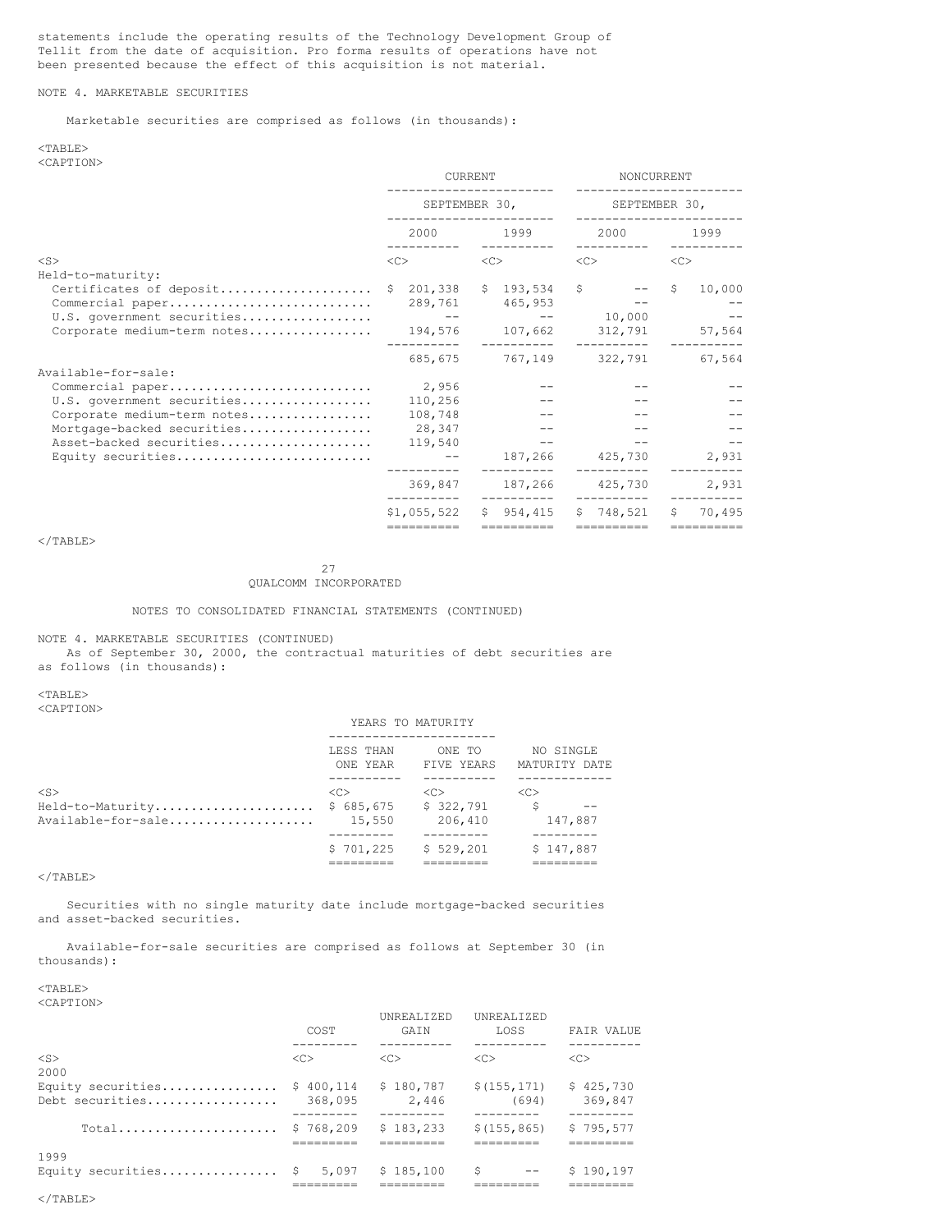statements include the operating results of the Technology Development Group of Tellit from the date of acquisition. Pro forma results of operations have not been presented because the effect of this acquisition is not material.

# NOTE 4. MARKETABLE SECURITIES

Marketable securities are comprised as follows (in thousands):

# <TABLE> <CAPTION>

|                                                         |                           | CURRENT<br>_____________________              | NONCURRENT                                         |                     |
|---------------------------------------------------------|---------------------------|-----------------------------------------------|----------------------------------------------------|---------------------|
|                                                         | ------------------------  |                                               | SEPTEMBER 30, SEPTEMBER 30,<br>___________________ |                     |
|                                                         | ----------                | 2000 1999 1991<br>___________                 | __________                                         | 2000 1999           |
| $<$ S $>$                                               | $\langle C \rangle$       | $\langle$ C>                                  | $\langle C \rangle$                                | $\langle C \rangle$ |
| Held-to-maturity:                                       |                           |                                               |                                                    |                     |
| Certificates of deposit $$ 201,338$<br>Commercial paper |                           | \$193,534<br>289,761 465,953                  | $S \t - - S$                                       | 10,000              |
| U.S. government securities                              | and the second control of |                                               | $-- 10,000$                                        |                     |
| Corporate medium-term notes                             |                           | 194,576 107,662 312,791 57,564<br>----------- | ___________                                        |                     |
|                                                         |                           | 685,675 767,149 322,791                       |                                                    | 67,564              |
| Available-for-sale:                                     |                           |                                               |                                                    |                     |
| Commercial paper                                        | 2,956                     |                                               |                                                    |                     |
| U.S. government securities                              | 110,256                   |                                               |                                                    |                     |
| Corporate medium-term notes                             | 108,748                   |                                               |                                                    |                     |
| Mortgage-backed securities                              | 28,347                    |                                               |                                                    |                     |
| Asset-backed securities                                 | 119,540                   |                                               |                                                    |                     |
| Equity securities                                       |                           | 187,266 425,730                               |                                                    | 2,931               |
|                                                         |                           | 369,847 187,266 425,730                       |                                                    | 2,931               |
|                                                         | \$1,055,522               | \$954.415                                     | \$748.521                                          | 70,495<br>S.        |
|                                                         | ==========                | ==========                                    | -----------                                        | -----------         |

 $<$ /TABLE>

# 27 QUALCOMM INCORPORATED

NOTES TO CONSOLIDATED FINANCIAL STATEMENTS (CONTINUED)

# NOTE 4. MARKETABLE SECURITIES (CONTINUED) As of September 30, 2000, the contractual maturities of debt securities are as follows (in thousands):

<TABLE> <CAPTION>

|                    | YEARS TO MATURITY |                     |               |
|--------------------|-------------------|---------------------|---------------|
|                    |                   |                     |               |
|                    | LESS THAN         | ONE TO              | NO SINGLE     |
|                    | ONE YEAR          | FTVE YEARS          | MATURITY DATE |
|                    |                   |                     |               |
| $<$ S>             | < <sub></sub>     | $\langle C \rangle$ | < <sub></sub> |
| Held-to-Maturity   | \$685,675         | \$322,791           | \$            |
| Available-for-sale | 15,550            | 206,410             | 147,887       |
|                    |                   |                     |               |
|                    | \$701,225         | \$529,201           | \$147,887     |
|                    |                   |                     |               |

</TABLE>

Securities with no single maturity date include mortgage-backed securities and asset-backed securities.

Available-for-sale securities are comprised as follows at September 30 (in thousands):

#### <TABLE> <CAPTION>

 $<$ /TABLE>

|                                      | COST                 | UNREALIZED<br>GATN | <b>UNREALIZED</b><br><b>TOSS</b> | FAIR VALUE           |
|--------------------------------------|----------------------|--------------------|----------------------------------|----------------------|
| $<$ S $>$<br>2000                    | < <sub></sub>        | < <sub></sub>      | < <sub></sub>                    | < <sub></sub>        |
| Equity securities<br>Debt securities | \$400,114<br>368,095 | \$180,787<br>2,446 | \$(155, 171)<br>(694)            | \$425,730<br>369,847 |
| $Total$                              | \$768, 209           | \$183,233          | \$(155, 865)                     | \$795,577            |
| 1999<br>Equity securities \$         | 5,097                | \$185,100          | \$                               | \$190,197            |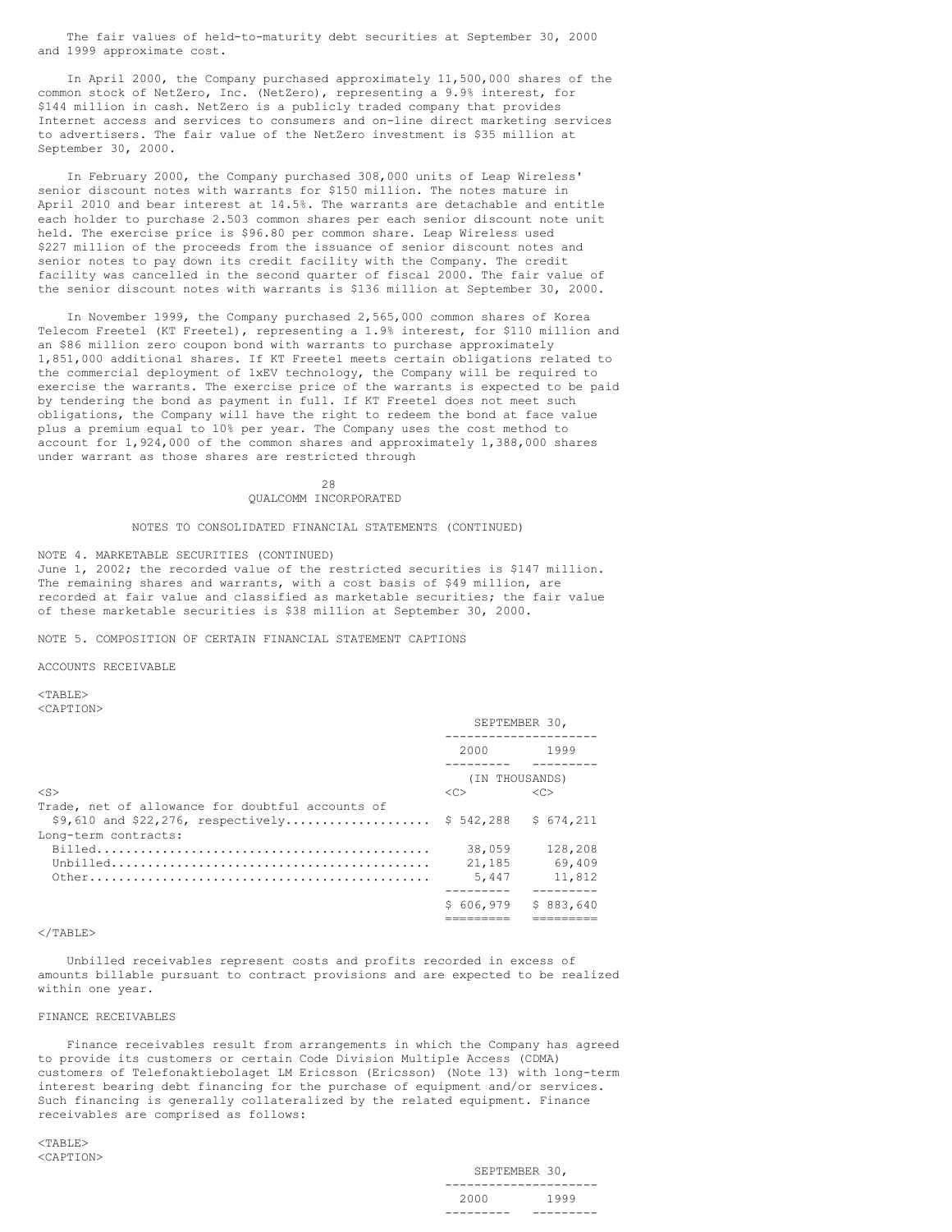The fair values of held-to-maturity debt securities at September 30, 2000 and 1999 approximate cost.

In April 2000, the Company purchased approximately 11,500,000 shares of the common stock of NetZero, Inc. (NetZero), representing a 9.9% interest, for \$144 million in cash. NetZero is a publicly traded company that provides Internet access and services to consumers and on-line direct marketing services to advertisers. The fair value of the NetZero investment is \$35 million at September 30, 2000.

In February 2000, the Company purchased 308,000 units of Leap Wireless' senior discount notes with warrants for \$150 million. The notes mature in April 2010 and bear interest at 14.5%. The warrants are detachable and entitle each holder to purchase 2.503 common shares per each senior discount note unit held. The exercise price is \$96.80 per common share. Leap Wireless used \$227 million of the proceeds from the issuance of senior discount notes and senior notes to pay down its credit facility with the Company. The credit facility was cancelled in the second quarter of fiscal 2000. The fair value of the senior discount notes with warrants is \$136 million at September 30, 2000.

In November 1999, the Company purchased 2,565,000 common shares of Korea Telecom Freetel (KT Freetel), representing a 1.9% interest, for \$110 million and an \$86 million zero coupon bond with warrants to purchase approximately 1,851,000 additional shares. If KT Freetel meets certain obligations related to the commercial deployment of 1xEV technology, the Company will be required to exercise the warrants. The exercise price of the warrants is expected to be paid by tendering the bond as payment in full. If KT Freetel does not meet such obligations, the Company will have the right to redeem the bond at face value plus a premium equal to 10% per year. The Company uses the cost method to account for 1,924,000 of the common shares and approximately 1,388,000 shares under warrant as those shares are restricted through

> 28 QUALCOMM INCORPORATED

#### NOTES TO CONSOLIDATED FINANCIAL STATEMENTS (CONTINUED)

## NOTE 4. MARKETABLE SECURITIES (CONTINUED)

June 1, 2002; the recorded value of the restricted securities is \$147 million. The remaining shares and warrants, with a cost basis of \$49 million, are recorded at fair value and classified as marketable securities; the fair value of these marketable securities is \$38 million at September 30, 2000.

NOTE 5. COMPOSITION OF CERTAIN FINANCIAL STATEMENT CAPTIONS

ACCOUNTS RECEIVABLE

 $<$ TABLE> <CAPTION>

|                                                  | SEPTEMBER 30,           |               |
|--------------------------------------------------|-------------------------|---------------|
|                                                  | 2000                    | 1999          |
|                                                  | (IN THOUSANDS)          |               |
| $<$ S $>$                                        | < <sub></sub>           | < <sub></sub> |
| Trade, net of allowance for doubtful accounts of |                         |               |
| \$9,610 and \$22,276, respectively               | $$542, 288$ $$674, 211$ |               |
| Long-term contracts:                             |                         |               |
| $Billed$                                         | 38,059                  | 128,208       |
|                                                  | 21,185                  | 69,409        |
|                                                  | 5,447                   | 11,812        |
|                                                  |                         |               |
|                                                  | \$606.979               | \$883,640     |
|                                                  |                         |               |

 $\langle$ /TABLE>

Unbilled receivables represent costs and profits recorded in excess of amounts billable pursuant to contract provisions and are expected to be realized within one year.

# FINANCE RECEIVABLES

Finance receivables result from arrangements in which the Company has agreed to provide its customers or certain Code Division Multiple Access (CDMA) customers of Telefonaktiebolaget LM Ericsson (Ericsson) (Note 13) with long-term interest bearing debt financing for the purchase of equipment and/or services. Such financing is generally collateralized by the related equipment. Finance receivables are comprised as follows:

 $<$ TABLE> <CAPTION>

| SEPTEMBER 30, |      |
|---------------|------|
|               |      |
| 2000          | 1999 |
|               |      |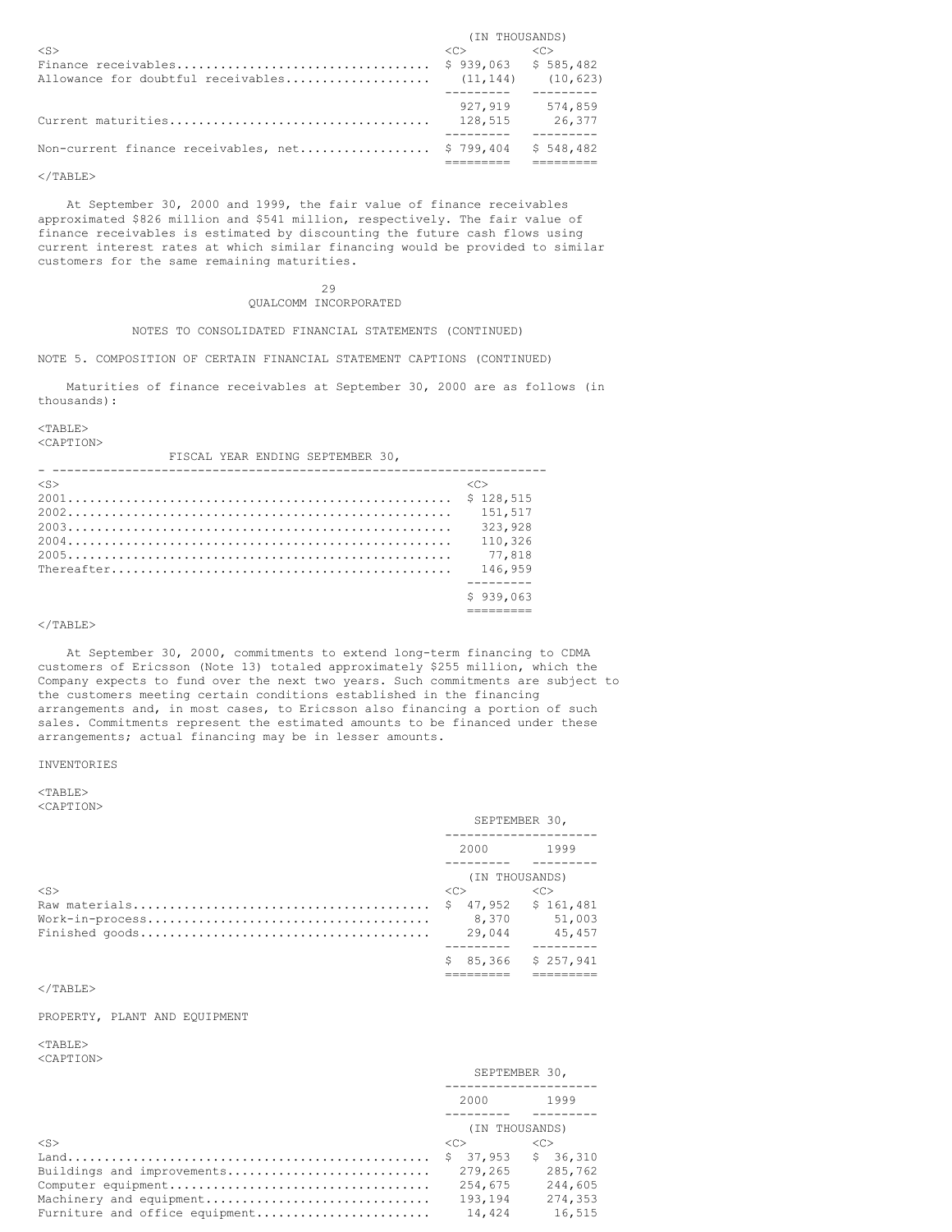|                                                          | (IN THOUSANDS)        |           |  |
|----------------------------------------------------------|-----------------------|-----------|--|
| $<$ S $>$                                                | $\langle C \rangle$   | <<        |  |
| Finance receivables                                      | $$939,063$ $$585,482$ |           |  |
| Allowance for doubtful receivables $(11,144)$ $(10,623)$ |                       |           |  |
|                                                          |                       |           |  |
|                                                          | 927,919               | 574,859   |  |
|                                                          | 128,515               | 26.377    |  |
|                                                          |                       |           |  |
| Non-current finance receivables, net \$ 799,404          |                       | \$548,482 |  |
|                                                          |                       |           |  |

 $<$ /TABLE>

At September 30, 2000 and 1999, the fair value of finance receivables approximated \$826 million and \$541 million, respectively. The fair value of finance receivables is estimated by discounting the future cash flows using current interest rates at which similar financing would be provided to similar customers for the same remaining maturities.

# 29 QUALCOMM INCORPORATED

# NOTES TO CONSOLIDATED FINANCIAL STATEMENTS (CONTINUED)

NOTE 5. COMPOSITION OF CERTAIN FINANCIAL STATEMENT CAPTIONS (CONTINUED)

Maturities of finance receivables at September 30, 2000 are as follows (in thousands):

#### <TABLE> <CAPTION>

| FISCAL YEAR ENDING SEPTEMBER 30, |                     |
|----------------------------------|---------------------|
| $<$ S $>$                        | $\langle C \rangle$ |
| $2001$ \$ 128,515                |                     |
|                                  | 151,517             |
|                                  | 323,928             |
|                                  | 110,326             |
|                                  | 77,818              |
|                                  | 146,959             |
|                                  |                     |
|                                  | \$939,063           |
|                                  |                     |

# $<$ /TABLE>

At September 30, 2000, commitments to extend long-term financing to CDMA customers of Ericsson (Note 13) totaled approximately \$255 million, which the Company expects to fund over the next two years. Such commitments are subject to the customers meeting certain conditions established in the financing arrangements and, in most cases, to Ericsson also financing a portion of such sales. Commitments represent the estimated amounts to be financed under these arrangements; actual financing may be in lesser amounts.

## INVENTORIES

<TABLE> <CAPTION>

|        | SEPTEMBER 30, |                |                                   |
|--------|---------------|----------------|-----------------------------------|
|        |               | 2000 -         | 1999                              |
| $<$ S> | < <sub></sub> | (IN THOUSANDS) | <<                                |
|        | \$            |                | 47,952 \$ 161,481<br>8,370 51,003 |
|        |               | 29,044         | 45.457                            |
|        |               |                | 85,366 \$257,941                  |

### $<$ /TABLE>

# PROPERTY, PLANT AND EQUIPMENT

 $<$ TABLE> <CAPTION>

|                                                                                                               |                                               | SEPTEMBER 30,                                               |
|---------------------------------------------------------------------------------------------------------------|-----------------------------------------------|-------------------------------------------------------------|
|                                                                                                               | 2000                                          | 1999                                                        |
|                                                                                                               | (IN THOUSANDS)                                |                                                             |
| $<$ S>                                                                                                        | $\langle C \rangle$                           | <<                                                          |
| Buildings and improvements<br>Computer equipment<br>Machinery and equipment<br>Furniture and office equipment | S.<br>279,265<br>254,675<br>193,194<br>14,424 | 37,953 \$ 36,310<br>285,762<br>244,605<br>274,353<br>16,515 |
|                                                                                                               |                                               |                                                             |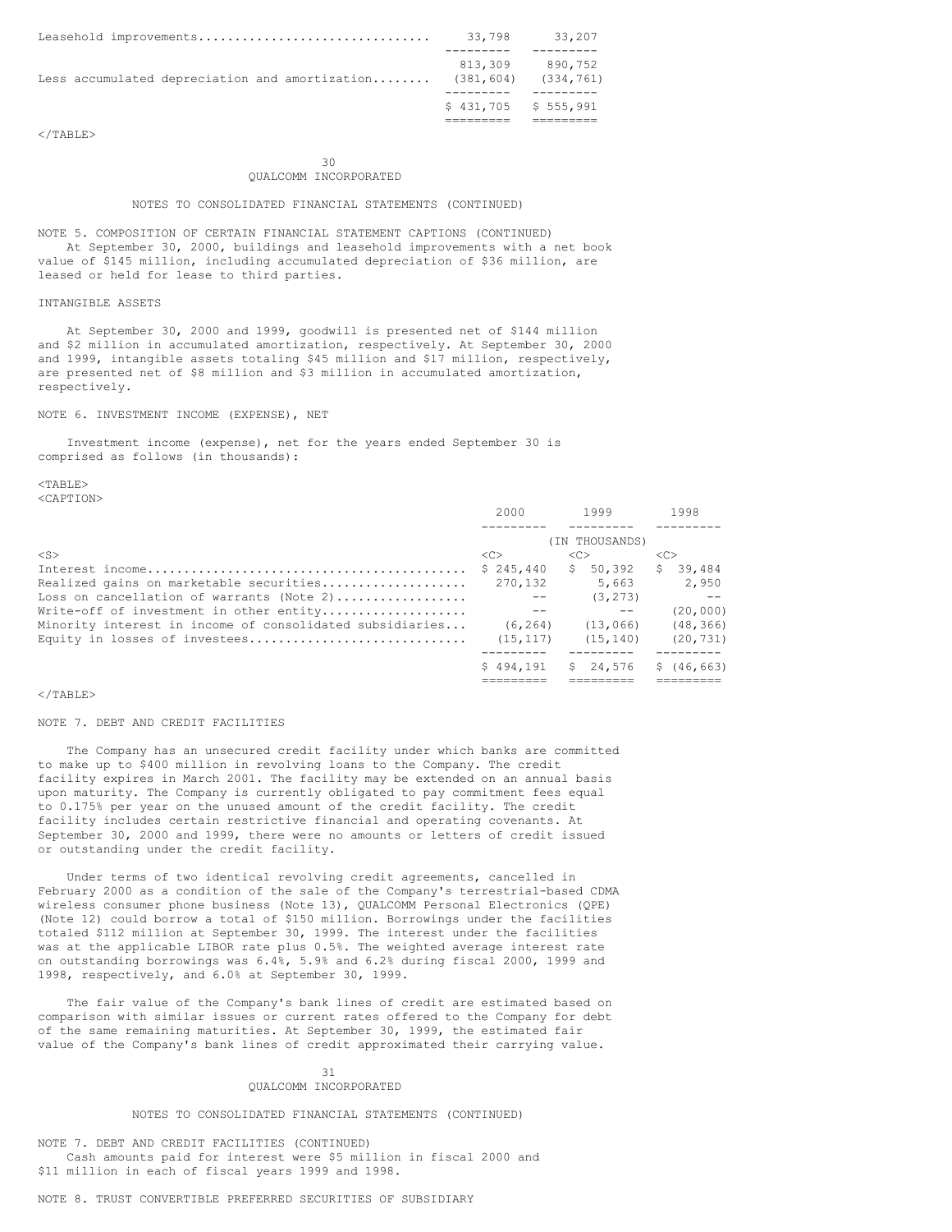| Leasehold improvements                         | 33,798                | 33,207                |
|------------------------------------------------|-----------------------|-----------------------|
| Less accumulated depreciation and amortization | 813,309<br>(381, 604) | 890.752<br>(334, 761) |
|                                                | $$431,705$ $$555,991$ |                       |

 $<$ /TABLE>

## $30$ QUALCOMM INCORPORATED

# NOTES TO CONSOLIDATED FINANCIAL STATEMENTS (CONTINUED)

NOTE 5. COMPOSITION OF CERTAIN FINANCIAL STATEMENT CAPTIONS (CONTINUED) At September 30, 2000, buildings and leasehold improvements with a net book value of \$145 million, including accumulated depreciation of \$36 million, are leased or held for lease to third parties.

#### INTANGIBLE ASSETS

At September 30, 2000 and 1999, goodwill is presented net of \$144 million and \$2 million in accumulated amortization, respectively. At September 30, 2000 and 1999, intangible assets totaling \$45 million and \$17 million, respectively, are presented net of \$8 million and \$3 million in accumulated amortization, respectively.

# NOTE 6. INVESTMENT INCOME (EXPENSE), NET

Investment income (expense), net for the years ended September 30 is comprised as follows (in thousands):

 $<$ TABLE> <CAPTION>

|                                                          | 2000      | 1999                     | 1998          |
|----------------------------------------------------------|-----------|--------------------------|---------------|
|                                                          |           |                          |               |
|                                                          |           | (IN THOUSANDS)           |               |
| $<$ S $>$                                                | <<        | <<                       | < <sub></sub> |
|                                                          | \$245,440 | 50.392<br>$\mathfrak{S}$ | 39,484<br>S.  |
| Realized gains on marketable securities                  | 270,132   | 5,663                    | 2,950         |
| Loss on cancellation of warrants (Note 2)                |           | (3, 273)                 |               |
| Write-off of investment in other entity                  |           |                          | (20, 000)     |
| Minority interest in income of consolidated subsidiaries | (6, 264)  | (13,066)                 | (48, 366)     |
| Equity in losses of investees                            | (15, 117) | (15, 140)                | (20, 731)     |
|                                                          |           |                          |               |
|                                                          | \$494.191 | \$24,576                 | \$(46, 663)   |
|                                                          |           |                          |               |

 $<$ /TABLE>

#### NOTE 7. DEBT AND CREDIT FACILITIES

The Company has an unsecured credit facility under which banks are committed to make up to \$400 million in revolving loans to the Company. The credit facility expires in March 2001. The facility may be extended on an annual basis upon maturity. The Company is currently obligated to pay commitment fees equal to 0.175% per year on the unused amount of the credit facility. The credit facility includes certain restrictive financial and operating covenants. At September 30, 2000 and 1999, there were no amounts or letters of credit issued or outstanding under the credit facility.

Under terms of two identical revolving credit agreements, cancelled in February 2000 as a condition of the sale of the Company's terrestrial-based CDMA wireless consumer phone business (Note 13), QUALCOMM Personal Electronics (QPE) (Note 12) could borrow a total of \$150 million. Borrowings under the facilities totaled \$112 million at September 30, 1999. The interest under the facilities was at the applicable LIBOR rate plus 0.5%. The weighted average interest rate on outstanding borrowings was 6.4%, 5.9% and 6.2% during fiscal 2000, 1999 and 1998, respectively, and 6.0% at September 30, 1999.

The fair value of the Company's bank lines of credit are estimated based on comparison with similar issues or current rates offered to the Company for debt of the same remaining maturities. At September 30, 1999, the estimated fair value of the Company's bank lines of credit approximated their carrying value.

## 31 QUALCOMM INCORPORATED

### NOTES TO CONSOLIDATED FINANCIAL STATEMENTS (CONTINUED)

NOTE 7. DEBT AND CREDIT FACILITIES (CONTINUED) Cash amounts paid for interest were \$5 million in fiscal 2000 and \$11 million in each of fiscal years 1999 and 1998.

NOTE 8. TRUST CONVERTIBLE PREFERRED SECURITIES OF SUBSIDIARY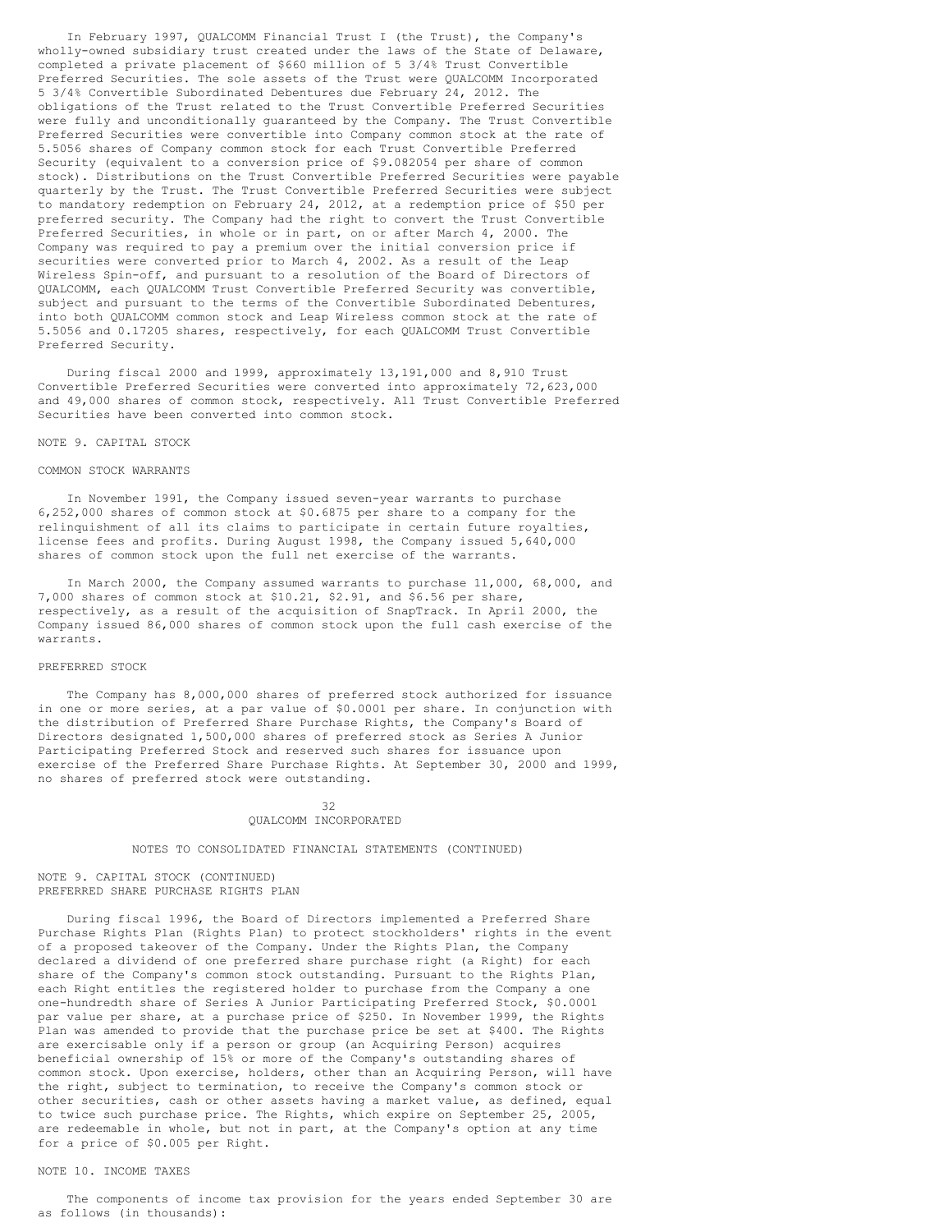In February 1997, QUALCOMM Financial Trust I (the Trust), the Company's wholly-owned subsidiary trust created under the laws of the State of Delaware, completed a private placement of \$660 million of 5 3/4% Trust Convertible Preferred Securities. The sole assets of the Trust were QUALCOMM Incorporated 5 3/4% Convertible Subordinated Debentures due February 24, 2012. The obligations of the Trust related to the Trust Convertible Preferred Securities were fully and unconditionally guaranteed by the Company. The Trust Convertible Preferred Securities were convertible into Company common stock at the rate of 5.5056 shares of Company common stock for each Trust Convertible Preferred Security (equivalent to a conversion price of \$9.082054 per share of common stock). Distributions on the Trust Convertible Preferred Securities were payable quarterly by the Trust. The Trust Convertible Preferred Securities were subject to mandatory redemption on February 24, 2012, at a redemption price of \$50 per preferred security. The Company had the right to convert the Trust Convertible Preferred Securities, in whole or in part, on or after March 4, 2000. The Company was required to pay a premium over the initial conversion price if securities were converted prior to March 4, 2002. As a result of the Leap Wireless Spin-off, and pursuant to a resolution of the Board of Directors of QUALCOMM, each QUALCOMM Trust Convertible Preferred Security was convertible, subject and pursuant to the terms of the Convertible Subordinated Debentures, into both QUALCOMM common stock and Leap Wireless common stock at the rate of 5.5056 and 0.17205 shares, respectively, for each QUALCOMM Trust Convertible Preferred Security.

During fiscal 2000 and 1999, approximately 13,191,000 and 8,910 Trust Convertible Preferred Securities were converted into approximately 72,623,000 and 49,000 shares of common stock, respectively. All Trust Convertible Preferred Securities have been converted into common stock.

## NOTE 9. CAPITAL STOCK

#### COMMON STOCK WARRANTS

In November 1991, the Company issued seven-year warrants to purchase 6,252,000 shares of common stock at \$0.6875 per share to a company for the relinquishment of all its claims to participate in certain future royalties, license fees and profits. During August 1998, the Company issued 5,640,000 shares of common stock upon the full net exercise of the warrants.

In March 2000, the Company assumed warrants to purchase 11,000, 68,000, and 7,000 shares of common stock at \$10.21, \$2.91, and \$6.56 per share, respectively, as a result of the acquisition of SnapTrack. In April 2000, the Company issued 86,000 shares of common stock upon the full cash exercise of the warrants.

## PREFERRED STOCK

The Company has 8,000,000 shares of preferred stock authorized for issuance in one or more series, at a par value of \$0.0001 per share. In conjunction with the distribution of Preferred Share Purchase Rights, the Company's Board of Directors designated 1,500,000 shares of preferred stock as Series A Junior Participating Preferred Stock and reserved such shares for issuance upon exercise of the Preferred Share Purchase Rights. At September 30, 2000 and 1999, no shares of preferred stock were outstanding.

## 32 QUALCOMM INCORPORATED

#### NOTES TO CONSOLIDATED FINANCIAL STATEMENTS (CONTINUED)

#### NOTE 9. CAPITAL STOCK (CONTINUED) PREFERRED SHARE PURCHASE RIGHTS PLAN

During fiscal 1996, the Board of Directors implemented a Preferred Share Purchase Rights Plan (Rights Plan) to protect stockholders' rights in the event of a proposed takeover of the Company. Under the Rights Plan, the Company declared a dividend of one preferred share purchase right (a Right) for each share of the Company's common stock outstanding. Pursuant to the Rights Plan, each Right entitles the registered holder to purchase from the Company a one one-hundredth share of Series A Junior Participating Preferred Stock, \$0.0001 par value per share, at a purchase price of \$250. In November 1999, the Rights Plan was amended to provide that the purchase price be set at \$400. The Rights are exercisable only if a person or group (an Acquiring Person) acquires beneficial ownership of 15% or more of the Company's outstanding shares of common stock. Upon exercise, holders, other than an Acquiring Person, will have the right, subject to termination, to receive the Company's common stock or other securities, cash or other assets having a market value, as defined, equal to twice such purchase price. The Rights, which expire on September 25, 2005, are redeemable in whole, but not in part, at the Company's option at any time for a price of \$0.005 per Right.

# NOTE 10. INCOME TAXES

The components of income tax provision for the years ended September 30 are as follows (in thousands):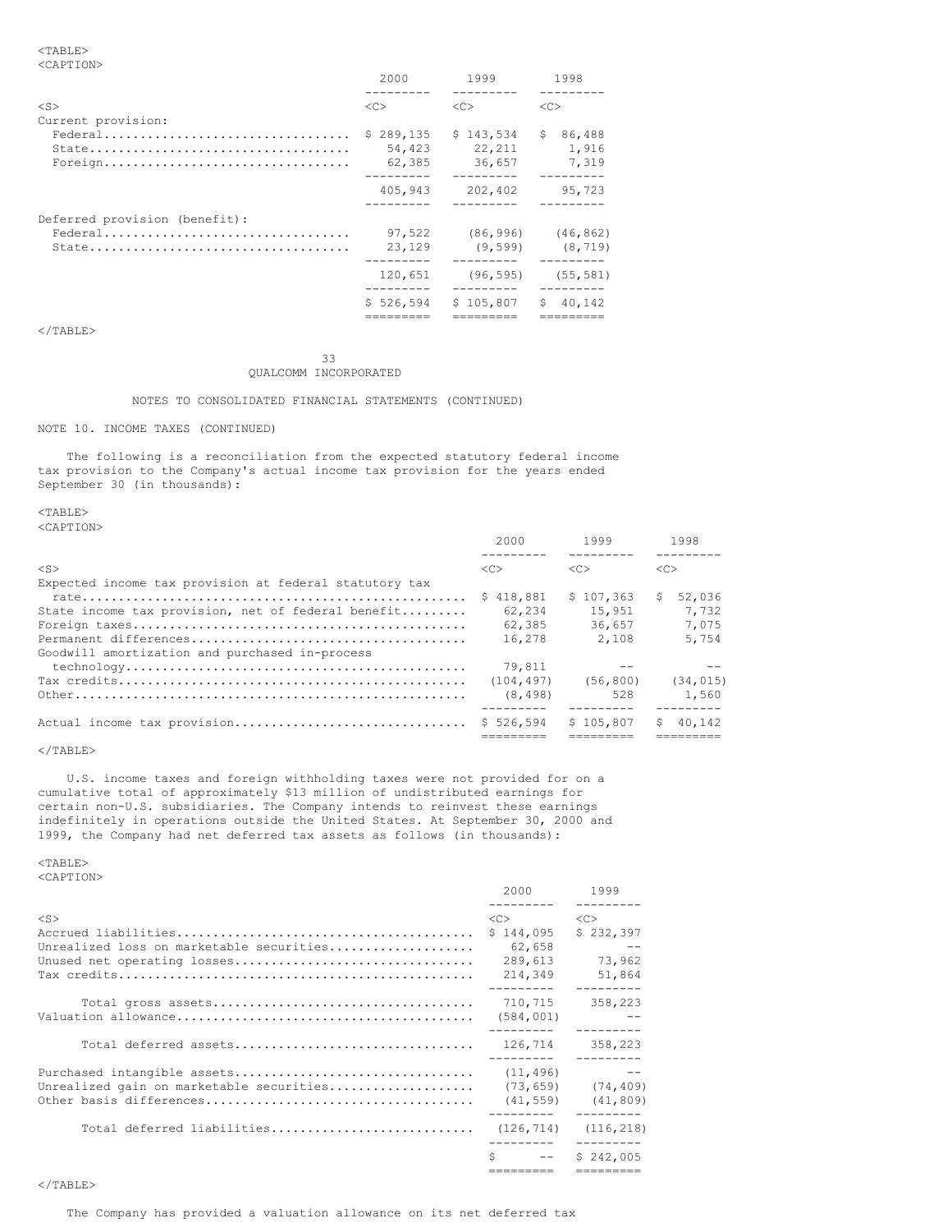| NUILLIUIV                                                                                                             | 2000                          | 1999                                       | 1998                           |
|-----------------------------------------------------------------------------------------------------------------------|-------------------------------|--------------------------------------------|--------------------------------|
| $<$ S $>$                                                                                                             | <<                            | < <sub></sub>                              | <<                             |
| Current provision:<br>Federal<br>Foreign                                                                              | \$289,135<br>54,423<br>62,385 | \$143,534<br>22,211<br>36,657<br>--------- | S.<br>86,488<br>1,916<br>7,319 |
|                                                                                                                       | 405,943                       | 202,402                                    | 95,723                         |
| Deferred provision (benefit):<br>$\texttt{Federal} \dots \dots \dots \dots \dots \dots \dots \dots \dots \dots \dots$ | 23,129                        | 97,522 (86,996) (46,862)                   | $(9, 599)$ $(8, 719)$          |
|                                                                                                                       | 120.651                       | (96, 595)                                  | (55, 581)                      |
|                                                                                                                       | \$526.594                     | \$105,807                                  | 40.142<br>S.                   |

 $\langle$ /TABLE $>$ 

# 33 QUALCOMM INCORPORATED

# NOTES TO CONSOLIDATED FINANCIAL STATEMENTS (CONTINUED)

# NOTE 10. INCOME TAXES (CONTINUED)

The following is a reconciliation from the expected statutory federal income tax provision to the Company's actual income tax provision for the years ended September 30 (in thousands):

<TABLE> <CAPTION>

|                                                        | 2000          | 1999          | 1998          |
|--------------------------------------------------------|---------------|---------------|---------------|
|                                                        |               |               |               |
| $<$ S>                                                 | < <sub></sub> | < <sub></sub> | < <sub></sub> |
| Expected income tax provision at federal statutory tax |               |               |               |
|                                                        | \$418.881     | \$107.363     | 52,036<br>S.  |
| State income tax provision, net of federal benefit     | 62,234        | 15,951        | 7.732         |
|                                                        | 62,385        | 36,657        | 7.075         |
|                                                        | 16,278        | 2,108         | 5,754         |
| Goodwill amortization and purchased in-process         |               |               |               |
|                                                        | 79.811        |               |               |
|                                                        | (104, 497)    | (56, 800)     | (34, 015)     |
|                                                        | (8, 498)      | 528           | 1.560         |
|                                                        |               |               |               |
|                                                        | \$526.594     | \$105,807     | 40.142<br>S.  |
|                                                        |               |               |               |

 $<$ /TABLE $>$ 

U.S. income taxes and foreign withholding taxes were not provided for on a cumulative total of approximately \$13 million of undistributed earnings for certain non-U.S. subsidiaries. The Company intends to reinvest these earnings indefinitely in operations outside the United States. At September 30, 2000 and 1999, the Company had net deferred tax assets as follows (in thousands):

<TABLE>

<CAPTION>

| $<$ S $>$<br>< <sub><br/>&lt;<sub><br/>\$144,095<br/>\$232,397<br/>62,658<br/>Unrealized loss on marketable securities<br/>289,613<br/>73,962<br/>214,349<br/>51,864<br/>710,715<br/>358,223<br/>(584, 001)<br/><math>- - - - - - - - -</math><br/>---------<br/>126,714<br/>358,223<br/>(11, 496)<br/><math>(73, 659)</math> <math>(74, 409)</math><br/>Unrealized gain on marketable securities<br/><math>(41, 559)</math> <math>(41, 809)</math><br/>---------<br/>----------</sub></sub> |                            | 2000       | 1999       |
|----------------------------------------------------------------------------------------------------------------------------------------------------------------------------------------------------------------------------------------------------------------------------------------------------------------------------------------------------------------------------------------------------------------------------------------------------------------------------------------------|----------------------------|------------|------------|
|                                                                                                                                                                                                                                                                                                                                                                                                                                                                                              |                            |            |            |
|                                                                                                                                                                                                                                                                                                                                                                                                                                                                                              |                            |            |            |
|                                                                                                                                                                                                                                                                                                                                                                                                                                                                                              |                            |            |            |
|                                                                                                                                                                                                                                                                                                                                                                                                                                                                                              |                            |            |            |
|                                                                                                                                                                                                                                                                                                                                                                                                                                                                                              |                            |            |            |
|                                                                                                                                                                                                                                                                                                                                                                                                                                                                                              |                            |            |            |
|                                                                                                                                                                                                                                                                                                                                                                                                                                                                                              |                            |            |            |
|                                                                                                                                                                                                                                                                                                                                                                                                                                                                                              |                            |            |            |
|                                                                                                                                                                                                                                                                                                                                                                                                                                                                                              |                            |            |            |
|                                                                                                                                                                                                                                                                                                                                                                                                                                                                                              |                            |            |            |
|                                                                                                                                                                                                                                                                                                                                                                                                                                                                                              |                            |            |            |
|                                                                                                                                                                                                                                                                                                                                                                                                                                                                                              |                            |            |            |
|                                                                                                                                                                                                                                                                                                                                                                                                                                                                                              |                            |            |            |
|                                                                                                                                                                                                                                                                                                                                                                                                                                                                                              |                            |            |            |
|                                                                                                                                                                                                                                                                                                                                                                                                                                                                                              | Total deferred liabilities | (126, 714) | (116, 218) |
| Ŝ<br>and the state of the state of                                                                                                                                                                                                                                                                                                                                                                                                                                                           |                            |            |            |
| \$242,005<br>========<br>=========                                                                                                                                                                                                                                                                                                                                                                                                                                                           |                            |            |            |

 $<$ /TABLE>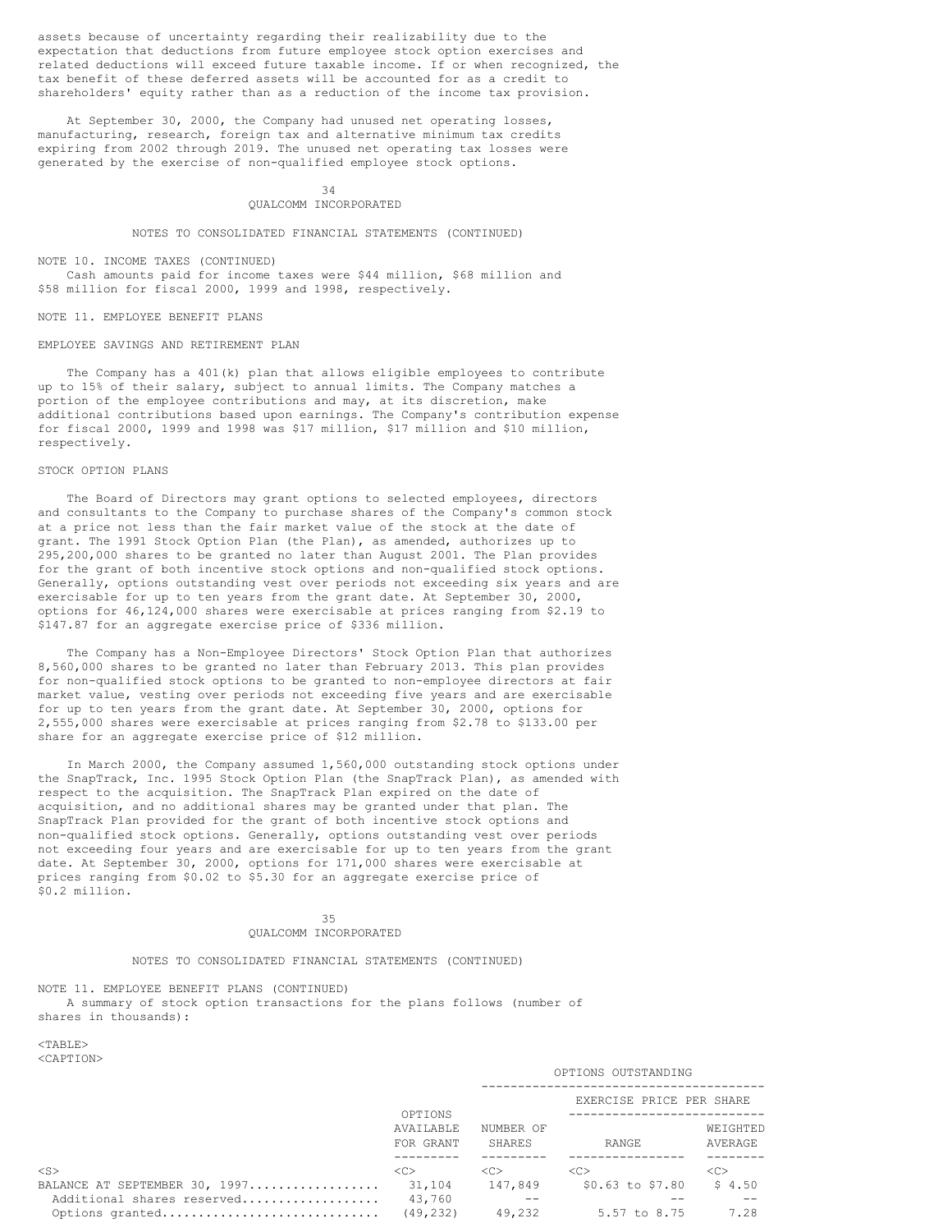assets because of uncertainty regarding their realizability due to the expectation that deductions from future employee stock option exercises and related deductions will exceed future taxable income. If or when recognized, the tax benefit of these deferred assets will be accounted for as a credit to shareholders' equity rather than as a reduction of the income tax provision.

At September 30, 2000, the Company had unused net operating losses, manufacturing, research, foreign tax and alternative minimum tax credits expiring from 2002 through 2019. The unused net operating tax losses were generated by the exercise of non-qualified employee stock options.

> 34 QUALCOMM INCORPORATED

#### NOTES TO CONSOLIDATED FINANCIAL STATEMENTS (CONTINUED)

NOTE 10. INCOME TAXES (CONTINUED) Cash amounts paid for income taxes were \$44 million, \$68 million and \$58 million for fiscal 2000, 1999 and 1998, respectively.

NOTE 11. EMPLOYEE BENEFIT PLANS

EMPLOYEE SAVINGS AND RETIREMENT PLAN

The Company has a 401(k) plan that allows eligible employees to contribute up to 15% of their salary, subject to annual limits. The Company matches a portion of the employee contributions and may, at its discretion, make additional contributions based upon earnings. The Company's contribution expense for fiscal 2000, 1999 and 1998 was \$17 million, \$17 million and \$10 million, respectively.

# STOCK OPTION PLANS

The Board of Directors may grant options to selected employees, directors and consultants to the Company to purchase shares of the Company's common stock at a price not less than the fair market value of the stock at the date of grant. The 1991 Stock Option Plan (the Plan), as amended, authorizes up to 295,200,000 shares to be granted no later than August 2001. The Plan provides for the grant of both incentive stock options and non-qualified stock options. Generally, options outstanding vest over periods not exceeding six years and are exercisable for up to ten years from the grant date. At September 30, 2000, options for 46,124,000 shares were exercisable at prices ranging from \$2.19 to \$147.87 for an aggregate exercise price of \$336 million.

The Company has a Non-Employee Directors' Stock Option Plan that authorizes 8,560,000 shares to be granted no later than February 2013. This plan provides for non-qualified stock options to be granted to non-employee directors at fair market value, vesting over periods not exceeding five years and are exercisable for up to ten years from the grant date. At September 30, 2000, options for 2,555,000 shares were exercisable at prices ranging from \$2.78 to \$133.00 per share for an aggregate exercise price of \$12 million.

In March 2000, the Company assumed 1,560,000 outstanding stock options under the SnapTrack, Inc. 1995 Stock Option Plan (the SnapTrack Plan), as amended with respect to the acquisition. The SnapTrack Plan expired on the date of acquisition, and no additional shares may be granted under that plan. The SnapTrack Plan provided for the grant of both incentive stock options and non-qualified stock options. Generally, options outstanding vest over periods not exceeding four years and are exercisable for up to ten years from the grant date. At September 30, 2000, options for 171,000 shares were exercisable at prices ranging from \$0.02 to \$5.30 for an aggregate exercise price of \$0.2 million.

### 35 QUALCOMM INCORPORATED

#### NOTES TO CONSOLIDATED FINANCIAL STATEMENTS (CONTINUED)

NOTE 11. EMPLOYEE BENEFIT PLANS (CONTINUED)

A summary of stock option transactions for the plans follows (number of shares in thousands):

 $<$ TABLE> <CAPTION>

|                               |                        |                     | OPTIONS OUTSTANDING      |                     |  |  |
|-------------------------------|------------------------|---------------------|--------------------------|---------------------|--|--|
|                               | OPTIONS                |                     | EXERCISE PRICE PER SHARE |                     |  |  |
|                               | AVAILABLE<br>FOR GRANT | NUMBER OF<br>SHARES | RANGE                    | WEIGHTED<br>AVERAGE |  |  |
| $<$ S>                        | < <sub></sub>          | < <sub></sub>       | < <sub></sub>            | < <sub></sub>       |  |  |
| BALANCE AT SEPTEMBER 30, 1997 | 31,104                 | 147.849             | \$0.63 to \$7.80         | \$4.50              |  |  |
| Additional shares reserved    | 43,760                 |                     |                          |                     |  |  |
| Options granted $(49, 232)$   |                        | 49.232              | 5.57 to 8.75             | 7.28                |  |  |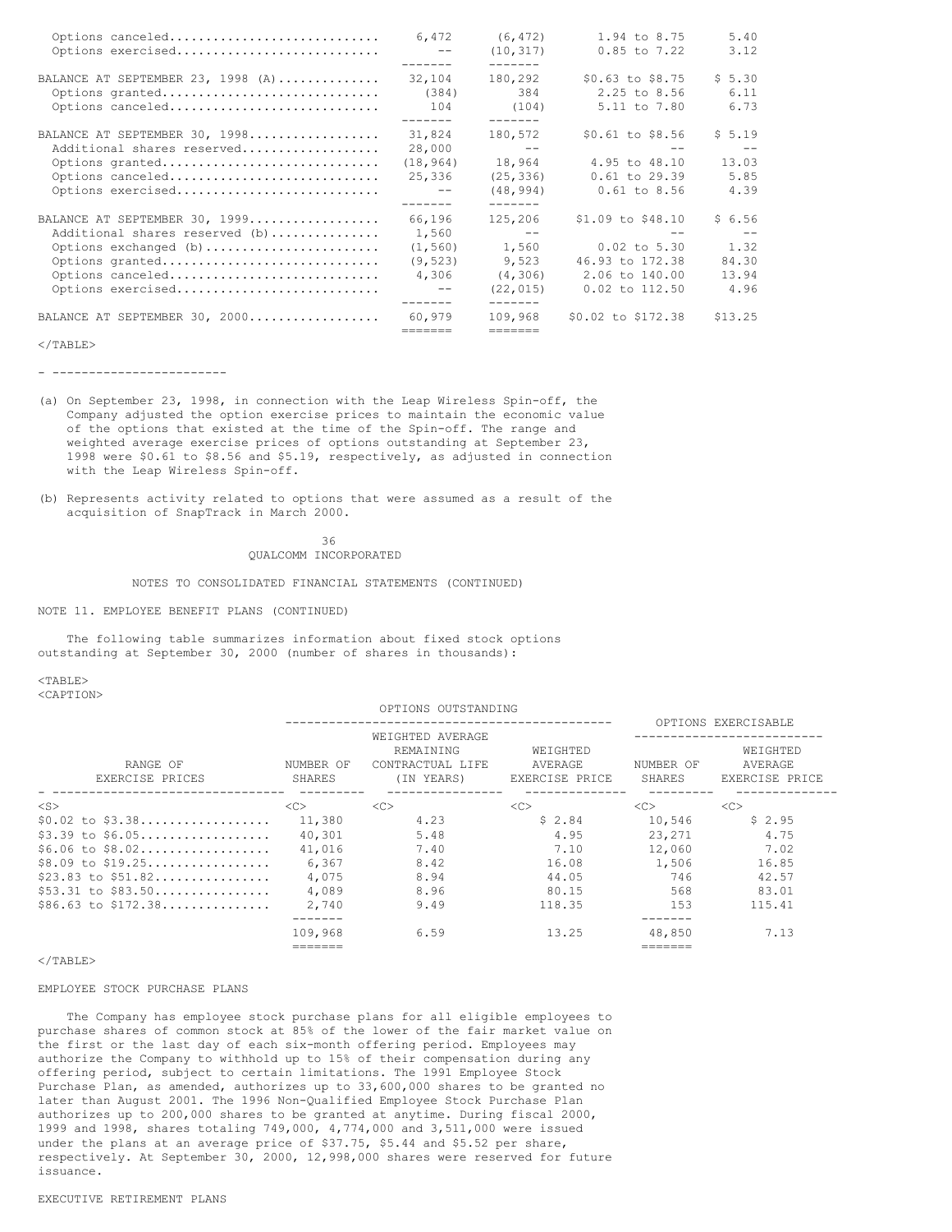| Options canceled<br>Options exercised                                                                                                                | 6,472<br>$- -$                                            | (6, 472)<br>(10, 317)<br>-------                                 | 1.94 to 8.75<br>$0.85$ to $7.22$                                                                   | 5.40<br>3.12                                      |
|------------------------------------------------------------------------------------------------------------------------------------------------------|-----------------------------------------------------------|------------------------------------------------------------------|----------------------------------------------------------------------------------------------------|---------------------------------------------------|
| BALANCE AT SEPTEMBER 23, 1998 (A)<br>Options granted<br>Options canceled                                                                             | 32,104<br>(384)<br>104                                    | 180,292<br>384<br>(104)                                          | $$0.63$ to $$8.75$<br>$2.25$ to $8.56$<br>5.11 to 7.80                                             | \$5.30<br>6.11<br>6.73                            |
| BALANCE AT SEPTEMBER 30, 1998<br>Additional shares reserved<br>Options granted<br>Options canceled<br>Options exercised                              | 31,824<br>28,000<br>(18, 964)<br>25,336<br>$\sim$ $-$     | 180,572<br>$- -$<br>18,964<br>(25, 336)<br>(48, 994)             | $$0.61$ to $$8.56$<br>4.95 to 48.10<br>$0.61$ to 29.39<br>$0.61$ to $8.56$                         | \$5.19<br>13.03<br>5.85<br>4.39                   |
| BALANCE AT SEPTEMBER 30, 1999<br>Additional shares reserved (b)<br>Options exchanged (b)<br>Options granted<br>Options canceled<br>Options exercised | 66,196<br>1,560<br>(1, 560)<br>(9, 523)<br>4,306<br>$- -$ | 125,206<br>$\sim$ $-$<br>1,560<br>9,523<br>(4, 306)<br>(22, 015) | $$1.09$ to $$48.10$<br>$0.02$ to $5.30$<br>46.93 to 172.38<br>2.06 to 140.00<br>$0.02$ to $112.50$ | \$6.56<br>$- -$<br>1.32<br>84.30<br>13.94<br>4.96 |
| BALANCE AT SEPTEMBER 30, 2000                                                                                                                        | 60,979<br>=======                                         | 109,968<br>=======                                               | \$0.02 to \$172.38                                                                                 | \$13.25                                           |

### $<$ /TABLE>

- ------------------------

- (a) On September 23, 1998, in connection with the Leap Wireless Spin-off, the Company adjusted the option exercise prices to maintain the economic value of the options that existed at the time of the Spin-off. The range and weighted average exercise prices of options outstanding at September 23, 1998 were \$0.61 to \$8.56 and \$5.19, respectively, as adjusted in connection with the Leap Wireless Spin-off.
- (b) Represents activity related to options that were assumed as a result of the acquisition of SnapTrack in March 2000.

36 QUALCOMM INCORPORATED

NOTES TO CONSOLIDATED FINANCIAL STATEMENTS (CONTINUED)

NOTE 11. EMPLOYEE BENEFIT PLANS (CONTINUED)

The following table summarizes information about fixed stock options outstanding at September 30, 2000 (number of shares in thousands):

 $<$ TABLE>

<CAPTION>

|                             | OI LLOND OUIDIANDING       |                                                                 | OPTIONS EXERCISABLE                   |                     |                                       |
|-----------------------------|----------------------------|-----------------------------------------------------------------|---------------------------------------|---------------------|---------------------------------------|
| RANGE OF<br>EXERCISE PRICES | NUMBER OF<br><b>SHARES</b> | WEIGHTED AVERAGE<br>REMAINING<br>CONTRACTUAL LIFE<br>(IN YEARS) | WEIGHTED<br>AVERAGE<br>EXERCISE PRICE | NUMBER OF<br>SHARES | WEIGHTED<br>AVERAGE<br>EXERCISE PRICE |
| $<$ S $>$                   | <<                         | <<                                                              | <<                                    | <<                  | <<                                    |
| $$0.02$ to $$3.38$          | 11,380                     | 4.23                                                            | \$2.84                                | 10,546              | \$2.95                                |
| \$3.39 to $$6.05$           | 40,301                     | 5.48                                                            | 4.95                                  | 23,271              | 4.75                                  |
| $$6.06$ to $$8.02$          | 41.016                     | 7.40                                                            | 7.10                                  | 12,060              | 7.02                                  |
| $$8.09$ to $$19.25$         | 6.367                      | 8.42                                                            | 16.08                                 | 1,506               | 16.85                                 |
| \$23.83 to $$51.82$         | 4,075                      | 8.94                                                            | 44.05                                 | 746                 | 42.57                                 |
| \$53.31 to \$83.50          | 4,089                      | 8.96                                                            | 80.15                                 | 568                 | 83.01                                 |
| \$86.63 to \$172.38         | 2,740                      | 9.49                                                            | 118.35                                | 153                 | 115.41                                |
|                             | -------                    |                                                                 |                                       |                     |                                       |
|                             | 109,968                    | 6.59                                                            | 13.25                                 | 48,850              | 7.13                                  |
|                             |                            |                                                                 |                                       |                     |                                       |

OPTIONS OUTSTANDING

# $<$ /TABLE>

#### EMPLOYEE STOCK PURCHASE PLANS

The Company has employee stock purchase plans for all eligible employees to purchase shares of common stock at 85% of the lower of the fair market value on the first or the last day of each six-month offering period. Employees may authorize the Company to withhold up to 15% of their compensation during any offering period, subject to certain limitations. The 1991 Employee Stock Purchase Plan, as amended, authorizes up to 33,600,000 shares to be granted no later than August 2001. The 1996 Non-Qualified Employee Stock Purchase Plan authorizes up to 200,000 shares to be granted at anytime. During fiscal 2000, 1999 and 1998, shares totaling 749,000, 4,774,000 and 3,511,000 were issued under the plans at an average price of \$37.75, \$5.44 and \$5.52 per share, respectively. At September 30, 2000, 12,998,000 shares were reserved for future issuance.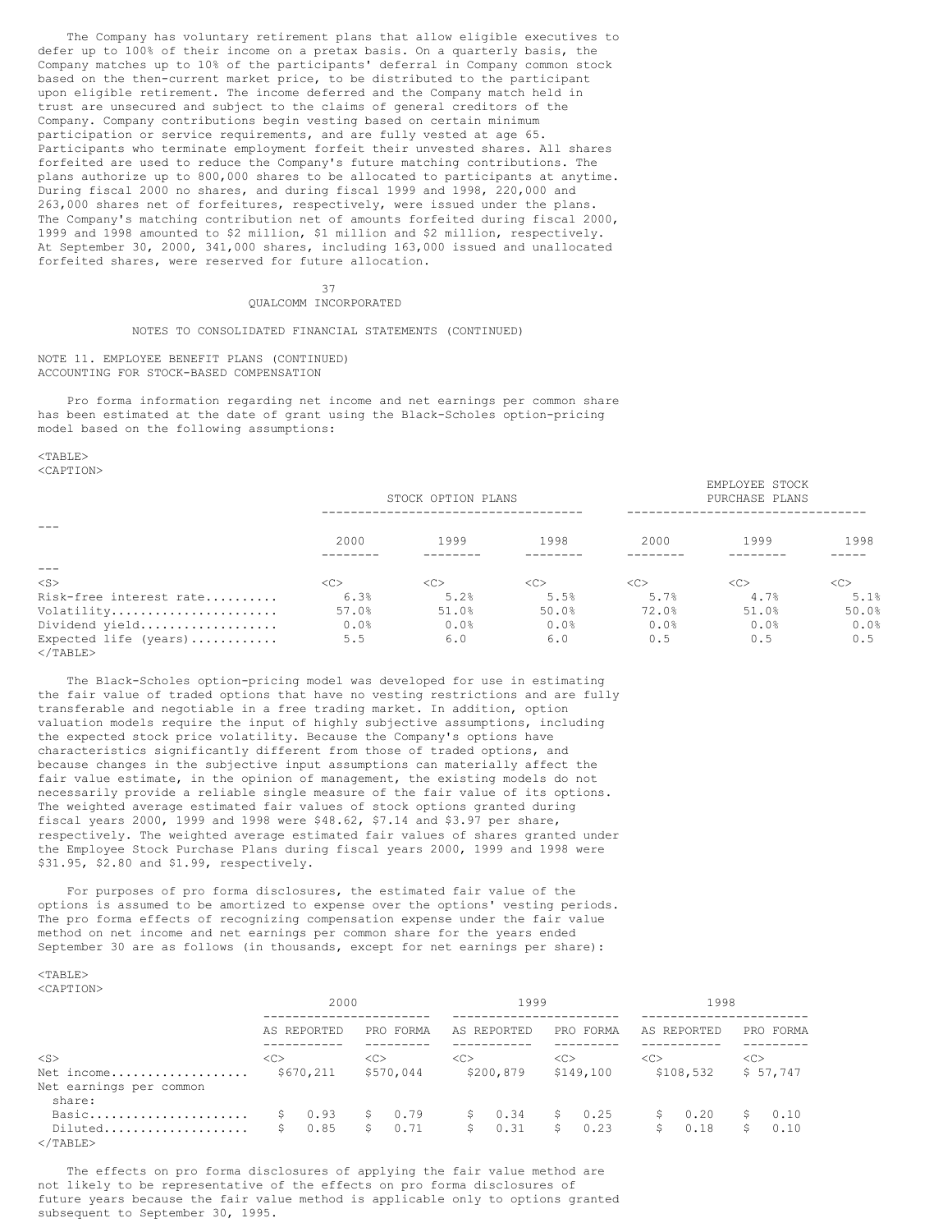The Company has voluntary retirement plans that allow eligible executives to defer up to 100% of their income on a pretax basis. On a quarterly basis, the Company matches up to 10% of the participants' deferral in Company common stock based on the then-current market price, to be distributed to the participant upon eligible retirement. The income deferred and the Company match held in trust are unsecured and subject to the claims of general creditors of the Company. Company contributions begin vesting based on certain minimum participation or service requirements, and are fully vested at age 65. Participants who terminate employment forfeit their unvested shares. All shares forfeited are used to reduce the Company's future matching contributions. The plans authorize up to 800,000 shares to be allocated to participants at anytime. During fiscal 2000 no shares, and during fiscal 1999 and 1998, 220,000 and 263,000 shares net of forfeitures, respectively, were issued under the plans. The Company's matching contribution net of amounts forfeited during fiscal 2000, 1999 and 1998 amounted to \$2 million, \$1 million and \$2 million, respectively. At September 30, 2000, 341,000 shares, including 163,000 issued and unallocated forfeited shares, were reserved for future allocation.

# 37 QUALCOMM INCORPORATED

#### NOTES TO CONSOLIDATED FINANCIAL STATEMENTS (CONTINUED)

NOTE 11. EMPLOYEE BENEFIT PLANS (CONTINUED) ACCOUNTING FOR STOCK-BASED COMPENSATION

Pro forma information regarding net income and net earnings per common share has been estimated at the date of grant using the Black-Scholes option-pricing model based on the following assumptions:

 $<$ TABLE> <CAPTION>

|                                                     |               | STOCK OPTION PLANS |               | EMPLOYEE STOCK<br>PURCHASE PLANS |               |       |  |  |
|-----------------------------------------------------|---------------|--------------------|---------------|----------------------------------|---------------|-------|--|--|
|                                                     | 2000          | 1999               | 1998          | 2000                             | 1999          | 1998  |  |  |
|                                                     |               |                    |               |                                  |               |       |  |  |
| $<$ S>                                              | < <sub></sub> | < <sub></sub>      | < <sub></sub> | < <sub></sub>                    | < <sub></sub> | <<>   |  |  |
| Risk-free interest rate                             | 6.3%          | 5.2%               | 5.5%          | 5.7%                             | 4.7%          | 5.1%  |  |  |
| Volatility                                          | 57.0%         | 51.0%              | 50.0%         | 72.0%                            | 51.0%         | 50.0% |  |  |
| Dividend yield                                      | 0.0%          | 0.0%               | 0.0%          | 0.0%                             | 0.0%          | 0.0%  |  |  |
| Expected life (years)<br>$\langle$ /TABLE $\rangle$ | 5.5           | 6.0                | 6.0           | 0.5                              | 0.5           | 0.5   |  |  |

The Black-Scholes option-pricing model was developed for use in estimating the fair value of traded options that have no vesting restrictions and are fully transferable and negotiable in a free trading market. In addition, option valuation models require the input of highly subjective assumptions, including the expected stock price volatility. Because the Company's options have characteristics significantly different from those of traded options, and because changes in the subjective input assumptions can materially affect the fair value estimate, in the opinion of management, the existing models do not necessarily provide a reliable single measure of the fair value of its options. The weighted average estimated fair values of stock options granted during fiscal years 2000, 1999 and 1998 were \$48.62, \$7.14 and \$3.97 per share, respectively. The weighted average estimated fair values of shares granted under the Employee Stock Purchase Plans during fiscal years 2000, 1999 and 1998 were \$31.95, \$2.80 and \$1.99, respectively.

For purposes of pro forma disclosures, the estimated fair value of the options is assumed to be amortized to expense over the options' vesting periods. The pro forma effects of recognizing compensation expense under the fair value method on net income and net earnings per common share for the years ended September 30 are as follows (in thousands, except for net earnings per share):

# $<$ TABLE>

<CAPTION>

|                                                 | 2000               |              | 1999          |              |               | 1998         |               |              |               |              |               |              |
|-------------------------------------------------|--------------------|--------------|---------------|--------------|---------------|--------------|---------------|--------------|---------------|--------------|---------------|--------------|
|                                                 |                    | AS REPORTED  |               | PRO FORMA    |               | AS REPORTED  |               | PRO FORMA    |               | AS REPORTED  |               | PRO FORMA    |
| $<$ S $>$                                       | < <sub></sub>      |              | < <sub></sub> |              | < <sub></sub> |              | < <sub></sub> |              | < <sub></sub> |              | < <sub></sub> |              |
| Net income<br>Net earnings per common<br>share: |                    | \$670,211    |               | \$570,044    |               | \$200,879    |               | \$149,100    |               | \$108,532    |               | \$57,747     |
| Basic<br>Diluted<br>$\langle$ /TARLE $\rangle$  | $\mathsf{S}$<br>S. | 0.93<br>0.85 | S.<br>Ŝ.      | 0.79<br>0.71 | S.<br>S.      | 0.34<br>0.31 | S.<br>S.      | 0.25<br>0.23 | S.            | 0.20<br>0.18 | S<br>Ŝ.       | 0.10<br>0.10 |

The effects on pro forma disclosures of applying the fair value method are not likely to be representative of the effects on pro forma disclosures of future years because the fair value method is applicable only to options granted subsequent to September 30, 1995.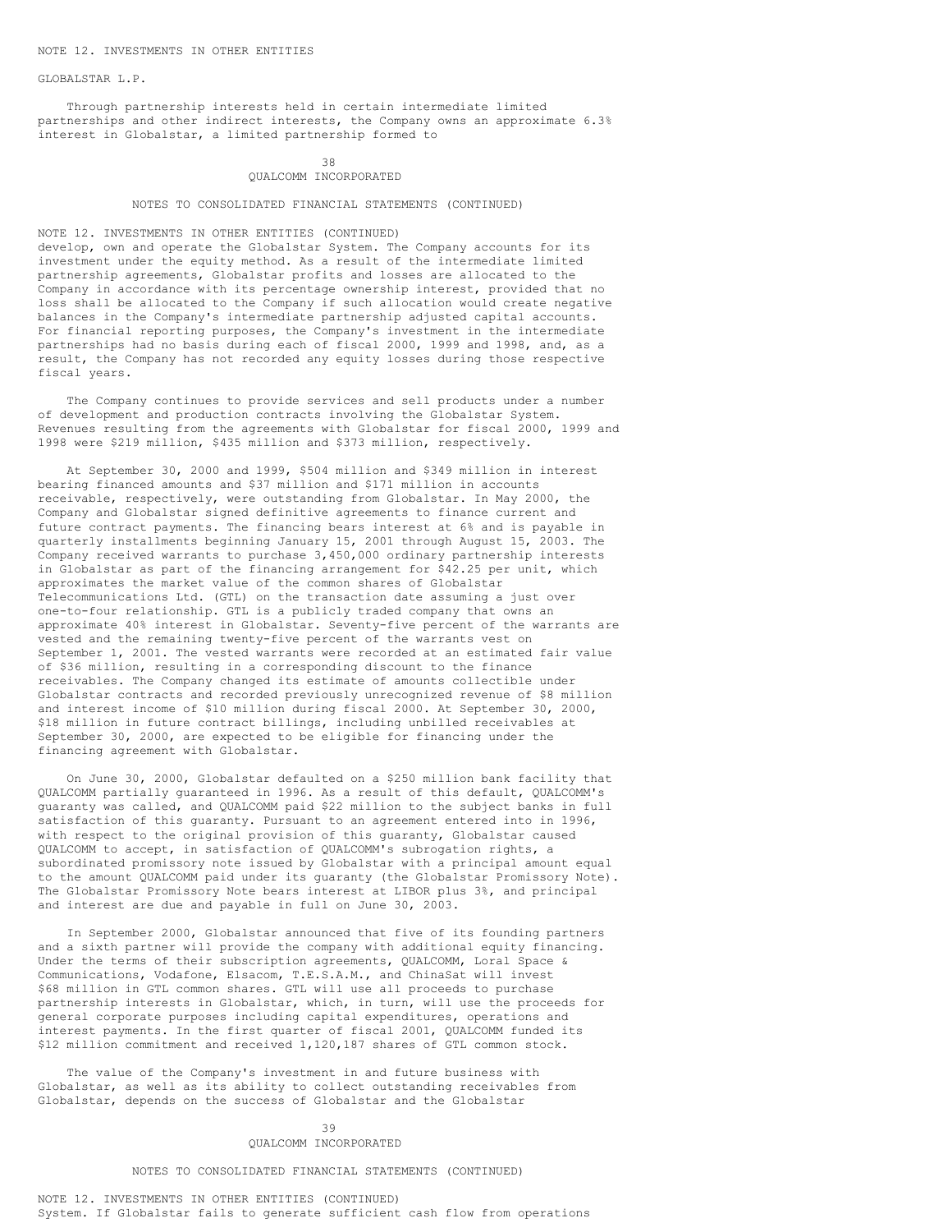GLOBALSTAR L.P.

Through partnership interests held in certain intermediate limited partnerships and other indirect interests, the Company owns an approximate 6.3% interest in Globalstar, a limited partnership formed to

# 38 QUALCOMM INCORPORATED

## NOTES TO CONSOLIDATED FINANCIAL STATEMENTS (CONTINUED)

NOTE 12. INVESTMENTS IN OTHER ENTITIES (CONTINUED) develop, own and operate the Globalstar System. The Company accounts for its investment under the equity method. As a result of the intermediate limited partnership agreements, Globalstar profits and losses are allocated to the Company in accordance with its percentage ownership interest, provided that no loss shall be allocated to the Company if such allocation would create negative balances in the Company's intermediate partnership adjusted capital accounts. For financial reporting purposes, the Company's investment in the intermediate partnerships had no basis during each of fiscal 2000, 1999 and 1998, and, as a result, the Company has not recorded any equity losses during those respective fiscal years.

The Company continues to provide services and sell products under a number of development and production contracts involving the Globalstar System. Revenues resulting from the agreements with Globalstar for fiscal 2000, 1999 and 1998 were \$219 million, \$435 million and \$373 million, respectively.

At September 30, 2000 and 1999, \$504 million and \$349 million in interest bearing financed amounts and \$37 million and \$171 million in accounts receivable, respectively, were outstanding from Globalstar. In May 2000, the Company and Globalstar signed definitive agreements to finance current and future contract payments. The financing bears interest at 6% and is payable in quarterly installments beginning January 15, 2001 through August 15, 2003. The Company received warrants to purchase 3,450,000 ordinary partnership interests in Globalstar as part of the financing arrangement for \$42.25 per unit, which approximates the market value of the common shares of Globalstar Telecommunications Ltd. (GTL) on the transaction date assuming a just over one-to-four relationship. GTL is a publicly traded company that owns an approximate 40% interest in Globalstar. Seventy-five percent of the warrants are vested and the remaining twenty-five percent of the warrants vest on September 1, 2001. The vested warrants were recorded at an estimated fair value of \$36 million, resulting in a corresponding discount to the finance receivables. The Company changed its estimate of amounts collectible under Globalstar contracts and recorded previously unrecognized revenue of \$8 million and interest income of \$10 million during fiscal 2000. At September 30, 2000, \$18 million in future contract billings, including unbilled receivables at September 30, 2000, are expected to be eligible for financing under the financing agreement with Globalstar.

On June 30, 2000, Globalstar defaulted on a \$250 million bank facility that QUALCOMM partially guaranteed in 1996. As a result of this default, QUALCOMM's guaranty was called, and QUALCOMM paid \$22 million to the subject banks in full satisfaction of this guaranty. Pursuant to an agreement entered into in 1996, with respect to the original provision of this guaranty, Globalstar caused QUALCOMM to accept, in satisfaction of QUALCOMM's subrogation rights, a subordinated promissory note issued by Globalstar with a principal amount equal to the amount QUALCOMM paid under its guaranty (the Globalstar Promissory Note). The Globalstar Promissory Note bears interest at LIBOR plus 3%, and principal and interest are due and payable in full on June 30, 2003.

In September 2000, Globalstar announced that five of its founding partners and a sixth partner will provide the company with additional equity financing. Under the terms of their subscription agreements, QUALCOMM, Loral Space & Communications, Vodafone, Elsacom, T.E.S.A.M., and ChinaSat will invest \$68 million in GTL common shares. GTL will use all proceeds to purchase partnership interests in Globalstar, which, in turn, will use the proceeds for general corporate purposes including capital expenditures, operations and interest payments. In the first quarter of fiscal 2001, QUALCOMM funded its \$12 million commitment and received 1,120,187 shares of GTL common stock.

The value of the Company's investment in and future business with Globalstar, as well as its ability to collect outstanding receivables from Globalstar, depends on the success of Globalstar and the Globalstar

> 39 QUALCOMM INCORPORATED

## NOTES TO CONSOLIDATED FINANCIAL STATEMENTS (CONTINUED)

NOTE 12. INVESTMENTS IN OTHER ENTITIES (CONTINUED) System. If Globalstar fails to generate sufficient cash flow from operations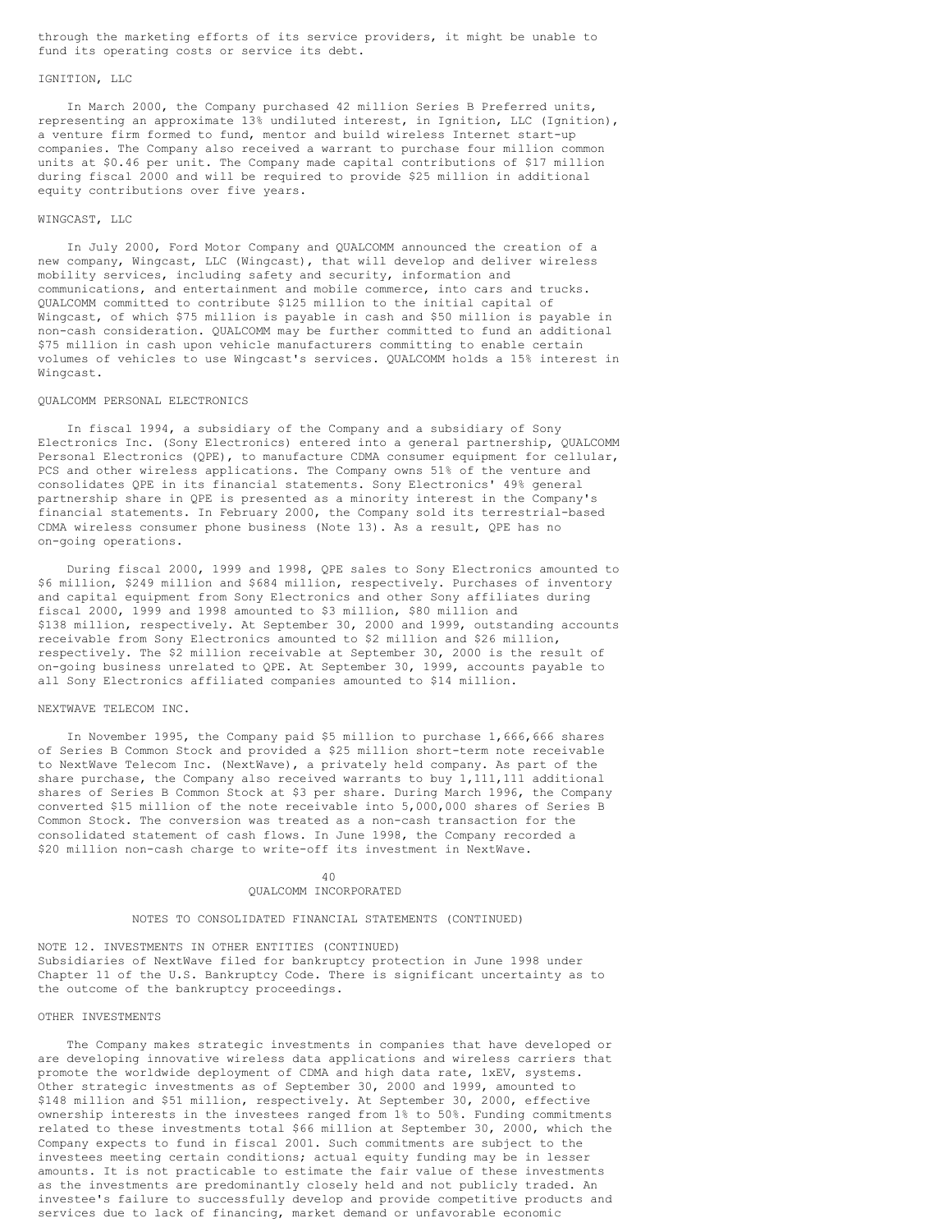through the marketing efforts of its service providers, it might be unable to fund its operating costs or service its debt.

### IGNITION, LLC

In March 2000, the Company purchased 42 million Series B Preferred units, representing an approximate 13% undiluted interest, in Ignition, LLC (Ignition), a venture firm formed to fund, mentor and build wireless Internet start-up companies. The Company also received a warrant to purchase four million common units at \$0.46 per unit. The Company made capital contributions of \$17 million during fiscal 2000 and will be required to provide \$25 million in additional equity contributions over five years.

## WINGCAST, LLC

In July 2000, Ford Motor Company and QUALCOMM announced the creation of a new company, Wingcast, LLC (Wingcast), that will develop and deliver wireless mobility services, including safety and security, information and communications, and entertainment and mobile commerce, into cars and trucks. QUALCOMM committed to contribute \$125 million to the initial capital of Wingcast, of which \$75 million is payable in cash and \$50 million is payable in non-cash consideration. QUALCOMM may be further committed to fund an additional \$75 million in cash upon vehicle manufacturers committing to enable certain volumes of vehicles to use Wingcast's services. QUALCOMM holds a 15% interest in Wingcast.

#### QUALCOMM PERSONAL ELECTRONICS

In fiscal 1994, a subsidiary of the Company and a subsidiary of Sony Electronics Inc. (Sony Electronics) entered into a general partnership, QUALCOMM Personal Electronics (QPE), to manufacture CDMA consumer equipment for cellular, PCS and other wireless applications. The Company owns 51% of the venture and consolidates QPE in its financial statements. Sony Electronics' 49% general partnership share in QPE is presented as a minority interest in the Company's financial statements. In February 2000, the Company sold its terrestrial-based CDMA wireless consumer phone business (Note 13). As a result, QPE has no on-going operations.

During fiscal 2000, 1999 and 1998, QPE sales to Sony Electronics amounted to \$6 million, \$249 million and \$684 million, respectively. Purchases of inventory and capital equipment from Sony Electronics and other Sony affiliates during fiscal 2000, 1999 and 1998 amounted to \$3 million, \$80 million and \$138 million, respectively. At September 30, 2000 and 1999, outstanding accounts receivable from Sony Electronics amounted to \$2 million and \$26 million, respectively. The \$2 million receivable at September 30, 2000 is the result of on-going business unrelated to QPE. At September 30, 1999, accounts payable to all Sony Electronics affiliated companies amounted to \$14 million.

#### NEXTWAVE TELECOM INC.

In November 1995, the Company paid \$5 million to purchase 1,666,666 shares of Series B Common Stock and provided a \$25 million short-term note receivable to NextWave Telecom Inc. (NextWave), a privately held company. As part of the share purchase, the Company also received warrants to buy 1,111,111 additional shares of Series B Common Stock at \$3 per share. During March 1996, the Company converted \$15 million of the note receivable into 5,000,000 shares of Series B Common Stock. The conversion was treated as a non-cash transaction for the consolidated statement of cash flows. In June 1998, the Company recorded a \$20 million non-cash charge to write-off its investment in NextWave.

# 40 QUALCOMM INCORPORATED

#### NOTES TO CONSOLIDATED FINANCIAL STATEMENTS (CONTINUED)

# NOTE 12. INVESTMENTS IN OTHER ENTITIES (CONTINUED) Subsidiaries of NextWave filed for bankruptcy protection in June 1998 under Chapter 11 of the U.S. Bankruptcy Code. There is significant uncertainty as to the outcome of the bankruptcy proceedings.

#### OTHER INVESTMENTS

The Company makes strategic investments in companies that have developed or are developing innovative wireless data applications and wireless carriers that promote the worldwide deployment of CDMA and high data rate, 1xEV, systems. Other strategic investments as of September 30, 2000 and 1999, amounted to \$148 million and \$51 million, respectively. At September 30, 2000, effective ownership interests in the investees ranged from 1% to 50%. Funding commitments related to these investments total \$66 million at September 30, 2000, which the Company expects to fund in fiscal 2001. Such commitments are subject to the investees meeting certain conditions; actual equity funding may be in lesser amounts. It is not practicable to estimate the fair value of these investments as the investments are predominantly closely held and not publicly traded. An investee's failure to successfully develop and provide competitive products and services due to lack of financing, market demand or unfavorable economic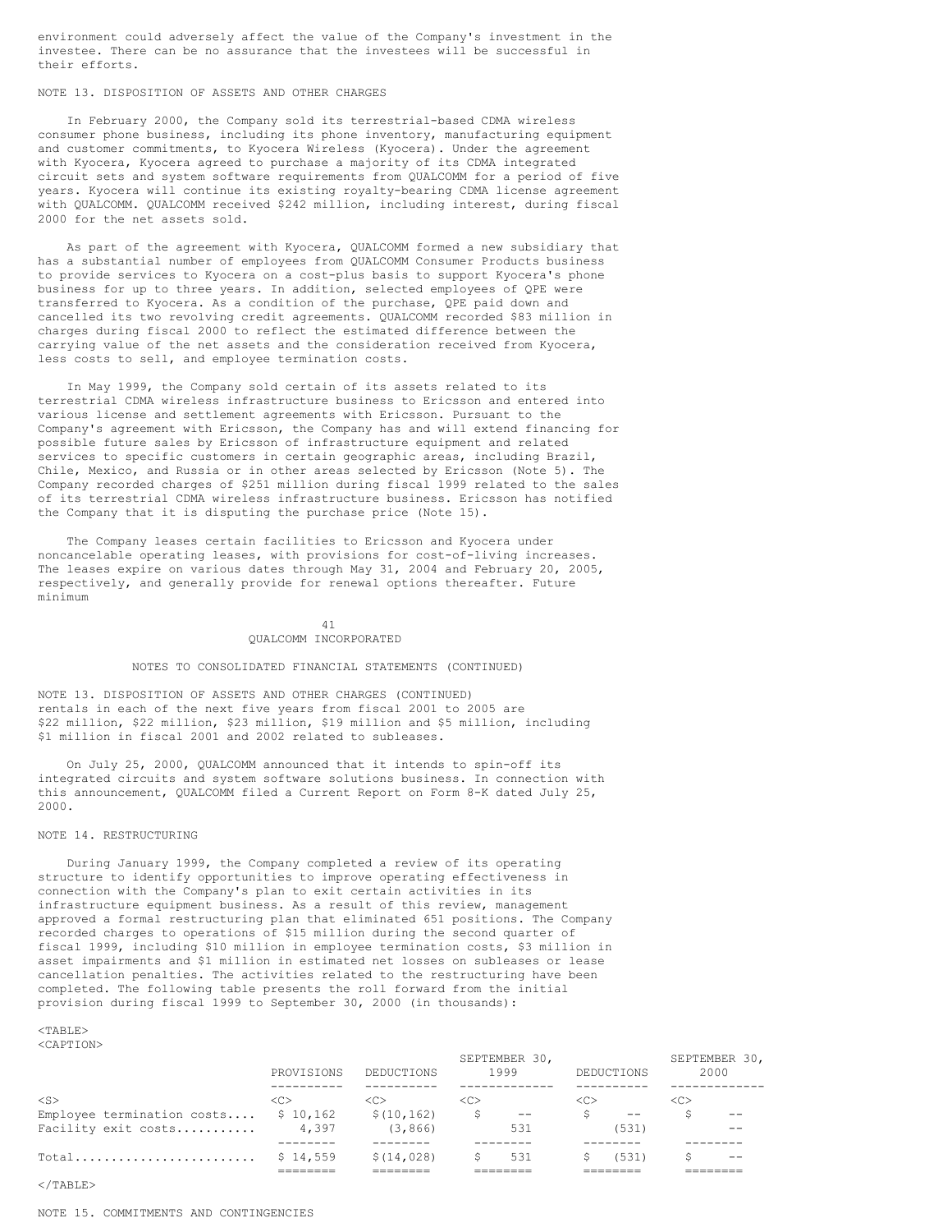environment could adversely affect the value of the Company's investment in the investee. There can be no assurance that the investees will be successful in their efforts.

NOTE 13. DISPOSITION OF ASSETS AND OTHER CHARGES

In February 2000, the Company sold its terrestrial-based CDMA wireless consumer phone business, including its phone inventory, manufacturing equipment and customer commitments, to Kyocera Wireless (Kyocera). Under the agreement with Kyocera, Kyocera agreed to purchase a majority of its CDMA integrated circuit sets and system software requirements from QUALCOMM for a period of five years. Kyocera will continue its existing royalty-bearing CDMA license agreement with QUALCOMM. QUALCOMM received \$242 million, including interest, during fiscal 2000 for the net assets sold.

As part of the agreement with Kyocera, QUALCOMM formed a new subsidiary that has a substantial number of employees from QUALCOMM Consumer Products business to provide services to Kyocera on a cost-plus basis to support Kyocera's phone business for up to three years. In addition, selected employees of QPE were transferred to Kyocera. As a condition of the purchase, QPE paid down and cancelled its two revolving credit agreements. QUALCOMM recorded \$83 million in charges during fiscal 2000 to reflect the estimated difference between the carrying value of the net assets and the consideration received from Kyocera, less costs to sell, and employee termination costs.

In May 1999, the Company sold certain of its assets related to its terrestrial CDMA wireless infrastructure business to Ericsson and entered into various license and settlement agreements with Ericsson. Pursuant to the Company's agreement with Ericsson, the Company has and will extend financing for possible future sales by Ericsson of infrastructure equipment and related services to specific customers in certain geographic areas, including Brazil, Chile, Mexico, and Russia or in other areas selected by Ericsson (Note 5). The Company recorded charges of \$251 million during fiscal 1999 related to the sales of its terrestrial CDMA wireless infrastructure business. Ericsson has notified the Company that it is disputing the purchase price (Note 15).

The Company leases certain facilities to Ericsson and Kyocera under noncancelable operating leases, with provisions for cost-of-living increases. The leases expire on various dates through May 31, 2004 and February 20, 2005, respectively, and generally provide for renewal options thereafter. Future minimum

# 41 QUALCOMM INCORPORATED

# NOTES TO CONSOLIDATED FINANCIAL STATEMENTS (CONTINUED)

NOTE 13. DISPOSITION OF ASSETS AND OTHER CHARGES (CONTINUED) rentals in each of the next five years from fiscal 2001 to 2005 are \$22 million, \$22 million, \$23 million, \$19 million and \$5 million, including \$1 million in fiscal 2001 and 2002 related to subleases.

On July 25, 2000, QUALCOMM announced that it intends to spin-off its integrated circuits and system software solutions business. In connection with this announcement, QUALCOMM filed a Current Report on Form 8-K dated July 25, 2000.

# NOTE 14. RESTRUCTURING

During January 1999, the Company completed a review of its operating structure to identify opportunities to improve operating effectiveness in connection with the Company's plan to exit certain activities in its infrastructure equipment business. As a result of this review, management approved a formal restructuring plan that eliminated 651 positions. The Company recorded charges to operations of \$15 million during the second quarter of fiscal 1999, including \$10 million in employee termination costs, \$3 million in asset impairments and \$1 million in estimated net losses on subleases or lease cancellation penalties. The activities related to the restructuring have been completed. The following table presents the roll forward from the initial provision during fiscal 1999 to September 30, 2000 (in thousands):

#### <TABLE> <CAPTION>

|                                                                        |            |             |               | SEPTEMBER 30, |         |            |         | SEPTEMBER 30, |
|------------------------------------------------------------------------|------------|-------------|---------------|---------------|---------|------------|---------|---------------|
|                                                                        | PROVISIONS | DEDUCTIONS  |               | 1999          |         | DEDUCTIONS |         | 2000          |
|                                                                        |            |             |               |               |         |            |         |               |
| $<$ S>                                                                 |            |             | < <sub></sub> |               | <c></c> |            | <c></c> |               |
| Employee termination costs $\frac{1}{2}$ 10,162                        |            | \$(10, 162) |               | $- -$         |         | $- -$      |         | --            |
| Facility exit costs $4,397$                                            |            | (3, 866)    |               | 531           |         | (531)      |         | --            |
|                                                                        |            |             |               |               |         |            |         |               |
| $\texttt{Total} \dots \dots \dots \dots \dots \dots \dots \dots \dots$ | \$14.559   | \$(14, 028) |               | 531           |         | (531)      |         |               |
|                                                                        |            |             |               |               |         |            |         |               |

 $\langle$ /TABLE>

NOTE 15. COMMITMENTS AND CONTINGENCIES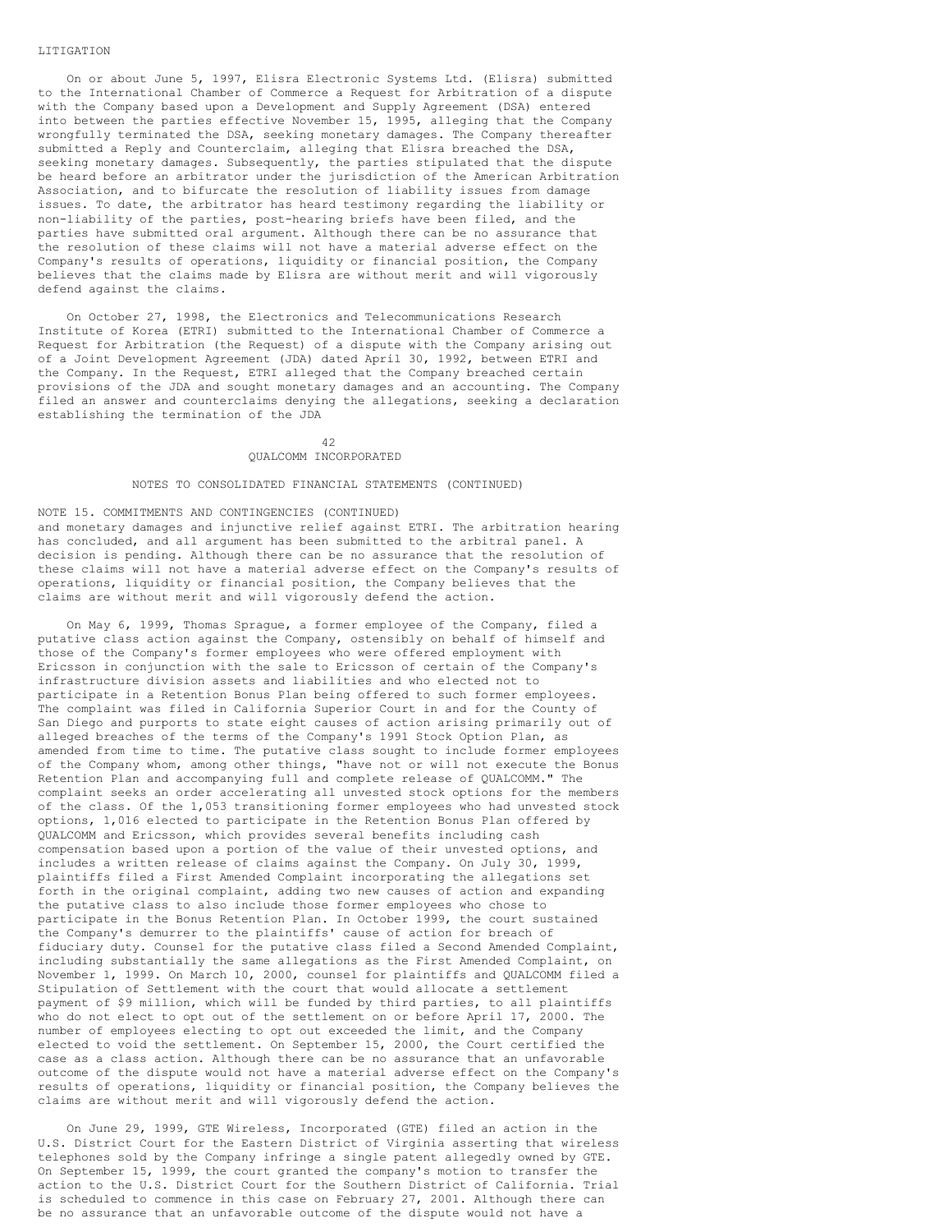#### LITIGATION

On or about June 5, 1997, Elisra Electronic Systems Ltd. (Elisra) submitted to the International Chamber of Commerce a Request for Arbitration of a dispute with the Company based upon a Development and Supply Agreement (DSA) entered into between the parties effective November 15, 1995, alleging that the Company wrongfully terminated the DSA, seeking monetary damages. The Company thereafter submitted a Reply and Counterclaim, alleging that Elisra breached the DSA, seeking monetary damages. Subsequently, the parties stipulated that the dispute be heard before an arbitrator under the jurisdiction of the American Arbitration Association, and to bifurcate the resolution of liability issues from damage issues. To date, the arbitrator has heard testimony regarding the liability or non-liability of the parties, post-hearing briefs have been filed, and the parties have submitted oral argument. Although there can be no assurance that the resolution of these claims will not have a material adverse effect on the Company's results of operations, liquidity or financial position, the Company believes that the claims made by Elisra are without merit and will vigorously defend against the claims.

On October 27, 1998, the Electronics and Telecommunications Research Institute of Korea (ETRI) submitted to the International Chamber of Commerce a Request for Arbitration (the Request) of a dispute with the Company arising out of a Joint Development Agreement (JDA) dated April 30, 1992, between ETRI and the Company. In the Request, ETRI alleged that the Company breached certain provisions of the JDA and sought monetary damages and an accounting. The Company filed an answer and counterclaims denying the allegations, seeking a declaration establishing the termination of the JDA

# 42 QUALCOMM INCORPORATED

## NOTES TO CONSOLIDATED FINANCIAL STATEMENTS (CONTINUED)

NOTE 15. COMMITMENTS AND CONTINGENCIES (CONTINUED) and monetary damages and injunctive relief against ETRI. The arbitration hearing has concluded, and all argument has been submitted to the arbitral panel. A decision is pending. Although there can be no assurance that the resolution of these claims will not have a material adverse effect on the Company's results of operations, liquidity or financial position, the Company believes that the claims are without merit and will vigorously defend the action.

On May 6, 1999, Thomas Sprague, a former employee of the Company, filed a putative class action against the Company, ostensibly on behalf of himself and those of the Company's former employees who were offered employment with Ericsson in conjunction with the sale to Ericsson of certain of the Company's infrastructure division assets and liabilities and who elected not to participate in a Retention Bonus Plan being offered to such former employees. The complaint was filed in California Superior Court in and for the County of San Diego and purports to state eight causes of action arising primarily out of alleged breaches of the terms of the Company's 1991 Stock Option Plan, as amended from time to time. The putative class sought to include former employees of the Company whom, among other things, "have not or will not execute the Bonus Retention Plan and accompanying full and complete release of QUALCOMM." The complaint seeks an order accelerating all unvested stock options for the members of the class. Of the 1,053 transitioning former employees who had unvested stock options, 1,016 elected to participate in the Retention Bonus Plan offered by QUALCOMM and Ericsson, which provides several benefits including cash compensation based upon a portion of the value of their unvested options, and includes a written release of claims against the Company. On July 30, 1999, plaintiffs filed a First Amended Complaint incorporating the allegations set forth in the original complaint, adding two new causes of action and expanding the putative class to also include those former employees who chose to participate in the Bonus Retention Plan. In October 1999, the court sustained the Company's demurrer to the plaintiffs' cause of action for breach of fiduciary duty. Counsel for the putative class filed a Second Amended Complaint, including substantially the same allegations as the First Amended Complaint, on November 1, 1999. On March 10, 2000, counsel for plaintiffs and QUALCOMM filed a Stipulation of Settlement with the court that would allocate a settlement payment of \$9 million, which will be funded by third parties, to all plaintiffs who do not elect to opt out of the settlement on or before April 17, 2000. The number of employees electing to opt out exceeded the limit, and the Company elected to void the settlement. On September 15, 2000, the Court certified the case as a class action. Although there can be no assurance that an unfavorable outcome of the dispute would not have a material adverse effect on the Company's results of operations, liquidity or financial position, the Company believes the claims are without merit and will vigorously defend the action.

On June 29, 1999, GTE Wireless, Incorporated (GTE) filed an action in the U.S. District Court for the Eastern District of Virginia asserting that wireless telephones sold by the Company infringe a single patent allegedly owned by GTE. On September 15, 1999, the court granted the company's motion to transfer the action to the U.S. District Court for the Southern District of California. Trial is scheduled to commence in this case on February 27, 2001. Although there can be no assurance that an unfavorable outcome of the dispute would not have a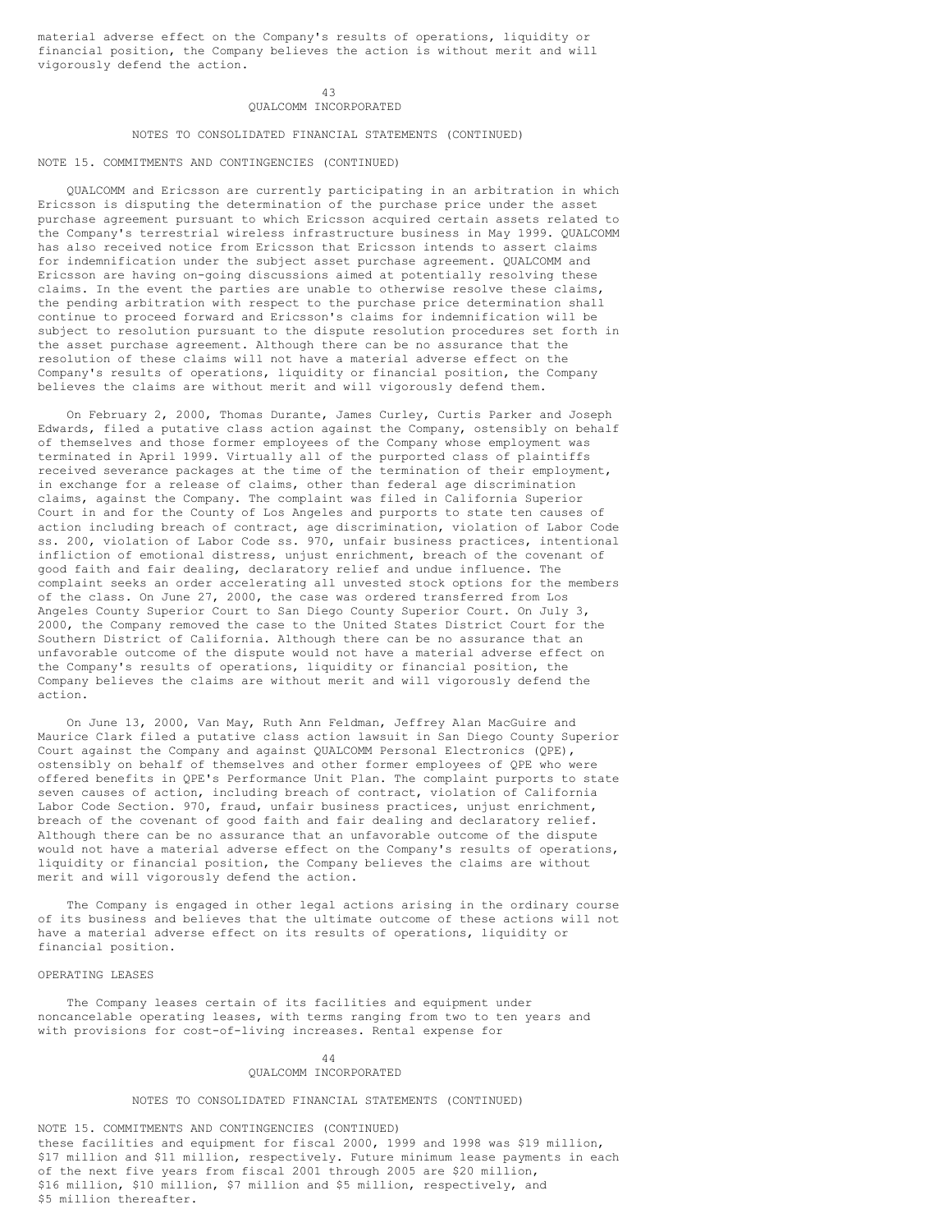material adverse effect on the Company's results of operations, liquidity or financial position, the Company believes the action is without merit and will vigorously defend the action.

> $43$ QUALCOMM INCORPORATED

# NOTES TO CONSOLIDATED FINANCIAL STATEMENTS (CONTINUED)

#### NOTE 15. COMMITMENTS AND CONTINGENCIES (CONTINUED)

QUALCOMM and Ericsson are currently participating in an arbitration in which Ericsson is disputing the determination of the purchase price under the asset purchase agreement pursuant to which Ericsson acquired certain assets related to the Company's terrestrial wireless infrastructure business in May 1999. QUALCOMM has also received notice from Ericsson that Ericsson intends to assert claims for indemnification under the subject asset purchase agreement. QUALCOMM and Ericsson are having on-going discussions aimed at potentially resolving these claims. In the event the parties are unable to otherwise resolve these claims, the pending arbitration with respect to the purchase price determination shall continue to proceed forward and Ericsson's claims for indemnification will be subject to resolution pursuant to the dispute resolution procedures set forth in the asset purchase agreement. Although there can be no assurance that the resolution of these claims will not have a material adverse effect on the Company's results of operations, liquidity or financial position, the Company believes the claims are without merit and will vigorously defend them.

On February 2, 2000, Thomas Durante, James Curley, Curtis Parker and Joseph Edwards, filed a putative class action against the Company, ostensibly on behalf of themselves and those former employees of the Company whose employment was terminated in April 1999. Virtually all of the purported class of plaintiffs received severance packages at the time of the termination of their employment, in exchange for a release of claims, other than federal age discrimination claims, against the Company. The complaint was filed in California Superior Court in and for the County of Los Angeles and purports to state ten causes of action including breach of contract, age discrimination, violation of Labor Code ss. 200, violation of Labor Code ss. 970, unfair business practices, intentional infliction of emotional distress, unjust enrichment, breach of the covenant of good faith and fair dealing, declaratory relief and undue influence. The complaint seeks an order accelerating all unvested stock options for the members of the class. On June 27, 2000, the case was ordered transferred from Los Angeles County Superior Court to San Diego County Superior Court. On July 3, 2000, the Company removed the case to the United States District Court for the Southern District of California. Although there can be no assurance that an unfavorable outcome of the dispute would not have a material adverse effect on the Company's results of operations, liquidity or financial position, the Company believes the claims are without merit and will vigorously defend the action.

On June 13, 2000, Van May, Ruth Ann Feldman, Jeffrey Alan MacGuire and Maurice Clark filed a putative class action lawsuit in San Diego County Superior Court against the Company and against QUALCOMM Personal Electronics (QPE), ostensibly on behalf of themselves and other former employees of QPE who were offered benefits in QPE's Performance Unit Plan. The complaint purports to state seven causes of action, including breach of contract, violation of California Labor Code Section. 970, fraud, unfair business practices, unjust enrichment, breach of the covenant of good faith and fair dealing and declaratory relief. Although there can be no assurance that an unfavorable outcome of the dispute would not have a material adverse effect on the Company's results of operations, liquidity or financial position, the Company believes the claims are without merit and will vigorously defend the action.

The Company is engaged in other legal actions arising in the ordinary course of its business and believes that the ultimate outcome of these actions will not have a material adverse effect on its results of operations, liquidity or financial position.

# OPERATING LEASES

The Company leases certain of its facilities and equipment under noncancelable operating leases, with terms ranging from two to ten years and with provisions for cost-of-living increases. Rental expense for

### 44 QUALCOMM INCORPORATED

# NOTES TO CONSOLIDATED FINANCIAL STATEMENTS (CONTINUED)

NOTE 15. COMMITMENTS AND CONTINGENCIES (CONTINUED) these facilities and equipment for fiscal 2000, 1999 and 1998 was \$19 million, \$17 million and \$11 million, respectively. Future minimum lease payments in each of the next five years from fiscal 2001 through 2005 are \$20 million, \$16 million, \$10 million, \$7 million and \$5 million, respectively, and \$5 million thereafter.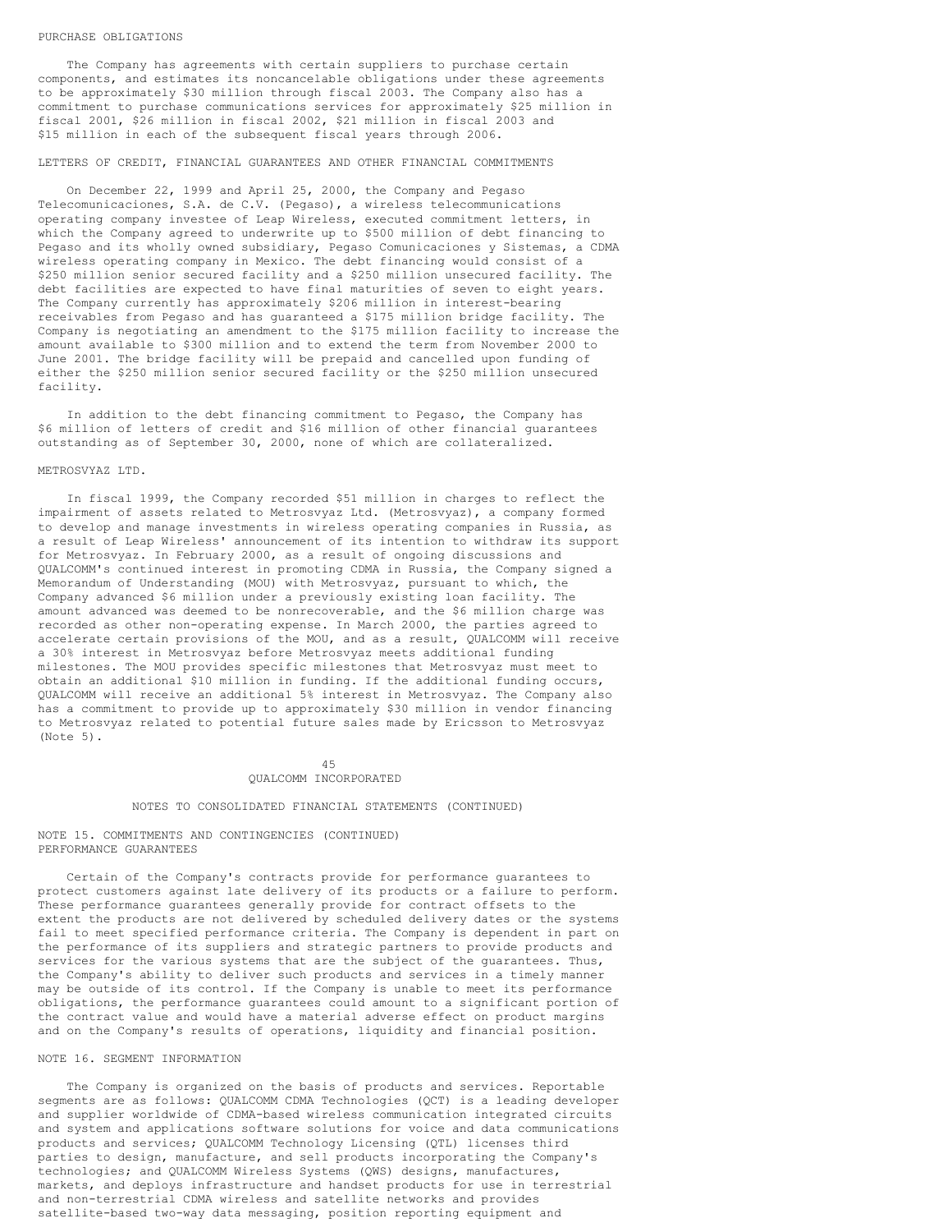The Company has agreements with certain suppliers to purchase certain components, and estimates its noncancelable obligations under these agreements to be approximately \$30 million through fiscal 2003. The Company also has a commitment to purchase communications services for approximately \$25 million in fiscal 2001, \$26 million in fiscal 2002, \$21 million in fiscal 2003 and \$15 million in each of the subsequent fiscal years through 2006.

#### LETTERS OF CREDIT, FINANCIAL GUARANTEES AND OTHER FINANCIAL COMMITMENTS

On December 22, 1999 and April 25, 2000, the Company and Pegaso Telecomunicaciones, S.A. de C.V. (Pegaso), a wireless telecommunications operating company investee of Leap Wireless, executed commitment letters, in which the Company agreed to underwrite up to \$500 million of debt financing to Pegaso and its wholly owned subsidiary, Pegaso Comunicaciones y Sistemas, a CDMA wireless operating company in Mexico. The debt financing would consist of a \$250 million senior secured facility and a \$250 million unsecured facility. The debt facilities are expected to have final maturities of seven to eight years. The Company currently has approximately \$206 million in interest-bearing receivables from Pegaso and has guaranteed a \$175 million bridge facility. The Company is negotiating an amendment to the \$175 million facility to increase the amount available to \$300 million and to extend the term from November 2000 to June 2001. The bridge facility will be prepaid and cancelled upon funding of either the \$250 million senior secured facility or the \$250 million unsecured facility.

In addition to the debt financing commitment to Pegaso, the Company has \$6 million of letters of credit and \$16 million of other financial guarantees outstanding as of September 30, 2000, none of which are collateralized.

#### METROSVYAZ LTD.

In fiscal 1999, the Company recorded \$51 million in charges to reflect the impairment of assets related to Metrosvyaz Ltd. (Metrosvyaz), a company formed to develop and manage investments in wireless operating companies in Russia, as a result of Leap Wireless' announcement of its intention to withdraw its support for Metrosvyaz. In February 2000, as a result of ongoing discussions and QUALCOMM's continued interest in promoting CDMA in Russia, the Company signed a Memorandum of Understanding (MOU) with Metrosvyaz, pursuant to which, the Company advanced \$6 million under a previously existing loan facility. The amount advanced was deemed to be nonrecoverable, and the \$6 million charge was recorded as other non-operating expense. In March 2000, the parties agreed to accelerate certain provisions of the MOU, and as a result, QUALCOMM will receive a 30% interest in Metrosvyaz before Metrosvyaz meets additional funding milestones. The MOU provides specific milestones that Metrosvyaz must meet to obtain an additional \$10 million in funding. If the additional funding occurs, QUALCOMM will receive an additional 5% interest in Metrosvyaz. The Company also has a commitment to provide up to approximately \$30 million in vendor financing to Metrosvyaz related to potential future sales made by Ericsson to Metrosvyaz (Note 5).

> 45 QUALCOMM INCORPORATED

#### NOTES TO CONSOLIDATED FINANCIAL STATEMENTS (CONTINUED)

# NOTE 15. COMMITMENTS AND CONTINGENCIES (CONTINUED) PERFORMANCE GUARANTEES

Certain of the Company's contracts provide for performance guarantees to protect customers against late delivery of its products or a failure to perform. These performance guarantees generally provide for contract offsets to the extent the products are not delivered by scheduled delivery dates or the systems fail to meet specified performance criteria. The Company is dependent in part on the performance of its suppliers and strategic partners to provide products and services for the various systems that are the subject of the guarantees. Thus, the Company's ability to deliver such products and services in a timely manner may be outside of its control. If the Company is unable to meet its performance obligations, the performance guarantees could amount to a significant portion of the contract value and would have a material adverse effect on product margins and on the Company's results of operations, liquidity and financial position.

# NOTE 16. SEGMENT INFORMATION

The Company is organized on the basis of products and services. Reportable segments are as follows: QUALCOMM CDMA Technologies (QCT) is a leading developer and supplier worldwide of CDMA-based wireless communication integrated circuits and system and applications software solutions for voice and data communications products and services; QUALCOMM Technology Licensing (QTL) licenses third parties to design, manufacture, and sell products incorporating the Company's technologies; and QUALCOMM Wireless Systems (QWS) designs, manufactures, markets, and deploys infrastructure and handset products for use in terrestrial and non-terrestrial CDMA wireless and satellite networks and provides satellite-based two-way data messaging, position reporting equipment and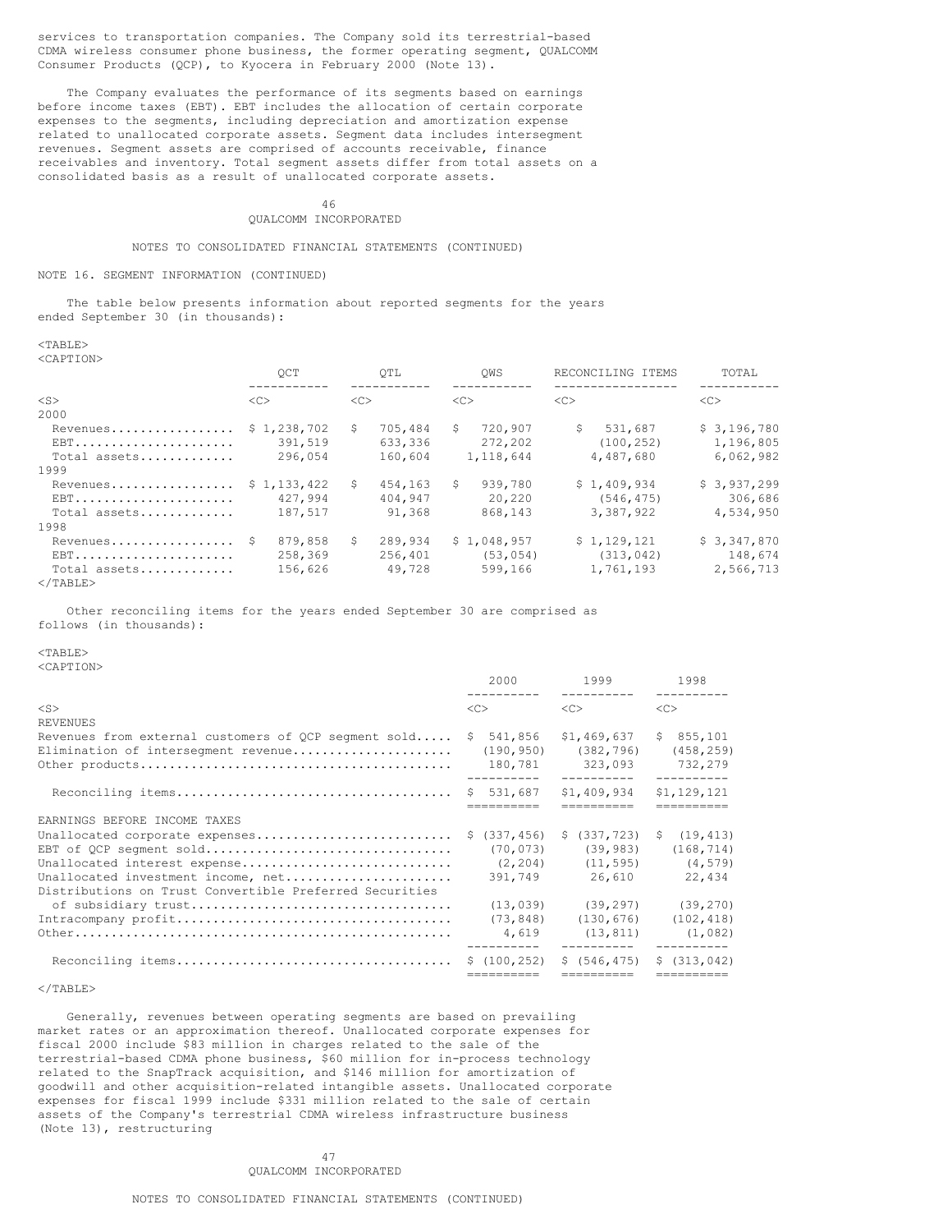services to transportation companies. The Company sold its terrestrial-based CDMA wireless consumer phone business, the former operating segment, QUALCOMM Consumer Products (QCP), to Kyocera in February 2000 (Note 13).

The Company evaluates the performance of its segments based on earnings before income taxes (EBT). EBT includes the allocation of certain corporate expenses to the segments, including depreciation and amortization expense related to unallocated corporate assets. Segment data includes intersegment revenues. Segment assets are comprised of accounts receivable, finance receivables and inventory. Total segment assets differ from total assets on a consolidated basis as a result of unallocated corporate assets.

# 46 QUALCOMM INCORPORATED

# NOTES TO CONSOLIDATED FINANCIAL STATEMENTS (CONTINUED)

# NOTE 16. SEGMENT INFORMATION (CONTINUED)

The table below presents information about reported segments for the years ended September 30 (in thousands):

<TABLE>

<CAPTION>

|                        | OCT           | OTL           | OWS           | RECONCILING ITEMS | TOTAL       |
|------------------------|---------------|---------------|---------------|-------------------|-------------|
| $<$ S $>$              | < <sub></sub> | < <sub></sub> | <<            | < <sub></sub>     | <<          |
| 2000                   |               |               |               |                   |             |
| Revenues               | \$1,238,702   | 705,484<br>S. | 720,907<br>S. | 531,687<br>\$.    | \$3,196,780 |
|                        | 391,519       | 633.336       | 272,202       | (100, 252)        | 1,196,805   |
| Total assets           | 296,054       | 160,604       | 1.118.644     | 4,487,680         | 6,062,982   |
| 1999                   |               |               |               |                   |             |
| Revenues               | \$1,133,422   | 454,163<br>S. | 939,780<br>S. | \$1,409,934       | \$3,937,299 |
|                        | 427,994       | 404,947       | 20,220        | (546, 475)        | 306,686     |
| Total assets           | 187,517       | 91,368        | 868,143       | 3.387.922         | 4,534,950   |
| 1998                   |               |               |               |                   |             |
| Revenues $\frac{1}{2}$ | 879,858       | 289,934<br>S. | \$1,048,957   | \$1,129,121       | \$3,347,870 |
|                        | 258,369       | 256,401       | (53, 054)     | (313, 042)        | 148,674     |
| Total assets           | 156,626       | 49.728        | 599,166       | 1,761,193         | 2,566,713   |
| $.1mm+$                |               |               |               |                   |             |

 $<$ /TABLE>

Other reconciling items for the years ended September 30 are comprised as follows (in thousands):

# <TABLE>

<CAPTION>

|                                                                                                                                                                                            | 2000                                             | 1999                                                                                                        | 1998                                             |
|--------------------------------------------------------------------------------------------------------------------------------------------------------------------------------------------|--------------------------------------------------|-------------------------------------------------------------------------------------------------------------|--------------------------------------------------|
| $<$ S $>$<br><b>REVENUES</b>                                                                                                                                                               | <<                                               | <<                                                                                                          | < <sub></sub>                                    |
| Revenues from external customers of OCP segment $\text{solid} \dots$<br>Elimination of intersegment revenue                                                                                | \$541,856<br>(190, 950)<br>180,781<br>---------- | \$1,469,637<br>$(382, 796)$ $(458, 259)$<br>323,093<br>__________                                           | \$855,101<br>732,279<br>----------               |
|                                                                                                                                                                                            | \$531,687                                        | \$1,409,934                                                                                                 | \$1,129,121                                      |
| EARNINGS BEFORE INCOME TAXES                                                                                                                                                               |                                                  |                                                                                                             |                                                  |
| Unallocated corporate expenses<br>EBT of QCP seqment sold<br>Unallocated interest expense<br>Unallocated investment income, net<br>Distributions on Trust Convertible Preferred Securities | \$ (337,456)                                     | \$(337, 723)<br>$(70, 073)$ $(39, 983)$ $(168, 714)$<br>$(2, 204)$ $(11, 595)$ $(4, 579)$<br>391,749 26,610 | \$(19, 413)<br>22,434                            |
|                                                                                                                                                                                            | 4,619<br>---------                               | $(13, 039)$ $(39, 297)$<br>$(73, 848)$ $(130, 676)$ $(102, 418)$                                            | (39, 270)<br>$(13, 811)$ $(1, 082)$<br>--------- |
|                                                                                                                                                                                            | \$(100, 252)<br>__________                       | -----------<br>\$(546, 475)                                                                                 | \$ (313, 042)                                    |

 $<$ /TABLE>

Generally, revenues between operating segments are based on prevailing market rates or an approximation thereof. Unallocated corporate expenses for fiscal 2000 include \$83 million in charges related to the sale of the terrestrial-based CDMA phone business, \$60 million for in-process technology related to the SnapTrack acquisition, and \$146 million for amortization of goodwill and other acquisition-related intangible assets. Unallocated corporate expenses for fiscal 1999 include \$331 million related to the sale of certain assets of the Company's terrestrial CDMA wireless infrastructure business (Note 13), restructuring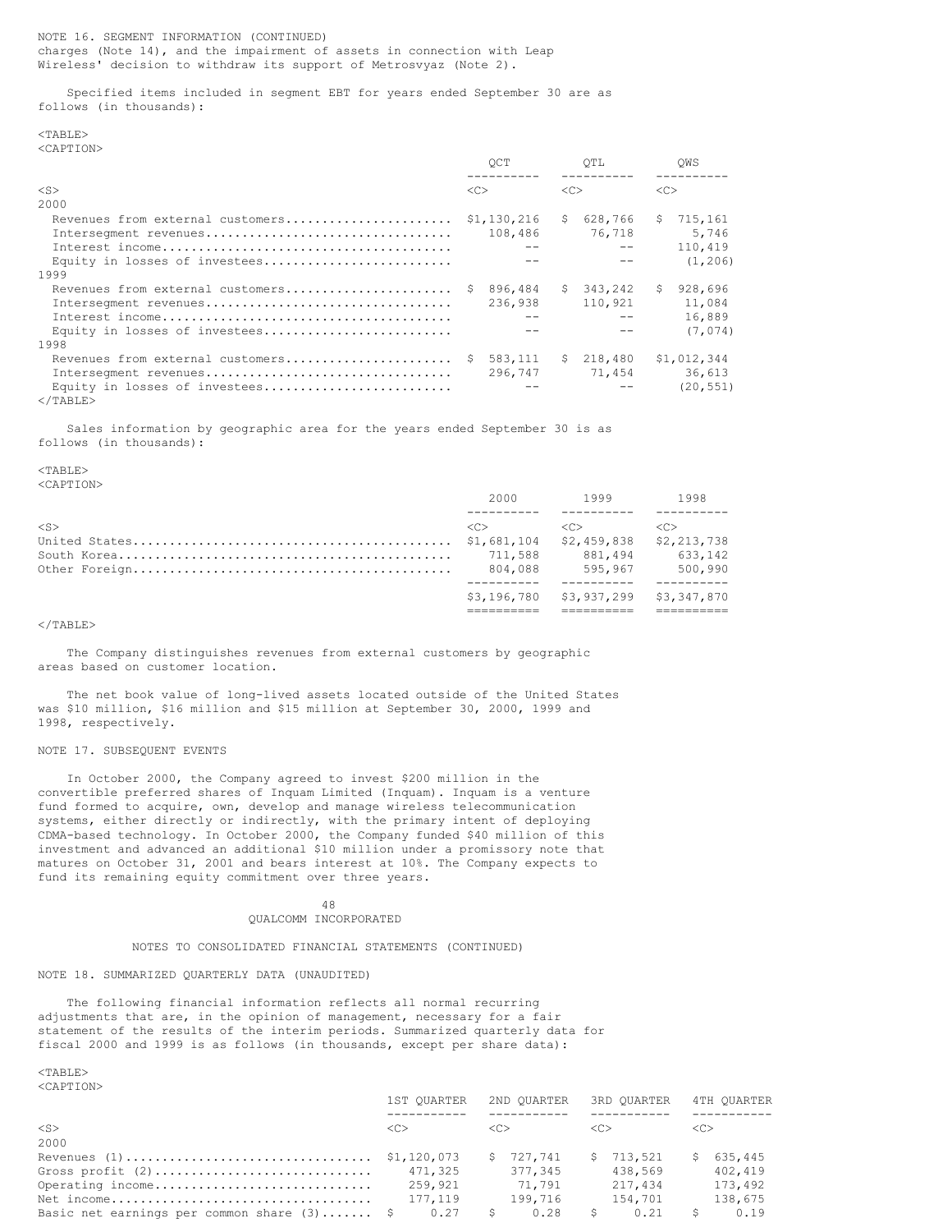NOTE 16. SEGMENT INFORMATION (CONTINUED) charges (Note 14), and the impairment of assets in connection with Leap Wireless' decision to withdraw its support of Metrosvyaz (Note 2).

Specified items included in segment EBT for years ended September 30 are as follows (in thousands):

<TABLE>

<CAPTION>

|                                  | OCT           | OTL<br>__________ | OWS         |
|----------------------------------|---------------|-------------------|-------------|
| $<$ S $>$                        | < <sub></sub> | $<<$ $>$          | <<          |
| 2000                             |               |                   |             |
| Revenues from external customers | \$1,130,216   | S.<br>628,766     | \$715.161   |
| Intersegment revenues            | 108,486       | 76.718            | 5,746       |
|                                  |               |                   | 110,419     |
| Equity in losses of investees    |               |                   | (1, 206)    |
| 1999                             |               |                   |             |
| Revenues from external customers | 896.484       | \$343.242         | \$928,696   |
| Intersegment revenues            | 236,938       | 110,921           | 11,084      |
|                                  |               |                   | 16,889      |
| Equity in losses of investees    |               |                   | (7.074)     |
| 1998                             |               |                   |             |
| Revenues from external customers | 583,111<br>-S | \$ 218,480        | \$1,012,344 |
|                                  | 296.747       | 71,454            | 36,613      |
| Equity in losses of investees    |               |                   | (20, 551)   |
| $<$ /TABLE>                      |               |                   |             |

Sales information by geographic area for the years ended September 30 is as follows (in thousands):

### <TABLE>

<CAPTION>

|              | 2000                   | 1999                                | 1998                |  |
|--------------|------------------------|-------------------------------------|---------------------|--|
|              |                        |                                     |                     |  |
| $\langle$ S> | $\langle \cap \rangle$ | $\langle C \rangle$                 | $\langle C \rangle$ |  |
|              | \$1,681,104            | \$2,459,838                         | \$2,213,738         |  |
|              | 711,588                | 881,494                             | 633,142             |  |
|              | 804,088                | 595.967                             | 500,990             |  |
|              |                        |                                     |                     |  |
|              |                        | \$3,196,780 \$3,937,299 \$3,347,870 |                     |  |
|              |                        |                                     |                     |  |

# $<$ /TABLE>

The Company distinguishes revenues from external customers by geographic areas based on customer location.

The net book value of long-lived assets located outside of the United States was \$10 million, \$16 million and \$15 million at September 30, 2000, 1999 and 1998, respectively.

## NOTE 17. SUBSEQUENT EVENTS

In October 2000, the Company agreed to invest \$200 million in the convertible preferred shares of Inquam Limited (Inquam). Inquam is a venture fund formed to acquire, own, develop and manage wireless telecommunication systems, either directly or indirectly, with the primary intent of deploying CDMA-based technology. In October 2000, the Company funded \$40 million of this investment and advanced an additional \$10 million under a promissory note that matures on October 31, 2001 and bears interest at 10%. The Company expects to fund its remaining equity commitment over three years.

### 48 QUALCOMM INCORPORATED

# NOTES TO CONSOLIDATED FINANCIAL STATEMENTS (CONTINUED)

# NOTE 18. SUMMARIZED QUARTERLY DATA (UNAUDITED)

The following financial information reflects all normal recurring adjustments that are, in the opinion of management, necessary for a fair statement of the results of the interim periods. Summarized quarterly data for fiscal 2000 and 1999 is as follows (in thousands, except per share data):

<TABLE> <CAPTION>

|                                              | 1ST OUARTER<br>2ND OUARTER                 |           | 3RD OUARTER | 4TH OUARTER   |  |
|----------------------------------------------|--------------------------------------------|-----------|-------------|---------------|--|
|                                              |                                            |           |             |               |  |
| $<$ S>                                       | $\langle C \rangle$<br>$\langle C \rangle$ |           |             | <c></c>       |  |
| 2000                                         |                                            |           |             |               |  |
|                                              |                                            | \$727.741 | \$713,521   | 635,445<br>S. |  |
|                                              |                                            | 377.345   | 438.569     | 402,419       |  |
| Operating income                             | 259,921                                    | 71,791    | 217.434     | 173,492       |  |
|                                              | 177,119                                    | 199.716   | 154.701     | 138,675       |  |
| Basic net earnings per common share $(3)$ \$ | 0.27                                       | 0.28      | 0.21        | 0.19          |  |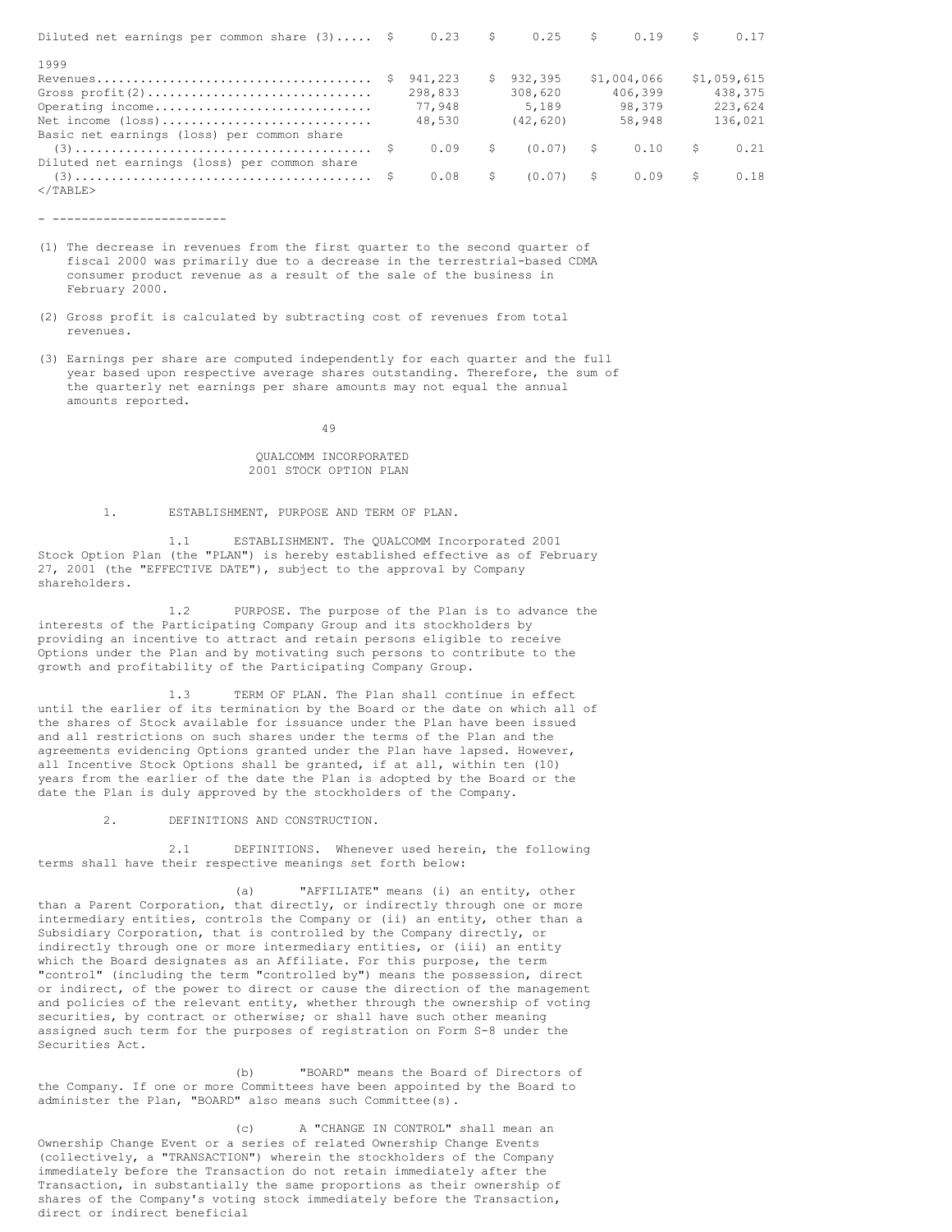| Diluted net earnings per common share $(3)$ $\frac{2}{3}$ 0.23 $\frac{2}{3}$ 0.25 $\frac{2}{3}$ 0.19 |         |               |             |                    | S. | 0.17        |
|------------------------------------------------------------------------------------------------------|---------|---------------|-------------|--------------------|----|-------------|
| 1999                                                                                                 |         |               |             |                    |    |             |
|                                                                                                      | 941,223 | S.            | 932,395     | \$1,004,066        |    | \$1,059,615 |
| Gross $\text{profit}(2) \ldots \ldots \ldots \ldots \ldots \ldots \ldots \ldots \ldots$              | 298,833 |               | 308,620     | 406,399            |    | 438.375     |
| Operating income                                                                                     | 77.948  |               | 5,189       | 98,379             |    | 223,624     |
| Net income $(\text{loss}) \dots \dots \dots \dots \dots \dots \dots \dots \dots$                     | 48,530  |               | (42, 620)   | 58,948             |    | 136,021     |
| Basic net earnings (loss) per common share                                                           |         |               |             |                    |    |             |
|                                                                                                      | 0.09    | $\mathcal{S}$ |             | $(0.07)$ \$ $0.10$ | S. | 0.21        |
| Diluted net earnings (loss) per common share                                                         |         |               |             |                    |    |             |
|                                                                                                      | 0.08    | $\mathcal{S}$ | $(0.07)$ \$ | 0.09               | S. | 0.18        |
| $<$ /TABLE>                                                                                          |         |               |             |                    |    |             |

- ------------------------

- (1) The decrease in revenues from the first quarter to the second quarter of fiscal 2000 was primarily due to a decrease in the terrestrial-based CDMA consumer product revenue as a result of the sale of the business in February 2000.
- (2) Gross profit is calculated by subtracting cost of revenues from total revenues.
- (3) Earnings per share are computed independently for each quarter and the full year based upon respective average shares outstanding. Therefore, the sum of the quarterly net earnings per share amounts may not equal the annual amounts reported.

49

# QUALCOMM INCORPORATED 2001 STOCK OPTION PLAN

# 1. ESTABLISHMENT, PURPOSE AND TERM OF PLAN.

1.1 ESTABLISHMENT. The QUALCOMM Incorporated 2001 Stock Option Plan (the "PLAN") is hereby established effective as of February 27, 2001 (the "EFFECTIVE DATE"), subject to the approval by Company shareholders.

1.2 PURPOSE. The purpose of the Plan is to advance the interests of the Participating Company Group and its stockholders by providing an incentive to attract and retain persons eligible to receive Options under the Plan and by motivating such persons to contribute to the growth and profitability of the Participating Company Group.

1.3 TERM OF PLAN. The Plan shall continue in effect until the earlier of its termination by the Board or the date on which all of the shares of Stock available for issuance under the Plan have been issued and all restrictions on such shares under the terms of the Plan and the agreements evidencing Options granted under the Plan have lapsed. However, all Incentive Stock Options shall be granted, if at all, within ten (10) years from the earlier of the date the Plan is adopted by the Board or the date the Plan is duly approved by the stockholders of the Company.

2. DEFINITIONS AND CONSTRUCTION.

2.1 DEFINITIONS. Whenever used herein, the following terms shall have their respective meanings set forth below:

(a) "AFFILIATE" means (i) an entity, other than a Parent Corporation, that directly, or indirectly through one or more intermediary entities, controls the Company or (ii) an entity, other than a Subsidiary Corporation, that is controlled by the Company directly, or indirectly through one or more intermediary entities, or (iii) an entity which the Board designates as an Affiliate. For this purpose, the term "control" (including the term "controlled by") means the possession, direct or indirect, of the power to direct or cause the direction of the management and policies of the relevant entity, whether through the ownership of voting securities, by contract or otherwise; or shall have such other meaning assigned such term for the purposes of registration on Form S-8 under the Securities Act.

(b) "BOARD" means the Board of Directors of the Company. If one or more Committees have been appointed by the Board to administer the Plan, "BOARD" also means such Committee(s).

(c) A "CHANGE IN CONTROL" shall mean an Ownership Change Event or a series of related Ownership Change Events (collectively, a "TRANSACTION") wherein the stockholders of the Company immediately before the Transaction do not retain immediately after the Transaction, in substantially the same proportions as their ownership of shares of the Company's voting stock immediately before the Transaction, direct or indirect beneficial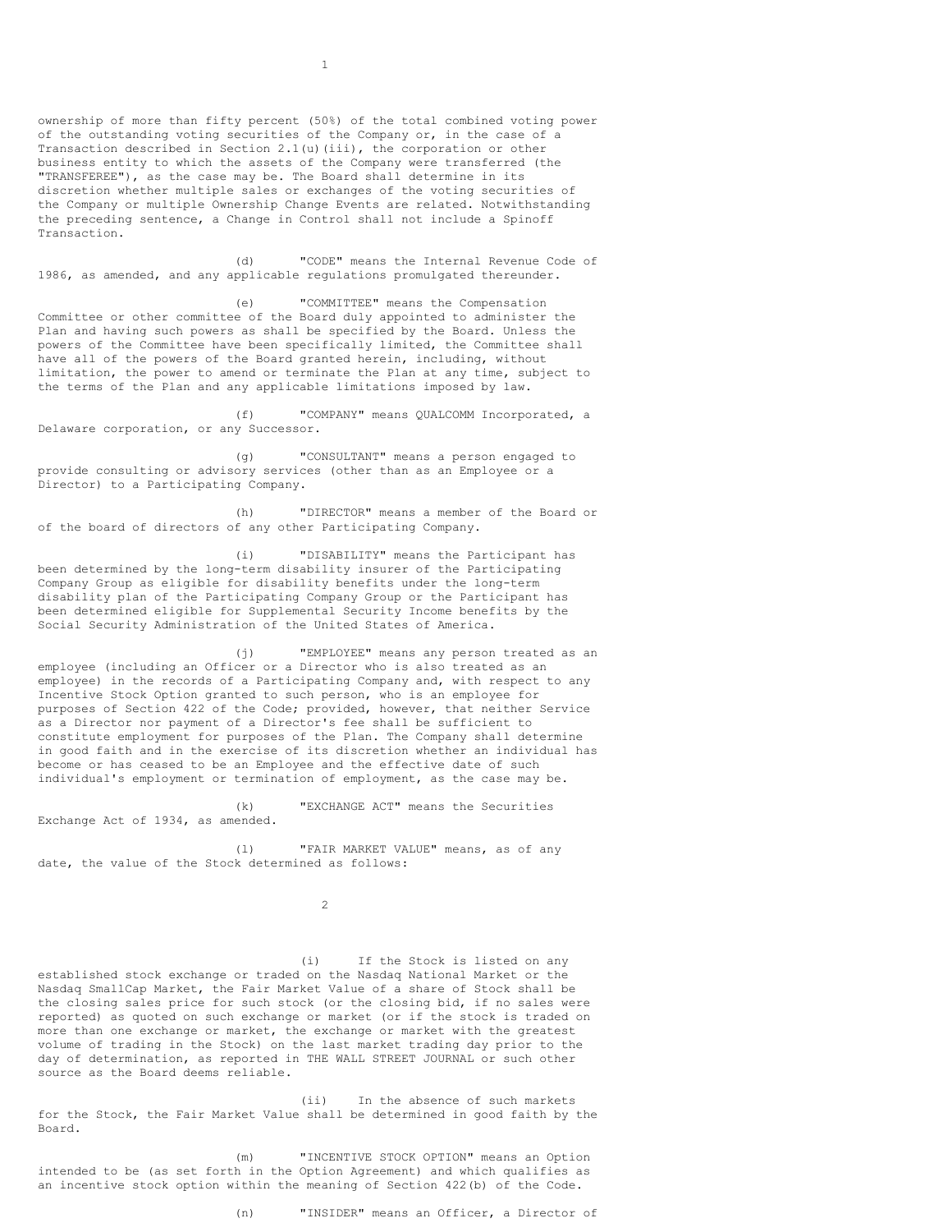ownership of more than fifty percent (50%) of the total combined voting power of the outstanding voting securities of the Company or, in the case of a Transaction described in Section  $2.1(u)$  (iii), the corporation or other business entity to which the assets of the Company were transferred (the "TRANSFEREE"), as the case may be. The Board shall determine in its discretion whether multiple sales or exchanges of the voting securities of the Company or multiple Ownership Change Events are related. Notwithstanding the preceding sentence, a Change in Control shall not include a Spinoff Transaction.

(d) "CODE" means the Internal Revenue Code of 1986, as amended, and any applicable regulations promulgated thereunder.

(e) "COMMITTEE" means the Compensation Committee or other committee of the Board duly appointed to administer the Plan and having such powers as shall be specified by the Board. Unless the powers of the Committee have been specifically limited, the Committee shall have all of the powers of the Board granted herein, including, without limitation, the power to amend or terminate the Plan at any time, subject to the terms of the Plan and any applicable limitations imposed by law.

(f) "COMPANY" means QUALCOMM Incorporated, a Delaware corporation, or any Successor.

(g) "CONSULTANT" means a person engaged to provide consulting or advisory services (other than as an Employee or a Director) to a Participating Company.

(h) "DIRECTOR" means a member of the Board or of the board of directors of any other Participating Company.

(i) "DISABILITY" means the Participant has been determined by the long-term disability insurer of the Participating Company Group as eligible for disability benefits under the long-term disability plan of the Participating Company Group or the Participant has been determined eligible for Supplemental Security Income benefits by the Social Security Administration of the United States of America.

(j) "EMPLOYEE" means any person treated as an employee (including an Officer or a Director who is also treated as an employee) in the records of a Participating Company and, with respect to any Incentive Stock Option granted to such person, who is an employee for purposes of Section 422 of the Code; provided, however, that neither Service as a Director nor payment of a Director's fee shall be sufficient to constitute employment for purposes of the Plan. The Company shall determine in good faith and in the exercise of its discretion whether an individual has become or has ceased to be an Employee and the effective date of such individual's employment or termination of employment, as the case may be.

(k) "EXCHANGE ACT" means the Securities Exchange Act of 1934, as amended.

(l) "FAIR MARKET VALUE" means, as of any date, the value of the Stock determined as follows:

2

(i) If the Stock is listed on any established stock exchange or traded on the Nasdaq National Market or the Nasdaq SmallCap Market, the Fair Market Value of a share of Stock shall be the closing sales price for such stock (or the closing bid, if no sales were reported) as quoted on such exchange or market (or if the stock is traded on more than one exchange or market, the exchange or market with the greatest volume of trading in the Stock) on the last market trading day prior to the day of determination, as reported in THE WALL STREET JOURNAL or such other source as the Board deems reliable.

(ii) In the absence of such markets for the Stock, the Fair Market Value shall be determined in good faith by the Board.

(m) "INCENTIVE STOCK OPTION" means an Option intended to be (as set forth in the Option Agreement) and which qualifies as an incentive stock option within the meaning of Section 422(b) of the Code.

(n) "INSIDER" means an Officer, a Director of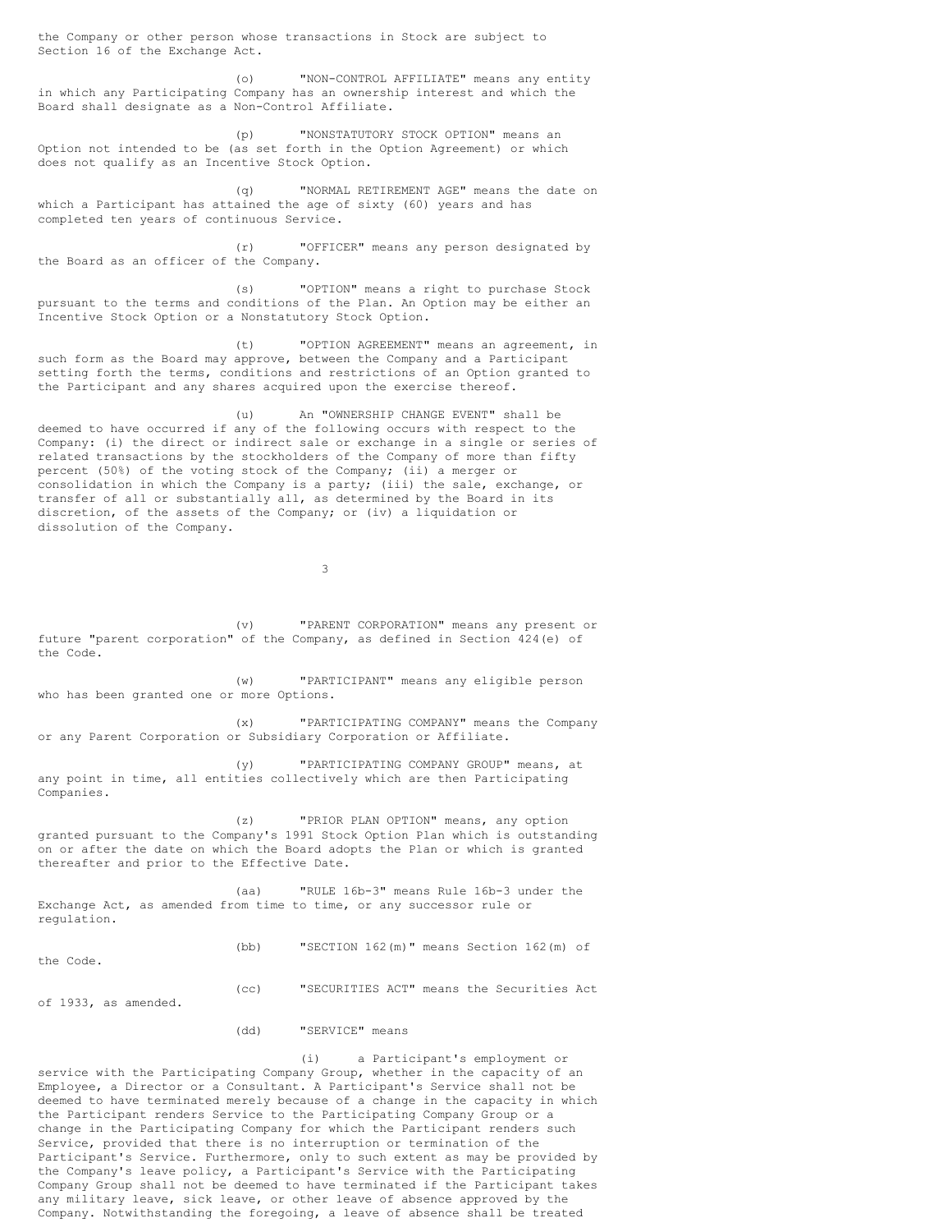the Company or other person whose transactions in Stock are subject to Section 16 of the Exchange Act.

(o) "NON-CONTROL AFFILIATE" means any entity in which any Participating Company has an ownership interest and which the Board shall designate as a Non-Control Affiliate.

(p) "NONSTATUTORY STOCK OPTION" means an Option not intended to be (as set forth in the Option Agreement) or which does not qualify as an Incentive Stock Option.

(q) "NORMAL RETIREMENT AGE" means the date on which a Participant has attained the age of sixty (60) years and has completed ten years of continuous Service.

(r) "OFFICER" means any person designated by the Board as an officer of the Company.

(s) "OPTION" means a right to purchase Stock pursuant to the terms and conditions of the Plan. An Option may be either an Incentive Stock Option or a Nonstatutory Stock Option.

(t) "OPTION AGREEMENT" means an agreement, in such form as the Board may approve, between the Company and a Participant setting forth the terms, conditions and restrictions of an Option granted to the Participant and any shares acquired upon the exercise thereof.

(u) An "OWNERSHIP CHANGE EVENT" shall be deemed to have occurred if any of the following occurs with respect to the Company: (i) the direct or indirect sale or exchange in a single or series of related transactions by the stockholders of the Company of more than fifty percent (50%) of the voting stock of the Company; (ii) a merger or consolidation in which the Company is a party; (iii) the sale, exchange, or transfer of all or substantially all, as determined by the Board in its discretion, of the assets of the Company; or (iv) a liquidation or dissolution of the Company.

3

(v) "PARENT CORPORATION" means any present or future "parent corporation" of the Company, as defined in Section 424(e) of the Code.

(w) "PARTICIPANT" means any eligible person who has been granted one or more Options.

(x) "PARTICIPATING COMPANY" means the Company or any Parent Corporation or Subsidiary Corporation or Affiliate.

(y) "PARTICIPATING COMPANY GROUP" means, at any point in time, all entities collectively which are then Participating Companies.

(z) "PRIOR PLAN OPTION" means, any option granted pursuant to the Company's 1991 Stock Option Plan which is outstanding on or after the date on which the Board adopts the Plan or which is granted thereafter and prior to the Effective Date.

(aa) "RULE 16b-3" means Rule 16b-3 under the Exchange Act, as amended from time to time, or any successor rule or regulation.

(bb) "SECTION 162(m)" means Section 162(m) of the Code. (cc) "SECURITIES ACT" means the Securities Act of 1933, as amended.

(dd) "SERVICE" means

(i) a Participant's employment or service with the Participating Company Group, whether in the capacity of an Employee, a Director or a Consultant. A Participant's Service shall not be deemed to have terminated merely because of a change in the capacity in which the Participant renders Service to the Participating Company Group or a change in the Participating Company for which the Participant renders such Service, provided that there is no interruption or termination of the Participant's Service. Furthermore, only to such extent as may be provided by the Company's leave policy, a Participant's Service with the Participating Company Group shall not be deemed to have terminated if the Participant takes any military leave, sick leave, or other leave of absence approved by the Company. Notwithstanding the foregoing, a leave of absence shall be treated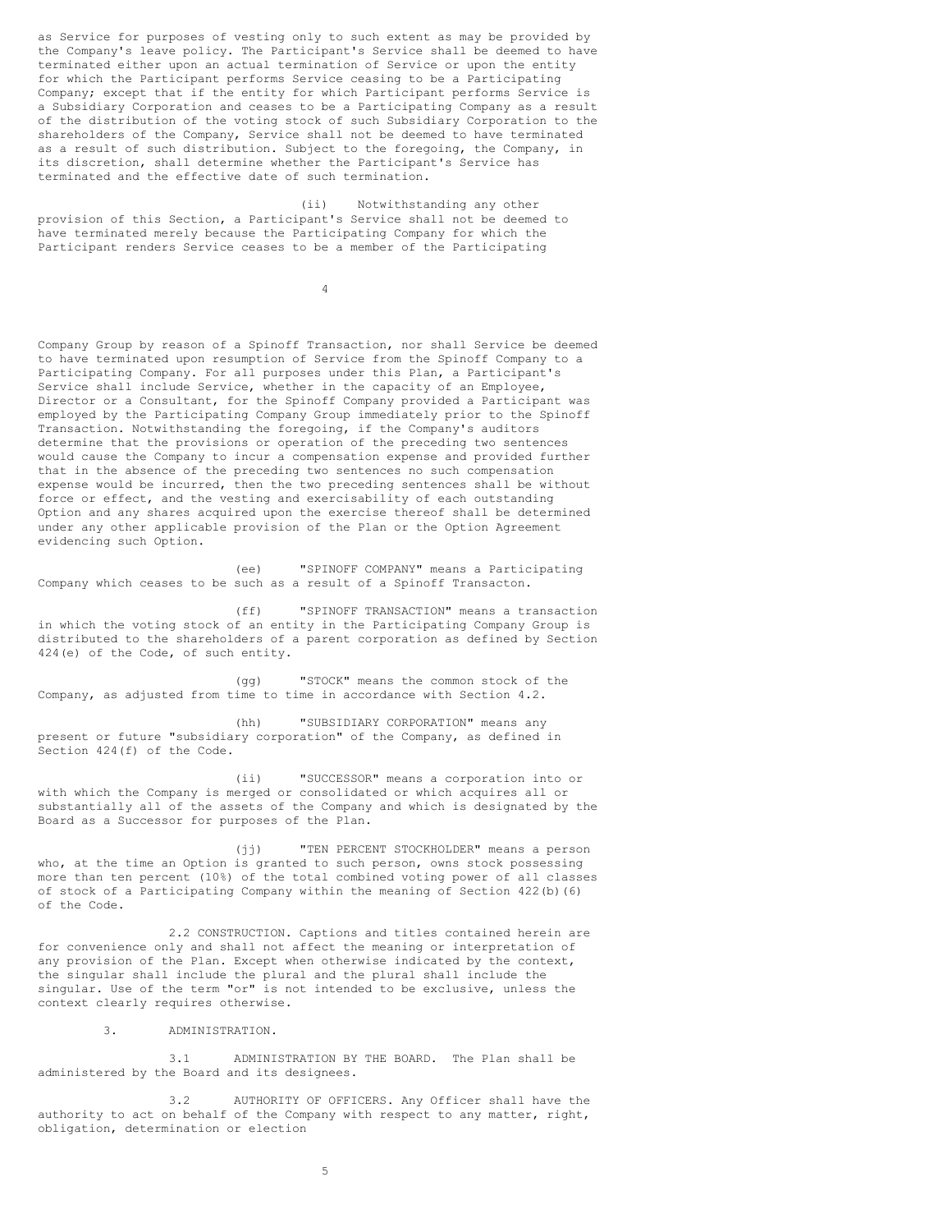as Service for purposes of vesting only to such extent as may be provided by the Company's leave policy. The Participant's Service shall be deemed to have terminated either upon an actual termination of Service or upon the entity for which the Participant performs Service ceasing to be a Participating Company; except that if the entity for which Participant performs Service is a Subsidiary Corporation and ceases to be a Participating Company as a result of the distribution of the voting stock of such Subsidiary Corporation to the shareholders of the Company, Service shall not be deemed to have terminated as a result of such distribution. Subject to the foregoing, the Company, in its discretion, shall determine whether the Participant's Service has terminated and the effective date of such termination.

(ii) Notwithstanding any other

provision of this Section, a Participant's Service shall not be deemed to have terminated merely because the Participating Company for which the Participant renders Service ceases to be a member of the Participating

4

Company Group by reason of a Spinoff Transaction, nor shall Service be deemed to have terminated upon resumption of Service from the Spinoff Company to a Participating Company. For all purposes under this Plan, a Participant's Service shall include Service, whether in the capacity of an Employee, Director or a Consultant, for the Spinoff Company provided a Participant was employed by the Participating Company Group immediately prior to the Spinoff Transaction. Notwithstanding the foregoing, if the Company's auditors determine that the provisions or operation of the preceding two sentences would cause the Company to incur a compensation expense and provided further that in the absence of the preceding two sentences no such compensation expense would be incurred, then the two preceding sentences shall be without force or effect, and the vesting and exercisability of each outstanding Option and any shares acquired upon the exercise thereof shall be determined under any other applicable provision of the Plan or the Option Agreement evidencing such Option.

(ee) "SPINOFF COMPANY" means a Participating Company which ceases to be such as a result of a Spinoff Transacton.

(ff) "SPINOFF TRANSACTION" means a transaction in which the voting stock of an entity in the Participating Company Group is distributed to the shareholders of a parent corporation as defined by Section 424(e) of the Code, of such entity.

(gg) "STOCK" means the common stock of the Company, as adjusted from time to time in accordance with Section 4.2.

(hh) "SUBSIDIARY CORPORATION" means any present or future "subsidiary corporation" of the Company, as defined in Section 424(f) of the Code.

(ii) "SUCCESSOR" means a corporation into or with which the Company is merged or consolidated or which acquires all or substantially all of the assets of the Company and which is designated by the Board as a Successor for purposes of the Plan.

(jj) "TEN PERCENT STOCKHOLDER" means a person who, at the time an Option is granted to such person, owns stock possessing more than ten percent (10%) of the total combined voting power of all classes of stock of a Participating Company within the meaning of Section 422(b)(6) of the Code.

2.2 CONSTRUCTION. Captions and titles contained herein are for convenience only and shall not affect the meaning or interpretation of any provision of the Plan. Except when otherwise indicated by the context, the singular shall include the plural and the plural shall include the singular. Use of the term "or" is not intended to be exclusive, unless the context clearly requires otherwise.

# 3. ADMINISTRATION.

3.1 ADMINISTRATION BY THE BOARD. The Plan shall be administered by the Board and its designees.

3.2 AUTHORITY OF OFFICERS. Any Officer shall have the authority to act on behalf of the Company with respect to any matter, right, obligation, determination or election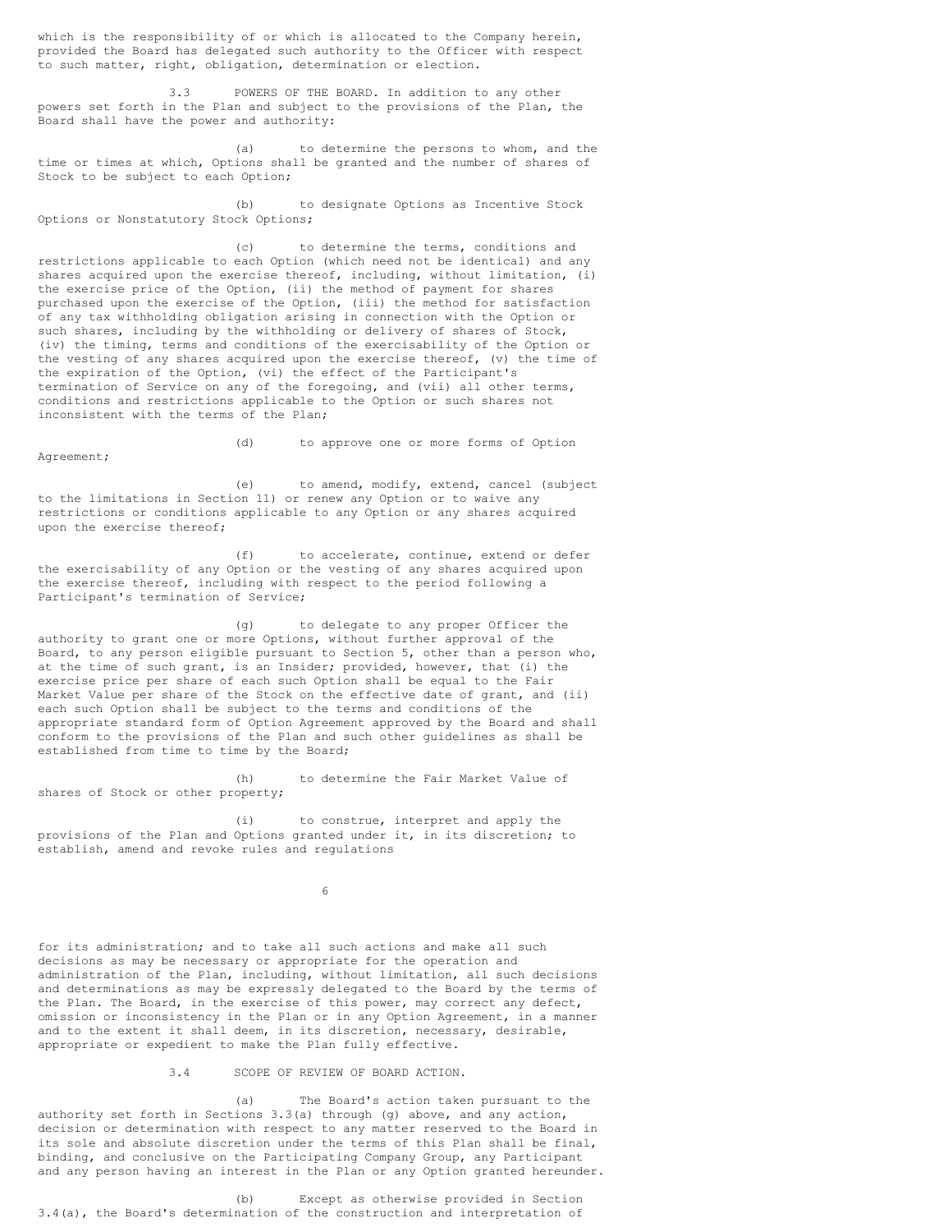which is the responsibility of or which is allocated to the Company herein, provided the Board has delegated such authority to the Officer with respect to such matter, right, obligation, determination or election.

3.3 POWERS OF THE BOARD. In addition to any other powers set forth in the Plan and subject to the provisions of the Plan, the Board shall have the power and authority:

(a) to determine the persons to whom, and the time or times at which, Options shall be granted and the number of shares of Stock to be subject to each Option;

(b) to designate Options as Incentive Stock Options or Nonstatutory Stock Options;

(c) to determine the terms, conditions and restrictions applicable to each Option (which need not be identical) and any shares acquired upon the exercise thereof, including, without limitation, (i) the exercise price of the Option, (ii) the method of payment for shares purchased upon the exercise of the Option, (iii) the method for satisfaction of any tax withholding obligation arising in connection with the Option or such shares, including by the withholding or delivery of shares of Stock, (iv) the timing, terms and conditions of the exercisability of the Option or the vesting of any shares acquired upon the exercise thereof, (v) the time of the expiration of the Option, (vi) the effect of the Participant's termination of Service on any of the foregoing, and (vii) all other terms, conditions and restrictions applicable to the Option or such shares not inconsistent with the terms of the Plan;

#### Agreement;

(d) to approve one or more forms of Option

(e) to amend, modify, extend, cancel (subject to the limitations in Section 11) or renew any Option or to waive any restrictions or conditions applicable to any Option or any shares acquired upon the exercise thereof;

(f) to accelerate, continue, extend or defer the exercisability of any Option or the vesting of any shares acquired upon the exercise thereof, including with respect to the period following a Participant's termination of Service;

(g) to delegate to any proper Officer the authority to grant one or more Options, without further approval of the Board, to any person eligible pursuant to Section 5, other than a person who, at the time of such grant, is an Insider; provided, however, that (i) the exercise price per share of each such Option shall be equal to the Fair Market Value per share of the Stock on the effective date of grant, and (ii) each such Option shall be subject to the terms and conditions of the appropriate standard form of Option Agreement approved by the Board and shall conform to the provisions of the Plan and such other guidelines as shall be established from time to time by the Board;

(h) to determine the Fair Market Value of shares of Stock or other property;

(i) to construe, interpret and apply the provisions of the Plan and Options granted under it, in its discretion; to establish, amend and revoke rules and regulations

6

for its administration; and to take all such actions and make all such decisions as may be necessary or appropriate for the operation and administration of the Plan, including, without limitation, all such decisions and determinations as may be expressly delegated to the Board by the terms of the Plan. The Board, in the exercise of this power, may correct any defect, omission or inconsistency in the Plan or in any Option Agreement, in a manner and to the extent it shall deem, in its discretion, necessary, desirable, appropriate or expedient to make the Plan fully effective.

# 3.4 SCOPE OF REVIEW OF BOARD ACTION.

(a) The Board's action taken pursuant to the authority set forth in Sections 3.3(a) through (g) above, and any action, decision or determination with respect to any matter reserved to the Board in its sole and absolute discretion under the terms of this Plan shall be final, binding, and conclusive on the Participating Company Group, any Participant and any person having an interest in the Plan or any Option granted hereunder.

(b) Except as otherwise provided in Section 3.4(a), the Board's determination of the construction and interpretation of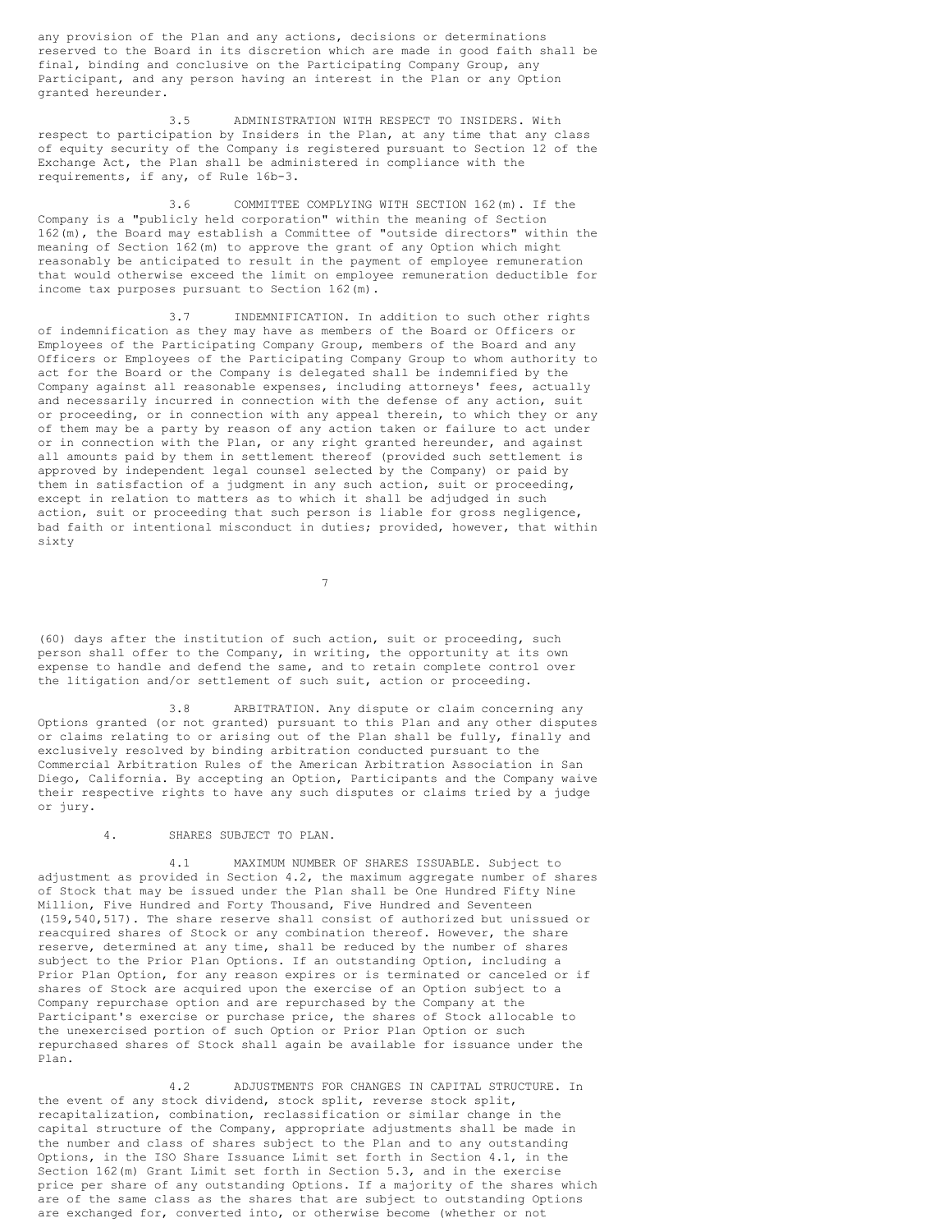any provision of the Plan and any actions, decisions or determinations reserved to the Board in its discretion which are made in good faith shall be final, binding and conclusive on the Participating Company Group, any Participant, and any person having an interest in the Plan or any Option granted hereunder.

3.5 ADMINISTRATION WITH RESPECT TO INSIDERS. With respect to participation by Insiders in the Plan, at any time that any class of equity security of the Company is registered pursuant to Section 12 of the Exchange Act, the Plan shall be administered in compliance with the requirements, if any, of Rule 16b-3.

3.6 COMMITTEE COMPLYING WITH SECTION 162(m). If the Company is a "publicly held corporation" within the meaning of Section 162(m), the Board may establish a Committee of "outside directors" within the meaning of Section 162(m) to approve the grant of any Option which might reasonably be anticipated to result in the payment of employee remuneration that would otherwise exceed the limit on employee remuneration deductible for income tax purposes pursuant to Section 162(m).

3.7 INDEMNIFICATION. In addition to such other rights of indemnification as they may have as members of the Board or Officers or Employees of the Participating Company Group, members of the Board and any Officers or Employees of the Participating Company Group to whom authority to act for the Board or the Company is delegated shall be indemnified by the Company against all reasonable expenses, including attorneys' fees, actually and necessarily incurred in connection with the defense of any action, suit or proceeding, or in connection with any appeal therein, to which they or any of them may be a party by reason of any action taken or failure to act under or in connection with the Plan, or any right granted hereunder, and against all amounts paid by them in settlement thereof (provided such settlement is approved by independent legal counsel selected by the Company) or paid by them in satisfaction of a judgment in any such action, suit or proceeding, except in relation to matters as to which it shall be adjudged in such action, suit or proceeding that such person is liable for gross negligence, bad faith or intentional misconduct in duties; provided, however, that within sixty

7

(60) days after the institution of such action, suit or proceeding, such person shall offer to the Company, in writing, the opportunity at its own expense to handle and defend the same, and to retain complete control over the litigation and/or settlement of such suit, action or proceeding.

3.8 ARBITRATION. Any dispute or claim concerning any Options granted (or not granted) pursuant to this Plan and any other disputes or claims relating to or arising out of the Plan shall be fully, finally and exclusively resolved by binding arbitration conducted pursuant to the Commercial Arbitration Rules of the American Arbitration Association in San Diego, California. By accepting an Option, Participants and the Company waive their respective rights to have any such disputes or claims tried by a judge or jury.

4. SHARES SUBJECT TO PLAN.

4.1 MAXIMUM NUMBER OF SHARES ISSUABLE. Subject to adjustment as provided in Section 4.2, the maximum aggregate number of shares of Stock that may be issued under the Plan shall be One Hundred Fifty Nine Million, Five Hundred and Forty Thousand, Five Hundred and Seventeen (159,540,517). The share reserve shall consist of authorized but unissued or reacquired shares of Stock or any combination thereof. However, the share reserve, determined at any time, shall be reduced by the number of shares subject to the Prior Plan Options. If an outstanding Option, including a Prior Plan Option, for any reason expires or is terminated or canceled or if shares of Stock are acquired upon the exercise of an Option subject to a Company repurchase option and are repurchased by the Company at the Participant's exercise or purchase price, the shares of Stock allocable to the unexercised portion of such Option or Prior Plan Option or such repurchased shares of Stock shall again be available for issuance under the Plan.

4.2 ADJUSTMENTS FOR CHANGES IN CAPITAL STRUCTURE. In the event of any stock dividend, stock split, reverse stock split, recapitalization, combination, reclassification or similar change in the capital structure of the Company, appropriate adjustments shall be made in the number and class of shares subject to the Plan and to any outstanding Options, in the ISO Share Issuance Limit set forth in Section 4.1, in the Section 162(m) Grant Limit set forth in Section 5.3, and in the exercise price per share of any outstanding Options. If a majority of the shares which are of the same class as the shares that are subject to outstanding Options are exchanged for, converted into, or otherwise become (whether or not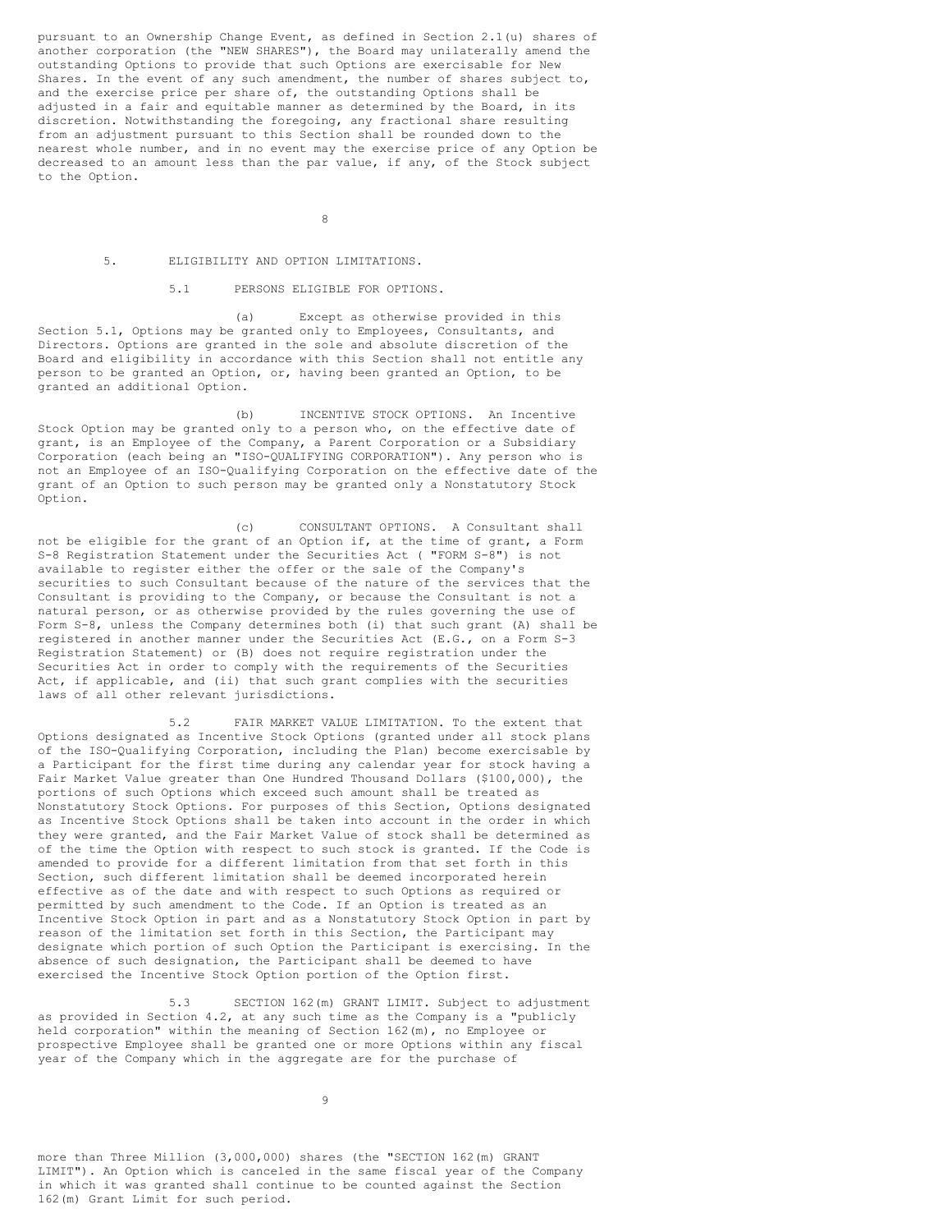pursuant to an Ownership Change Event, as defined in Section 2.1(u) shares of another corporation (the "NEW SHARES"), the Board may unilaterally amend the outstanding Options to provide that such Options are exercisable for New Shares. In the event of any such amendment, the number of shares subject to, and the exercise price per share of, the outstanding Options shall be adjusted in a fair and equitable manner as determined by the Board, in its discretion. Notwithstanding the foregoing, any fractional share resulting from an adjustment pursuant to this Section shall be rounded down to the nearest whole number, and in no event may the exercise price of any Option be decreased to an amount less than the par value, if any, of the Stock subject to the Option.

8

#### 5. ELIGIBILITY AND OPTION LIMITATIONS.

# 5.1 PERSONS ELIGIBLE FOR OPTIONS.

(a) Except as otherwise provided in this Section 5.1, Options may be granted only to Employees, Consultants, and Directors. Options are granted in the sole and absolute discretion of the Board and eligibility in accordance with this Section shall not entitle any person to be granted an Option, or, having been granted an Option, to be granted an additional Option.

(b) INCENTIVE STOCK OPTIONS. An Incentive Stock Option may be granted only to a person who, on the effective date of grant, is an Employee of the Company, a Parent Corporation or a Subsidiary Corporation (each being an "ISO-QUALIFYING CORPORATION"). Any person who is not an Employee of an ISO-Qualifying Corporation on the effective date of the grant of an Option to such person may be granted only a Nonstatutory Stock Option.

(c) CONSULTANT OPTIONS. A Consultant shall not be eligible for the grant of an Option if, at the time of grant, a Form S-8 Registration Statement under the Securities Act ( "FORM S-8") is not available to register either the offer or the sale of the Company's securities to such Consultant because of the nature of the services that the Consultant is providing to the Company, or because the Consultant is not a natural person, or as otherwise provided by the rules governing the use of Form S-8, unless the Company determines both (i) that such grant (A) shall be registered in another manner under the Securities Act (E.G., on a Form S-3 Registration Statement) or (B) does not require registration under the Securities Act in order to comply with the requirements of the Securities Act, if applicable, and (ii) that such grant complies with the securities laws of all other relevant jurisdictions.

5.2 FAIR MARKET VALUE LIMITATION. To the extent that Options designated as Incentive Stock Options (granted under all stock plans of the ISO-Qualifying Corporation, including the Plan) become exercisable by a Participant for the first time during any calendar year for stock having a Fair Market Value greater than One Hundred Thousand Dollars (\$100,000), the portions of such Options which exceed such amount shall be treated as Nonstatutory Stock Options. For purposes of this Section, Options designated as Incentive Stock Options shall be taken into account in the order in which they were granted, and the Fair Market Value of stock shall be determined as of the time the Option with respect to such stock is granted. If the Code is amended to provide for a different limitation from that set forth in this Section, such different limitation shall be deemed incorporated herein effective as of the date and with respect to such Options as required or permitted by such amendment to the Code. If an Option is treated as an Incentive Stock Option in part and as a Nonstatutory Stock Option in part by reason of the limitation set forth in this Section, the Participant may designate which portion of such Option the Participant is exercising. In the absence of such designation, the Participant shall be deemed to have exercised the Incentive Stock Option portion of the Option first.

5.3 SECTION 162(m) GRANT LIMIT. Subject to adjustment as provided in Section 4.2, at any such time as the Company is a "publicly held corporation" within the meaning of Section 162(m), no Employee or prospective Employee shall be granted one or more Options within any fiscal year of the Company which in the aggregate are for the purchase of

9

more than Three Million (3,000,000) shares (the "SECTION 162(m) GRANT LIMIT"). An Option which is canceled in the same fiscal year of the Company in which it was granted shall continue to be counted against the Section 162(m) Grant Limit for such period.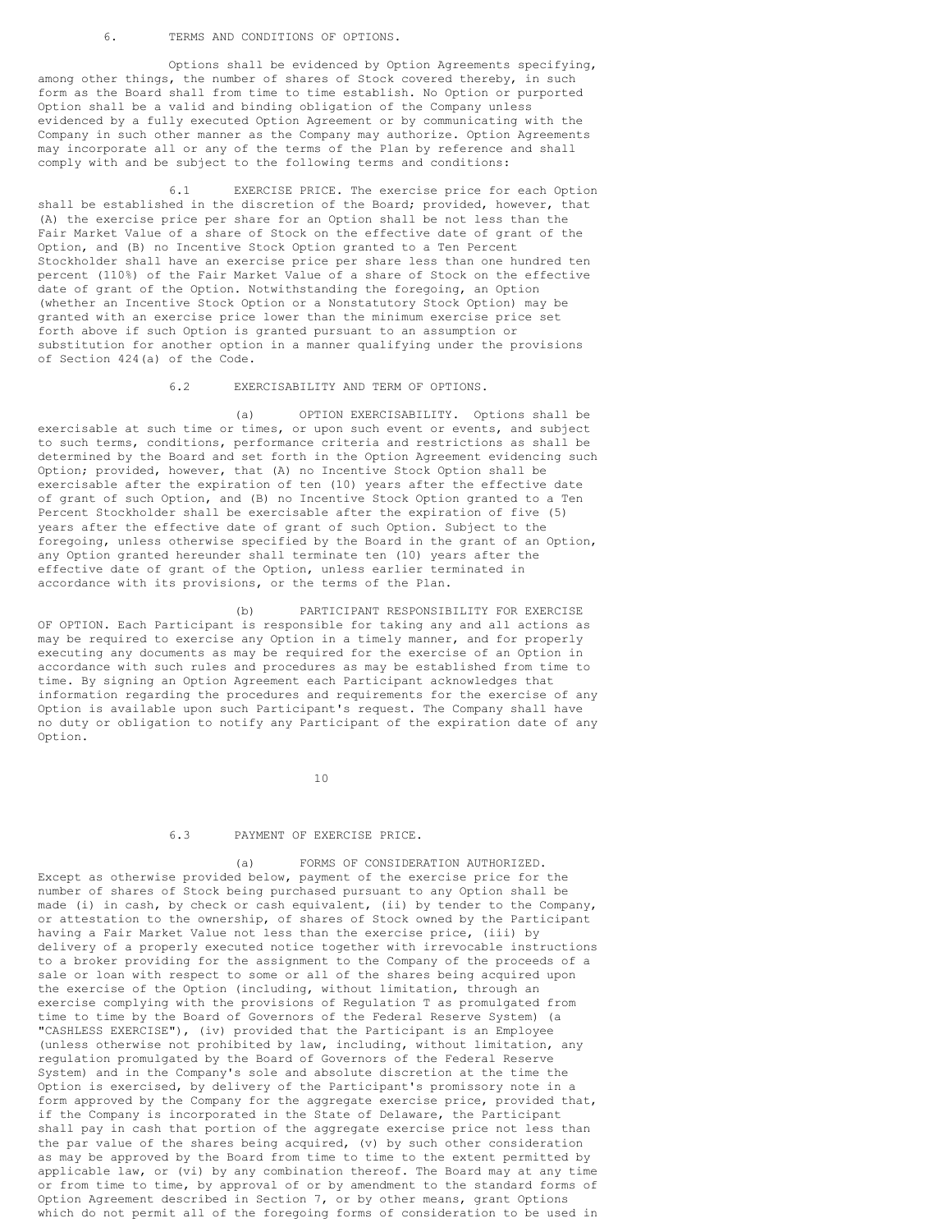#### 6. TERMS AND CONDITIONS OF OPTIONS.

Options shall be evidenced by Option Agreements specifying, among other things, the number of shares of Stock covered thereby, in such form as the Board shall from time to time establish. No Option or purported Option shall be a valid and binding obligation of the Company unless evidenced by a fully executed Option Agreement or by communicating with the Company in such other manner as the Company may authorize. Option Agreements may incorporate all or any of the terms of the Plan by reference and shall comply with and be subject to the following terms and conditions:

6.1 EXERCISE PRICE. The exercise price for each Option shall be established in the discretion of the Board; provided, however, that (A) the exercise price per share for an Option shall be not less than the Fair Market Value of a share of Stock on the effective date of grant of the Option, and (B) no Incentive Stock Option granted to a Ten Percent Stockholder shall have an exercise price per share less than one hundred ten percent (110%) of the Fair Market Value of a share of Stock on the effective date of grant of the Option. Notwithstanding the foregoing, an Option (whether an Incentive Stock Option or a Nonstatutory Stock Option) may be granted with an exercise price lower than the minimum exercise price set forth above if such Option is granted pursuant to an assumption or substitution for another option in a manner qualifying under the provisions of Section 424(a) of the Code.

6.2 EXERCISABILITY AND TERM OF OPTIONS.

(a) OPTION EXERCISABILITY. Options shall be exercisable at such time or times, or upon such event or events, and subject to such terms, conditions, performance criteria and restrictions as shall be determined by the Board and set forth in the Option Agreement evidencing such Option; provided, however, that (A) no Incentive Stock Option shall be exercisable after the expiration of ten (10) years after the effective date of grant of such Option, and (B) no Incentive Stock Option granted to a Ten Percent Stockholder shall be exercisable after the expiration of five (5) years after the effective date of grant of such Option. Subject to the foregoing, unless otherwise specified by the Board in the grant of an Option, any Option granted hereunder shall terminate ten (10) years after the effective date of grant of the Option, unless earlier terminated in accordance with its provisions, or the terms of the Plan.

(b) PARTICIPANT RESPONSIBILITY FOR EXERCISE OF OPTION. Each Participant is responsible for taking any and all actions as may be required to exercise any Option in a timely manner, and for properly executing any documents as may be required for the exercise of an Option in accordance with such rules and procedures as may be established from time to time. By signing an Option Agreement each Participant acknowledges that information regarding the procedures and requirements for the exercise of any Option is available upon such Participant's request. The Company shall have no duty or obligation to notify any Participant of the expiration date of any Option.

10

#### 6.3 PAYMENT OF EXERCISE PRICE.

(a) FORMS OF CONSIDERATION AUTHORIZED. Except as otherwise provided below, payment of the exercise price for the number of shares of Stock being purchased pursuant to any Option shall be made (i) in cash, by check or cash equivalent, (ii) by tender to the Company, or attestation to the ownership, of shares of Stock owned by the Participant having a Fair Market Value not less than the exercise price, (iii) by delivery of a properly executed notice together with irrevocable instructions to a broker providing for the assignment to the Company of the proceeds of a sale or loan with respect to some or all of the shares being acquired upon the exercise of the Option (including, without limitation, through an exercise complying with the provisions of Regulation T as promulgated from time to time by the Board of Governors of the Federal Reserve System) (a "CASHLESS EXERCISE"), (iv) provided that the Participant is an Employee (unless otherwise not prohibited by law, including, without limitation, any regulation promulgated by the Board of Governors of the Federal Reserve System) and in the Company's sole and absolute discretion at the time the Option is exercised, by delivery of the Participant's promissory note in a form approved by the Company for the aggregate exercise price, provided that, if the Company is incorporated in the State of Delaware, the Participant shall pay in cash that portion of the aggregate exercise price not less than the par value of the shares being acquired, (v) by such other consideration as may be approved by the Board from time to time to the extent permitted by applicable law, or (vi) by any combination thereof. The Board may at any time or from time to time, by approval of or by amendment to the standard forms of Option Agreement described in Section 7, or by other means, grant Options which do not permit all of the foregoing forms of consideration to be used in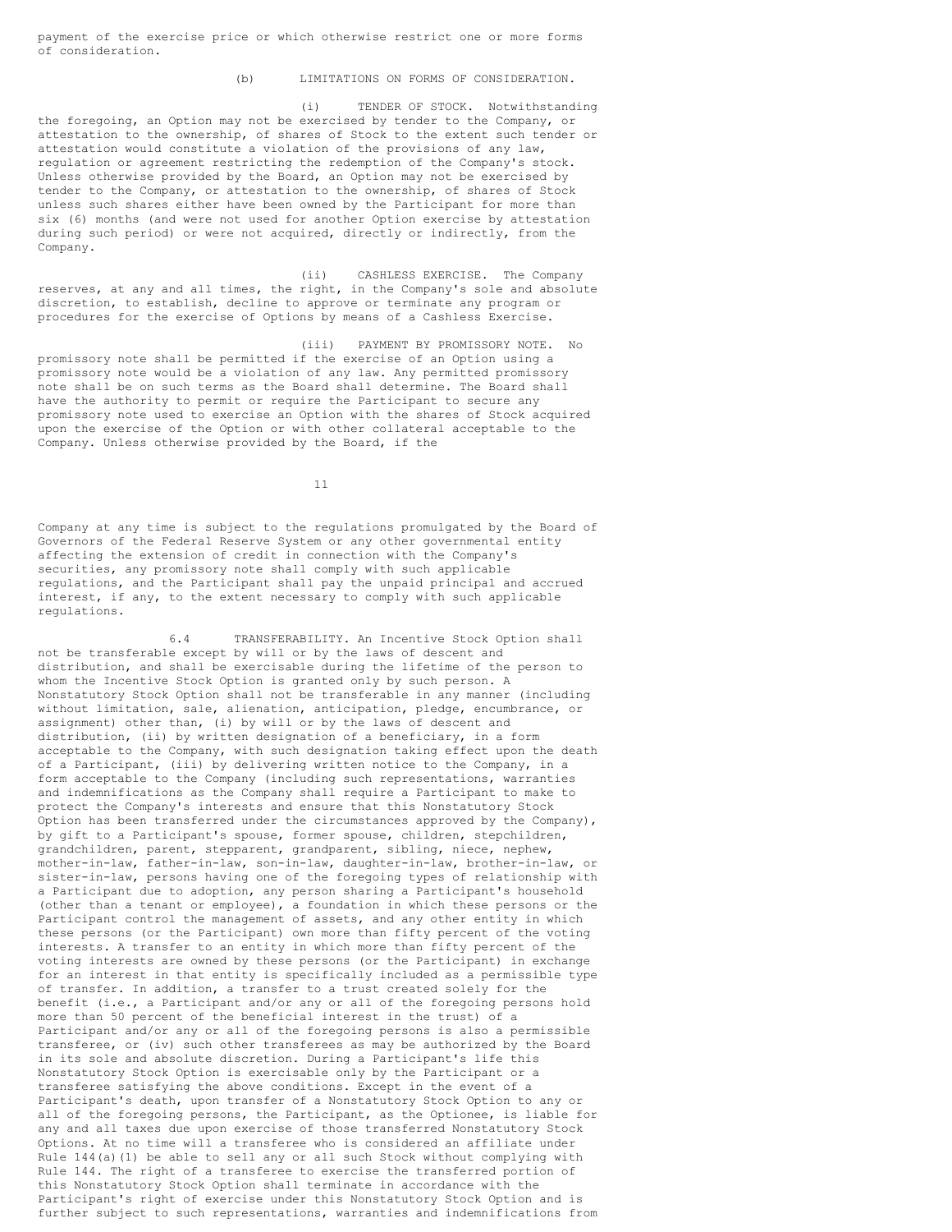payment of the exercise price or which otherwise restrict one or more forms of consideration.

#### (b) LIMITATIONS ON FORMS OF CONSIDERATION.

(i) TENDER OF STOCK. Notwithstanding the foregoing, an Option may not be exercised by tender to the Company, or attestation to the ownership, of shares of Stock to the extent such tender or attestation would constitute a violation of the provisions of any law, regulation or agreement restricting the redemption of the Company's stock. Unless otherwise provided by the Board, an Option may not be exercised by tender to the Company, or attestation to the ownership, of shares of Stock unless such shares either have been owned by the Participant for more than six (6) months (and were not used for another Option exercise by attestation during such period) or were not acquired, directly or indirectly, from the Company.

(ii) CASHLESS EXERCISE. The Company reserves, at any and all times, the right, in the Company's sole and absolute discretion, to establish, decline to approve or terminate any program or procedures for the exercise of Options by means of a Cashless Exercise.

(iii) PAYMENT BY PROMISSORY NOTE. No promissory note shall be permitted if the exercise of an Option using a promissory note would be a violation of any law. Any permitted promissory note shall be on such terms as the Board shall determine. The Board shall have the authority to permit or require the Participant to secure any promissory note used to exercise an Option with the shares of Stock acquired upon the exercise of the Option or with other collateral acceptable to the Company. Unless otherwise provided by the Board, if the

11

Company at any time is subject to the regulations promulgated by the Board of Governors of the Federal Reserve System or any other governmental entity affecting the extension of credit in connection with the Company's securities, any promissory note shall comply with such applicable regulations, and the Participant shall pay the unpaid principal and accrued interest, if any, to the extent necessary to comply with such applicable regulations.

6.4 TRANSFERABILITY. An Incentive Stock Option shall not be transferable except by will or by the laws of descent and distribution, and shall be exercisable during the lifetime of the person to whom the Incentive Stock Option is granted only by such person. A Nonstatutory Stock Option shall not be transferable in any manner (including without limitation, sale, alienation, anticipation, pledge, encumbrance, or assignment) other than, (i) by will or by the laws of descent and distribution, (ii) by written designation of a beneficiary, in a form acceptable to the Company, with such designation taking effect upon the death of a Participant, (iii) by delivering written notice to the Company, in a form acceptable to the Company (including such representations, warranties and indemnifications as the Company shall require a Participant to make to protect the Company's interests and ensure that this Nonstatutory Stock Option has been transferred under the circumstances approved by the Company), by gift to a Participant's spouse, former spouse, children, stepchildren, grandchildren, parent, stepparent, grandparent, sibling, niece, nephew, mother-in-law, father-in-law, son-in-law, daughter-in-law, brother-in-law, or sister-in-law, persons having one of the foregoing types of relationship with a Participant due to adoption, any person sharing a Participant's household (other than a tenant or employee), a foundation in which these persons or the Participant control the management of assets, and any other entity in which these persons (or the Participant) own more than fifty percent of the voting interests. A transfer to an entity in which more than fifty percent of the voting interests are owned by these persons (or the Participant) in exchange for an interest in that entity is specifically included as a permissible type of transfer. In addition, a transfer to a trust created solely for the benefit (i.e., a Participant and/or any or all of the foregoing persons hold more than 50 percent of the beneficial interest in the trust) of a Participant and/or any or all of the foregoing persons is also a permissible transferee, or (iv) such other transferees as may be authorized by the Board in its sole and absolute discretion. During a Participant's life this Nonstatutory Stock Option is exercisable only by the Participant or a transferee satisfying the above conditions. Except in the event of a Participant's death, upon transfer of a Nonstatutory Stock Option to any or all of the foregoing persons, the Participant, as the Optionee, is liable for any and all taxes due upon exercise of those transferred Nonstatutory Stock Options. At no time will a transferee who is considered an affiliate under Rule 144(a)(1) be able to sell any or all such Stock without complying with Rule 144. The right of a transferee to exercise the transferred portion of this Nonstatutory Stock Option shall terminate in accordance with the Participant's right of exercise under this Nonstatutory Stock Option and is further subject to such representations, warranties and indemnifications from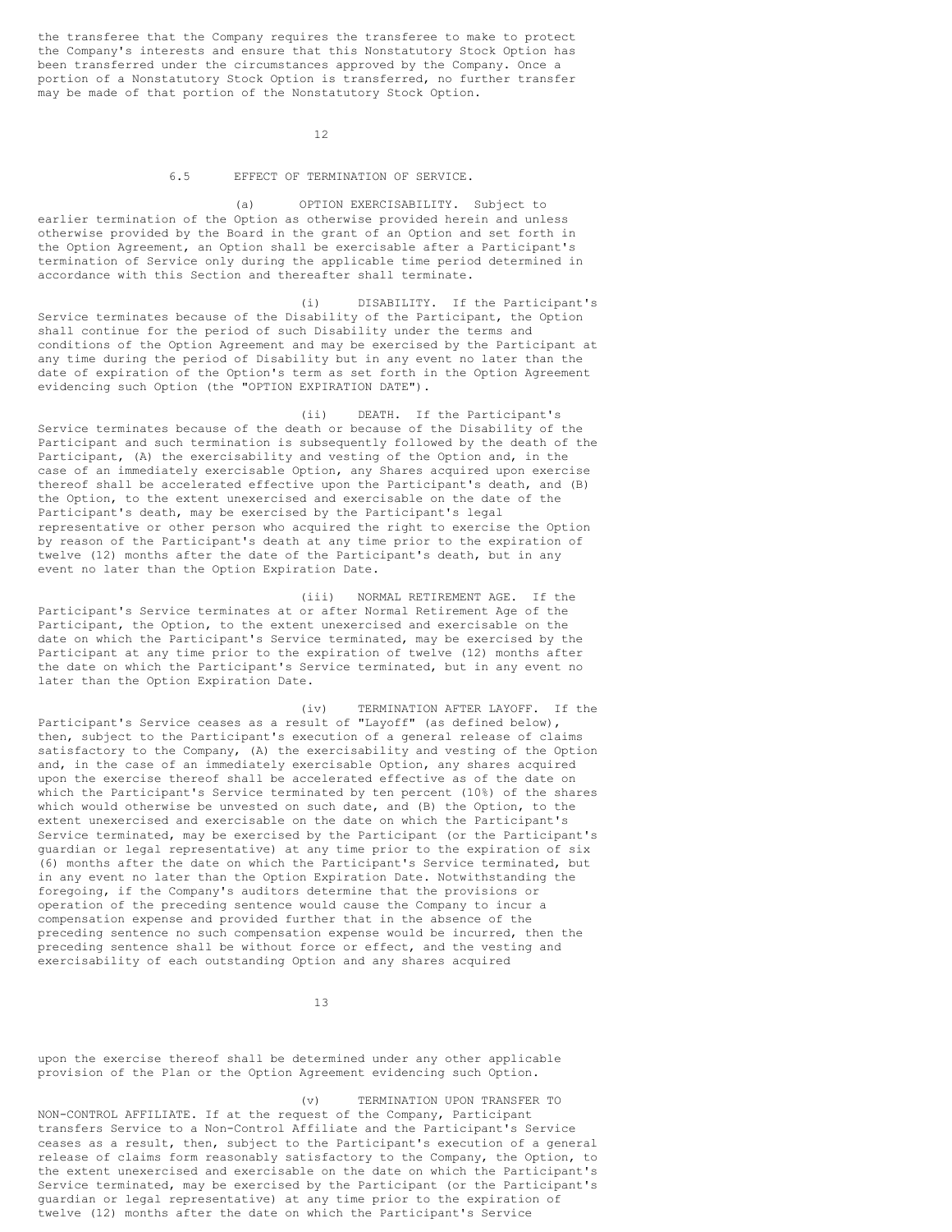the transferee that the Company requires the transferee to make to protect the Company's interests and ensure that this Nonstatutory Stock Option has been transferred under the circumstances approved by the Company. Once a portion of a Nonstatutory Stock Option is transferred, no further transfer may be made of that portion of the Nonstatutory Stock Option.

12

# 6.5 EFFECT OF TERMINATION OF SERVICE.

(a) OPTION EXERCISABILITY. Subject to earlier termination of the Option as otherwise provided herein and unless otherwise provided by the Board in the grant of an Option and set forth in the Option Agreement, an Option shall be exercisable after a Participant's termination of Service only during the applicable time period determined in accordance with this Section and thereafter shall terminate.

(i) DISABILITY. If the Participant's Service terminates because of the Disability of the Participant, the Option shall continue for the period of such Disability under the terms and conditions of the Option Agreement and may be exercised by the Participant at any time during the period of Disability but in any event no later than the date of expiration of the Option's term as set forth in the Option Agreement evidencing such Option (the "OPTION EXPIRATION DATE").

(ii) DEATH. If the Participant's Service terminates because of the death or because of the Disability of the Participant and such termination is subsequently followed by the death of the Participant, (A) the exercisability and vesting of the Option and, in the case of an immediately exercisable Option, any Shares acquired upon exercise thereof shall be accelerated effective upon the Participant's death, and (B) the Option, to the extent unexercised and exercisable on the date of the Participant's death, may be exercised by the Participant's legal representative or other person who acquired the right to exercise the Option by reason of the Participant's death at any time prior to the expiration of twelve (12) months after the date of the Participant's death, but in any event no later than the Option Expiration Date.

(iii) NORMAL RETIREMENT AGE. If the Participant's Service terminates at or after Normal Retirement Age of the Participant, the Option, to the extent unexercised and exercisable on the date on which the Participant's Service terminated, may be exercised by the Participant at any time prior to the expiration of twelve (12) months after the date on which the Participant's Service terminated, but in any event no later than the Option Expiration Date.

(iv) TERMINATION AFTER LAYOFF. If the Participant's Service ceases as a result of "Layoff" (as defined below), then, subject to the Participant's execution of a general release of claims satisfactory to the Company, (A) the exercisability and vesting of the Option and, in the case of an immediately exercisable Option, any shares acquired upon the exercise thereof shall be accelerated effective as of the date on which the Participant's Service terminated by ten percent (10%) of the shares which would otherwise be unvested on such date, and (B) the Option, to the extent unexercised and exercisable on the date on which the Participant's Service terminated, may be exercised by the Participant (or the Participant's guardian or legal representative) at any time prior to the expiration of six (6) months after the date on which the Participant's Service terminated, but in any event no later than the Option Expiration Date. Notwithstanding the foregoing, if the Company's auditors determine that the provisions or operation of the preceding sentence would cause the Company to incur a compensation expense and provided further that in the absence of the preceding sentence no such compensation expense would be incurred, then the preceding sentence shall be without force or effect, and the vesting and exercisability of each outstanding Option and any shares acquired

13

upon the exercise thereof shall be determined under any other applicable provision of the Plan or the Option Agreement evidencing such Option.

(v) TERMINATION UPON TRANSFER TO NON-CONTROL AFFILIATE. If at the request of the Company, Participant transfers Service to a Non-Control Affiliate and the Participant's Service ceases as a result, then, subject to the Participant's execution of a general release of claims form reasonably satisfactory to the Company, the Option, to the extent unexercised and exercisable on the date on which the Participant's Service terminated, may be exercised by the Participant (or the Participant's guardian or legal representative) at any time prior to the expiration of twelve (12) months after the date on which the Participant's Service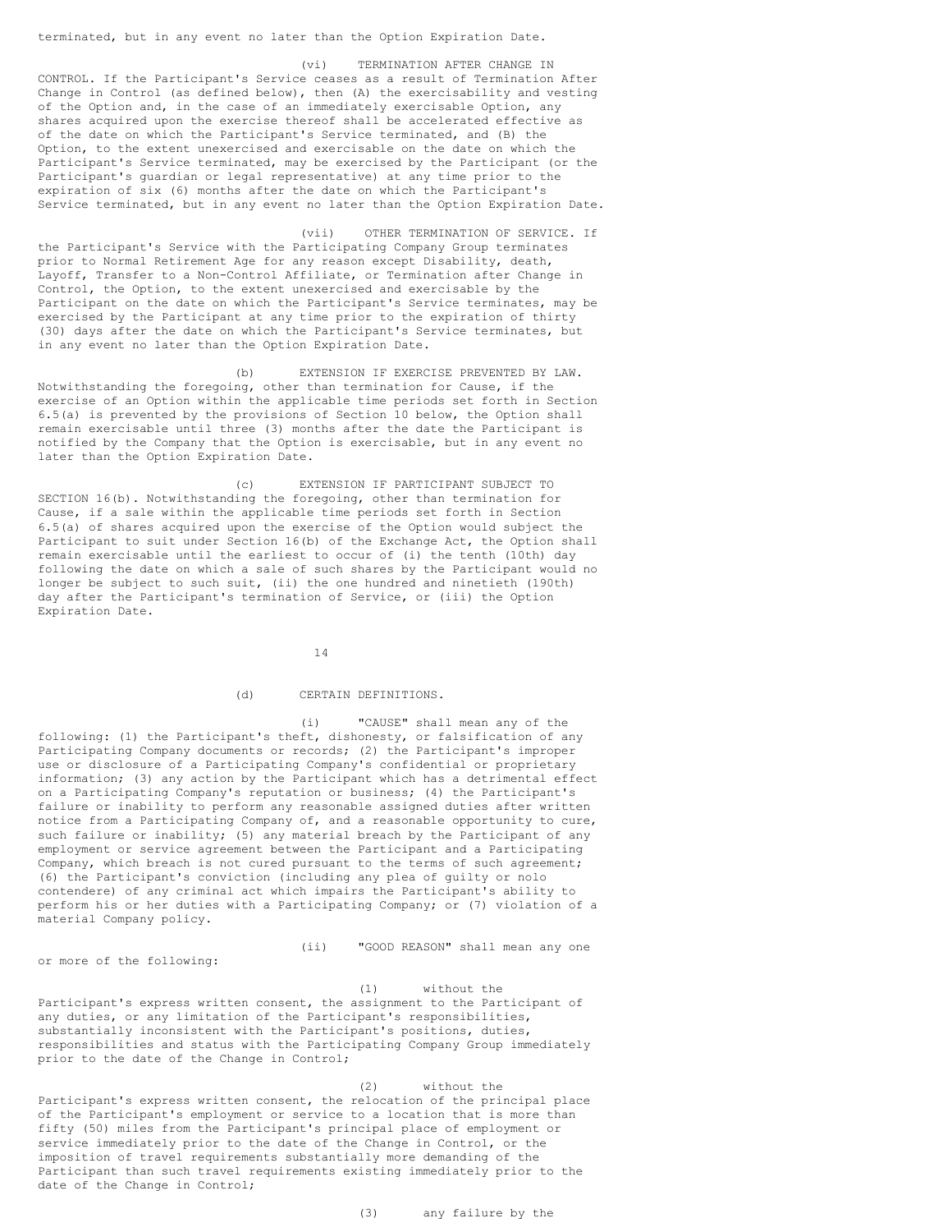terminated, but in any event no later than the Option Expiration Date.

(vi) TERMINATION AFTER CHANGE IN CONTROL. If the Participant's Service ceases as a result of Termination After Change in Control (as defined below), then (A) the exercisability and vesting of the Option and, in the case of an immediately exercisable Option, any shares acquired upon the exercise thereof shall be accelerated effective as of the date on which the Participant's Service terminated, and (B) the Option, to the extent unexercised and exercisable on the date on which the Participant's Service terminated, may be exercised by the Participant (or the Participant's guardian or legal representative) at any time prior to the expiration of six (6) months after the date on which the Participant's Service terminated, but in any event no later than the Option Expiration Date.

(vii) OTHER TERMINATION OF SERVICE. If the Participant's Service with the Participating Company Group terminates prior to Normal Retirement Age for any reason except Disability, death, Layoff, Transfer to a Non-Control Affiliate, or Termination after Change in Control, the Option, to the extent unexercised and exercisable by the Participant on the date on which the Participant's Service terminates, may be exercised by the Participant at any time prior to the expiration of thirty (30) days after the date on which the Participant's Service terminates, but in any event no later than the Option Expiration Date.

(b) EXTENSION IF EXERCISE PREVENTED BY LAW. Notwithstanding the foregoing, other than termination for Cause, if the exercise of an Option within the applicable time periods set forth in Section 6.5(a) is prevented by the provisions of Section 10 below, the Option shall remain exercisable until three (3) months after the date the Participant is notified by the Company that the Option is exercisable, but in any event no later than the Option Expiration Date.

(c) EXTENSION IF PARTICIPANT SUBJECT TO SECTION 16(b). Notwithstanding the foregoing, other than termination for Cause, if a sale within the applicable time periods set forth in Section 6.5(a) of shares acquired upon the exercise of the Option would subject the Participant to suit under Section 16(b) of the Exchange Act, the Option shall remain exercisable until the earliest to occur of (i) the tenth (10th) day following the date on which a sale of such shares by the Participant would no longer be subject to such suit, (ii) the one hundred and ninetieth (190th) day after the Participant's termination of Service, or (iii) the Option Expiration Date.

14

### (d) CERTAIN DEFINITIONS.

(i) "CAUSE" shall mean any of the following: (1) the Participant's theft, dishonesty, or falsification of any Participating Company documents or records; (2) the Participant's improper use or disclosure of a Participating Company's confidential or proprietary information; (3) any action by the Participant which has a detrimental effect on a Participating Company's reputation or business; (4) the Participant's failure or inability to perform any reasonable assigned duties after written notice from a Participating Company of, and a reasonable opportunity to cure, such failure or inability; (5) any material breach by the Participant of any employment or service agreement between the Participant and a Participating Company, which breach is not cured pursuant to the terms of such agreement; (6) the Participant's conviction (including any plea of guilty or nolo contendere) of any criminal act which impairs the Participant's ability to perform his or her duties with a Participating Company; or (7) violation of a material Company policy.

or more of the following:

(ii) "GOOD REASON" shall mean any one

(1) without the

Participant's express written consent, the assignment to the Participant of any duties, or any limitation of the Participant's responsibilities, substantially inconsistent with the Participant's positions, duties, responsibilities and status with the Participating Company Group immediately prior to the date of the Change in Control;

(2) without the Participant's express written consent, the relocation of the principal place of the Participant's employment or service to a location that is more than fifty (50) miles from the Participant's principal place of employment or service immediately prior to the date of the Change in Control, or the imposition of travel requirements substantially more demanding of the Participant than such travel requirements existing immediately prior to the date of the Change in Control: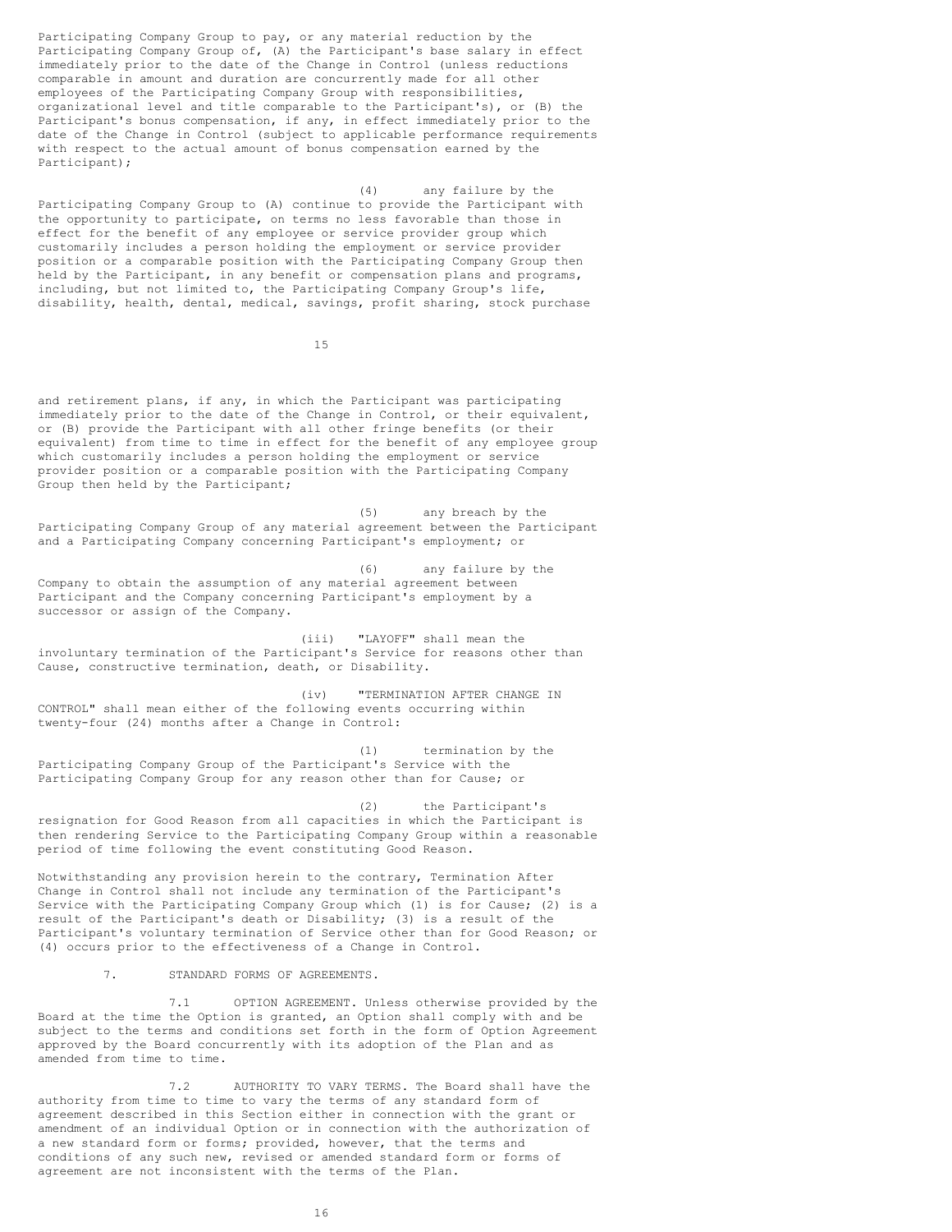Participating Company Group to pay, or any material reduction by the Participating Company Group of, (A) the Participant's base salary in effect immediately prior to the date of the Change in Control (unless reductions comparable in amount and duration are concurrently made for all other employees of the Participating Company Group with responsibilities, organizational level and title comparable to the Participant's), or (B) the Participant's bonus compensation, if any, in effect immediately prior to the date of the Change in Control (subject to applicable performance requirements with respect to the actual amount of bonus compensation earned by the Participant);

(4) any failure by the Participating Company Group to (A) continue to provide the Participant with the opportunity to participate, on terms no less favorable than those in effect for the benefit of any employee or service provider group which customarily includes a person holding the employment or service provider position or a comparable position with the Participating Company Group then held by the Participant, in any benefit or compensation plans and programs, including, but not limited to, the Participating Company Group's life, disability, health, dental, medical, savings, profit sharing, stock purchase

15

and retirement plans, if any, in which the Participant was participating immediately prior to the date of the Change in Control, or their equivalent, or (B) provide the Participant with all other fringe benefits (or their equivalent) from time to time in effect for the benefit of any employee group which customarily includes a person holding the employment or service provider position or a comparable position with the Participating Company Group then held by the Participant;

(5) any breach by the Participating Company Group of any material agreement between the Participant and a Participating Company concerning Participant's employment; or

(6) any failure by the Company to obtain the assumption of any material agreement between Participant and the Company concerning Participant's employment by a successor or assign of the Company.

(iii) "LAYOFF" shall mean the involuntary termination of the Participant's Service for reasons other than Cause, constructive termination, death, or Disability.

(iv) "TERMINATION AFTER CHANGE IN CONTROL" shall mean either of the following events occurring within twenty-four (24) months after a Change in Control:

(1) termination by the Participating Company Group of the Participant's Service with the Participating Company Group for any reason other than for Cause; or

(2) the Participant's resignation for Good Reason from all capacities in which the Participant is then rendering Service to the Participating Company Group within a reasonable period of time following the event constituting Good Reason.

Notwithstanding any provision herein to the contrary, Termination After Change in Control shall not include any termination of the Participant's Service with the Participating Company Group which (1) is for Cause; (2) is a result of the Participant's death or Disability; (3) is a result of the Participant's voluntary termination of Service other than for Good Reason; or (4) occurs prior to the effectiveness of a Change in Control.

7. STANDARD FORMS OF AGREEMENTS.

7.1 OPTION AGREEMENT. Unless otherwise provided by the Board at the time the Option is granted, an Option shall comply with and be subject to the terms and conditions set forth in the form of Option Agreement approved by the Board concurrently with its adoption of the Plan and as amended from time to time.

7.2 AUTHORITY TO VARY TERMS. The Board shall have the authority from time to time to vary the terms of any standard form of agreement described in this Section either in connection with the grant or amendment of an individual Option or in connection with the authorization of a new standard form or forms; provided, however, that the terms and conditions of any such new, revised or amended standard form or forms of agreement are not inconsistent with the terms of the Plan.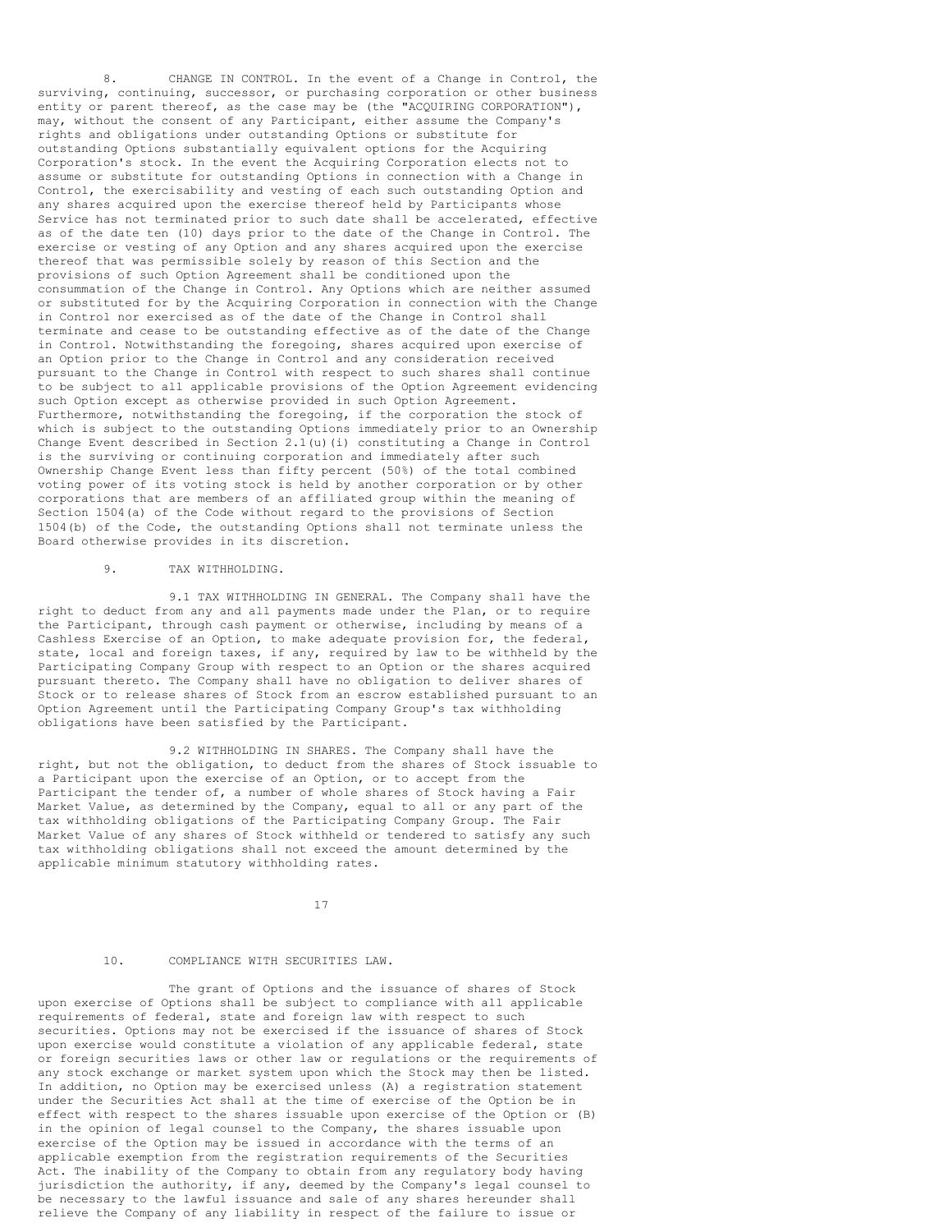8. CHANGE IN CONTROL. In the event of a Change in Control, the surviving, continuing, successor, or purchasing corporation or other business entity or parent thereof, as the case may be (the "ACQUIRING CORPORATION"), may, without the consent of any Participant, either assume the Company's rights and obligations under outstanding Options or substitute for outstanding Options substantially equivalent options for the Acquiring Corporation's stock. In the event the Acquiring Corporation elects not to assume or substitute for outstanding Options in connection with a Change in Control, the exercisability and vesting of each such outstanding Option and any shares acquired upon the exercise thereof held by Participants whose Service has not terminated prior to such date shall be accelerated, effective as of the date ten (10) days prior to the date of the Change in Control. The exercise or vesting of any Option and any shares acquired upon the exercise thereof that was permissible solely by reason of this Section and the provisions of such Option Agreement shall be conditioned upon the consummation of the Change in Control. Any Options which are neither assumed or substituted for by the Acquiring Corporation in connection with the Change in Control nor exercised as of the date of the Change in Control shall terminate and cease to be outstanding effective as of the date of the Change in Control. Notwithstanding the foregoing, shares acquired upon exercise of an Option prior to the Change in Control and any consideration received pursuant to the Change in Control with respect to such shares shall continue to be subject to all applicable provisions of the Option Agreement evidencing such Option except as otherwise provided in such Option Agreement. Furthermore, notwithstanding the foregoing, if the corporation the stock of which is subject to the outstanding Options immediately prior to an Ownership Change Event described in Section 2.1(u)(i) constituting a Change in Control is the surviving or continuing corporation and immediately after such Ownership Change Event less than fifty percent (50%) of the total combined voting power of its voting stock is held by another corporation or by other corporations that are members of an affiliated group within the meaning of Section 1504(a) of the Code without regard to the provisions of Section 1504(b) of the Code, the outstanding Options shall not terminate unless the Board otherwise provides in its discretion.

### 9. TAX WITHHOLDING.

9.1 TAX WITHHOLDING IN GENERAL. The Company shall have the right to deduct from any and all payments made under the Plan, or to require the Participant, through cash payment or otherwise, including by means of a Cashless Exercise of an Option, to make adequate provision for, the federal, state, local and foreign taxes, if any, required by law to be withheld by the Participating Company Group with respect to an Option or the shares acquired pursuant thereto. The Company shall have no obligation to deliver shares of Stock or to release shares of Stock from an escrow established pursuant to an Option Agreement until the Participating Company Group's tax withholding obligations have been satisfied by the Participant.

9.2 WITHHOLDING IN SHARES. The Company shall have the right, but not the obligation, to deduct from the shares of Stock issuable to a Participant upon the exercise of an Option, or to accept from the Participant the tender of, a number of whole shares of Stock having a Fair Market Value, as determined by the Company, equal to all or any part of the tax withholding obligations of the Participating Company Group. The Fair Market Value of any shares of Stock withheld or tendered to satisfy any such tax withholding obligations shall not exceed the amount determined by the applicable minimum statutory withholding rates.

17

#### 10. COMPLIANCE WITH SECURITIES LAW.

The grant of Options and the issuance of shares of Stock upon exercise of Options shall be subject to compliance with all applicable requirements of federal, state and foreign law with respect to such securities. Options may not be exercised if the issuance of shares of Stock upon exercise would constitute a violation of any applicable federal, state or foreign securities laws or other law or regulations or the requirements of any stock exchange or market system upon which the Stock may then be listed. In addition, no Option may be exercised unless (A) a registration statement under the Securities Act shall at the time of exercise of the Option be in effect with respect to the shares issuable upon exercise of the Option or (B) in the opinion of legal counsel to the Company, the shares issuable upon exercise of the Option may be issued in accordance with the terms of an applicable exemption from the registration requirements of the Securities Act. The inability of the Company to obtain from any regulatory body having jurisdiction the authority, if any, deemed by the Company's legal counsel to be necessary to the lawful issuance and sale of any shares hereunder shall relieve the Company of any liability in respect of the failure to issue or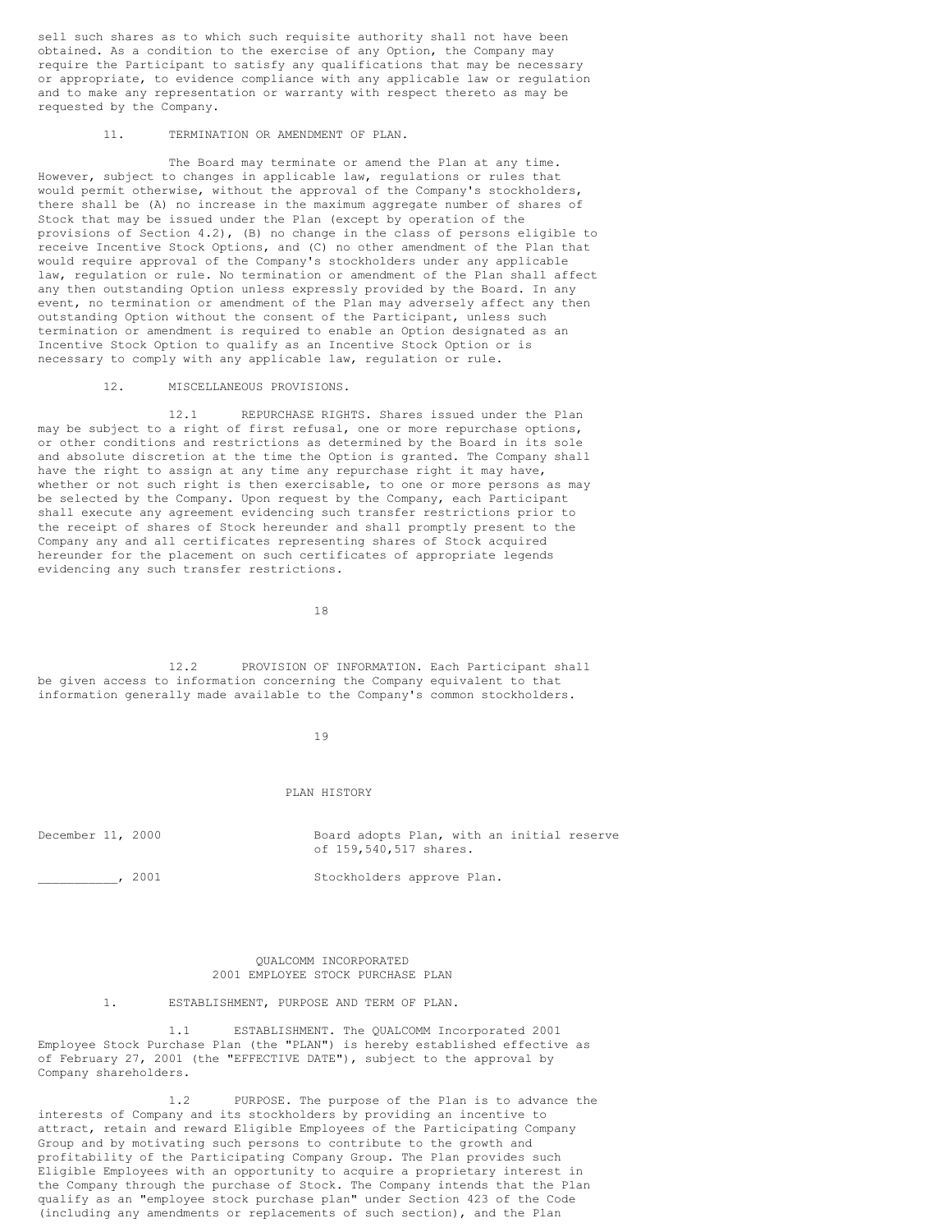sell such shares as to which such requisite authority shall not have been obtained. As a condition to the exercise of any Option, the Company may require the Participant to satisfy any qualifications that may be necessary or appropriate, to evidence compliance with any applicable law or regulation and to make any representation or warranty with respect thereto as may be requested by the Company.

### 11. TERMINATION OR AMENDMENT OF PLAN.

The Board may terminate or amend the Plan at any time. However, subject to changes in applicable law, regulations or rules that would permit otherwise, without the approval of the Company's stockholders, there shall be (A) no increase in the maximum aggregate number of shares of Stock that may be issued under the Plan (except by operation of the provisions of Section 4.2), (B) no change in the class of persons eligible to receive Incentive Stock Options, and (C) no other amendment of the Plan that would require approval of the Company's stockholders under any applicable law, regulation or rule. No termination or amendment of the Plan shall affect any then outstanding Option unless expressly provided by the Board. In any event, no termination or amendment of the Plan may adversely affect any then outstanding Option without the consent of the Participant, unless such termination or amendment is required to enable an Option designated as an Incentive Stock Option to qualify as an Incentive Stock Option or is necessary to comply with any applicable law, regulation or rule.

#### 12. MISCELLANEOUS PROVISIONS.

12.1 REPURCHASE RIGHTS. Shares issued under the Plan may be subject to a right of first refusal, one or more repurchase options, or other conditions and restrictions as determined by the Board in its sole and absolute discretion at the time the Option is granted. The Company shall have the right to assign at any time any repurchase right it may have, whether or not such right is then exercisable, to one or more persons as may be selected by the Company. Upon request by the Company, each Participant shall execute any agreement evidencing such transfer restrictions prior to the receipt of shares of Stock hereunder and shall promptly present to the Company any and all certificates representing shares of Stock acquired hereunder for the placement on such certificates of appropriate legends evidencing any such transfer restrictions.

18

12.2 PROVISION OF INFORMATION. Each Participant shall be given access to information concerning the Company equivalent to that information generally made available to the Company's common stockholders.

#### 19

### PLAN HISTORY

December 11, 2000 Board adopts Plan, with an initial reserve of 159,540,517 shares.

\_\_\_\_\_\_\_\_\_\_\_, 2001 Stockholders approve Plan.

#### QUALCOMM INCORPORATED 2001 EMPLOYEE STOCK PURCHASE PLAN

### 1. ESTABLISHMENT, PURPOSE AND TERM OF PLAN.

1.1 ESTABLISHMENT. The QUALCOMM Incorporated 2001 Employee Stock Purchase Plan (the "PLAN") is hereby established effective as of February 27, 2001 (the "EFFECTIVE DATE"), subject to the approval by Company shareholders.

1.2 PURPOSE. The purpose of the Plan is to advance the interests of Company and its stockholders by providing an incentive to attract, retain and reward Eligible Employees of the Participating Company Group and by motivating such persons to contribute to the growth and profitability of the Participating Company Group. The Plan provides such Eligible Employees with an opportunity to acquire a proprietary interest in the Company through the purchase of Stock. The Company intends that the Plan qualify as an "employee stock purchase plan" under Section 423 of the Code (including any amendments or replacements of such section), and the Plan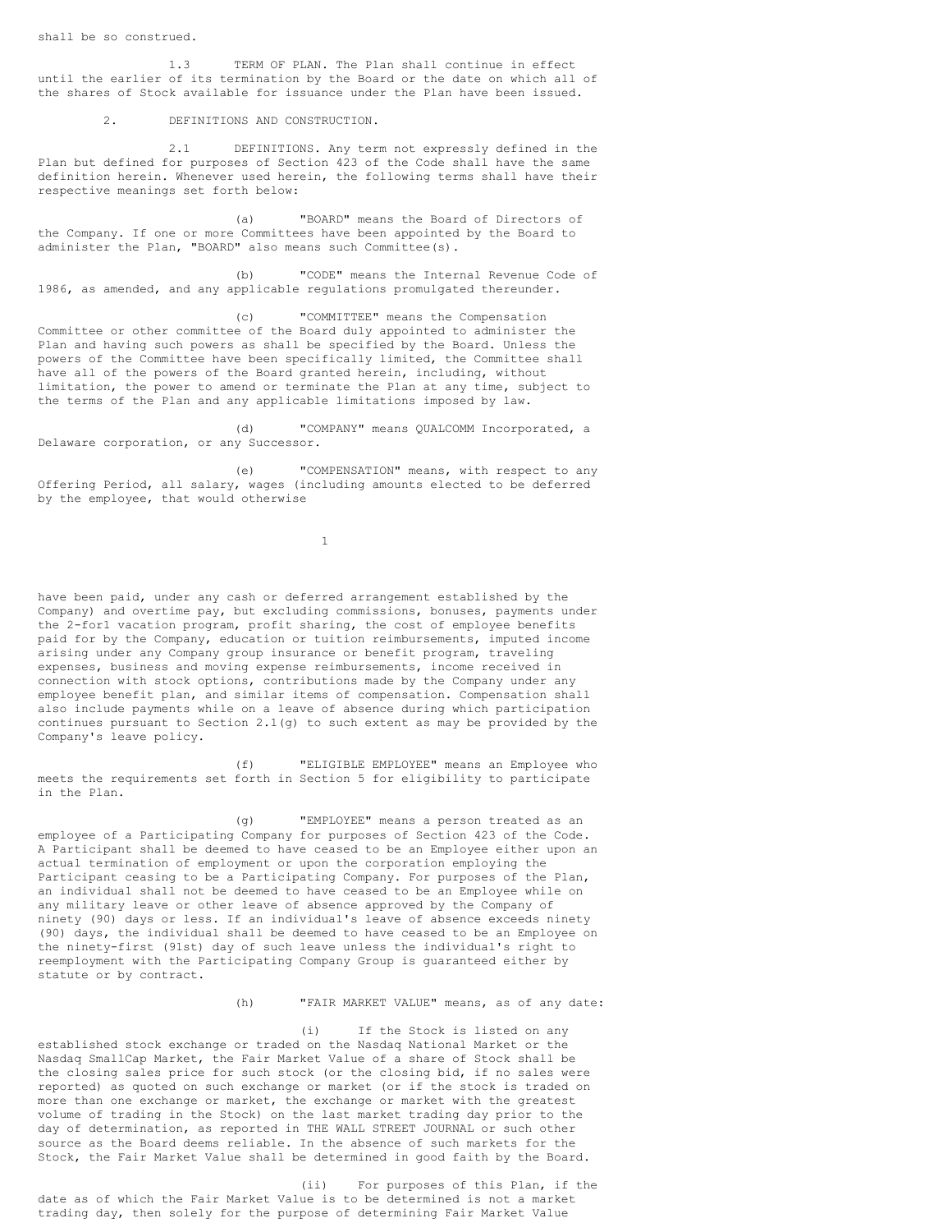shall be so construed.

1.3 TERM OF PLAN. The Plan shall continue in effect until the earlier of its termination by the Board or the date on which all of the shares of Stock available for issuance under the Plan have been issued.

2. DEFINITIONS AND CONSTRUCTION.

2.1 DEFINITIONS. Any term not expressly defined in the Plan but defined for purposes of Section 423 of the Code shall have the same definition herein. Whenever used herein, the following terms shall have their respective meanings set forth below:

(a) "BOARD" means the Board of Directors of the Company. If one or more Committees have been appointed by the Board to administer the Plan, "BOARD" also means such Committee(s).

(b) "CODE" means the Internal Revenue Code of 1986, as amended, and any applicable regulations promulgated thereunder.

(c) "COMMITTEE" means the Compensation Committee or other committee of the Board duly appointed to administer the Plan and having such powers as shall be specified by the Board. Unless the powers of the Committee have been specifically limited, the Committee shall have all of the powers of the Board granted herein, including, without limitation, the power to amend or terminate the Plan at any time, subject to the terms of the Plan and any applicable limitations imposed by law.

(d) "COMPANY" means QUALCOMM Incorporated, a Delaware corporation, or any Successor.

(e) "COMPENSATION" means, with respect to any Offering Period, all salary, wages (including amounts elected to be deferred by the employee, that would otherwise

1

have been paid, under any cash or deferred arrangement established by the Company) and overtime pay, but excluding commissions, bonuses, payments under the 2-for1 vacation program, profit sharing, the cost of employee benefits paid for by the Company, education or tuition reimbursements, imputed income arising under any Company group insurance or benefit program, traveling expenses, business and moving expense reimbursements, income received in connection with stock options, contributions made by the Company under any employee benefit plan, and similar items of compensation. Compensation shall also include payments while on a leave of absence during which participation continues pursuant to Section  $2.1(q)$  to such extent as may be provided by the Company's leave policy.

(f) "ELIGIBLE EMPLOYEE" means an Employee who meets the requirements set forth in Section 5 for eligibility to participate in the Plan.

(g) "EMPLOYEE" means a person treated as an employee of a Participating Company for purposes of Section 423 of the Code. A Participant shall be deemed to have ceased to be an Employee either upon an actual termination of employment or upon the corporation employing the Participant ceasing to be a Participating Company. For purposes of the Plan, an individual shall not be deemed to have ceased to be an Employee while on any military leave or other leave of absence approved by the Company of ninety (90) days or less. If an individual's leave of absence exceeds ninety (90) days, the individual shall be deemed to have ceased to be an Employee on the ninety-first (91st) day of such leave unless the individual's right to reemployment with the Participating Company Group is guaranteed either by statute or by contract.

(h) "FAIR MARKET VALUE" means, as of any date:

(i) If the Stock is listed on any established stock exchange or traded on the Nasdaq National Market or the Nasdaq SmallCap Market, the Fair Market Value of a share of Stock shall be the closing sales price for such stock (or the closing bid, if no sales were reported) as quoted on such exchange or market (or if the stock is traded on more than one exchange or market, the exchange or market with the greatest volume of trading in the Stock) on the last market trading day prior to the day of determination, as reported in THE WALL STREET JOURNAL or such other source as the Board deems reliable. In the absence of such markets for the Stock, the Fair Market Value shall be determined in good faith by the Board.

(ii) For purposes of this Plan, if the date as of which the Fair Market Value is to be determined is not a market trading day, then solely for the purpose of determining Fair Market Value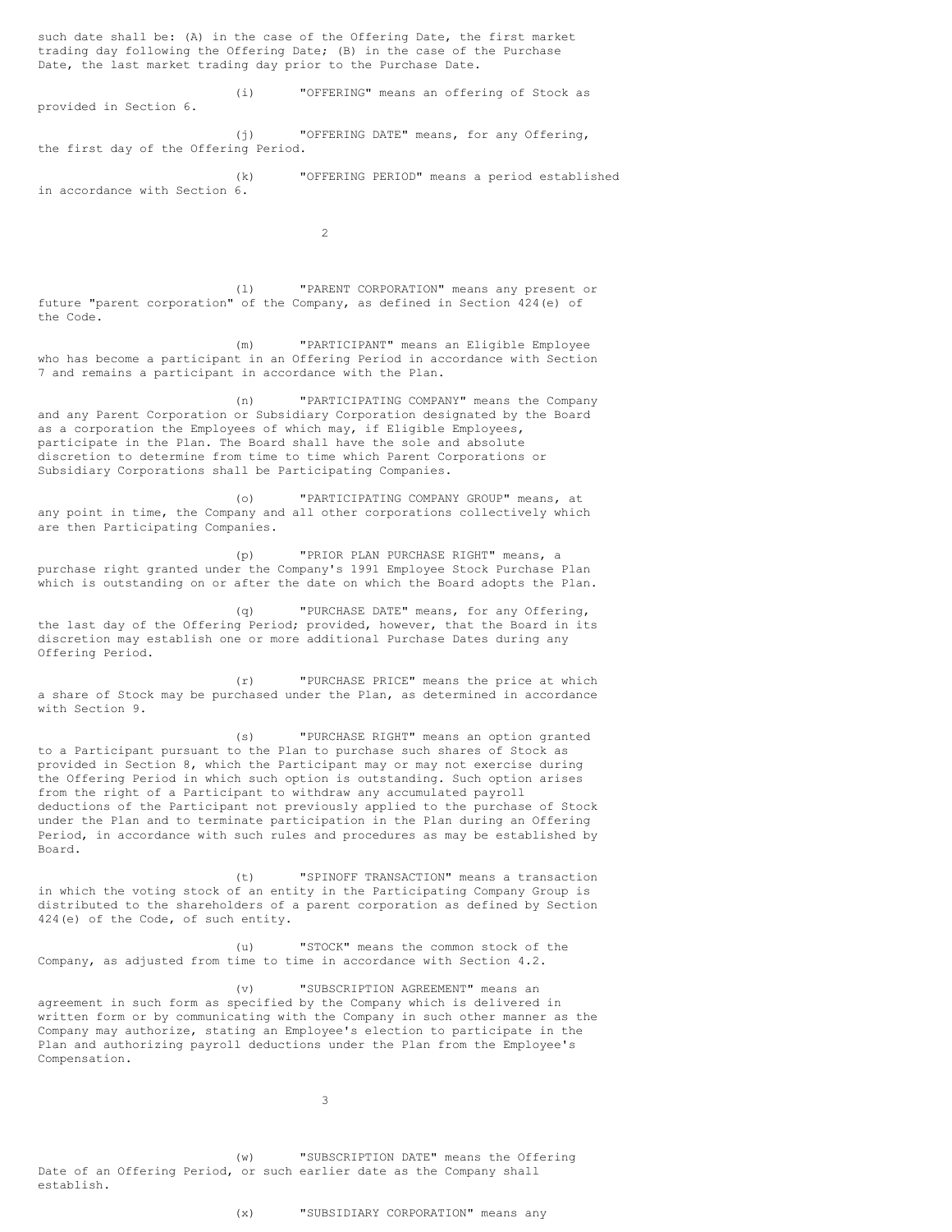such date shall be: (A) in the case of the Offering Date, the first market trading day following the Offering Date; (B) in the case of the Purchase Date, the last market trading day prior to the Purchase Date. (i) "OFFERING" means an offering of Stock as provided in Section 6. (j) "OFFERING DATE" means, for any Offering, the first day of the Offering Period. (k) "OFFERING PERIOD" means a period established in accordance with Section 6.  $\mathfrak{D}$ (l) "PARENT CORPORATION" means any present or future "parent corporation" of the Company, as defined in Section 424(e) of the Code. (m) "PARTICIPANT" means an Eligible Employee who has become a participant in an Offering Period in accordance with Section 7 and remains a participant in accordance with the Plan. (n) "PARTICIPATING COMPANY" means the Company and any Parent Corporation or Subsidiary Corporation designated by the Board as a corporation the Employees of which may, if Eligible Employees, participate in the Plan. The Board shall have the sole and absolute discretion to determine from time to time which Parent Corporations or Subsidiary Corporations shall be Participating Companies. (o) "PARTICIPATING COMPANY GROUP" means, at any point in time, the Company and all other corporations collectively which are then Participating Companies. (p) "PRIOR PLAN PURCHASE RIGHT" means, a purchase right granted under the Company's 1991 Employee Stock Purchase Plan which is outstanding on or after the date on which the Board adopts the Plan.

(q) "PURCHASE DATE" means, for any Offering, the last day of the Offering Period; provided, however, that the Board in its discretion may establish one or more additional Purchase Dates during any Offering Period.

(r) "PURCHASE PRICE" means the price at which a share of Stock may be purchased under the Plan, as determined in accordance with Section 9.

(s) "PURCHASE RIGHT" means an option granted to a Participant pursuant to the Plan to purchase such shares of Stock as provided in Section 8, which the Participant may or may not exercise during the Offering Period in which such option is outstanding. Such option arises from the right of a Participant to withdraw any accumulated payroll deductions of the Participant not previously applied to the purchase of Stock under the Plan and to terminate participation in the Plan during an Offering Period, in accordance with such rules and procedures as may be established by Board.

(t) "SPINOFF TRANSACTION" means a transaction in which the voting stock of an entity in the Participating Company Group is distributed to the shareholders of a parent corporation as defined by Section 424(e) of the Code, of such entity.

(u) "STOCK" means the common stock of the Company, as adjusted from time to time in accordance with Section 4.2.

(v) "SUBSCRIPTION AGREEMENT" means an agreement in such form as specified by the Company which is delivered in written form or by communicating with the Company in such other manner as the Company may authorize, stating an Employee's election to participate in the Plan and authorizing payroll deductions under the Plan from the Employee's Compensation.

3

(w) "SUBSCRIPTION DATE" means the Offering Date of an Offering Period, or such earlier date as the Company shall establish.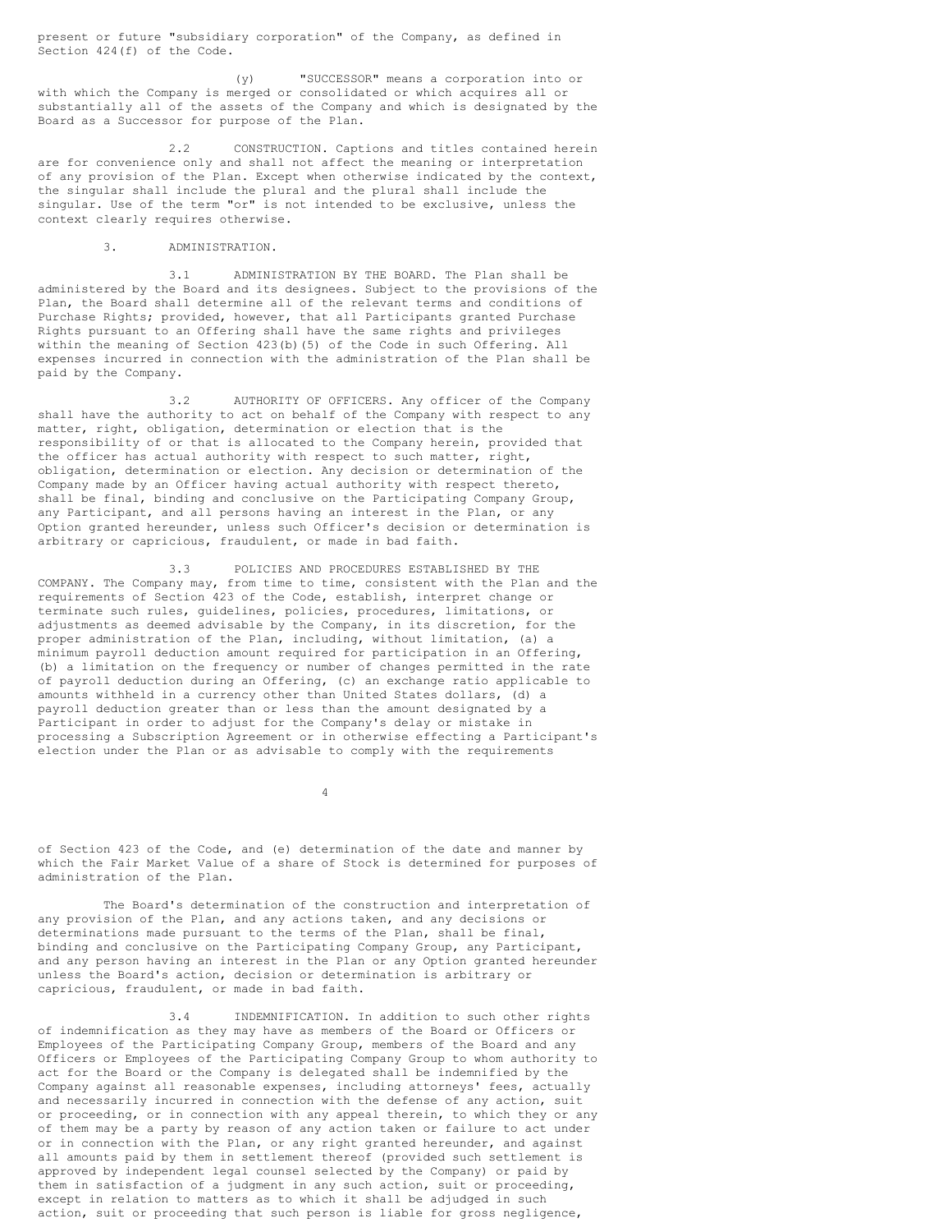present or future "subsidiary corporation" of the Company, as defined in Section 424(f) of the Code.

(y) "SUCCESSOR" means a corporation into or with which the Company is merged or consolidated or which acquires all or substantially all of the assets of the Company and which is designated by the Board as a Successor for purpose of the Plan.

2.2 CONSTRUCTION. Captions and titles contained herein are for convenience only and shall not affect the meaning or interpretation of any provision of the Plan. Except when otherwise indicated by the context, the singular shall include the plural and the plural shall include the singular. Use of the term "or" is not intended to be exclusive, unless the context clearly requires otherwise.

## 3. ADMINISTRATION.

3.1 ADMINISTRATION BY THE BOARD. The Plan shall be administered by the Board and its designees. Subject to the provisions of the Plan, the Board shall determine all of the relevant terms and conditions of Purchase Rights; provided, however, that all Participants granted Purchase Rights pursuant to an Offering shall have the same rights and privileges within the meaning of Section 423(b)(5) of the Code in such Offering. All expenses incurred in connection with the administration of the Plan shall be paid by the Company.

3.2 AUTHORITY OF OFFICERS. Any officer of the Company shall have the authority to act on behalf of the Company with respect to any matter, right, obligation, determination or election that is the responsibility of or that is allocated to the Company herein, provided that the officer has actual authority with respect to such matter, right, obligation, determination or election. Any decision or determination of the Company made by an Officer having actual authority with respect thereto, shall be final, binding and conclusive on the Participating Company Group, any Participant, and all persons having an interest in the Plan, or any Option granted hereunder, unless such Officer's decision or determination is arbitrary or capricious, fraudulent, or made in bad faith.

3.3 POLICIES AND PROCEDURES ESTABLISHED BY THE COMPANY. The Company may, from time to time, consistent with the Plan and the requirements of Section 423 of the Code, establish, interpret change or terminate such rules, guidelines, policies, procedures, limitations, or adjustments as deemed advisable by the Company, in its discretion, for the proper administration of the Plan, including, without limitation, (a) a minimum payroll deduction amount required for participation in an Offering, (b) a limitation on the frequency or number of changes permitted in the rate of payroll deduction during an Offering, (c) an exchange ratio applicable to amounts withheld in a currency other than United States dollars, (d) a payroll deduction greater than or less than the amount designated by a Participant in order to adjust for the Company's delay or mistake in processing a Subscription Agreement or in otherwise effecting a Participant's election under the Plan or as advisable to comply with the requirements

4

of Section 423 of the Code, and (e) determination of the date and manner by which the Fair Market Value of a share of Stock is determined for purposes of administration of the Plan.

The Board's determination of the construction and interpretation of any provision of the Plan, and any actions taken, and any decisions or determinations made pursuant to the terms of the Plan, shall be final, binding and conclusive on the Participating Company Group, any Participant, and any person having an interest in the Plan or any Option granted hereunder unless the Board's action, decision or determination is arbitrary or capricious, fraudulent, or made in bad faith.

3.4 INDEMNIFICATION. In addition to such other rights of indemnification as they may have as members of the Board or Officers or Employees of the Participating Company Group, members of the Board and any Officers or Employees of the Participating Company Group to whom authority to act for the Board or the Company is delegated shall be indemnified by the Company against all reasonable expenses, including attorneys' fees, actually and necessarily incurred in connection with the defense of any action, suit or proceeding, or in connection with any appeal therein, to which they or any of them may be a party by reason of any action taken or failure to act under or in connection with the Plan, or any right granted hereunder, and against all amounts paid by them in settlement thereof (provided such settlement is approved by independent legal counsel selected by the Company) or paid by them in satisfaction of a judgment in any such action, suit or proceeding, except in relation to matters as to which it shall be adjudged in such action, suit or proceeding that such person is liable for gross negligence,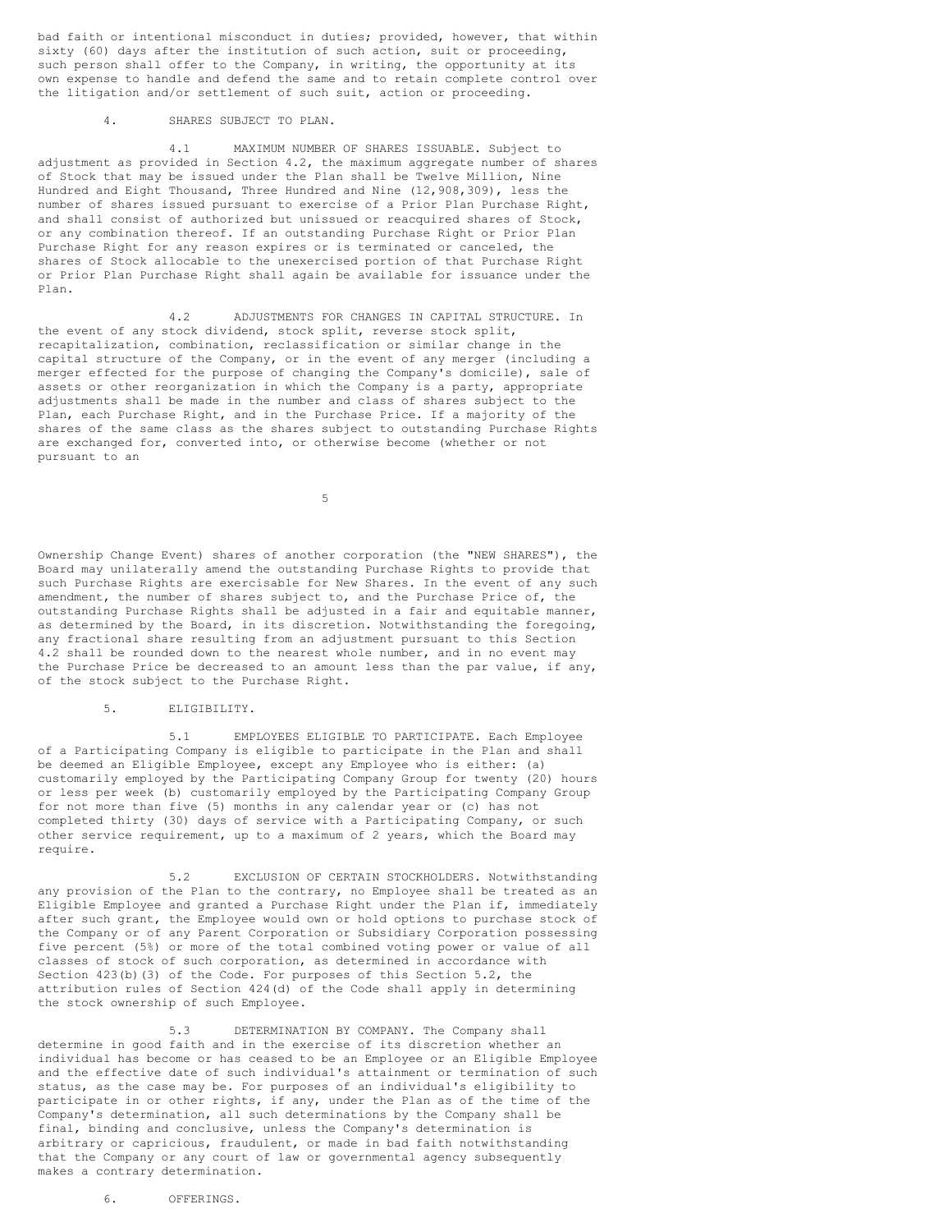bad faith or intentional misconduct in duties; provided, however, that within sixty (60) days after the institution of such action, suit or proceeding, such person shall offer to the Company, in writing, the opportunity at its own expense to handle and defend the same and to retain complete control over the litigation and/or settlement of such suit, action or proceeding.

### 4. SHARES SUBJECT TO PLAN.

4.1 MAXIMUM NUMBER OF SHARES ISSUABLE. Subject to adjustment as provided in Section 4.2, the maximum aggregate number of shares of Stock that may be issued under the Plan shall be Twelve Million, Nine Hundred and Eight Thousand, Three Hundred and Nine (12,908,309), less the number of shares issued pursuant to exercise of a Prior Plan Purchase Right, and shall consist of authorized but unissued or reacquired shares of Stock, or any combination thereof. If an outstanding Purchase Right or Prior Plan Purchase Right for any reason expires or is terminated or canceled, the shares of Stock allocable to the unexercised portion of that Purchase Right or Prior Plan Purchase Right shall again be available for issuance under the Plan.

4.2 ADJUSTMENTS FOR CHANGES IN CAPITAL STRUCTURE. In the event of any stock dividend, stock split, reverse stock split, recapitalization, combination, reclassification or similar change in the capital structure of the Company, or in the event of any merger (including a merger effected for the purpose of changing the Company's domicile), sale of assets or other reorganization in which the Company is a party, appropriate adjustments shall be made in the number and class of shares subject to the Plan, each Purchase Right, and in the Purchase Price. If a majority of the shares of the same class as the shares subject to outstanding Purchase Rights are exchanged for, converted into, or otherwise become (whether or not pursuant to an

5

Ownership Change Event) shares of another corporation (the "NEW SHARES"), the Board may unilaterally amend the outstanding Purchase Rights to provide that such Purchase Rights are exercisable for New Shares. In the event of any such amendment, the number of shares subject to, and the Purchase Price of, the outstanding Purchase Rights shall be adjusted in a fair and equitable manner, as determined by the Board, in its discretion. Notwithstanding the foregoing, any fractional share resulting from an adjustment pursuant to this Section 4.2 shall be rounded down to the nearest whole number, and in no event may the Purchase Price be decreased to an amount less than the par value, if any, of the stock subject to the Purchase Right.

# 5. ELIGIBILITY.

5.1 EMPLOYEES ELIGIBLE TO PARTICIPATE. Each Employee of a Participating Company is eligible to participate in the Plan and shall be deemed an Eligible Employee, except any Employee who is either: (a) customarily employed by the Participating Company Group for twenty (20) hours or less per week (b) customarily employed by the Participating Company Group for not more than five (5) months in any calendar year or (c) has not completed thirty (30) days of service with a Participating Company, or such other service requirement, up to a maximum of 2 years, which the Board may require.

5.2 EXCLUSION OF CERTAIN STOCKHOLDERS. Notwithstanding any provision of the Plan to the contrary, no Employee shall be treated as an Eligible Employee and granted a Purchase Right under the Plan if, immediately after such grant, the Employee would own or hold options to purchase stock of the Company or of any Parent Corporation or Subsidiary Corporation possessing five percent (5%) or more of the total combined voting power or value of all classes of stock of such corporation, as determined in accordance with Section 423(b)(3) of the Code. For purposes of this Section 5.2, the attribution rules of Section 424(d) of the Code shall apply in determining the stock ownership of such Employee.

5.3 DETERMINATION BY COMPANY. The Company shall determine in good faith and in the exercise of its discretion whether an individual has become or has ceased to be an Employee or an Eligible Employee and the effective date of such individual's attainment or termination of such status, as the case may be. For purposes of an individual's eligibility to participate in or other rights, if any, under the Plan as of the time of the Company's determination, all such determinations by the Company shall be final, binding and conclusive, unless the Company's determination is arbitrary or capricious, fraudulent, or made in bad faith notwithstanding that the Company or any court of law or governmental agency subsequently makes a contrary determination.

6. OFFERINGS.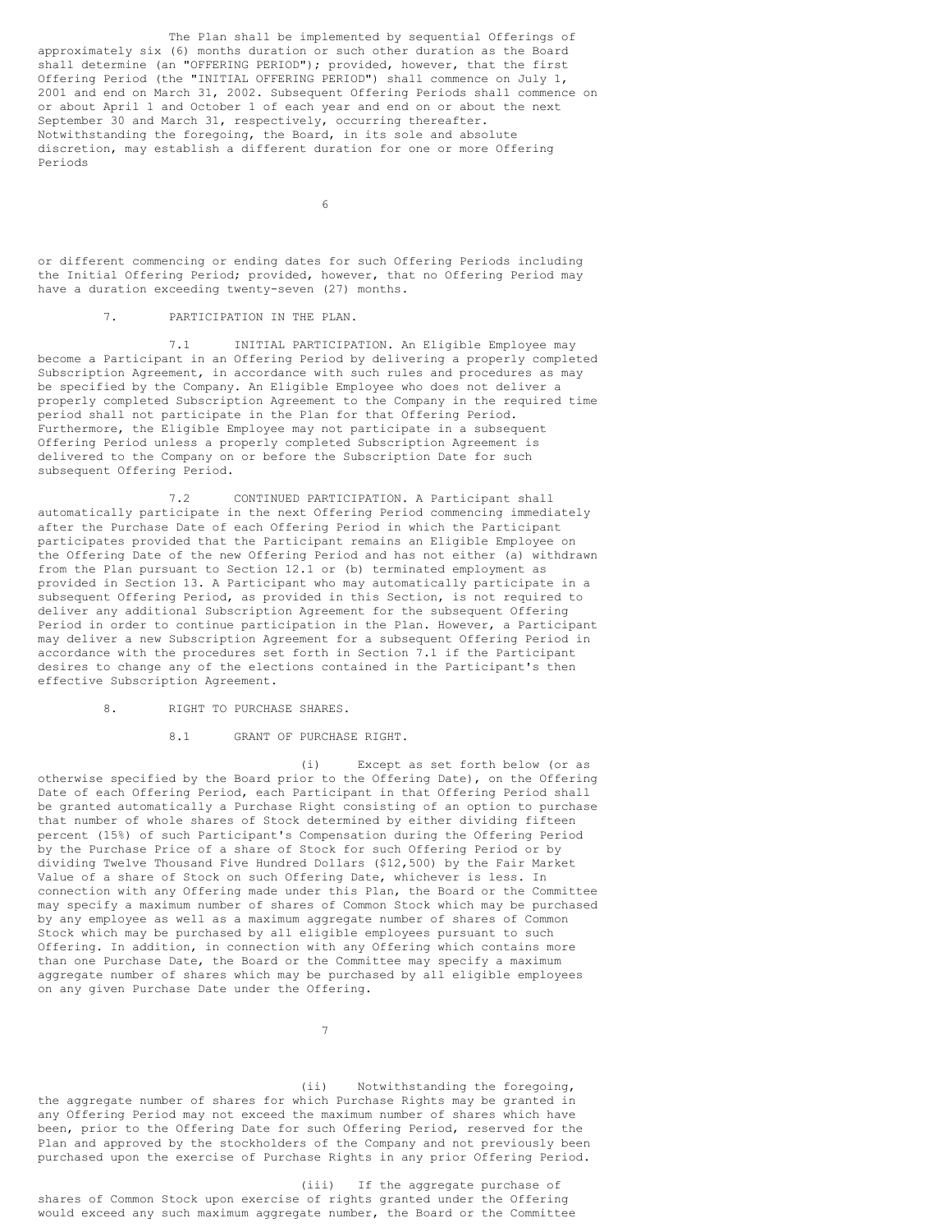The Plan shall be implemented by sequential Offerings of approximately six (6) months duration or such other duration as the Board shall determine (an "OFFERING PERIOD"); provided, however, that the first Offering Period (the "INITIAL OFFERING PERIOD") shall commence on July 1, 2001 and end on March 31, 2002. Subsequent Offering Periods shall commence on or about April 1 and October 1 of each year and end on or about the next September 30 and March 31, respectively, occurring thereafter. Notwithstanding the foregoing, the Board, in its sole and absolute discretion, may establish a different duration for one or more Offering Periods

6

or different commencing or ending dates for such Offering Periods including the Initial Offering Period; provided, however, that no Offering Period may have a duration exceeding twenty-seven (27) months.

## 7. PARTICIPATION IN THE PLAN.

7.1 INITIAL PARTICIPATION. An Eligible Employee may become a Participant in an Offering Period by delivering a properly completed Subscription Agreement, in accordance with such rules and procedures as may be specified by the Company. An Eligible Employee who does not deliver a properly completed Subscription Agreement to the Company in the required time period shall not participate in the Plan for that Offering Period. Furthermore, the Eligible Employee may not participate in a subsequent Offering Period unless a properly completed Subscription Agreement is delivered to the Company on or before the Subscription Date for such subsequent Offering Period.

7.2 CONTINUED PARTICIPATION. A Participant shall automatically participate in the next Offering Period commencing immediately after the Purchase Date of each Offering Period in which the Participant participates provided that the Participant remains an Eligible Employee on the Offering Date of the new Offering Period and has not either (a) withdrawn from the Plan pursuant to Section 12.1 or (b) terminated employment as provided in Section 13. A Participant who may automatically participate in a subsequent Offering Period, as provided in this Section, is not required to deliver any additional Subscription Agreement for the subsequent Offering Period in order to continue participation in the Plan. However, a Participant may deliver a new Subscription Agreement for a subsequent Offering Period in accordance with the procedures set forth in Section 7.1 if the Participant desires to change any of the elections contained in the Participant's then effective Subscription Agreement.

8. RIGHT TO PURCHASE SHARES.

8.1 GRANT OF PURCHASE RIGHT.

(i) Except as set forth below (or as otherwise specified by the Board prior to the Offering Date), on the Offering Date of each Offering Period, each Participant in that Offering Period shall be granted automatically a Purchase Right consisting of an option to purchase that number of whole shares of Stock determined by either dividing fifteen percent (15%) of such Participant's Compensation during the Offering Period by the Purchase Price of a share of Stock for such Offering Period or by dividing Twelve Thousand Five Hundred Dollars (\$12,500) by the Fair Market Value of a share of Stock on such Offering Date, whichever is less. In connection with any Offering made under this Plan, the Board or the Committee may specify a maximum number of shares of Common Stock which may be purchased by any employee as well as a maximum aggregate number of shares of Common Stock which may be purchased by all eligible employees pursuant to such Offering. In addition, in connection with any Offering which contains more than one Purchase Date, the Board or the Committee may specify a maximum aggregate number of shares which may be purchased by all eligible employees on any given Purchase Date under the Offering.

7

(ii) Notwithstanding the foregoing, the aggregate number of shares for which Purchase Rights may be granted in any Offering Period may not exceed the maximum number of shares which have been, prior to the Offering Date for such Offering Period, reserved for the Plan and approved by the stockholders of the Company and not previously been purchased upon the exercise of Purchase Rights in any prior Offering Period.

(iii) If the aggregate purchase of shares of Common Stock upon exercise of rights granted under the Offering would exceed any such maximum aggregate number, the Board or the Committee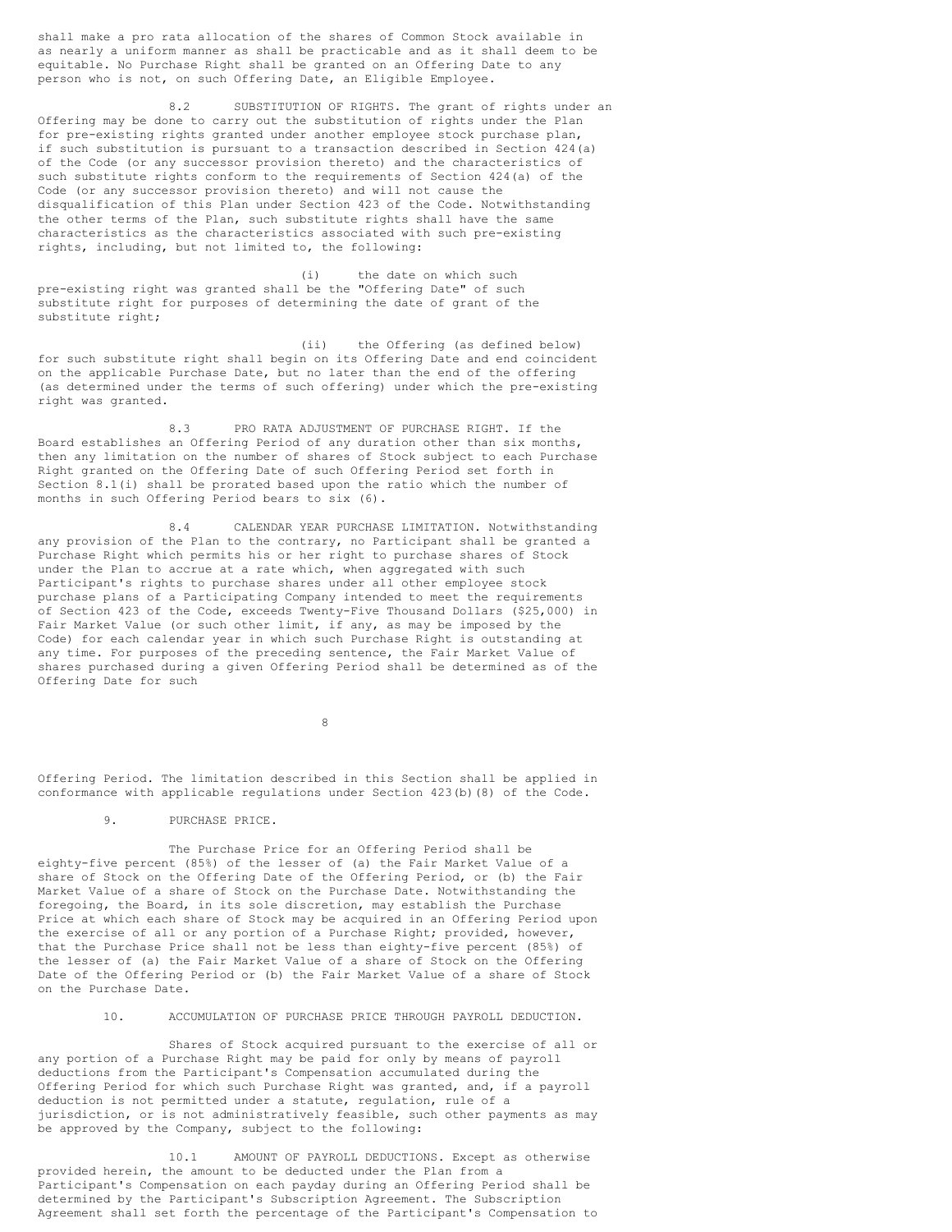shall make a pro rata allocation of the shares of Common Stock available in as nearly a uniform manner as shall be practicable and as it shall deem to be equitable. No Purchase Right shall be granted on an Offering Date to any person who is not, on such Offering Date, an Eligible Employee.

8.2 SUBSTITUTION OF RIGHTS. The grant of rights under an Offering may be done to carry out the substitution of rights under the Plan for pre-existing rights granted under another employee stock purchase plan, if such substitution is pursuant to a transaction described in Section 424(a) of the Code (or any successor provision thereto) and the characteristics of such substitute rights conform to the requirements of Section 424(a) of the Code (or any successor provision thereto) and will not cause the disqualification of this Plan under Section 423 of the Code. Notwithstanding the other terms of the Plan, such substitute rights shall have the same characteristics as the characteristics associated with such pre-existing rights, including, but not limited to, the following:

(i) the date on which such pre-existing right was granted shall be the "Offering Date" of such substitute right for purposes of determining the date of grant of the substitute right;

(ii) the Offering (as defined below) for such substitute right shall begin on its Offering Date and end coincident on the applicable Purchase Date, but no later than the end of the offering (as determined under the terms of such offering) under which the pre-existing right was granted.

8.3 PRO RATA ADJUSTMENT OF PURCHASE RIGHT. If the Board establishes an Offering Period of any duration other than six months, then any limitation on the number of shares of Stock subject to each Purchase Right granted on the Offering Date of such Offering Period set forth in Section 8.1(i) shall be prorated based upon the ratio which the number of months in such Offering Period bears to six (6).

8.4 CALENDAR YEAR PURCHASE LIMITATION. Notwithstanding any provision of the Plan to the contrary, no Participant shall be granted a Purchase Right which permits his or her right to purchase shares of Stock under the Plan to accrue at a rate which, when aggregated with such Participant's rights to purchase shares under all other employee stock purchase plans of a Participating Company intended to meet the requirements of Section 423 of the Code, exceeds Twenty-Five Thousand Dollars (\$25,000) in Fair Market Value (or such other limit, if any, as may be imposed by the Code) for each calendar year in which such Purchase Right is outstanding at any time. For purposes of the preceding sentence, the Fair Market Value of shares purchased during a given Offering Period shall be determined as of the Offering Date for such

8

Offering Period. The limitation described in this Section shall be applied in conformance with applicable regulations under Section 423(b)(8) of the Code.

#### 9. PURCHASE PRICE.

The Purchase Price for an Offering Period shall be eighty-five percent (85%) of the lesser of (a) the Fair Market Value of a share of Stock on the Offering Date of the Offering Period, or (b) the Fair Market Value of a share of Stock on the Purchase Date. Notwithstanding the foregoing, the Board, in its sole discretion, may establish the Purchase Price at which each share of Stock may be acquired in an Offering Period upon the exercise of all or any portion of a Purchase Right; provided, however, that the Purchase Price shall not be less than eighty-five percent (85%) of the lesser of (a) the Fair Market Value of a share of Stock on the Offering Date of the Offering Period or (b) the Fair Market Value of a share of Stock on the Purchase Date.

# 10. ACCUMULATION OF PURCHASE PRICE THROUGH PAYROLL DEDUCTION.

Shares of Stock acquired pursuant to the exercise of all or any portion of a Purchase Right may be paid for only by means of payroll deductions from the Participant's Compensation accumulated during the Offering Period for which such Purchase Right was granted, and, if a payroll deduction is not permitted under a statute, regulation, rule of a jurisdiction, or is not administratively feasible, such other payments as may be approved by the Company, subject to the following:

10.1 AMOUNT OF PAYROLL DEDUCTIONS. Except as otherwise provided herein, the amount to be deducted under the Plan from a Participant's Compensation on each payday during an Offering Period shall be determined by the Participant's Subscription Agreement. The Subscription Agreement shall set forth the percentage of the Participant's Compensation to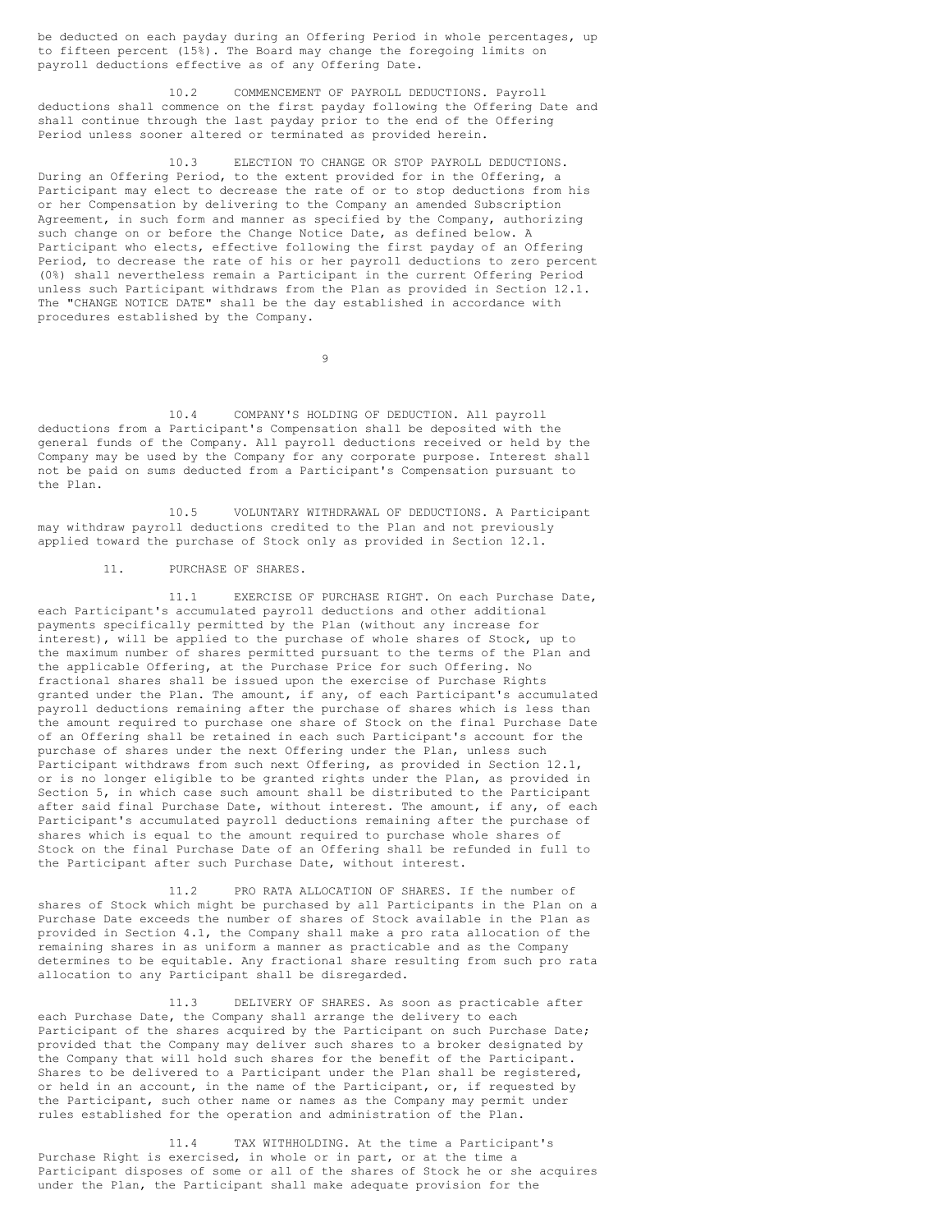be deducted on each payday during an Offering Period in whole percentages, up to fifteen percent (15%). The Board may change the foregoing limits on payroll deductions effective as of any Offering Date.

10.2 COMMENCEMENT OF PAYROLL DEDUCTIONS. Payroll deductions shall commence on the first payday following the Offering Date and shall continue through the last payday prior to the end of the Offering Period unless sooner altered or terminated as provided herein.

10.3 ELECTION TO CHANGE OR STOP PAYROLL DEDUCTIONS. During an Offering Period, to the extent provided for in the Offering, a Participant may elect to decrease the rate of or to stop deductions from his or her Compensation by delivering to the Company an amended Subscription Agreement, in such form and manner as specified by the Company, authorizing such change on or before the Change Notice Date, as defined below. A Participant who elects, effective following the first payday of an Offering Period, to decrease the rate of his or her payroll deductions to zero percent (0%) shall nevertheless remain a Participant in the current Offering Period unless such Participant withdraws from the Plan as provided in Section 12.1. The "CHANGE NOTICE DATE" shall be the day established in accordance with procedures established by the Company.

 $\alpha$ 

10.4 COMPANY'S HOLDING OF DEDUCTION. All payroll deductions from a Participant's Compensation shall be deposited with the general funds of the Company. All payroll deductions received or held by the Company may be used by the Company for any corporate purpose. Interest shall not be paid on sums deducted from a Participant's Compensation pursuant to the Plan.

10.5 VOLUNTARY WITHDRAWAL OF DEDUCTIONS. A Participant may withdraw payroll deductions credited to the Plan and not previously applied toward the purchase of Stock only as provided in Section 12.1.

11. PURCHASE OF SHARES.

11.1 EXERCISE OF PURCHASE RIGHT. On each Purchase Date, each Participant's accumulated payroll deductions and other additional payments specifically permitted by the Plan (without any increase for interest), will be applied to the purchase of whole shares of Stock, up to the maximum number of shares permitted pursuant to the terms of the Plan and the applicable Offering, at the Purchase Price for such Offering. No fractional shares shall be issued upon the exercise of Purchase Rights granted under the Plan. The amount, if any, of each Participant's accumulated payroll deductions remaining after the purchase of shares which is less than the amount required to purchase one share of Stock on the final Purchase Date of an Offering shall be retained in each such Participant's account for the purchase of shares under the next Offering under the Plan, unless such Participant withdraws from such next Offering, as provided in Section 12.1, or is no longer eligible to be granted rights under the Plan, as provided in Section 5, in which case such amount shall be distributed to the Participant after said final Purchase Date, without interest. The amount, if any, of each Participant's accumulated payroll deductions remaining after the purchase of shares which is equal to the amount required to purchase whole shares of Stock on the final Purchase Date of an Offering shall be refunded in full to the Participant after such Purchase Date, without interest.

11.2 PRO RATA ALLOCATION OF SHARES. If the number of shares of Stock which might be purchased by all Participants in the Plan on a Purchase Date exceeds the number of shares of Stock available in the Plan as provided in Section 4.1, the Company shall make a pro rata allocation of the remaining shares in as uniform a manner as practicable and as the Company determines to be equitable. Any fractional share resulting from such pro rata allocation to any Participant shall be disregarded.

11.3 DELIVERY OF SHARES. As soon as practicable after each Purchase Date, the Company shall arrange the delivery to each Participant of the shares acquired by the Participant on such Purchase Date; provided that the Company may deliver such shares to a broker designated by the Company that will hold such shares for the benefit of the Participant. Shares to be delivered to a Participant under the Plan shall be registered, or held in an account, in the name of the Participant, or, if requested by the Participant, such other name or names as the Company may permit under rules established for the operation and administration of the Plan.

11.4 TAX WITHHOLDING. At the time a Participant's Purchase Right is exercised, in whole or in part, or at the time a Participant disposes of some or all of the shares of Stock he or she acquires under the Plan, the Participant shall make adequate provision for the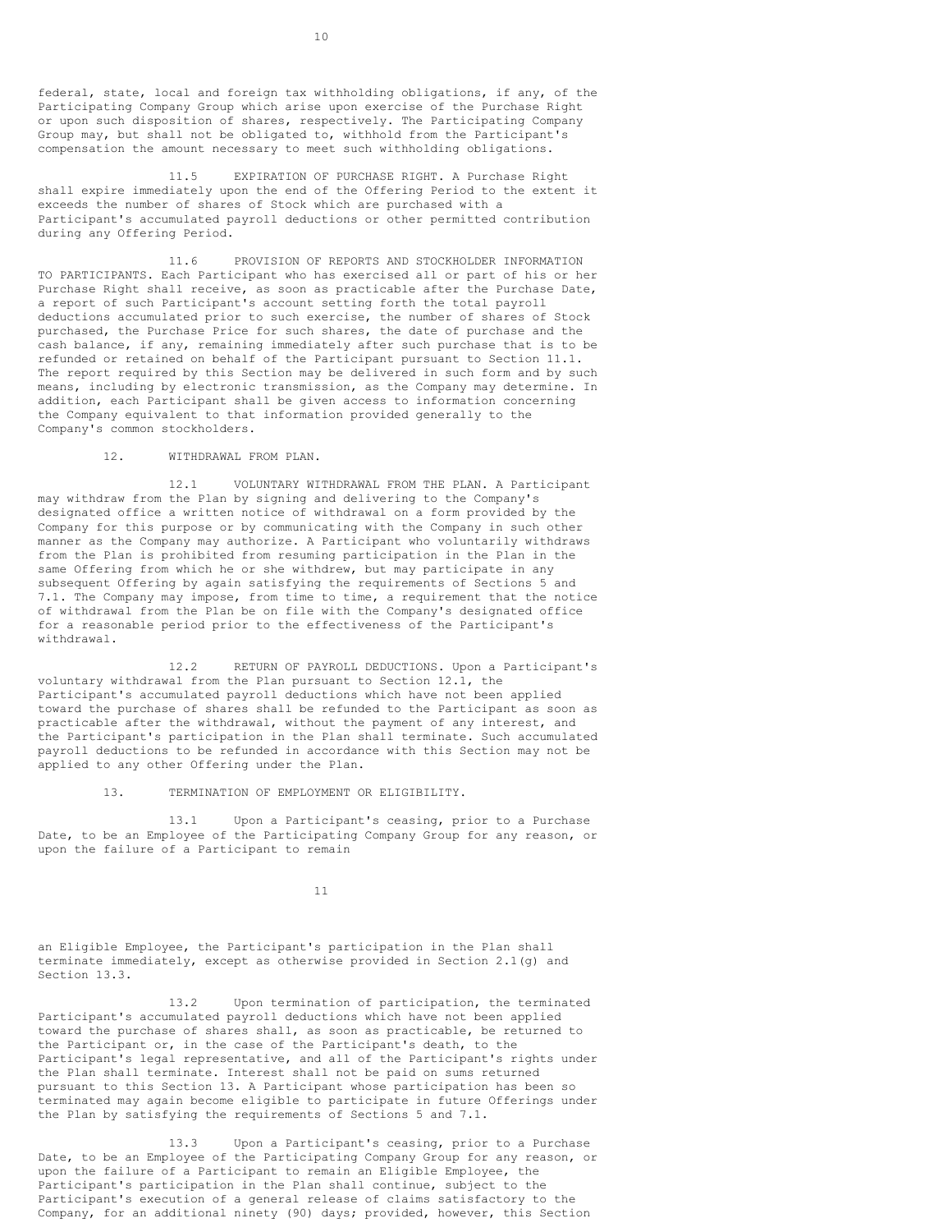federal, state, local and foreign tax withholding obligations, if any, of the Participating Company Group which arise upon exercise of the Purchase Right or upon such disposition of shares, respectively. The Participating Company Group may, but shall not be obligated to, withhold from the Participant's compensation the amount necessary to meet such withholding obligations.

11.5 EXPIRATION OF PURCHASE RIGHT. A Purchase Right shall expire immediately upon the end of the Offering Period to the extent it exceeds the number of shares of Stock which are purchased with a Participant's accumulated payroll deductions or other permitted contribution during any Offering Period.

11.6 PROVISION OF REPORTS AND STOCKHOLDER INFORMATION TO PARTICIPANTS. Each Participant who has exercised all or part of his or her Purchase Right shall receive, as soon as practicable after the Purchase Date, a report of such Participant's account setting forth the total payroll deductions accumulated prior to such exercise, the number of shares of Stock purchased, the Purchase Price for such shares, the date of purchase and the cash balance, if any, remaining immediately after such purchase that is to be refunded or retained on behalf of the Participant pursuant to Section 11.1. The report required by this Section may be delivered in such form and by such means, including by electronic transmission, as the Company may determine. In addition, each Participant shall be given access to information concerning the Company equivalent to that information provided generally to the Company's common stockholders.

#### 12. WITHDRAWAL FROM PLAN.

12.1 VOLUNTARY WITHDRAWAL FROM THE PLAN. A Participant may withdraw from the Plan by signing and delivering to the Company's designated office a written notice of withdrawal on a form provided by the Company for this purpose or by communicating with the Company in such other manner as the Company may authorize. A Participant who voluntarily withdraws from the Plan is prohibited from resuming participation in the Plan in the same Offering from which he or she withdrew, but may participate in any subsequent Offering by again satisfying the requirements of Sections 5 and 7.1. The Company may impose, from time to time, a requirement that the notice of withdrawal from the Plan be on file with the Company's designated office for a reasonable period prior to the effectiveness of the Participant's withdrawal.

12.2 RETURN OF PAYROLL DEDUCTIONS. Upon a Participant's voluntary withdrawal from the Plan pursuant to Section 12.1, the Participant's accumulated payroll deductions which have not been applied toward the purchase of shares shall be refunded to the Participant as soon as practicable after the withdrawal, without the payment of any interest, and the Participant's participation in the Plan shall terminate. Such accumulated payroll deductions to be refunded in accordance with this Section may not be applied to any other Offering under the Plan.

13. TERMINATION OF EMPLOYMENT OR ELIGIBILITY.

13.1 Upon a Participant's ceasing, prior to a Purchase Date, to be an Employee of the Participating Company Group for any reason, or upon the failure of a Participant to remain

11

an Eligible Employee, the Participant's participation in the Plan shall terminate immediately, except as otherwise provided in Section 2.1(g) and Section 13.3.

13.2 Upon termination of participation, the terminated Participant's accumulated payroll deductions which have not been applied toward the purchase of shares shall, as soon as practicable, be returned to the Participant or, in the case of the Participant's death, to the Participant's legal representative, and all of the Participant's rights under the Plan shall terminate. Interest shall not be paid on sums returned pursuant to this Section 13. A Participant whose participation has been so terminated may again become eligible to participate in future Offerings under the Plan by satisfying the requirements of Sections 5 and 7.1.

13.3 Upon a Participant's ceasing, prior to a Purchase Date, to be an Employee of the Participating Company Group for any reason, or upon the failure of a Participant to remain an Eligible Employee, the Participant's participation in the Plan shall continue, subject to the Participant's execution of a general release of claims satisfactory to the Company, for an additional ninety (90) days; provided, however, this Section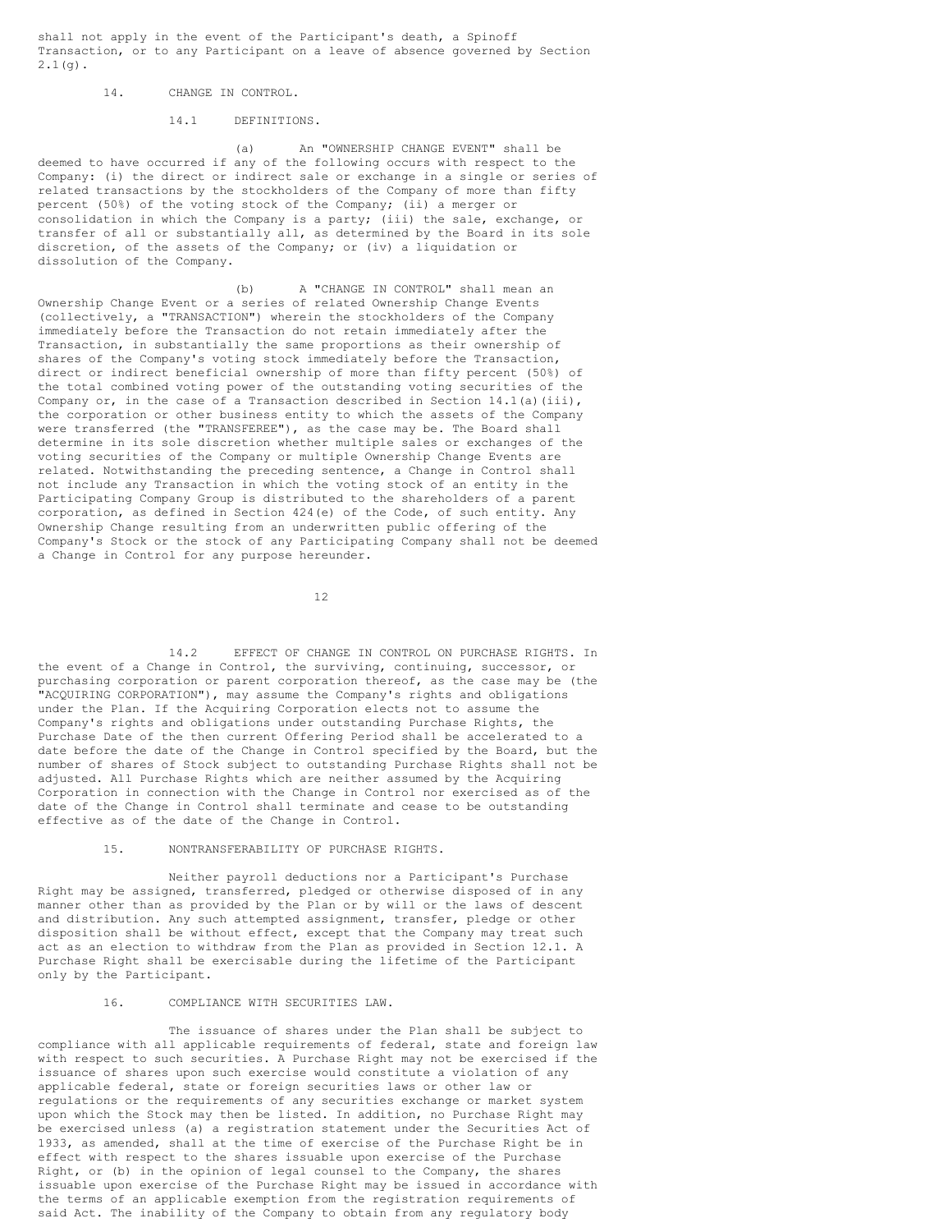shall not apply in the event of the Participant's death, a Spinoff Transaction, or to any Participant on a leave of absence governed by Section  $2.1(q)$ .

### 14. CHANGE IN CONTROL.

#### 14.1 DEFINITIONS.

(a) An "OWNERSHIP CHANGE EVENT" shall be deemed to have occurred if any of the following occurs with respect to the Company: (i) the direct or indirect sale or exchange in a single or series of related transactions by the stockholders of the Company of more than fifty percent (50%) of the voting stock of the Company; (ii) a merger or consolidation in which the Company is a party; (iii) the sale, exchange, or transfer of all or substantially all, as determined by the Board in its sole discretion, of the assets of the Company; or (iv) a liquidation or dissolution of the Company.

(b) A "CHANGE IN CONTROL" shall mean an Ownership Change Event or a series of related Ownership Change Events (collectively, a "TRANSACTION") wherein the stockholders of the Company immediately before the Transaction do not retain immediately after the Transaction, in substantially the same proportions as their ownership of shares of the Company's voting stock immediately before the Transaction, direct or indirect beneficial ownership of more than fifty percent (50%) of the total combined voting power of the outstanding voting securities of the Company or, in the case of a Transaction described in Section  $14.1(a)$  (iii), the corporation or other business entity to which the assets of the Company were transferred (the "TRANSFEREE"), as the case may be. The Board shall determine in its sole discretion whether multiple sales or exchanges of the voting securities of the Company or multiple Ownership Change Events are related. Notwithstanding the preceding sentence, a Change in Control shall not include any Transaction in which the voting stock of an entity in the Participating Company Group is distributed to the shareholders of a parent corporation, as defined in Section 424(e) of the Code, of such entity. Any Ownership Change resulting from an underwritten public offering of the Company's Stock or the stock of any Participating Company shall not be deemed a Change in Control for any purpose hereunder.

12

14.2 EFFECT OF CHANGE IN CONTROL ON PURCHASE RIGHTS. In the event of a Change in Control, the surviving, continuing, successor, or purchasing corporation or parent corporation thereof, as the case may be (the "ACQUIRING CORPORATION"), may assume the Company's rights and obligations under the Plan. If the Acquiring Corporation elects not to assume the Company's rights and obligations under outstanding Purchase Rights, the Purchase Date of the then current Offering Period shall be accelerated to a date before the date of the Change in Control specified by the Board, but the number of shares of Stock subject to outstanding Purchase Rights shall not be adjusted. All Purchase Rights which are neither assumed by the Acquiring Corporation in connection with the Change in Control nor exercised as of the date of the Change in Control shall terminate and cease to be outstanding effective as of the date of the Change in Control.

#### 15. NONTRANSFERABILITY OF PURCHASE RIGHTS.

Neither payroll deductions nor a Participant's Purchase Right may be assigned, transferred, pledged or otherwise disposed of in any manner other than as provided by the Plan or by will or the laws of descent and distribution. Any such attempted assignment, transfer, pledge or other disposition shall be without effect, except that the Company may treat such act as an election to withdraw from the Plan as provided in Section 12.1. A Purchase Right shall be exercisable during the lifetime of the Participant only by the Participant.

# 16. COMPLIANCE WITH SECURITIES LAW.

The issuance of shares under the Plan shall be subject to compliance with all applicable requirements of federal, state and foreign law with respect to such securities. A Purchase Right may not be exercised if the issuance of shares upon such exercise would constitute a violation of any applicable federal, state or foreign securities laws or other law or regulations or the requirements of any securities exchange or market system upon which the Stock may then be listed. In addition, no Purchase Right may be exercised unless (a) a registration statement under the Securities Act of 1933, as amended, shall at the time of exercise of the Purchase Right be in effect with respect to the shares issuable upon exercise of the Purchase Right, or (b) in the opinion of legal counsel to the Company, the shares issuable upon exercise of the Purchase Right may be issued in accordance with the terms of an applicable exemption from the registration requirements of said Act. The inability of the Company to obtain from any regulatory body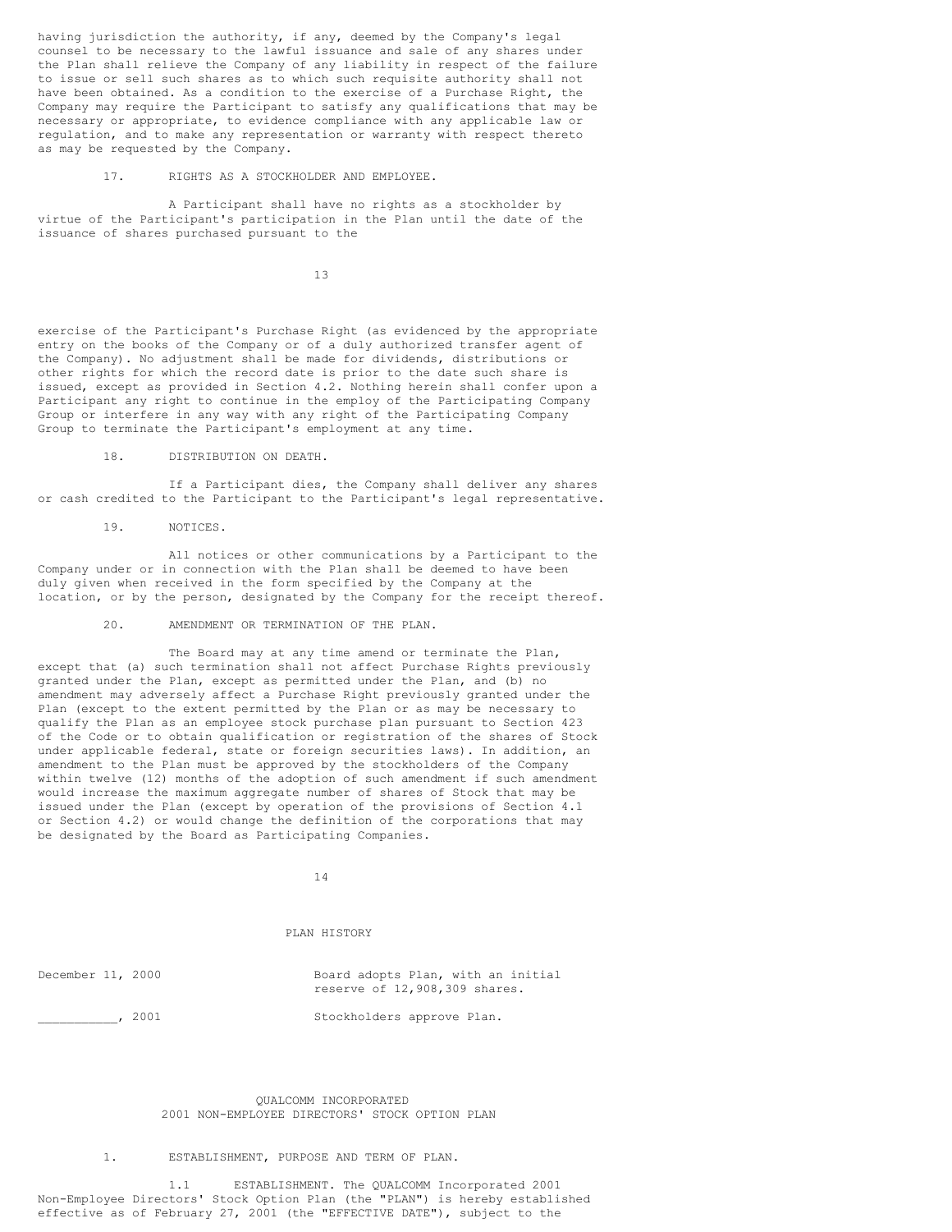having jurisdiction the authority, if any, deemed by the Company's legal counsel to be necessary to the lawful issuance and sale of any shares under the Plan shall relieve the Company of any liability in respect of the failure to issue or sell such shares as to which such requisite authority shall not have been obtained. As a condition to the exercise of a Purchase Right, the Company may require the Participant to satisfy any qualifications that may be necessary or appropriate, to evidence compliance with any applicable law or regulation, and to make any representation or warranty with respect thereto as may be requested by the Company.

17. RIGHTS AS A STOCKHOLDER AND EMPLOYEE.

A Participant shall have no rights as a stockholder by virtue of the Participant's participation in the Plan until the date of the issuance of shares purchased pursuant to the

13

exercise of the Participant's Purchase Right (as evidenced by the appropriate entry on the books of the Company or of a duly authorized transfer agent of the Company). No adjustment shall be made for dividends, distributions or other rights for which the record date is prior to the date such share is issued, except as provided in Section 4.2. Nothing herein shall confer upon a Participant any right to continue in the employ of the Participating Company Group or interfere in any way with any right of the Participating Company Group to terminate the Participant's employment at any time.

18. DISTRIBUTION ON DEATH.

If a Participant dies, the Company shall deliver any shares or cash credited to the Participant to the Participant's legal representative.

19. NOTICES.

All notices or other communications by a Participant to the Company under or in connection with the Plan shall be deemed to have been duly given when received in the form specified by the Company at the location, or by the person, designated by the Company for the receipt thereof.

20. AMENDMENT OR TERMINATION OF THE PLAN.

The Board may at any time amend or terminate the Plan, except that (a) such termination shall not affect Purchase Rights previously granted under the Plan, except as permitted under the Plan, and (b) no amendment may adversely affect a Purchase Right previously granted under the Plan (except to the extent permitted by the Plan or as may be necessary to qualify the Plan as an employee stock purchase plan pursuant to Section 423 of the Code or to obtain qualification or registration of the shares of Stock under applicable federal, state or foreign securities laws). In addition, an amendment to the Plan must be approved by the stockholders of the Company within twelve (12) months of the adoption of such amendment if such amendment would increase the maximum aggregate number of shares of Stock that may be issued under the Plan (except by operation of the provisions of Section 4.1 or Section 4.2) or would change the definition of the corporations that may be designated by the Board as Participating Companies.

14

## PLAN HISTORY

December 11, 2000 Board adopts Plan, with an initial reserve of 12,908,309 shares.

, 2001 Stockholders approve Plan.

## QUALCOMM INCORPORATED 2001 NON-EMPLOYEE DIRECTORS' STOCK OPTION PLAN

1. ESTABLISHMENT, PURPOSE AND TERM OF PLAN.

1.1 ESTABLISHMENT. The QUALCOMM Incorporated 2001 Non-Employee Directors' Stock Option Plan (the "PLAN") is hereby established effective as of February 27, 2001 (the "EFFECTIVE DATE"), subject to the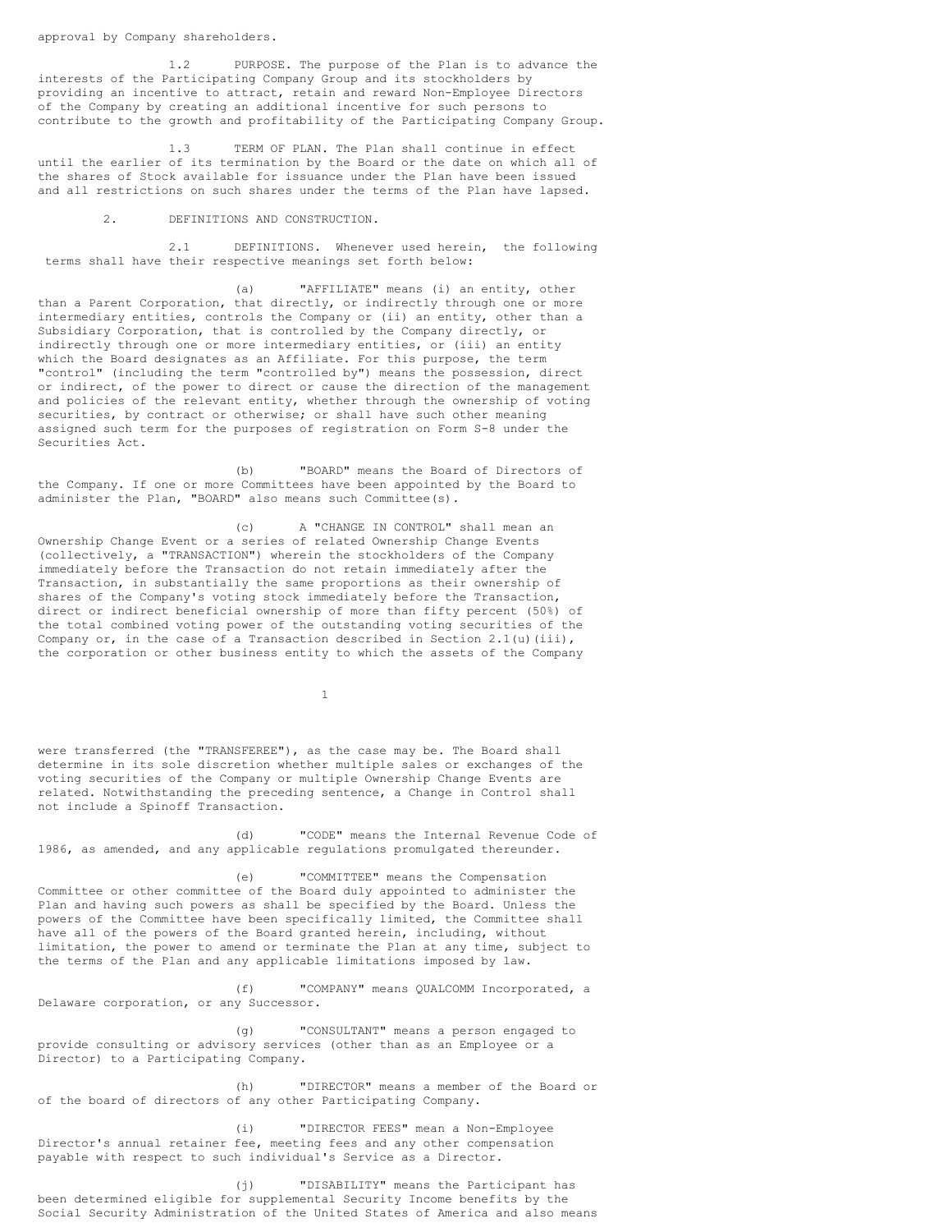approval by Company shareholders.

1.2 PURPOSE. The purpose of the Plan is to advance the interests of the Participating Company Group and its stockholders by providing an incentive to attract, retain and reward Non-Employee Directors of the Company by creating an additional incentive for such persons to contribute to the growth and profitability of the Participating Company Group.

1.3 TERM OF PLAN. The Plan shall continue in effect until the earlier of its termination by the Board or the date on which all of the shares of Stock available for issuance under the Plan have been issued and all restrictions on such shares under the terms of the Plan have lapsed.

2. DEFINITIONS AND CONSTRUCTION.

2.1 DEFINITIONS. Whenever used herein, the following terms shall have their respective meanings set forth below:

(a) "AFFILIATE" means (i) an entity, other than a Parent Corporation, that directly, or indirectly through one or more intermediary entities, controls the Company or (ii) an entity, other than a Subsidiary Corporation, that is controlled by the Company directly, or indirectly through one or more intermediary entities, or (iii) an entity which the Board designates as an Affiliate. For this purpose, the term "control" (including the term "controlled by") means the possession, direct or indirect, of the power to direct or cause the direction of the management and policies of the relevant entity, whether through the ownership of voting securities, by contract or otherwise; or shall have such other meaning assigned such term for the purposes of registration on Form S-8 under the Securities Act.

(b) "BOARD" means the Board of Directors of the Company. If one or more Committees have been appointed by the Board to administer the Plan, "BOARD" also means such Committee(s).

(c) A "CHANGE IN CONTROL" shall mean an Ownership Change Event or a series of related Ownership Change Events (collectively, a "TRANSACTION") wherein the stockholders of the Company immediately before the Transaction do not retain immediately after the Transaction, in substantially the same proportions as their ownership of shares of the Company's voting stock immediately before the Transaction, direct or indirect beneficial ownership of more than fifty percent (50%) of the total combined voting power of the outstanding voting securities of the Company or, in the case of a Transaction described in Section 2.1(u)(iii), the corporation or other business entity to which the assets of the Company

1

were transferred (the "TRANSFEREE"), as the case may be. The Board shall determine in its sole discretion whether multiple sales or exchanges of the voting securities of the Company or multiple Ownership Change Events are related. Notwithstanding the preceding sentence, a Change in Control shall not include a Spinoff Transaction.

(d) "CODE" means the Internal Revenue Code of 1986, as amended, and any applicable regulations promulgated thereunder.

(e) "COMMITTEE" means the Compensation Committee or other committee of the Board duly appointed to administer the Plan and having such powers as shall be specified by the Board. Unless the powers of the Committee have been specifically limited, the Committee shall have all of the powers of the Board granted herein, including, without limitation, the power to amend or terminate the Plan at any time, subject to the terms of the Plan and any applicable limitations imposed by law.

(f) "COMPANY" means QUALCOMM Incorporated, a Delaware corporation, or any Successor.

(g) "CONSULTANT" means a person engaged to provide consulting or advisory services (other than as an Employee or a Director) to a Participating Company.

(h) "DIRECTOR" means a member of the Board or of the board of directors of any other Participating Company.

(i) "DIRECTOR FEES" mean a Non-Employee Director's annual retainer fee, meeting fees and any other compensation payable with respect to such individual's Service as a Director.

(j) "DISABILITY" means the Participant has been determined eligible for supplemental Security Income benefits by the Social Security Administration of the United States of America and also means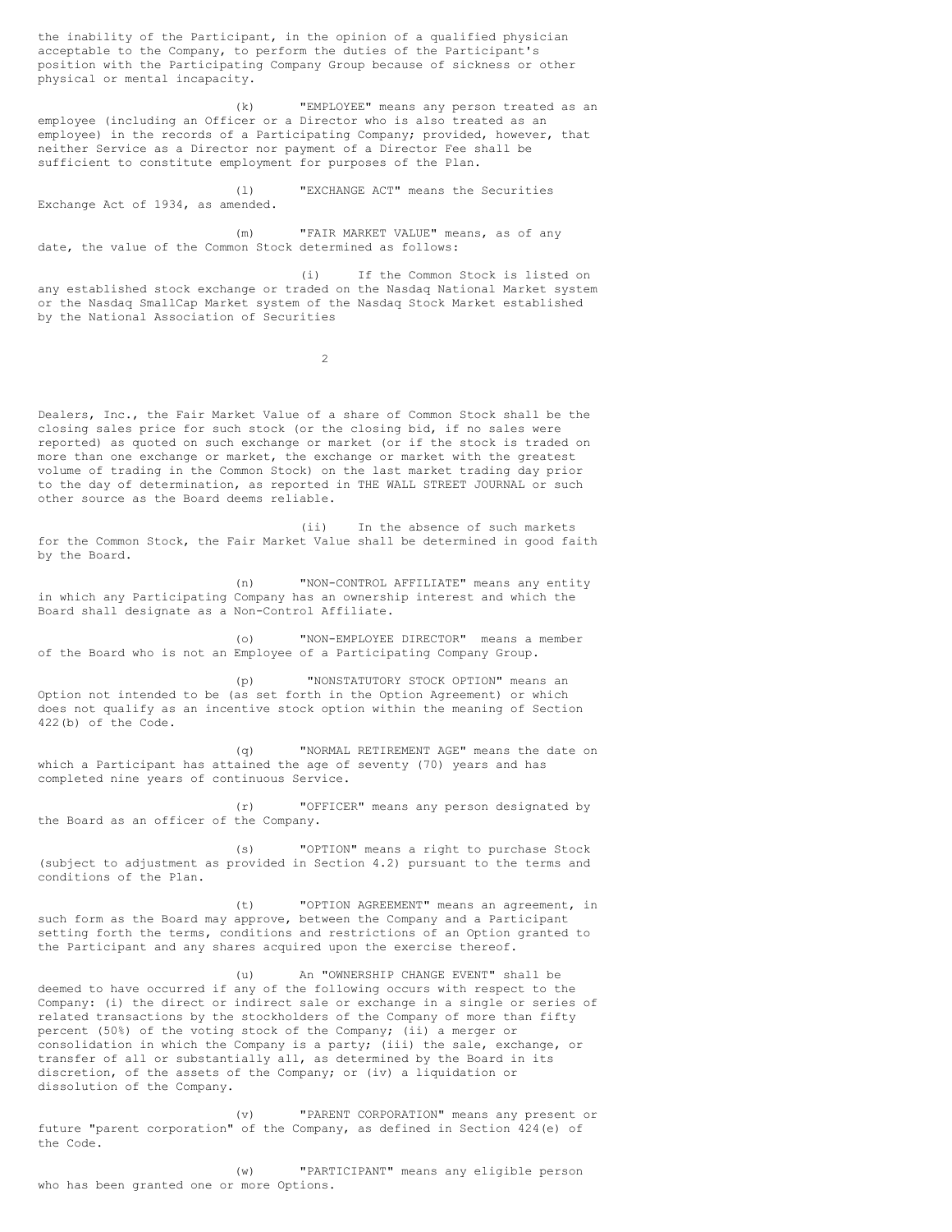the inability of the Participant, in the opinion of a qualified physician acceptable to the Company, to perform the duties of the Participant's position with the Participating Company Group because of sickness or other physical or mental incapacity.

(k) "EMPLOYEE" means any person treated as an employee (including an Officer or a Director who is also treated as an employee) in the records of a Participating Company; provided, however, that neither Service as a Director nor payment of a Director Fee shall be sufficient to constitute employment for purposes of the Plan.

(l) "EXCHANGE ACT" means the Securities Exchange Act of 1934, as amended.

(m) "FAIR MARKET VALUE" means, as of any date, the value of the Common Stock determined as follows:

(i) If the Common Stock is listed on any established stock exchange or traded on the Nasdaq National Market system or the Nasdaq SmallCap Market system of the Nasdaq Stock Market established by the National Association of Securities

2

Dealers, Inc., the Fair Market Value of a share of Common Stock shall be the closing sales price for such stock (or the closing bid, if no sales were reported) as quoted on such exchange or market (or if the stock is traded on more than one exchange or market, the exchange or market with the greatest volume of trading in the Common Stock) on the last market trading day prior to the day of determination, as reported in THE WALL STREET JOURNAL or such other source as the Board deems reliable.

(ii) In the absence of such markets for the Common Stock, the Fair Market Value shall be determined in good faith by the Board.

(n) "NON-CONTROL AFFILIATE" means any entity in which any Participating Company has an ownership interest and which the Board shall designate as a Non-Control Affiliate.

(o) "NON-EMPLOYEE DIRECTOR" means a member of the Board who is not an Employee of a Participating Company Group.

(p) "NONSTATUTORY STOCK OPTION" means an Option not intended to be (as set forth in the Option Agreement) or which does not qualify as an incentive stock option within the meaning of Section 422(b) of the Code.

(q) "NORMAL RETIREMENT AGE" means the date on which a Participant has attained the age of seventy (70) years and has completed nine years of continuous Service.

(r) "OFFICER" means any person designated by the Board as an officer of the Company.

(s) "OPTION" means a right to purchase Stock (subject to adjustment as provided in Section 4.2) pursuant to the terms and conditions of the Plan.

(t) "OPTION AGREEMENT" means an agreement, in such form as the Board may approve, between the Company and a Participant setting forth the terms, conditions and restrictions of an Option granted to the Participant and any shares acquired upon the exercise thereof.

(u) An "OWNERSHIP CHANGE EVENT" shall be deemed to have occurred if any of the following occurs with respect to the Company: (i) the direct or indirect sale or exchange in a single or series of related transactions by the stockholders of the Company of more than fifty percent (50%) of the voting stock of the Company; (ii) a merger or consolidation in which the Company is a party; (iii) the sale, exchange, or transfer of all or substantially all, as determined by the Board in its discretion, of the assets of the Company; or (iv) a liquidation or dissolution of the Company.

(v) "PARENT CORPORATION" means any present or future "parent corporation" of the Company, as defined in Section 424(e) of the Code.

(w) "PARTICIPANT" means any eligible person who has been granted one or more Options.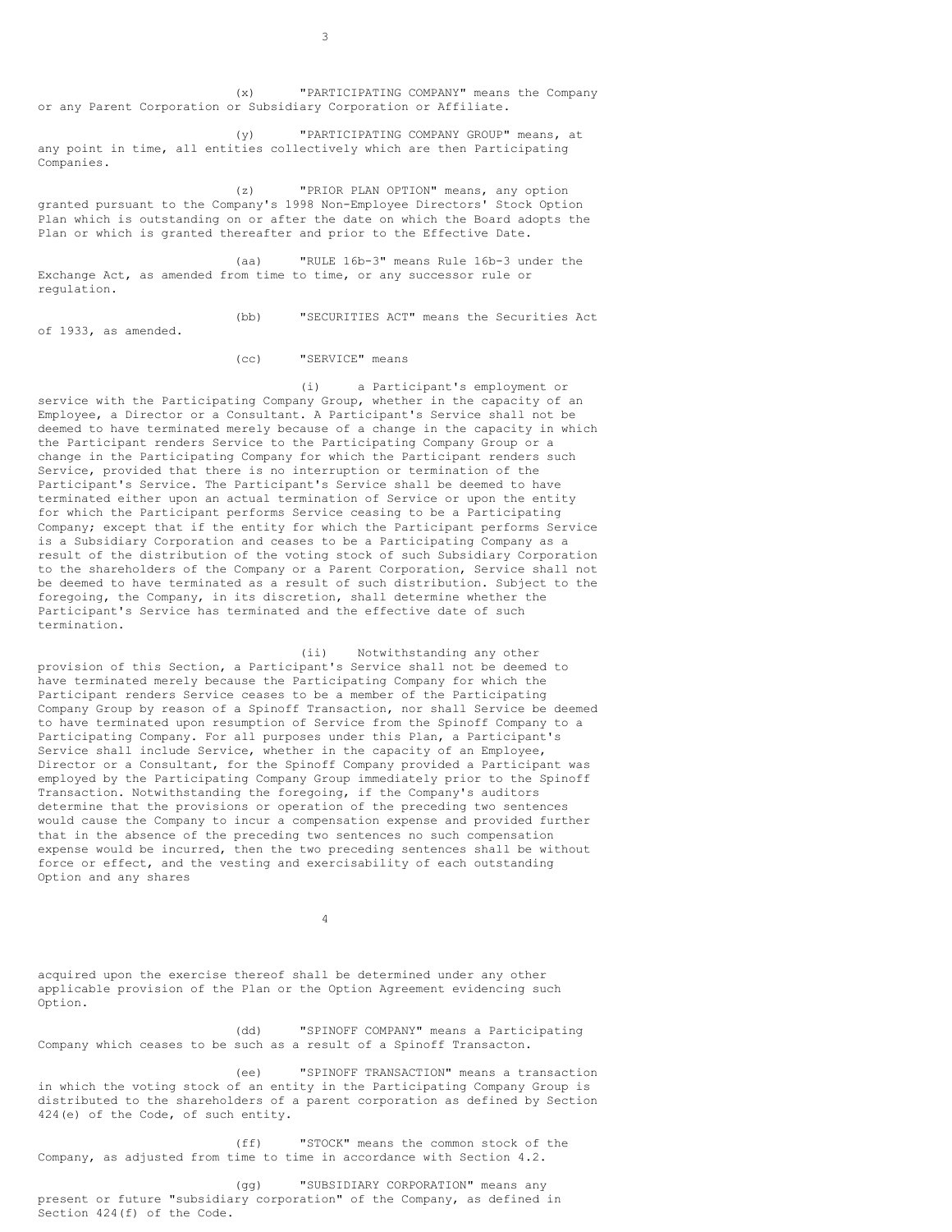(x) "PARTICIPATING COMPANY" means the Company or any Parent Corporation or Subsidiary Corporation or Affiliate.

(y) "PARTICIPATING COMPANY GROUP" means, at any point in time, all entities collectively which are then Participating Companies.

(z) "PRIOR PLAN OPTION" means, any option granted pursuant to the Company's 1998 Non-Employee Directors' Stock Option Plan which is outstanding on or after the date on which the Board adopts the Plan or which is granted thereafter and prior to the Effective Date.

(aa) "RULE 16b-3" means Rule 16b-3 under the Exchange Act, as amended from time to time, or any successor rule or regulation.

of 1933, as amended.

(bb) "SECURITIES ACT" means the Securities Act

# (cc) "SERVICE" means

(i) a Participant's employment or service with the Participating Company Group, whether in the capacity of an Employee, a Director or a Consultant. A Participant's Service shall not be deemed to have terminated merely because of a change in the capacity in which the Participant renders Service to the Participating Company Group or a change in the Participating Company for which the Participant renders such Service, provided that there is no interruption or termination of the Participant's Service. The Participant's Service shall be deemed to have terminated either upon an actual termination of Service or upon the entity for which the Participant performs Service ceasing to be a Participating Company; except that if the entity for which the Participant performs Service is a Subsidiary Corporation and ceases to be a Participating Company as a result of the distribution of the voting stock of such Subsidiary Corporation to the shareholders of the Company or a Parent Corporation, Service shall not be deemed to have terminated as a result of such distribution. Subject to the foregoing, the Company, in its discretion, shall determine whether the Participant's Service has terminated and the effective date of such termination.

(ii) Notwithstanding any other provision of this Section, a Participant's Service shall not be deemed to have terminated merely because the Participating Company for which the Participant renders Service ceases to be a member of the Participating Company Group by reason of a Spinoff Transaction, nor shall Service be deemed to have terminated upon resumption of Service from the Spinoff Company to a Participating Company. For all purposes under this Plan, a Participant's Service shall include Service, whether in the capacity of an Employee, Director or a Consultant, for the Spinoff Company provided a Participant was employed by the Participating Company Group immediately prior to the Spinoff Transaction. Notwithstanding the foregoing, if the Company's auditors determine that the provisions or operation of the preceding two sentences would cause the Company to incur a compensation expense and provided further that in the absence of the preceding two sentences no such compensation expense would be incurred, then the two preceding sentences shall be without force or effect, and the vesting and exercisability of each outstanding Option and any shares

4

acquired upon the exercise thereof shall be determined under any other applicable provision of the Plan or the Option Agreement evidencing such Option.

(dd) "SPINOFF COMPANY" means a Participating Company which ceases to be such as a result of a Spinoff Transacton.

(ee) "SPINOFF TRANSACTION" means a transaction in which the voting stock of an entity in the Participating Company Group is distributed to the shareholders of a parent corporation as defined by Section 424(e) of the Code, of such entity.

(ff) "STOCK" means the common stock of the Company, as adjusted from time to time in accordance with Section 4.2.

(gg) "SUBSIDIARY CORPORATION" means any present or future "subsidiary corporation" of the Company, as defined in Section 424(f) of the Code.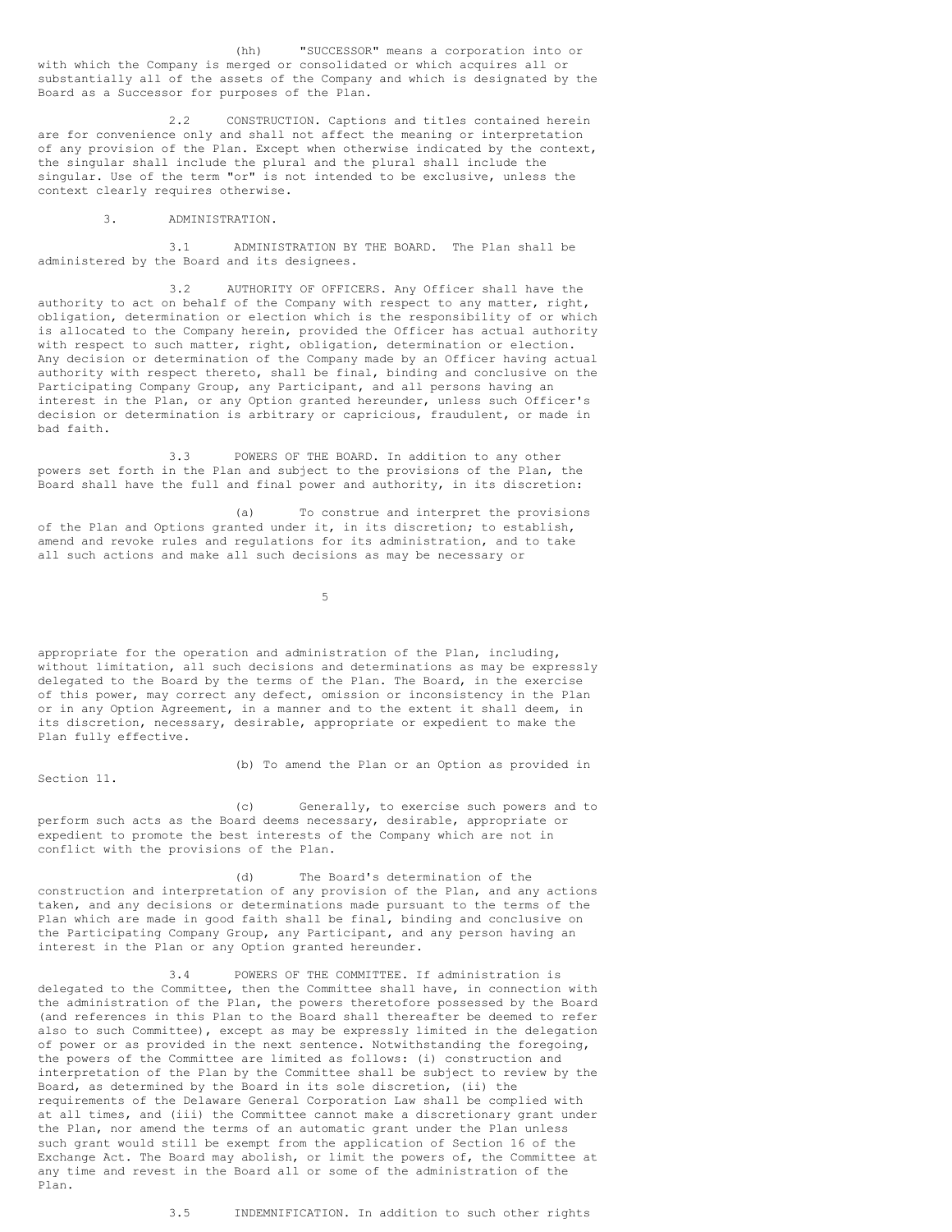(hh) "SUCCESSOR" means a corporation into or with which the Company is merged or consolidated or which acquires all or substantially all of the assets of the Company and which is designated by the Board as a Successor for purposes of the Plan.

2.2 CONSTRUCTION. Captions and titles contained herein are for convenience only and shall not affect the meaning or interpretation of any provision of the Plan. Except when otherwise indicated by the context, the singular shall include the plural and the plural shall include the singular. Use of the term "or" is not intended to be exclusive, unless the context clearly requires otherwise.

#### 3. ADMINISTRATION.

3.1 ADMINISTRATION BY THE BOARD. The Plan shall be administered by the Board and its designees.

3.2 AUTHORITY OF OFFICERS. Any Officer shall have the authority to act on behalf of the Company with respect to any matter, right, obligation, determination or election which is the responsibility of or which is allocated to the Company herein, provided the Officer has actual authority with respect to such matter, right, obligation, determination or election. Any decision or determination of the Company made by an Officer having actual authority with respect thereto, shall be final, binding and conclusive on the Participating Company Group, any Participant, and all persons having an interest in the Plan, or any Option granted hereunder, unless such Officer's decision or determination is arbitrary or capricious, fraudulent, or made in bad faith.

3.3 POWERS OF THE BOARD. In addition to any other powers set forth in the Plan and subject to the provisions of the Plan, the Board shall have the full and final power and authority, in its discretion:

(a) To construe and interpret the provisions of the Plan and Options granted under it, in its discretion; to establish, amend and revoke rules and regulations for its administration, and to take all such actions and make all such decisions as may be necessary or

5

appropriate for the operation and administration of the Plan, including, without limitation, all such decisions and determinations as may be expressly delegated to the Board by the terms of the Plan. The Board, in the exercise of this power, may correct any defect, omission or inconsistency in the Plan or in any Option Agreement, in a manner and to the extent it shall deem, in its discretion, necessary, desirable, appropriate or expedient to make the Plan fully effective.

Section 11.

(b) To amend the Plan or an Option as provided in

(c) Generally, to exercise such powers and to perform such acts as the Board deems necessary, desirable, appropriate or expedient to promote the best interests of the Company which are not in conflict with the provisions of the Plan.

(d) The Board's determination of the construction and interpretation of any provision of the Plan, and any actions taken, and any decisions or determinations made pursuant to the terms of the Plan which are made in good faith shall be final, binding and conclusive on the Participating Company Group, any Participant, and any person having an interest in the Plan or any Option granted hereunder.

3.4 POWERS OF THE COMMITTEE. If administration is delegated to the Committee, then the Committee shall have, in connection with the administration of the Plan, the powers theretofore possessed by the Board (and references in this Plan to the Board shall thereafter be deemed to refer also to such Committee), except as may be expressly limited in the delegation of power or as provided in the next sentence. Notwithstanding the foregoing, the powers of the Committee are limited as follows: (i) construction and interpretation of the Plan by the Committee shall be subject to review by the Board, as determined by the Board in its sole discretion, (ii) the requirements of the Delaware General Corporation Law shall be complied with at all times, and (iii) the Committee cannot make a discretionary grant under the Plan, nor amend the terms of an automatic grant under the Plan unless such grant would still be exempt from the application of Section 16 of the Exchange Act. The Board may abolish, or limit the powers of, the Committee at any time and revest in the Board all or some of the administration of the Plan.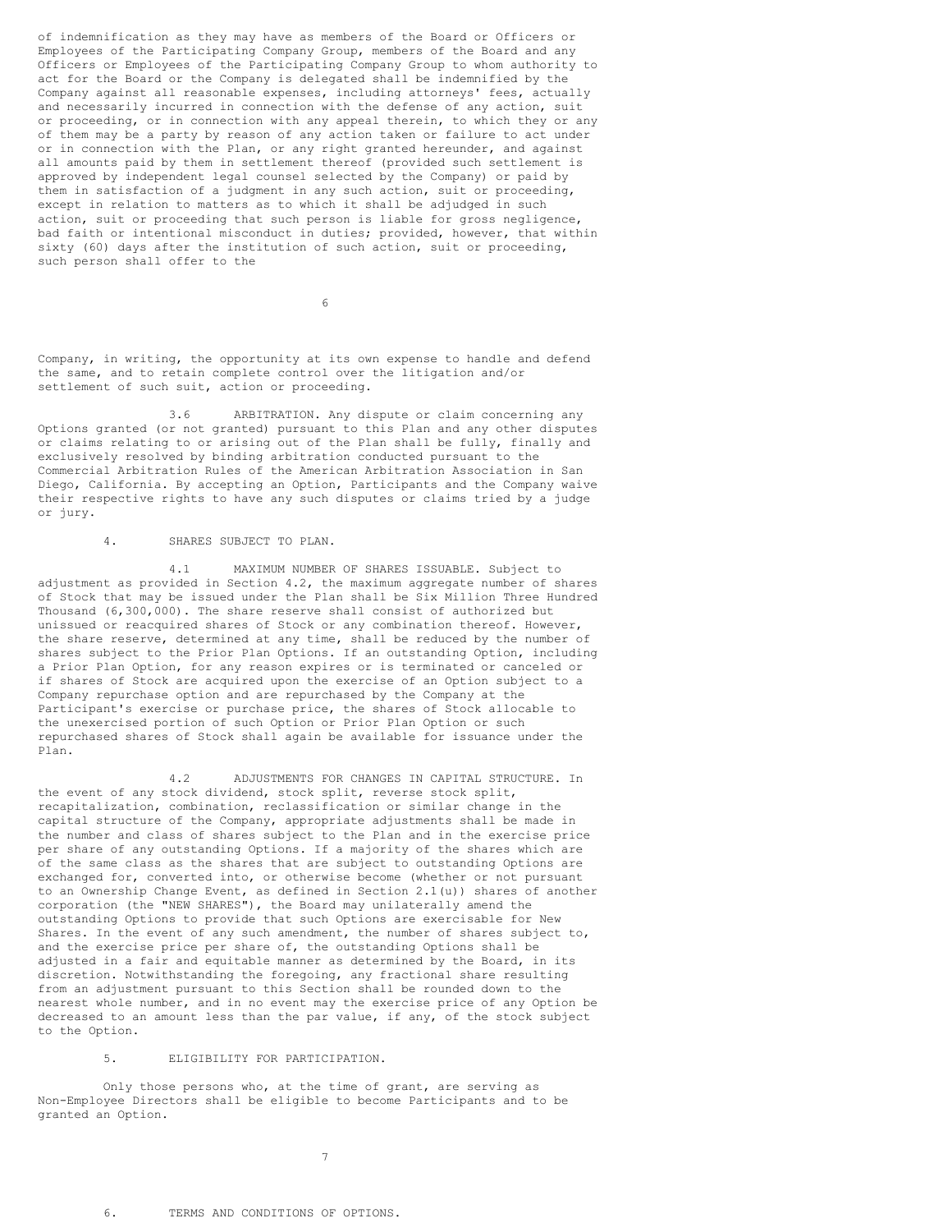of indemnification as they may have as members of the Board or Officers or Employees of the Participating Company Group, members of the Board and any Officers or Employees of the Participating Company Group to whom authority to act for the Board or the Company is delegated shall be indemnified by the Company against all reasonable expenses, including attorneys' fees, actually and necessarily incurred in connection with the defense of any action, suit or proceeding, or in connection with any appeal therein, to which they or any of them may be a party by reason of any action taken or failure to act under or in connection with the Plan, or any right granted hereunder, and against all amounts paid by them in settlement thereof (provided such settlement is approved by independent legal counsel selected by the Company) or paid by them in satisfaction of a judgment in any such action, suit or proceeding, except in relation to matters as to which it shall be adjudged in such action, suit or proceeding that such person is liable for gross negligence, bad faith or intentional misconduct in duties; provided, however, that within sixty (60) days after the institution of such action, suit or proceeding, such person shall offer to the

6

Company, in writing, the opportunity at its own expense to handle and defend the same, and to retain complete control over the litigation and/or settlement of such suit, action or proceeding.

3.6 ARBITRATION. Any dispute or claim concerning any Options granted (or not granted) pursuant to this Plan and any other disputes or claims relating to or arising out of the Plan shall be fully, finally and exclusively resolved by binding arbitration conducted pursuant to the Commercial Arbitration Rules of the American Arbitration Association in San Diego, California. By accepting an Option, Participants and the Company waive their respective rights to have any such disputes or claims tried by a judge or jury.

#### 4. SHARES SUBJECT TO PLAN.

4.1 MAXIMUM NUMBER OF SHARES ISSUABLE. Subject to adjustment as provided in Section 4.2, the maximum aggregate number of shares of Stock that may be issued under the Plan shall be Six Million Three Hundred Thousand (6,300,000). The share reserve shall consist of authorized but unissued or reacquired shares of Stock or any combination thereof. However, the share reserve, determined at any time, shall be reduced by the number of shares subject to the Prior Plan Options. If an outstanding Option, including a Prior Plan Option, for any reason expires or is terminated or canceled or if shares of Stock are acquired upon the exercise of an Option subject to a Company repurchase option and are repurchased by the Company at the Participant's exercise or purchase price, the shares of Stock allocable to the unexercised portion of such Option or Prior Plan Option or such repurchased shares of Stock shall again be available for issuance under the Plan.

4.2 ADJUSTMENTS FOR CHANGES IN CAPITAL STRUCTURE. In the event of any stock dividend, stock split, reverse stock split, recapitalization, combination, reclassification or similar change in the capital structure of the Company, appropriate adjustments shall be made in the number and class of shares subject to the Plan and in the exercise price per share of any outstanding Options. If a majority of the shares which are of the same class as the shares that are subject to outstanding Options are exchanged for, converted into, or otherwise become (whether or not pursuant to an Ownership Change Event, as defined in Section 2.1(u)) shares of another corporation (the "NEW SHARES"), the Board may unilaterally amend the outstanding Options to provide that such Options are exercisable for New Shares. In the event of any such amendment, the number of shares subject to, and the exercise price per share of, the outstanding Options shall be adjusted in a fair and equitable manner as determined by the Board, in its discretion. Notwithstanding the foregoing, any fractional share resulting from an adjustment pursuant to this Section shall be rounded down to the nearest whole number, and in no event may the exercise price of any Option be decreased to an amount less than the par value, if any, of the stock subject to the Option.

### 5. ELIGIBILITY FOR PARTICIPATION.

Only those persons who, at the time of grant, are serving as Non-Employee Directors shall be eligible to become Participants and to be granted an Option.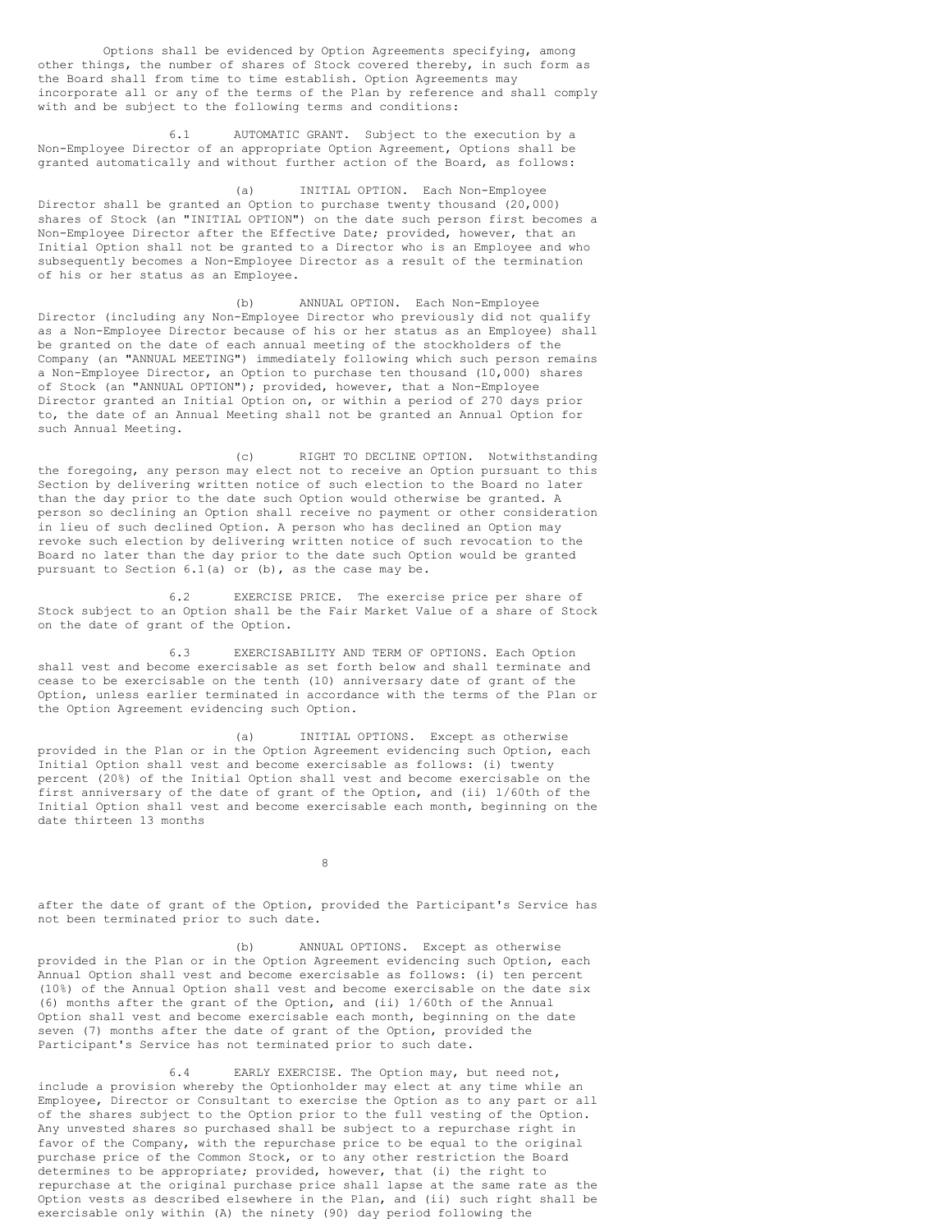Options shall be evidenced by Option Agreements specifying, among other things, the number of shares of Stock covered thereby, in such form as the Board shall from time to time establish. Option Agreements may incorporate all or any of the terms of the Plan by reference and shall comply with and be subject to the following terms and conditions:

6.1 AUTOMATIC GRANT. Subject to the execution by a Non-Employee Director of an appropriate Option Agreement, Options shall be granted automatically and without further action of the Board, as follows:

(a) INITIAL OPTION. Each Non-Employee Director shall be granted an Option to purchase twenty thousand (20,000) shares of Stock (an "INITIAL OPTION") on the date such person first becomes a Non-Employee Director after the Effective Date; provided, however, that an Initial Option shall not be granted to a Director who is an Employee and who subsequently becomes a Non-Employee Director as a result of the termination of his or her status as an Employee.

(b) ANNUAL OPTION. Each Non-Employee Director (including any Non-Employee Director who previously did not qualify as a Non-Employee Director because of his or her status as an Employee) shall be granted on the date of each annual meeting of the stockholders of the Company (an "ANNUAL MEETING") immediately following which such person remains a Non-Employee Director, an Option to purchase ten thousand (10,000) shares of Stock (an "ANNUAL OPTION"); provided, however, that a Non-Employee Director granted an Initial Option on, or within a period of 270 days prior to, the date of an Annual Meeting shall not be granted an Annual Option for such Annual Meeting.

(c) RIGHT TO DECLINE OPTION. Notwithstanding the foregoing, any person may elect not to receive an Option pursuant to this Section by delivering written notice of such election to the Board no later than the day prior to the date such Option would otherwise be granted. A person so declining an Option shall receive no payment or other consideration in lieu of such declined Option. A person who has declined an Option may revoke such election by delivering written notice of such revocation to the Board no later than the day prior to the date such Option would be granted pursuant to Section 6.1(a) or (b), as the case may be.

6.2 EXERCISE PRICE. The exercise price per share of Stock subject to an Option shall be the Fair Market Value of a share of Stock on the date of grant of the Option.

6.3 EXERCISABILITY AND TERM OF OPTIONS. Each Option shall vest and become exercisable as set forth below and shall terminate and cease to be exercisable on the tenth (10) anniversary date of grant of the Option, unless earlier terminated in accordance with the terms of the Plan or the Option Agreement evidencing such Option.

(a) INITIAL OPTIONS. Except as otherwise provided in the Plan or in the Option Agreement evidencing such Option, each Initial Option shall vest and become exercisable as follows: (i) twenty percent (20%) of the Initial Option shall vest and become exercisable on the first anniversary of the date of grant of the Option, and (ii) 1/60th of the Initial Option shall vest and become exercisable each month, beginning on the date thirteen 13 months

8

after the date of grant of the Option, provided the Participant's Service has not been terminated prior to such date.

(b) ANNUAL OPTIONS. Except as otherwise provided in the Plan or in the Option Agreement evidencing such Option, each Annual Option shall vest and become exercisable as follows: (i) ten percent (10%) of the Annual Option shall vest and become exercisable on the date six (6) months after the grant of the Option, and (ii) 1/60th of the Annual Option shall vest and become exercisable each month, beginning on the date seven (7) months after the date of grant of the Option, provided the Participant's Service has not terminated prior to such date.

6.4 EARLY EXERCISE. The Option may, but need not, include a provision whereby the Optionholder may elect at any time while an Employee, Director or Consultant to exercise the Option as to any part or all of the shares subject to the Option prior to the full vesting of the Option. Any unvested shares so purchased shall be subject to a repurchase right in favor of the Company, with the repurchase price to be equal to the original purchase price of the Common Stock, or to any other restriction the Board determines to be appropriate; provided, however, that (i) the right to repurchase at the original purchase price shall lapse at the same rate as the Option vests as described elsewhere in the Plan, and (ii) such right shall be exercisable only within (A) the ninety (90) day period following the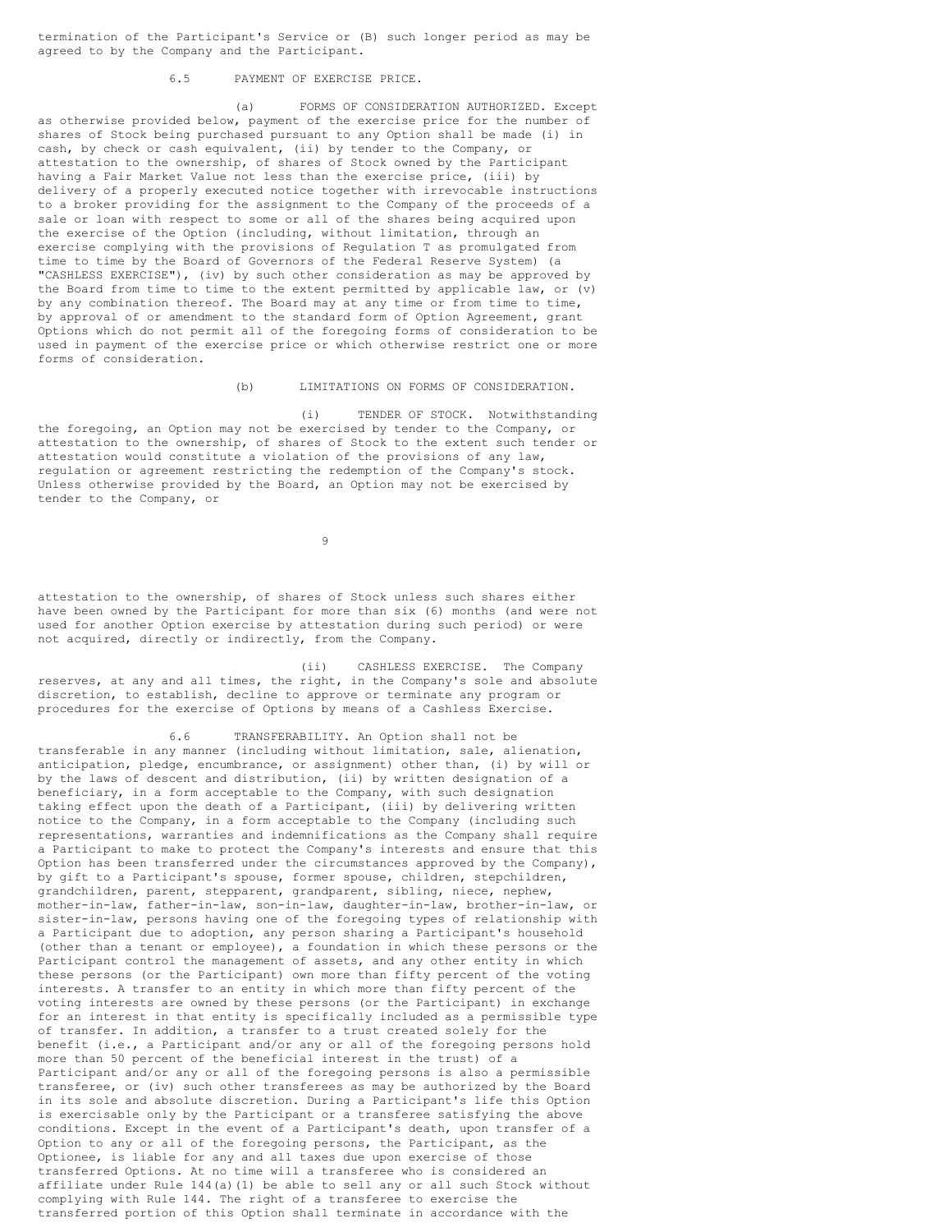termination of the Participant's Service or (B) such longer period as may be agreed to by the Company and the Participant.

6.5 PAYMENT OF EXERCISE PRICE.

(a) FORMS OF CONSIDERATION AUTHORIZED. Except as otherwise provided below, payment of the exercise price for the number of shares of Stock being purchased pursuant to any Option shall be made (i) in cash, by check or cash equivalent, (ii) by tender to the Company, or attestation to the ownership, of shares of Stock owned by the Participant having a Fair Market Value not less than the exercise price, (iii) by delivery of a properly executed notice together with irrevocable instructions to a broker providing for the assignment to the Company of the proceeds of a sale or loan with respect to some or all of the shares being acquired upon the exercise of the Option (including, without limitation, through an exercise complying with the provisions of Regulation T as promulgated from time to time by the Board of Governors of the Federal Reserve System) (a "CASHLESS EXERCISE"), (iv) by such other consideration as may be approved by the Board from time to time to the extent permitted by applicable law, or (v) by any combination thereof. The Board may at any time or from time to time, by approval of or amendment to the standard form of Option Agreement, grant Options which do not permit all of the foregoing forms of consideration to be used in payment of the exercise price or which otherwise restrict one or more forms of consideration.

(b) LIMITATIONS ON FORMS OF CONSIDERATION.

(i) TENDER OF STOCK. Notwithstanding the foregoing, an Option may not be exercised by tender to the Company, or attestation to the ownership, of shares of Stock to the extent such tender or attestation would constitute a violation of the provisions of any law, regulation or agreement restricting the redemption of the Company's stock. Unless otherwise provided by the Board, an Option may not be exercised by tender to the Company, or

9

attestation to the ownership, of shares of Stock unless such shares either have been owned by the Participant for more than six (6) months (and were not used for another Option exercise by attestation during such period) or were not acquired, directly or indirectly, from the Company.

(ii) CASHLESS EXERCISE. The Company reserves, at any and all times, the right, in the Company's sole and absolute discretion, to establish, decline to approve or terminate any program or procedures for the exercise of Options by means of a Cashless Exercise.

6.6 TRANSFERABILITY. An Option shall not be transferable in any manner (including without limitation, sale, alienation, anticipation, pledge, encumbrance, or assignment) other than, (i) by will or by the laws of descent and distribution, (ii) by written designation of a beneficiary, in a form acceptable to the Company, with such designation taking effect upon the death of a Participant, (iii) by delivering written notice to the Company, in a form acceptable to the Company (including such representations, warranties and indemnifications as the Company shall require a Participant to make to protect the Company's interests and ensure that this Option has been transferred under the circumstances approved by the Company), by gift to a Participant's spouse, former spouse, children, stepchildren, grandchildren, parent, stepparent, grandparent, sibling, niece, nephew, mother-in-law, father-in-law, son-in-law, daughter-in-law, brother-in-law, or sister-in-law, persons having one of the foregoing types of relationship with a Participant due to adoption, any person sharing a Participant's household (other than a tenant or employee), a foundation in which these persons or the Participant control the management of assets, and any other entity in which these persons (or the Participant) own more than fifty percent of the voting interests. A transfer to an entity in which more than fifty percent of the voting interests are owned by these persons (or the Participant) in exchange for an interest in that entity is specifically included as a permissible type of transfer. In addition, a transfer to a trust created solely for the benefit (i.e., a Participant and/or any or all of the foregoing persons hold more than 50 percent of the beneficial interest in the trust) of a Participant and/or any or all of the foregoing persons is also a permissible transferee, or (iv) such other transferees as may be authorized by the Board in its sole and absolute discretion. During a Participant's life this Option is exercisable only by the Participant or a transferee satisfying the above conditions. Except in the event of a Participant's death, upon transfer of a Option to any or all of the foregoing persons, the Participant, as the Optionee, is liable for any and all taxes due upon exercise of those transferred Options. At no time will a transferee who is considered an affiliate under Rule 144(a)(1) be able to sell any or all such Stock without complying with Rule 144. The right of a transferee to exercise the transferred portion of this Option shall terminate in accordance with the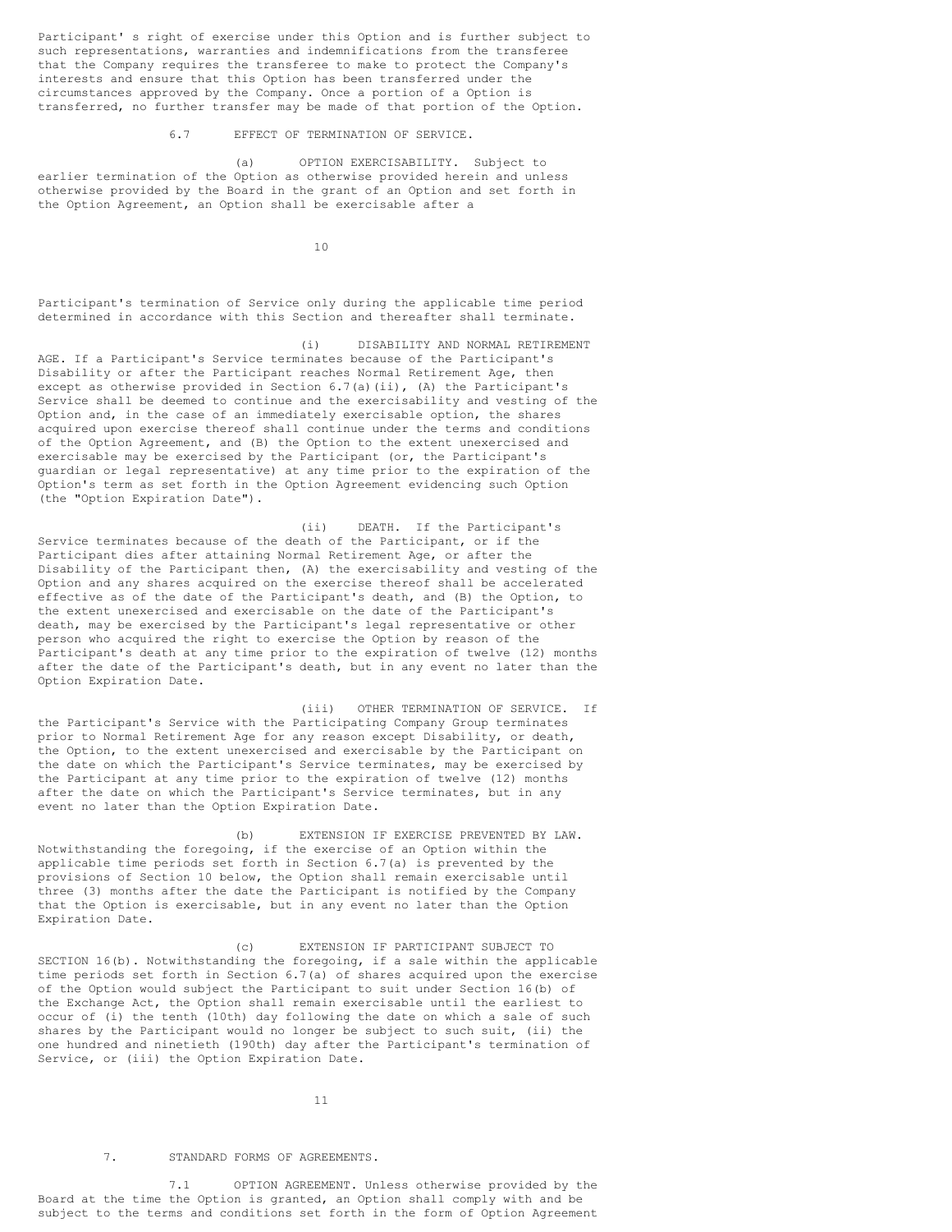Participant' s right of exercise under this Option and is further subject to such representations, warranties and indemnifications from the transferee that the Company requires the transferee to make to protect the Company's interests and ensure that this Option has been transferred under the circumstances approved by the Company. Once a portion of a Option is transferred, no further transfer may be made of that portion of the Option.

### 6.7 EFFECT OF TERMINATION OF SERVICE.

(a) OPTION EXERCISABILITY. Subject to earlier termination of the Option as otherwise provided herein and unless otherwise provided by the Board in the grant of an Option and set forth in the Option Agreement, an Option shall be exercisable after a

10

Participant's termination of Service only during the applicable time period determined in accordance with this Section and thereafter shall terminate.

(i) DISABILITY AND NORMAL RETIREMENT AGE. If a Participant's Service terminates because of the Participant's Disability or after the Participant reaches Normal Retirement Age, then except as otherwise provided in Section 6.7(a)(ii), (A) the Participant's Service shall be deemed to continue and the exercisability and vesting of the Option and, in the case of an immediately exercisable option, the shares acquired upon exercise thereof shall continue under the terms and conditions of the Option Agreement, and (B) the Option to the extent unexercised and exercisable may be exercised by the Participant (or, the Participant's guardian or legal representative) at any time prior to the expiration of the Option's term as set forth in the Option Agreement evidencing such Option (the "Option Expiration Date").

(ii) DEATH. If the Participant's Service terminates because of the death of the Participant, or if the Participant dies after attaining Normal Retirement Age, or after the Disability of the Participant then, (A) the exercisability and vesting of the Option and any shares acquired on the exercise thereof shall be accelerated effective as of the date of the Participant's death, and (B) the Option, to the extent unexercised and exercisable on the date of the Participant's death, may be exercised by the Participant's legal representative or other person who acquired the right to exercise the Option by reason of the Participant's death at any time prior to the expiration of twelve (12) months after the date of the Participant's death, but in any event no later than the Option Expiration Date.

(iii) OTHER TERMINATION OF SERVICE. If the Participant's Service with the Participating Company Group terminates prior to Normal Retirement Age for any reason except Disability, or death, the Option, to the extent unexercised and exercisable by the Participant on the date on which the Participant's Service terminates, may be exercised by the Participant at any time prior to the expiration of twelve (12) months after the date on which the Participant's Service terminates, but in any event no later than the Option Expiration Date.

(b) EXTENSION IF EXERCISE PREVENTED BY LAW. Notwithstanding the foregoing, if the exercise of an Option within the applicable time periods set forth in Section 6.7(a) is prevented by the provisions of Section 10 below, the Option shall remain exercisable until three (3) months after the date the Participant is notified by the Company that the Option is exercisable, but in any event no later than the Option Expiration Date.

(c) EXTENSION IF PARTICIPANT SUBJECT TO SECTION 16(b). Notwithstanding the foregoing, if a sale within the applicable time periods set forth in Section 6.7(a) of shares acquired upon the exercise of the Option would subject the Participant to suit under Section 16(b) of the Exchange Act, the Option shall remain exercisable until the earliest to occur of (i) the tenth (10th) day following the date on which a sale of such shares by the Participant would no longer be subject to such suit, (ii) the one hundred and ninetieth (190th) day after the Participant's termination of Service, or (iii) the Option Expiration Date.

11

### 7. STANDARD FORMS OF AGREEMENTS.

7.1 OPTION AGREEMENT. Unless otherwise provided by the Board at the time the Option is granted, an Option shall comply with and be subject to the terms and conditions set forth in the form of Option Agreement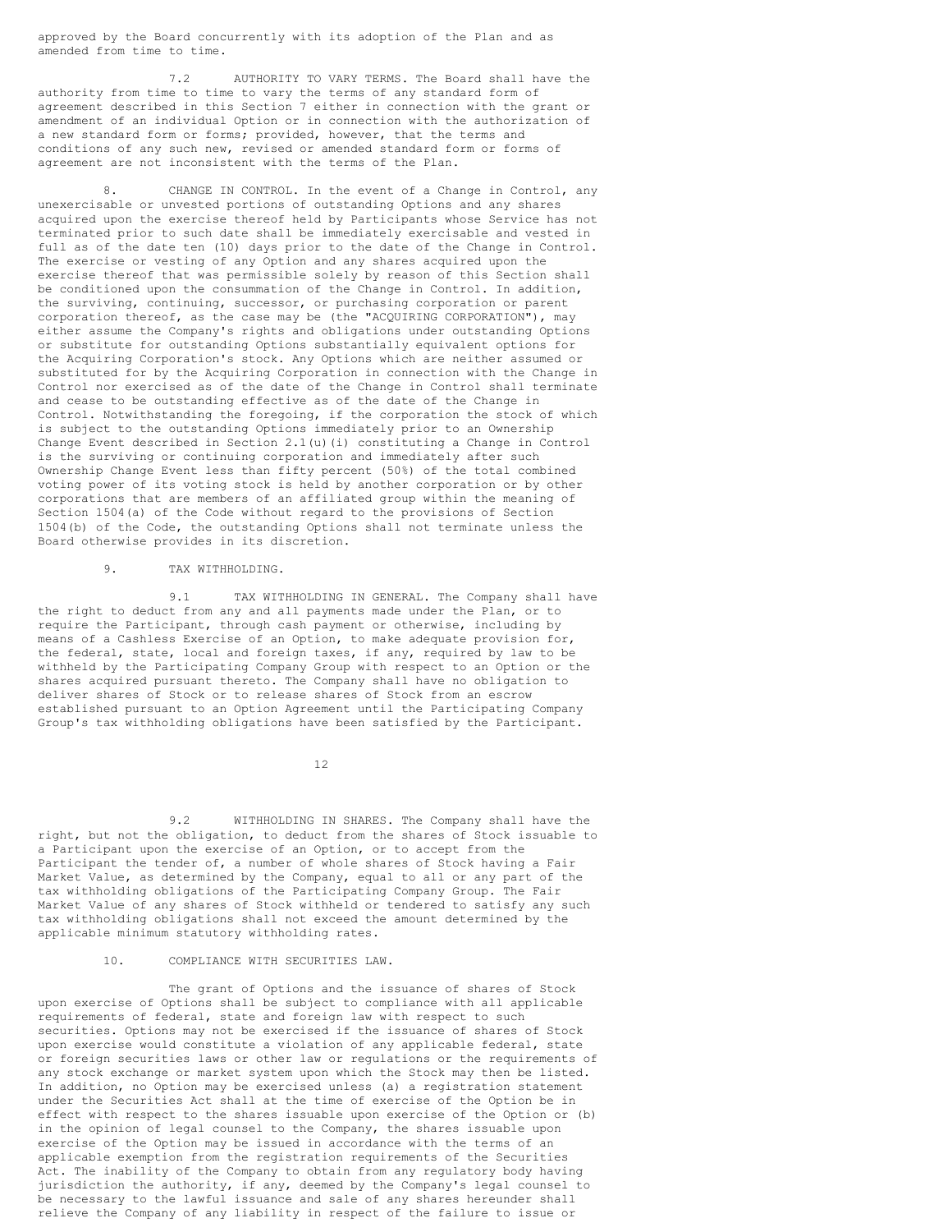approved by the Board concurrently with its adoption of the Plan and as amended from time to time.

7.2 AUTHORITY TO VARY TERMS. The Board shall have the authority from time to time to vary the terms of any standard form of agreement described in this Section 7 either in connection with the grant or amendment of an individual Option or in connection with the authorization of a new standard form or forms; provided, however, that the terms and conditions of any such new, revised or amended standard form or forms of agreement are not inconsistent with the terms of the Plan.

8. CHANGE IN CONTROL. In the event of a Change in Control, any unexercisable or unvested portions of outstanding Options and any shares acquired upon the exercise thereof held by Participants whose Service has not terminated prior to such date shall be immediately exercisable and vested in full as of the date ten (10) days prior to the date of the Change in Control. The exercise or vesting of any Option and any shares acquired upon the exercise thereof that was permissible solely by reason of this Section shall be conditioned upon the consummation of the Change in Control. In addition, the surviving, continuing, successor, or purchasing corporation or parent corporation thereof, as the case may be (the "ACQUIRING CORPORATION"), may either assume the Company's rights and obligations under outstanding Options or substitute for outstanding Options substantially equivalent options for the Acquiring Corporation's stock. Any Options which are neither assumed or substituted for by the Acquiring Corporation in connection with the Change in Control nor exercised as of the date of the Change in Control shall terminate and cease to be outstanding effective as of the date of the Change in Control. Notwithstanding the foregoing, if the corporation the stock of which is subject to the outstanding Options immediately prior to an Ownership Change Event described in Section 2.1(u)(i) constituting a Change in Control is the surviving or continuing corporation and immediately after such Ownership Change Event less than fifty percent (50%) of the total combined voting power of its voting stock is held by another corporation or by other corporations that are members of an affiliated group within the meaning of Section 1504(a) of the Code without regard to the provisions of Section 1504(b) of the Code, the outstanding Options shall not terminate unless the Board otherwise provides in its discretion.

9. TAX WITHHOLDING.

9.1 TAX WITHHOLDING IN GENERAL. The Company shall have the right to deduct from any and all payments made under the Plan, or to require the Participant, through cash payment or otherwise, including by means of a Cashless Exercise of an Option, to make adequate provision for, the federal, state, local and foreign taxes, if any, required by law to be withheld by the Participating Company Group with respect to an Option or the shares acquired pursuant thereto. The Company shall have no obligation to deliver shares of Stock or to release shares of Stock from an escrow established pursuant to an Option Agreement until the Participating Company Group's tax withholding obligations have been satisfied by the Participant.

12

9.2 WITHHOLDING IN SHARES. The Company shall have the right, but not the obligation, to deduct from the shares of Stock issuable to a Participant upon the exercise of an Option, or to accept from the Participant the tender of, a number of whole shares of Stock having a Fair Market Value, as determined by the Company, equal to all or any part of the tax withholding obligations of the Participating Company Group. The Fair Market Value of any shares of Stock withheld or tendered to satisfy any such tax withholding obligations shall not exceed the amount determined by the applicable minimum statutory withholding rates.

### 10. COMPLIANCE WITH SECURITIES LAW.

The grant of Options and the issuance of shares of Stock upon exercise of Options shall be subject to compliance with all applicable requirements of federal, state and foreign law with respect to such securities. Options may not be exercised if the issuance of shares of Stock upon exercise would constitute a violation of any applicable federal, state or foreign securities laws or other law or regulations or the requirements of any stock exchange or market system upon which the Stock may then be listed. In addition, no Option may be exercised unless (a) a registration statement under the Securities Act shall at the time of exercise of the Option be in effect with respect to the shares issuable upon exercise of the Option or (b) in the opinion of legal counsel to the Company, the shares issuable upon exercise of the Option may be issued in accordance with the terms of an applicable exemption from the registration requirements of the Securities Act. The inability of the Company to obtain from any regulatory body having jurisdiction the authority, if any, deemed by the Company's legal counsel to be necessary to the lawful issuance and sale of any shares hereunder shall relieve the Company of any liability in respect of the failure to issue or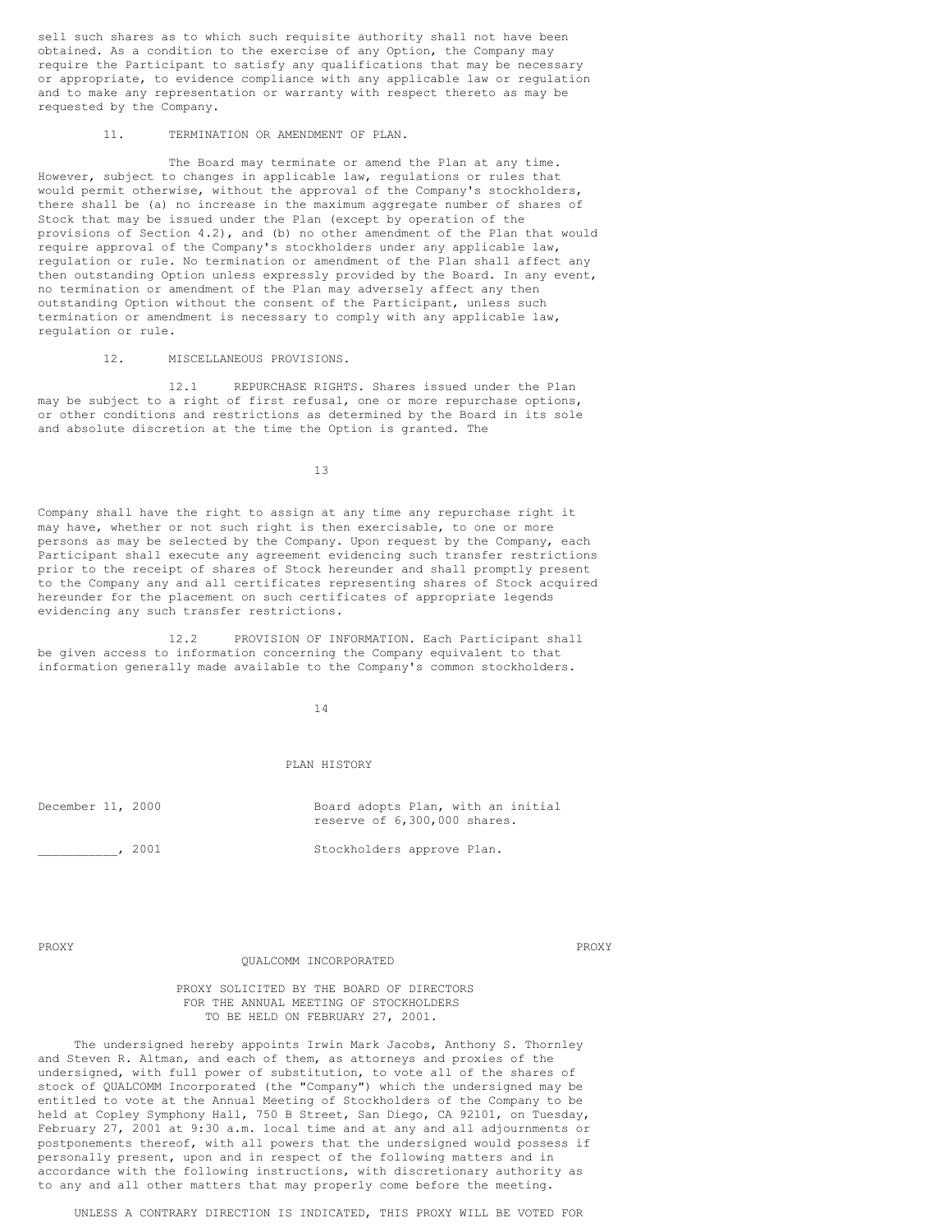sell such shares as to which such requisite authority shall not have been obtained. As a condition to the exercise of any Option, the Company may require the Participant to satisfy any qualifications that may be necessary or appropriate, to evidence compliance with any applicable law or regulation and to make any representation or warranty with respect thereto as may be requested by the Company.

#### 11. TERMINATION OR AMENDMENT OF PLAN.

The Board may terminate or amend the Plan at any time. However, subject to changes in applicable law, regulations or rules that would permit otherwise, without the approval of the Company's stockholders, there shall be (a) no increase in the maximum aggregate number of shares of Stock that may be issued under the Plan (except by operation of the provisions of Section 4.2), and (b) no other amendment of the Plan that would require approval of the Company's stockholders under any applicable law, regulation or rule. No termination or amendment of the Plan shall affect any then outstanding Option unless expressly provided by the Board. In any event, no termination or amendment of the Plan may adversely affect any then outstanding Option without the consent of the Participant, unless such termination or amendment is necessary to comply with any applicable law, regulation or rule.

#### 12. MISCELLANEOUS PROVISIONS.

12.1 REPURCHASE RIGHTS. Shares issued under the Plan may be subject to a right of first refusal, one or more repurchase options, or other conditions and restrictions as determined by the Board in its sole and absolute discretion at the time the Option is granted. The

13

Company shall have the right to assign at any time any repurchase right it may have, whether or not such right is then exercisable, to one or more persons as may be selected by the Company. Upon request by the Company, each Participant shall execute any agreement evidencing such transfer restrictions prior to the receipt of shares of Stock hereunder and shall promptly present to the Company any and all certificates representing shares of Stock acquired hereunder for the placement on such certificates of appropriate legends evidencing any such transfer restrictions.

12.2 PROVISION OF INFORMATION. Each Participant shall be given access to information concerning the Company equivalent to that information generally made available to the Company's common stockholders.

14

#### PLAN HISTORY

December 11, 2000 Board adopts Plan, with an initial reserve of 6,300,000 shares.

, 2001 George Stockholders approve Plan.

QUALCOMM INCORPORATED

PROXY PROXY

PROXY SOLICITED BY THE BOARD OF DIRECTORS FOR THE ANNUAL MEETING OF STOCKHOLDERS TO BE HELD ON FEBRUARY 27, 2001.

The undersigned hereby appoints Irwin Mark Jacobs, Anthony S. Thornley and Steven R. Altman, and each of them, as attorneys and proxies of the undersigned, with full power of substitution, to vote all of the shares of stock of QUALCOMM Incorporated (the "Company") which the undersigned may be entitled to vote at the Annual Meeting of Stockholders of the Company to be held at Copley Symphony Hall, 750 B Street, San Diego, CA 92101, on Tuesday, February 27, 2001 at 9:30 a.m. local time and at any and all adjournments or postponements thereof, with all powers that the undersigned would possess if personally present, upon and in respect of the following matters and in accordance with the following instructions, with discretionary authority as to any and all other matters that may properly come before the meeting.

UNLESS A CONTRARY DIRECTION IS INDICATED, THIS PROXY WILL BE VOTED FOR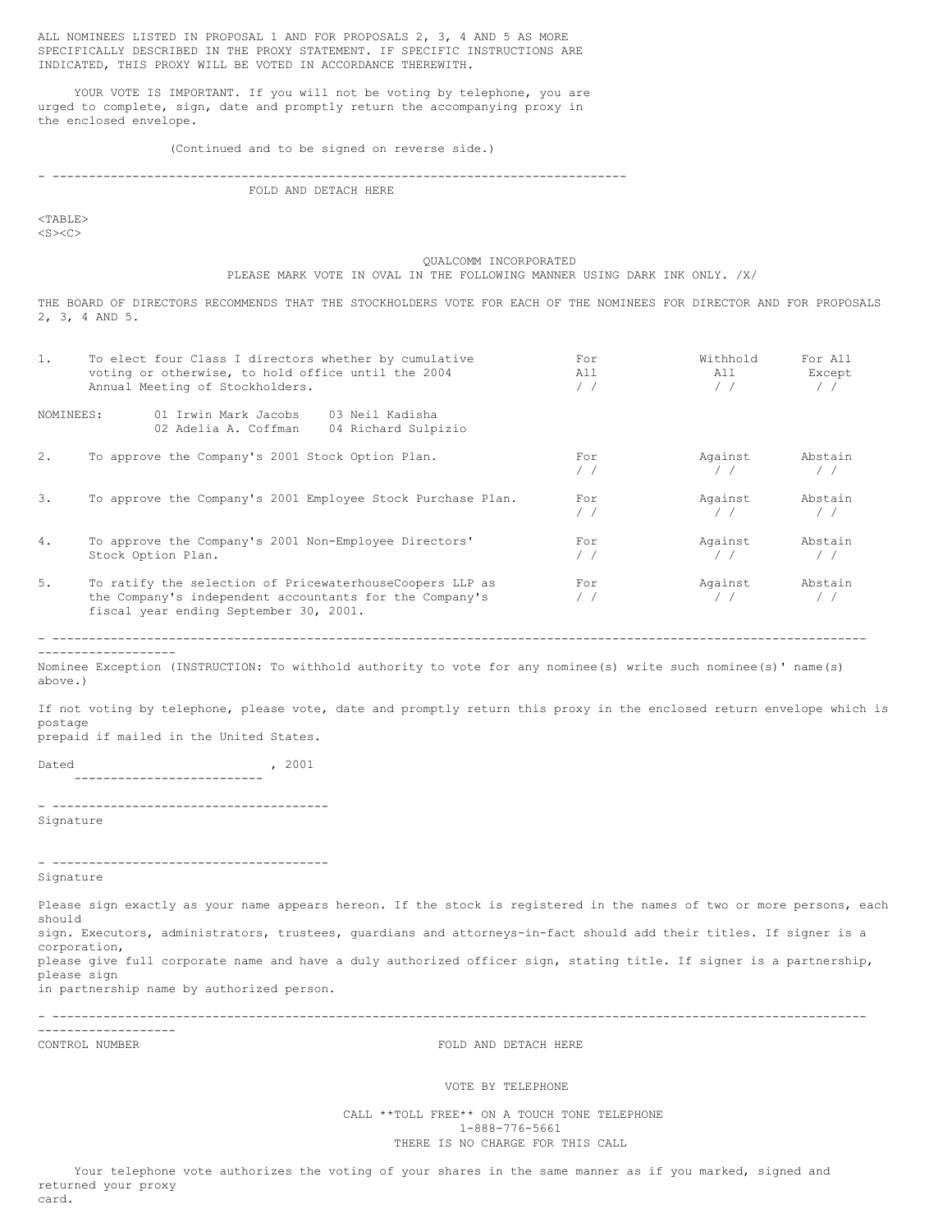ALL NOMINEES LISTED IN PROPOSAL 1 AND FOR PROPOSALS 2, 3, 4 AND 5 AS MORE SPECIFICALLY DESCRIBED IN THE PROXY STATEMENT. IF SPECIFIC INSTRUCTIONS ARE INDICATED, THIS PROXY WILL BE VOTED IN ACCORDANCE THEREWITH.

YOUR VOTE IS IMPORTANT. If you will not be voting by telephone, you are urged to complete, sign, date and promptly return the accompanying proxy in the enclosed envelope.

(Continued and to be signed on reverse side.)

- -------------------------------------------------------------------------------

FOLD AND DETACH HERE

 $<$ TABLE>  $<$ S $>$  $<$ C $>$ 

> QUALCOMM INCORPORATED PLEASE MARK VOTE IN OVAL IN THE FOLLOWING MANNER USING DARK INK ONLY. /X/

THE BOARD OF DIRECTORS RECOMMENDS THAT THE STOCKHOLDERS VOTE FOR EACH OF THE NOMINEES FOR DIRECTOR AND FOR PROPOSALS 2, 3, 4 AND 5.

| $1$ .     | To elect four Class I directors whether by cumulative<br>voting or otherwise, to hold office until the 2004                                                   | For<br>All        | Withhold<br>All | For All<br>Except |
|-----------|---------------------------------------------------------------------------------------------------------------------------------------------------------------|-------------------|-----------------|-------------------|
|           | Annual Meeting of Stockholders.                                                                                                                               | $\prime$ /        |                 |                   |
| NOMINEES: | 01 Irwin Mark Jacobs<br>03 Neil Kadisha<br>04 Richard Sulpizio<br>02 Adelia A. Coffman                                                                        |                   |                 |                   |
| 2.        | To approve the Company's 2001 Stock Option Plan.                                                                                                              | For               | Against         | Abstain           |
| 3.        | To approve the Company's 2001 Employee Stock Purchase Plan.                                                                                                   | For<br>$\prime$ / | Against         | Abstain           |
| 4.        | To approve the Company's 2001 Non-Employee Directors'<br>Stock Option Plan.                                                                                   | For<br>$\prime$ / | Against         | Abstain           |
| 5.        | To ratify the selection of PricewaterhouseCoopers LLP as<br>the Company's independent accountants for the Company's<br>fiscal year ending September 30, 2001. | For<br>$\prime$ / | Against         | Abstain           |

- ---------------------------------------------------------------------------------------------------------------- -------------------

Nominee Exception (INSTRUCTION: To withhold authority to vote for any nominee(s) write such nominee(s)' name(s) above.)

If not voting by telephone, please vote, date and promptly return this proxy in the enclosed return envelope which is postage prepaid if mailed in the United States.

Dated ,  $2001$ --------------------------

- -------------------------------------- Signature

- -------------------------------------- Signature

Please sign exactly as your name appears hereon. If the stock is registered in the names of two or more persons, each should sign. Executors, administrators, trustees, guardians and attorneys-in-fact should add their titles. If signer is a corporation, please give full corporate name and have a duly authorized officer sign, stating title. If signer is a partnership, please sign in partnership name by authorized person.

- ----------------------------------------------------------------------------------------------------------------

-------------------

CONTROL NUMBER FOLD AND DETACH HERE

#### VOTE BY TELEPHONE

CALL \*\*TOLL FREE\*\* ON A TOUCH TONE TELEPHONE 1-888-776-5661 THERE IS NO CHARGE FOR THIS CALL

Your telephone vote authorizes the voting of your shares in the same manner as if you marked, signed and returned your proxy card.